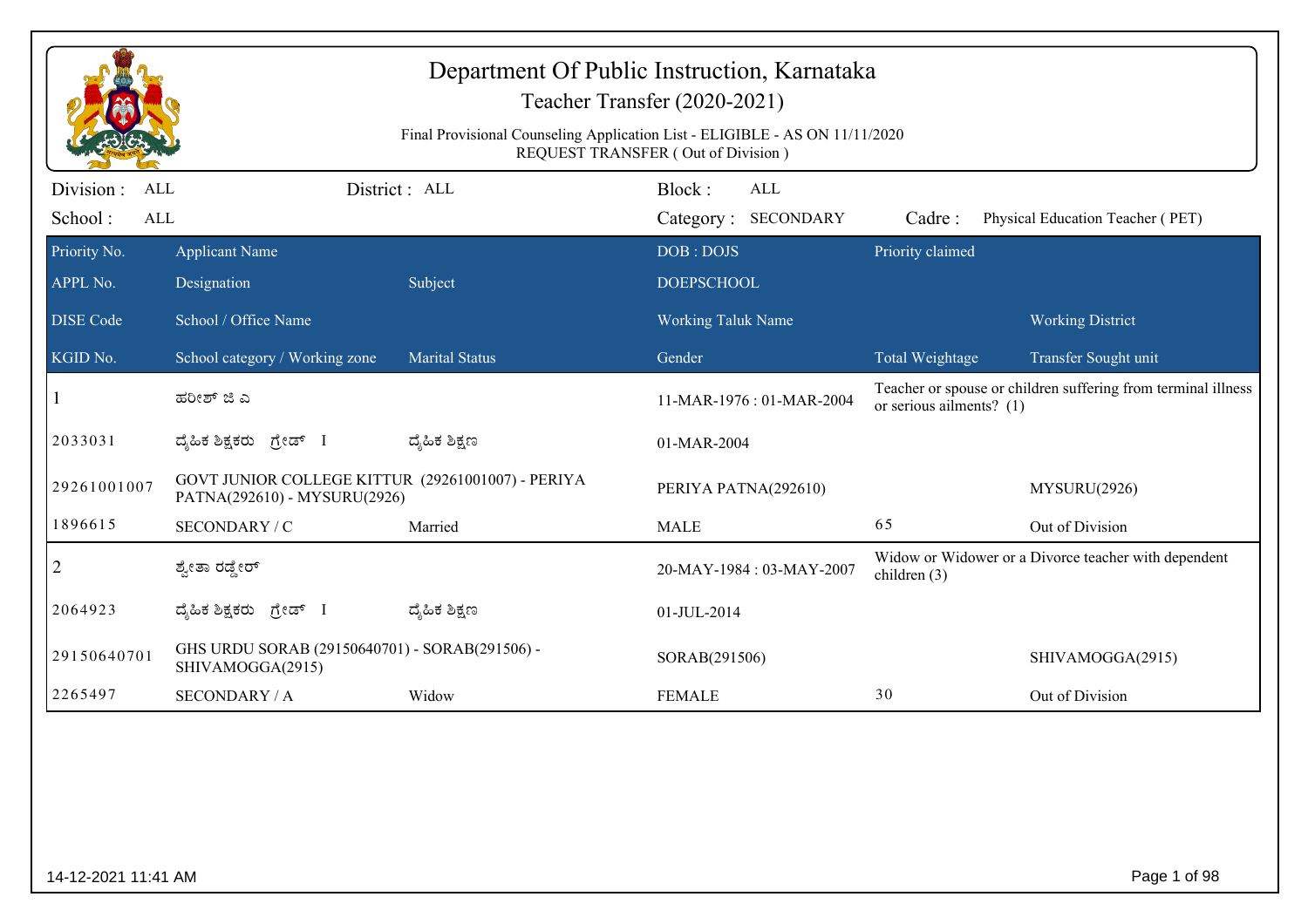|                                                   | Department Of Public Instruction, Karnataka<br>Teacher Transfer (2020-2021)<br>Final Provisional Counseling Application List - ELIGIBLE - AS ON 11/11/2020<br>REQUEST TRANSFER (Out of Division) |                       |                                |                                   |                            |                                                               |  |
|---------------------------------------------------|--------------------------------------------------------------------------------------------------------------------------------------------------------------------------------------------------|-----------------------|--------------------------------|-----------------------------------|----------------------------|---------------------------------------------------------------|--|
| Division :<br><b>ALL</b><br>School:<br><b>ALL</b> |                                                                                                                                                                                                  | District: ALL         | Block:                         | <b>ALL</b><br>Category: SECONDARY | Cadre:                     | Physical Education Teacher (PET)                              |  |
| Priority No.<br>APPL No.                          | <b>Applicant Name</b><br>Designation                                                                                                                                                             | Subject               | DOB: DOJS<br><b>DOEPSCHOOL</b> |                                   | Priority claimed           |                                                               |  |
| <b>DISE</b> Code                                  | School / Office Name                                                                                                                                                                             |                       | <b>Working Taluk Name</b>      |                                   |                            | <b>Working District</b>                                       |  |
| KGID No.                                          | School category / Working zone                                                                                                                                                                   | <b>Marital Status</b> | Gender                         |                                   | Total Weightage            | Transfer Sought unit                                          |  |
|                                                   | ಹರೀಶ್ ಜಿ ಎ                                                                                                                                                                                       |                       |                                | 11-MAR-1976: 01-MAR-2004          | or serious ailments? $(1)$ | Teacher or spouse or children suffering from terminal illness |  |
| 2033031                                           | ದೈಹಿಕ ಶಿಕ್ಷಕರು ಗ್ರೇಡ್ I                                                                                                                                                                          | ದ್ಯೆಹಿಕ ಶಿಕ್ಷಣ        | 01-MAR-2004                    |                                   |                            |                                                               |  |
| 29261001007                                       | GOVT JUNIOR COLLEGE KITTUR (29261001007) - PERIYA<br>PATNA(292610) - MYSURU(2926)                                                                                                                |                       |                                | PERIYA PATNA(292610)              |                            | MYSURU(2926)                                                  |  |
| 1896615                                           | SECONDARY / C                                                                                                                                                                                    | Married               | <b>MALE</b>                    |                                   | 65                         | Out of Division                                               |  |
| $\overline{2}$                                    | ಶ್ವೇತಾ ರಡ್ಡೇರ್                                                                                                                                                                                   |                       |                                | 20-MAY-1984: 03-MAY-2007          | children $(3)$             | Widow or Widower or a Divorce teacher with dependent          |  |
| 2064923                                           | ದೈಹಿಕ ಶಿಕ್ಷಕರು ಗ್ರೇಡ್ I                                                                                                                                                                          | ದ್ಮಹಿಕ ಶಿಕ್ಷಣ         | 01-JUL-2014                    |                                   |                            |                                                               |  |
| 29150640701                                       | GHS URDU SORAB (29150640701) - SORAB(291506) -<br>SHIVAMOGGA(2915)                                                                                                                               |                       | SORAB(291506)                  |                                   |                            | SHIVAMOGGA(2915)                                              |  |
| 2265497                                           | <b>SECONDARY / A</b>                                                                                                                                                                             | Widow                 | <b>FEMALE</b>                  |                                   | 30                         | Out of Division                                               |  |
|                                                   |                                                                                                                                                                                                  |                       |                                |                                   |                            |                                                               |  |
| 14-12-2021 11:41 AM                               |                                                                                                                                                                                                  |                       |                                |                                   |                            | Page 1 of 98                                                  |  |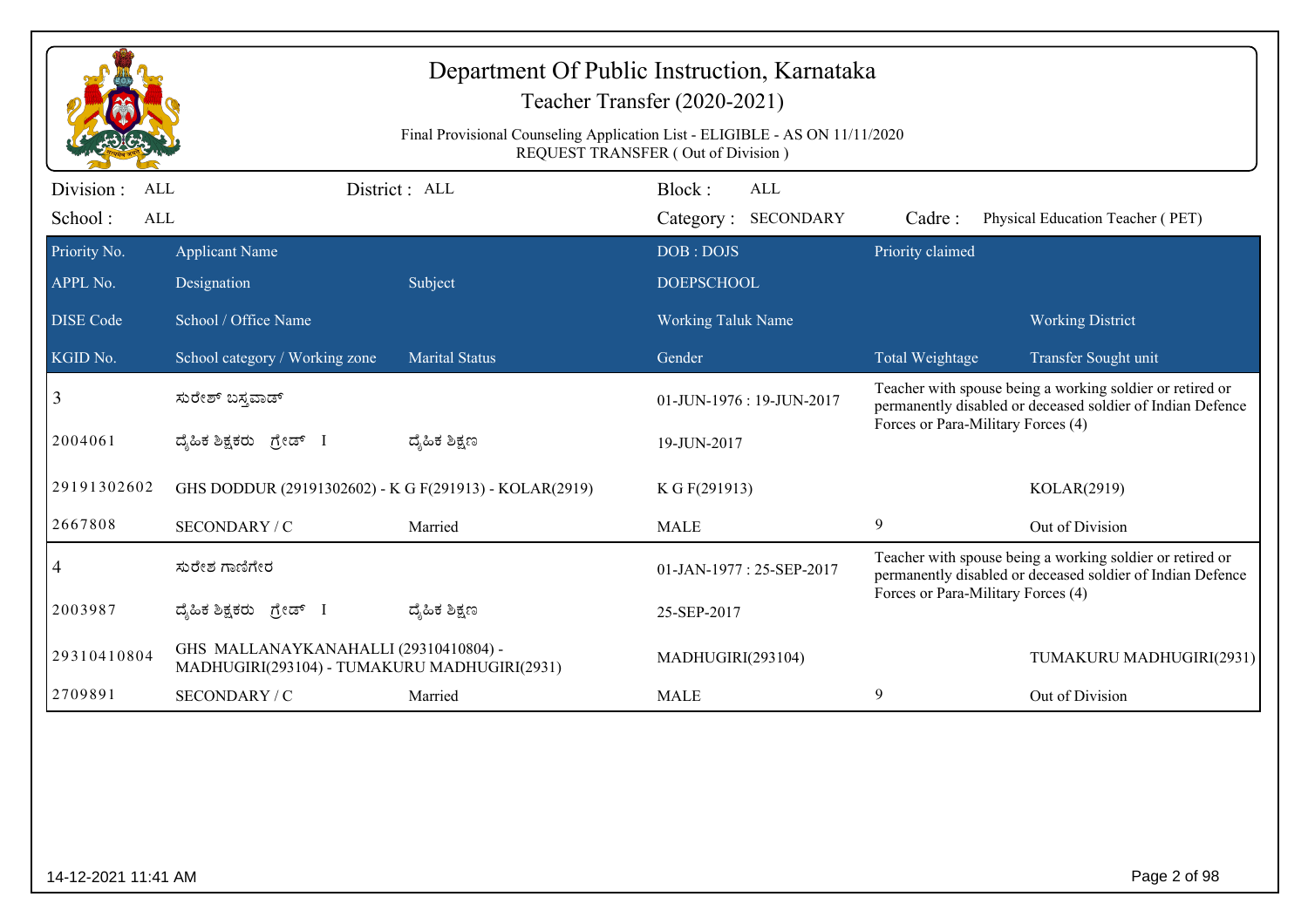|                                     | Department Of Public Instruction, Karnataka<br>Teacher Transfer (2020-2021)<br>Final Provisional Counseling Application List - ELIGIBLE - AS ON 11/11/2020<br>REQUEST TRANSFER (Out of Division) |                       |                                      |                                    |                                                                                                                         |  |  |  |
|-------------------------------------|--------------------------------------------------------------------------------------------------------------------------------------------------------------------------------------------------|-----------------------|--------------------------------------|------------------------------------|-------------------------------------------------------------------------------------------------------------------------|--|--|--|
| Division :<br>ALL<br>School:<br>ALL |                                                                                                                                                                                                  | District : ALL        | Block:<br>ALL<br>Category: SECONDARY | Cadre:                             | Physical Education Teacher (PET)                                                                                        |  |  |  |
| Priority No.                        | <b>Applicant Name</b>                                                                                                                                                                            |                       | DOB: DOJS                            | Priority claimed                   |                                                                                                                         |  |  |  |
| APPL No.                            | Designation                                                                                                                                                                                      | Subject               | <b>DOEPSCHOOL</b>                    |                                    |                                                                                                                         |  |  |  |
| <b>DISE Code</b>                    | School / Office Name                                                                                                                                                                             |                       | <b>Working Taluk Name</b>            |                                    | <b>Working District</b>                                                                                                 |  |  |  |
| KGID No.                            | School category / Working zone                                                                                                                                                                   | <b>Marital Status</b> | Gender                               | Total Weightage                    | Transfer Sought unit                                                                                                    |  |  |  |
| 3                                   | ಸುರೇಶ್ ಬಸ್ತವಾಡ್                                                                                                                                                                                  |                       | 01-JUN-1976: 19-JUN-2017             |                                    | Teacher with spouse being a working soldier or retired or<br>permanently disabled or deceased soldier of Indian Defence |  |  |  |
| 2004061                             | ದ್ಯಹಿಕ ಶಿಕ್ಷಕರು <i>ಗ್ರೇಡ್</i> I                                                                                                                                                                  | ದ್ಶೆಹಿಕ ಶಿಕ್ಷಣ        | 19-JUN-2017                          | Forces or Para-Military Forces (4) |                                                                                                                         |  |  |  |
| 29191302602                         | GHS DODDUR (29191302602) - K G F(291913) - KOLAR(2919)                                                                                                                                           |                       | K G F(291913)                        |                                    | KOLAR(2919)                                                                                                             |  |  |  |
| 2667808                             | SECONDARY / C                                                                                                                                                                                    | Married               | <b>MALE</b>                          | 9                                  | Out of Division                                                                                                         |  |  |  |
| 4                                   | ಸುರೇಶ ಗಾಣಿಗೇರ                                                                                                                                                                                    |                       | 01-JAN-1977: 25-SEP-2017             |                                    | Teacher with spouse being a working soldier or retired or<br>permanently disabled or deceased soldier of Indian Defence |  |  |  |
| 2003987                             | ದೈಹಿಕ ಶಿಕ್ಷಕರು ಗ್ರೇಡ್ I                                                                                                                                                                          | ದ್ಶೆಹಿಕ ಶಿಕ್ಷಣ        | 25-SEP-2017                          | Forces or Para-Military Forces (4) |                                                                                                                         |  |  |  |
| 29310410804                         | GHS MALLANAYKANAHALLI (29310410804) -<br>MADHUGIRI(293104) - TUMAKURU MADHUGIRI(2931)                                                                                                            |                       | MADHUGIRI(293104)                    |                                    | TUMAKURU MADHUGIRI(2931)                                                                                                |  |  |  |
| 2709891                             | SECONDARY / C                                                                                                                                                                                    | Married               | <b>MALE</b>                          | 9                                  | Out of Division                                                                                                         |  |  |  |
|                                     |                                                                                                                                                                                                  |                       |                                      |                                    |                                                                                                                         |  |  |  |
| 14-12-2021 11:41 AM                 |                                                                                                                                                                                                  |                       |                                      |                                    | Page 2 of 98                                                                                                            |  |  |  |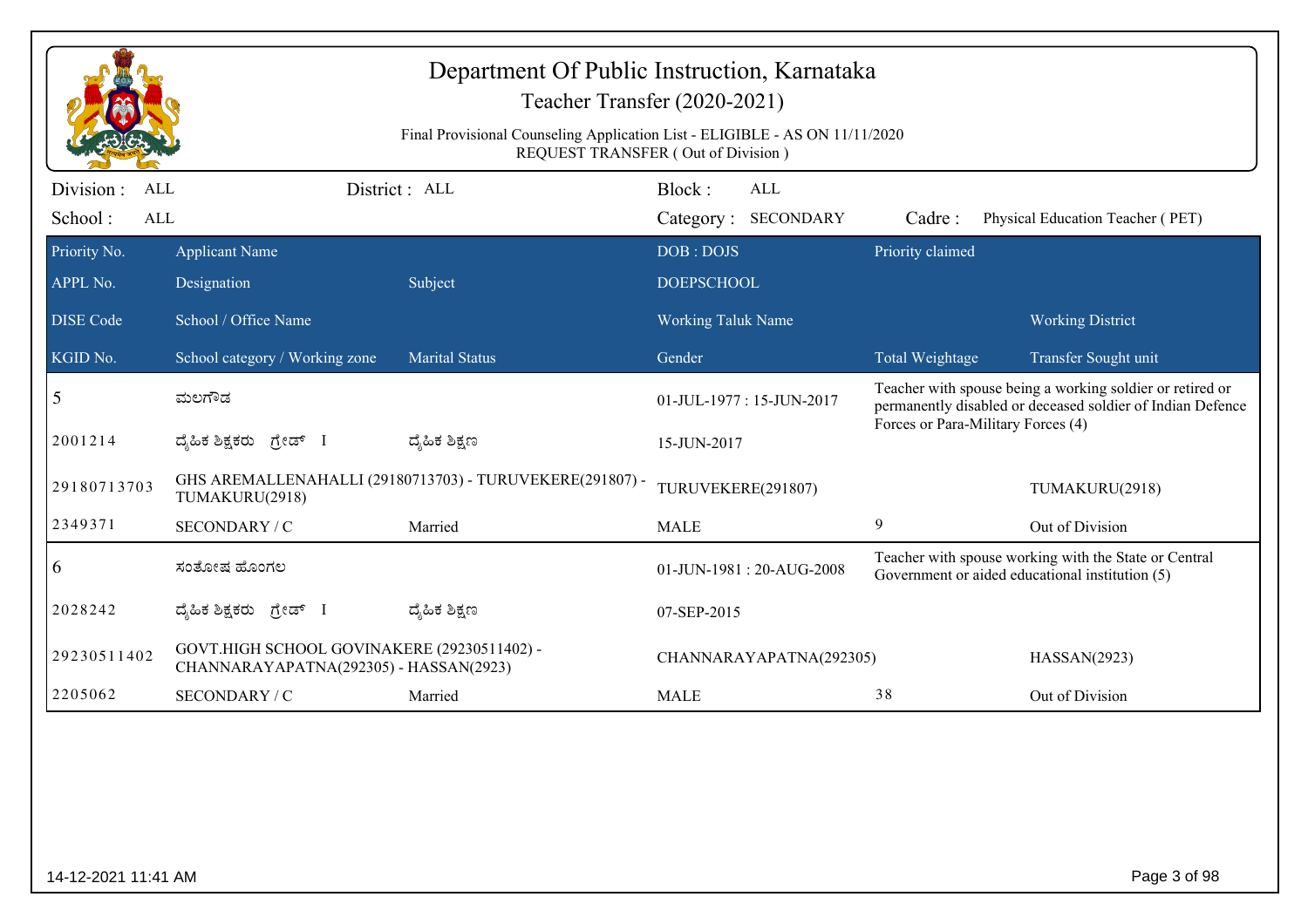| Final Provisional Counseling Application List - ELIGIBLE - AS ON 11/11/2020<br>REQUEST TRANSFER (Out of Division)<br>Division :<br>District : ALL<br>Block:<br><b>ALL</b><br>ALL<br>School:<br><b>ALL</b><br>Category: SECONDARY<br>Physical Education Teacher (PET)<br>Cadre:<br>Priority claimed<br>Priority No.<br><b>Applicant Name</b><br>DOB: DOJS<br>APPL No.<br>Subject<br><b>DOEPSCHOOL</b><br>Designation<br>School / Office Name<br><b>Working Taluk Name</b><br><b>Working District</b><br>School category / Working zone<br><b>Marital Status</b><br>Gender<br>Total Weightage<br>Transfer Sought unit<br>Teacher with spouse being a working soldier or retired or<br>5<br>ಮಲಗೌಡ<br>01-JUL-1977: 15-JUN-2017<br>permanently disabled or deceased soldier of Indian Defence<br>Forces or Para-Military Forces (4)<br>2001214<br>ದ್ಯಹಿಕ ಶಿಕ್ಷಕರು ಗ್ರೇಡ್ I<br>ದೈಹಿಕ ಶಿಕ್ಷಣ<br>15-JUN-2017<br>GHS AREMALLENAHALLI (29180713703) - TURUVEKERE(291807) -<br>29180713703<br>TURUVEKERE(291807)<br>TUMAKURU(2918)<br>TUMAKURU(2918)<br>2349371<br>9<br>Married<br>Out of Division<br>SECONDARY / C<br><b>MALE</b><br>Teacher with spouse working with the State or Central<br>6<br>ಸಂತೋಷ ಹೊಂಗಲ<br>$01$ -JUN-1981 : 20-AUG-2008<br>Government or aided educational institution (5)<br>2028242<br>ದೈಹಿಕ ಶಿಕ್ಷಕರು ಗ್ರೇಡ್ I<br>ದ್ಯೆಹಿಕ ಶಿಕ್ಷಣ<br>07-SEP-2015<br>GOVT.HIGH SCHOOL GOVINAKERE (29230511402) -<br>29230511402<br>CHANNARAYAPATNA(292305)<br>HASSAN(2923)<br>CHANNARAYAPATNA(292305) - HASSAN(2923)<br>2205062<br>38<br><b>SECONDARY / C</b><br>Out of Division<br>Married<br><b>MALE</b> |                              | Department Of Public Instruction, Karnataka<br>Teacher Transfer (2020-2021) |  |  |  |  |  |  |
|---------------------------------------------------------------------------------------------------------------------------------------------------------------------------------------------------------------------------------------------------------------------------------------------------------------------------------------------------------------------------------------------------------------------------------------------------------------------------------------------------------------------------------------------------------------------------------------------------------------------------------------------------------------------------------------------------------------------------------------------------------------------------------------------------------------------------------------------------------------------------------------------------------------------------------------------------------------------------------------------------------------------------------------------------------------------------------------------------------------------------------------------------------------------------------------------------------------------------------------------------------------------------------------------------------------------------------------------------------------------------------------------------------------------------------------------------------------------------------------------------------------------------------------------------------------------------------------------------------|------------------------------|-----------------------------------------------------------------------------|--|--|--|--|--|--|
|                                                                                                                                                                                                                                                                                                                                                                                                                                                                                                                                                                                                                                                                                                                                                                                                                                                                                                                                                                                                                                                                                                                                                                                                                                                                                                                                                                                                                                                                                                                                                                                                         |                              |                                                                             |  |  |  |  |  |  |
|                                                                                                                                                                                                                                                                                                                                                                                                                                                                                                                                                                                                                                                                                                                                                                                                                                                                                                                                                                                                                                                                                                                                                                                                                                                                                                                                                                                                                                                                                                                                                                                                         |                              |                                                                             |  |  |  |  |  |  |
|                                                                                                                                                                                                                                                                                                                                                                                                                                                                                                                                                                                                                                                                                                                                                                                                                                                                                                                                                                                                                                                                                                                                                                                                                                                                                                                                                                                                                                                                                                                                                                                                         | <b>DISE</b> Code<br>KGID No. |                                                                             |  |  |  |  |  |  |
|                                                                                                                                                                                                                                                                                                                                                                                                                                                                                                                                                                                                                                                                                                                                                                                                                                                                                                                                                                                                                                                                                                                                                                                                                                                                                                                                                                                                                                                                                                                                                                                                         |                              |                                                                             |  |  |  |  |  |  |
|                                                                                                                                                                                                                                                                                                                                                                                                                                                                                                                                                                                                                                                                                                                                                                                                                                                                                                                                                                                                                                                                                                                                                                                                                                                                                                                                                                                                                                                                                                                                                                                                         |                              |                                                                             |  |  |  |  |  |  |
|                                                                                                                                                                                                                                                                                                                                                                                                                                                                                                                                                                                                                                                                                                                                                                                                                                                                                                                                                                                                                                                                                                                                                                                                                                                                                                                                                                                                                                                                                                                                                                                                         |                              |                                                                             |  |  |  |  |  |  |
|                                                                                                                                                                                                                                                                                                                                                                                                                                                                                                                                                                                                                                                                                                                                                                                                                                                                                                                                                                                                                                                                                                                                                                                                                                                                                                                                                                                                                                                                                                                                                                                                         |                              |                                                                             |  |  |  |  |  |  |
|                                                                                                                                                                                                                                                                                                                                                                                                                                                                                                                                                                                                                                                                                                                                                                                                                                                                                                                                                                                                                                                                                                                                                                                                                                                                                                                                                                                                                                                                                                                                                                                                         |                              |                                                                             |  |  |  |  |  |  |
|                                                                                                                                                                                                                                                                                                                                                                                                                                                                                                                                                                                                                                                                                                                                                                                                                                                                                                                                                                                                                                                                                                                                                                                                                                                                                                                                                                                                                                                                                                                                                                                                         |                              |                                                                             |  |  |  |  |  |  |
|                                                                                                                                                                                                                                                                                                                                                                                                                                                                                                                                                                                                                                                                                                                                                                                                                                                                                                                                                                                                                                                                                                                                                                                                                                                                                                                                                                                                                                                                                                                                                                                                         |                              |                                                                             |  |  |  |  |  |  |
|                                                                                                                                                                                                                                                                                                                                                                                                                                                                                                                                                                                                                                                                                                                                                                                                                                                                                                                                                                                                                                                                                                                                                                                                                                                                                                                                                                                                                                                                                                                                                                                                         |                              |                                                                             |  |  |  |  |  |  |
|                                                                                                                                                                                                                                                                                                                                                                                                                                                                                                                                                                                                                                                                                                                                                                                                                                                                                                                                                                                                                                                                                                                                                                                                                                                                                                                                                                                                                                                                                                                                                                                                         |                              |                                                                             |  |  |  |  |  |  |
|                                                                                                                                                                                                                                                                                                                                                                                                                                                                                                                                                                                                                                                                                                                                                                                                                                                                                                                                                                                                                                                                                                                                                                                                                                                                                                                                                                                                                                                                                                                                                                                                         |                              |                                                                             |  |  |  |  |  |  |
|                                                                                                                                                                                                                                                                                                                                                                                                                                                                                                                                                                                                                                                                                                                                                                                                                                                                                                                                                                                                                                                                                                                                                                                                                                                                                                                                                                                                                                                                                                                                                                                                         |                              |                                                                             |  |  |  |  |  |  |
|                                                                                                                                                                                                                                                                                                                                                                                                                                                                                                                                                                                                                                                                                                                                                                                                                                                                                                                                                                                                                                                                                                                                                                                                                                                                                                                                                                                                                                                                                                                                                                                                         |                              |                                                                             |  |  |  |  |  |  |
|                                                                                                                                                                                                                                                                                                                                                                                                                                                                                                                                                                                                                                                                                                                                                                                                                                                                                                                                                                                                                                                                                                                                                                                                                                                                                                                                                                                                                                                                                                                                                                                                         |                              |                                                                             |  |  |  |  |  |  |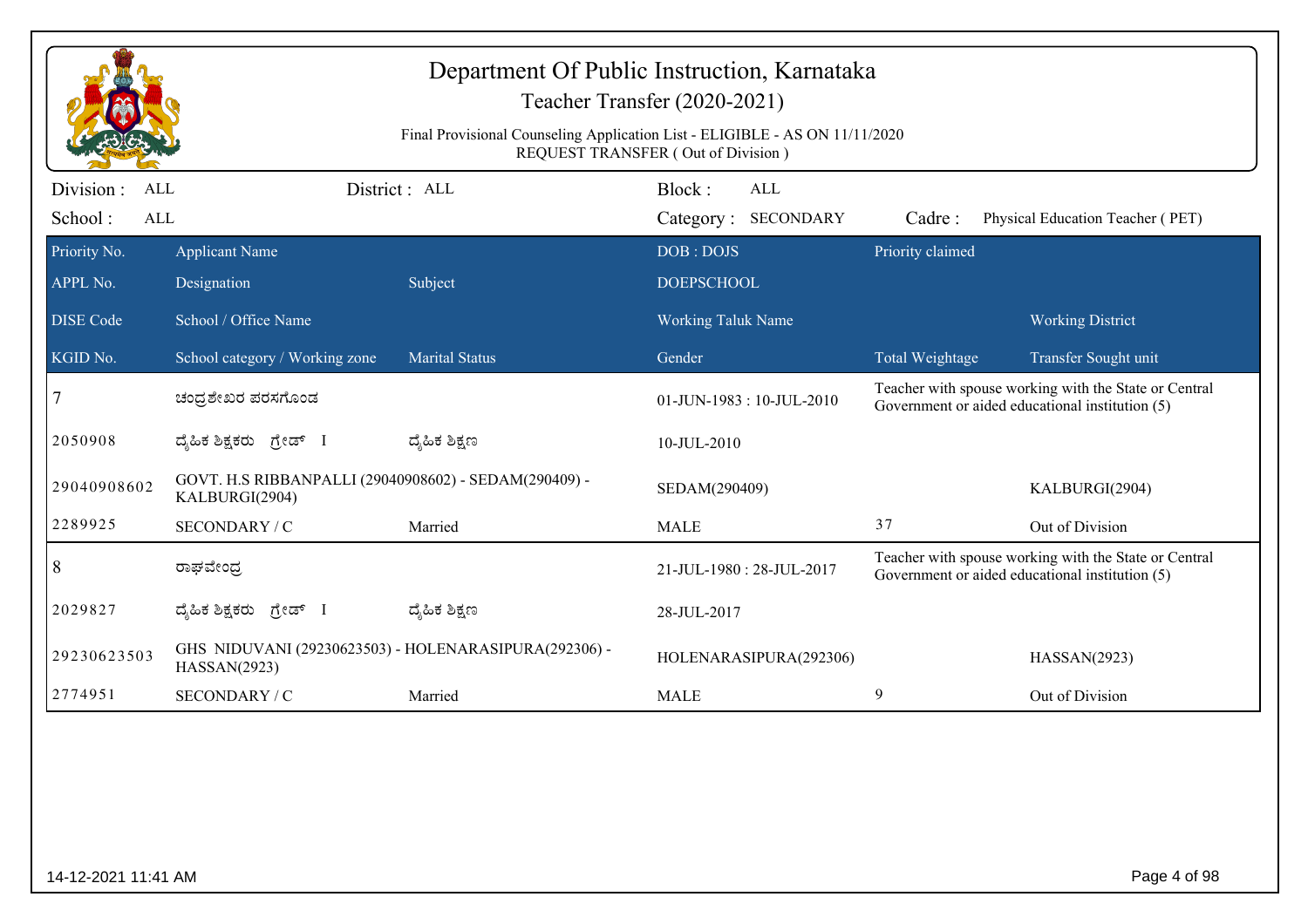|                                     | Department Of Public Instruction, Karnataka<br>Teacher Transfer (2020-2021)<br>Final Provisional Counseling Application List - ELIGIBLE - AS ON 11/11/2020<br>REQUEST TRANSFER (Out of Division) |                       |                                |                                   |                  |                                                                                                          |  |
|-------------------------------------|--------------------------------------------------------------------------------------------------------------------------------------------------------------------------------------------------|-----------------------|--------------------------------|-----------------------------------|------------------|----------------------------------------------------------------------------------------------------------|--|
| Division :<br>ALL<br>School:<br>ALL |                                                                                                                                                                                                  | District : ALL        | Block:                         | <b>ALL</b><br>Category: SECONDARY | Cadre:           | Physical Education Teacher (PET)                                                                         |  |
| Priority No.<br>APPL No.            | <b>Applicant Name</b><br>Designation                                                                                                                                                             | Subject               | DOB: DOJS<br><b>DOEPSCHOOL</b> |                                   | Priority claimed |                                                                                                          |  |
| <b>DISE Code</b>                    | School / Office Name                                                                                                                                                                             |                       | Working Taluk Name             |                                   |                  | <b>Working District</b>                                                                                  |  |
| KGID No.                            | School category / Working zone                                                                                                                                                                   | <b>Marital Status</b> | Gender                         |                                   | Total Weightage  | Transfer Sought unit                                                                                     |  |
|                                     | ಚಂಧ್ರಶೇಖರ ಪರಸಗೊಂಡ                                                                                                                                                                                |                       | 01-JUN-1983: 10-JUL-2010       |                                   |                  | Teacher with spouse working with the State or Central<br>Government or aided educational institution (5) |  |
| 2050908                             | ದ್ಯಹಿಕ ಶಿಕ್ಷಕರು ಗ್ರೇಡ್ I                                                                                                                                                                         | ದ್ಮಹಿಕ ಶಿಕ್ಷಣ         | 10-JUL-2010                    |                                   |                  |                                                                                                          |  |
| 29040908602                         | GOVT. H.S RIBBANPALLI (29040908602) - SEDAM(290409) -<br>KALBURGI(2904)                                                                                                                          |                       | SEDAM(290409)                  |                                   |                  | KALBURGI(2904)                                                                                           |  |
| 2289925                             | SECONDARY / C                                                                                                                                                                                    | Married               | <b>MALE</b>                    |                                   | 37               | Out of Division                                                                                          |  |
| 8                                   | ರಾಘವೇಂದ್ರ                                                                                                                                                                                        |                       | 21-JUL-1980: 28-JUL-2017       |                                   |                  | Teacher with spouse working with the State or Central<br>Government or aided educational institution (5) |  |
| 2029827                             | ದ್ಯಹಿಕ ಶಿಕ್ಷಕರು ಗ್ರೇಡ್ I                                                                                                                                                                         | ದ್ಶೆಹಿಕ ಶಿಕ್ಷಣ        | 28-JUL-2017                    |                                   |                  |                                                                                                          |  |
| 29230623503                         | GHS NIDUVANI (29230623503) - HOLENARASIPURA(292306) -<br>HASSAN(2923)                                                                                                                            |                       |                                | HOLENARASIPURA(292306)            |                  | HASSAN(2923)                                                                                             |  |
| 2774951                             | SECONDARY / C                                                                                                                                                                                    | Married               | <b>MALE</b>                    |                                   | 9                | Out of Division                                                                                          |  |
|                                     |                                                                                                                                                                                                  |                       |                                |                                   |                  |                                                                                                          |  |
|                                     | Page 4 of 98<br>14-12-2021 11:41 AM                                                                                                                                                              |                       |                                |                                   |                  |                                                                                                          |  |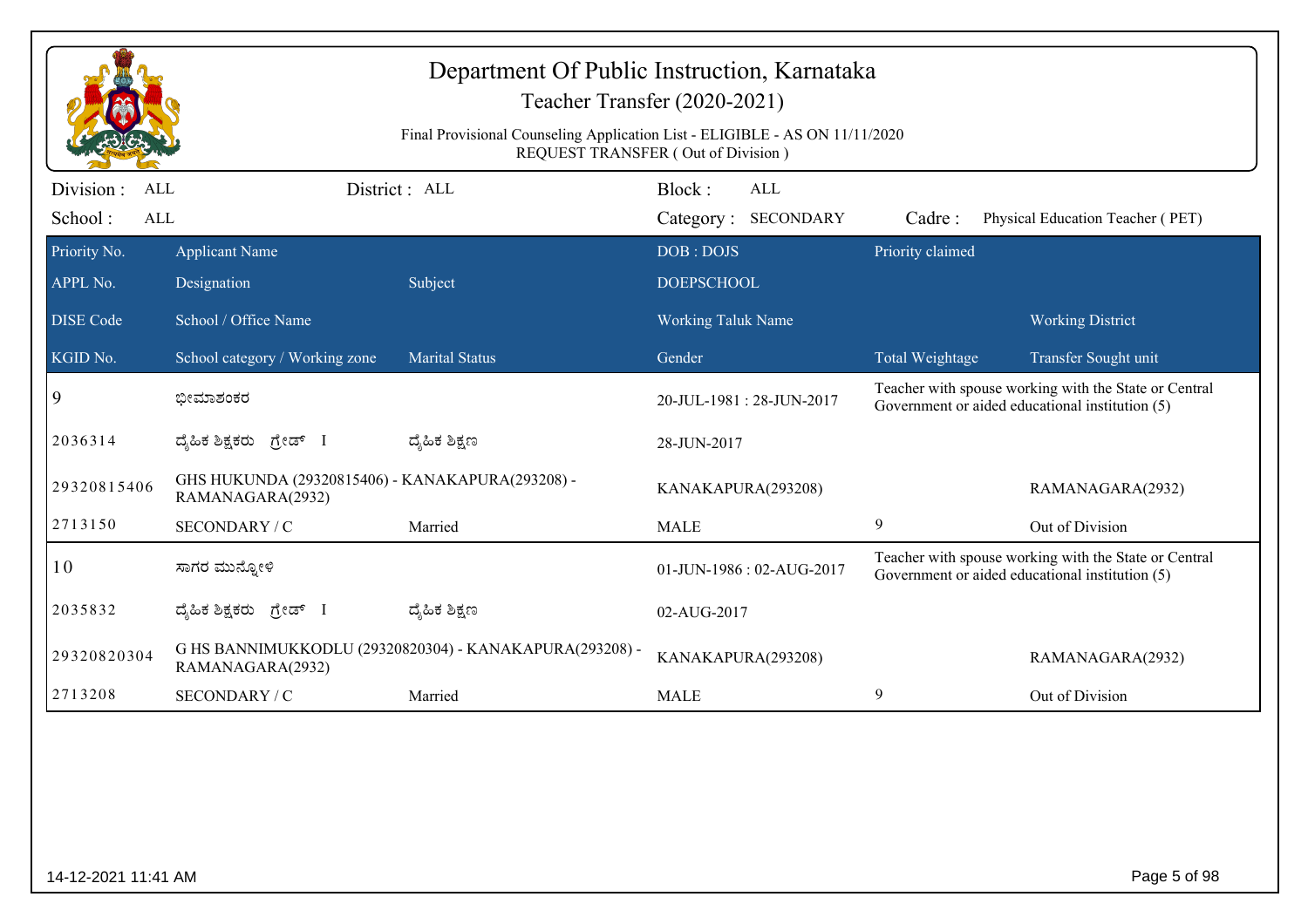|                                                                                                                                      | Department Of Public Instruction, Karnataka<br>Teacher Transfer (2020-2021)<br>Final Provisional Counseling Application List - ELIGIBLE - AS ON 11/11/2020<br><b>REQUEST TRANSFER (Out of Division)</b> |                       |                                |                            |                  |                                                                                                          |  |
|--------------------------------------------------------------------------------------------------------------------------------------|---------------------------------------------------------------------------------------------------------------------------------------------------------------------------------------------------------|-----------------------|--------------------------------|----------------------------|------------------|----------------------------------------------------------------------------------------------------------|--|
| Division :<br>ALL<br>School:<br>ALL                                                                                                  |                                                                                                                                                                                                         | District : ALL        | Block:                         | ALL<br>Category: SECONDARY | Cadre:           | Physical Education Teacher (PET)                                                                         |  |
| Priority No.<br>APPL No.                                                                                                             | <b>Applicant Name</b><br>Designation                                                                                                                                                                    | Subject               | DOB: DOJS<br><b>DOEPSCHOOL</b> |                            | Priority claimed |                                                                                                          |  |
| <b>DISE</b> Code                                                                                                                     | School / Office Name                                                                                                                                                                                    |                       | <b>Working Taluk Name</b>      |                            |                  | <b>Working District</b>                                                                                  |  |
| KGID No.                                                                                                                             | School category / Working zone                                                                                                                                                                          | <b>Marital Status</b> | Gender                         |                            | Total Weightage  | Transfer Sought unit                                                                                     |  |
| 9                                                                                                                                    | ಭೀಮಾಶಂಕರ                                                                                                                                                                                                |                       |                                | 20-JUL-1981: 28-JUN-2017   |                  | Teacher with spouse working with the State or Central<br>Government or aided educational institution (5) |  |
| 2036314                                                                                                                              | ದ್ಯಹಿಕ ಶಿಕ್ಷಕರು ಗ್ರೇಡ್ I                                                                                                                                                                                | ದ್ಶೆಹಿಕ ಶಿಕ್ಷಣ        | 28-JUN-2017                    |                            |                  |                                                                                                          |  |
| 29320815406                                                                                                                          | GHS HUKUNDA (29320815406) - KANAKAPURA(293208) -<br>RAMANAGARA(2932)                                                                                                                                    |                       | KANAKAPURA(293208)             |                            |                  | RAMANAGARA(2932)                                                                                         |  |
| 2713150                                                                                                                              | SECONDARY / C                                                                                                                                                                                           | Married               | <b>MALE</b>                    |                            | 9                | Out of Division                                                                                          |  |
| 10                                                                                                                                   | ಸಾಗರ ಮುನ್ನೋಳಿ                                                                                                                                                                                           |                       |                                | 01-JUN-1986: 02-AUG-2017   |                  | Teacher with spouse working with the State or Central<br>Government or aided educational institution (5) |  |
| 2035832                                                                                                                              | ದ್ಯಹಿಕ ಶಿಕ್ಷಕರು ಗ್ರೇಡ್ I                                                                                                                                                                                | ದ್ಮಹಿಕ ಶಿಕ್ಷಣ         | 02-AUG-2017                    |                            |                  |                                                                                                          |  |
| G HS BANNIMUKKODLU (29320820304) - KANAKAPURA(293208) -<br>29320820304<br>KANAKAPURA(293208)<br>RAMANAGARA(2932)<br>RAMANAGARA(2932) |                                                                                                                                                                                                         |                       |                                |                            |                  |                                                                                                          |  |
| 2713208<br>9<br>SECONDARY / C<br>Out of Division<br>Married<br><b>MALE</b>                                                           |                                                                                                                                                                                                         |                       |                                |                            |                  |                                                                                                          |  |
|                                                                                                                                      |                                                                                                                                                                                                         |                       |                                |                            |                  |                                                                                                          |  |
| Page 5 of 98<br>14-12-2021 11:41 AM                                                                                                  |                                                                                                                                                                                                         |                       |                                |                            |                  |                                                                                                          |  |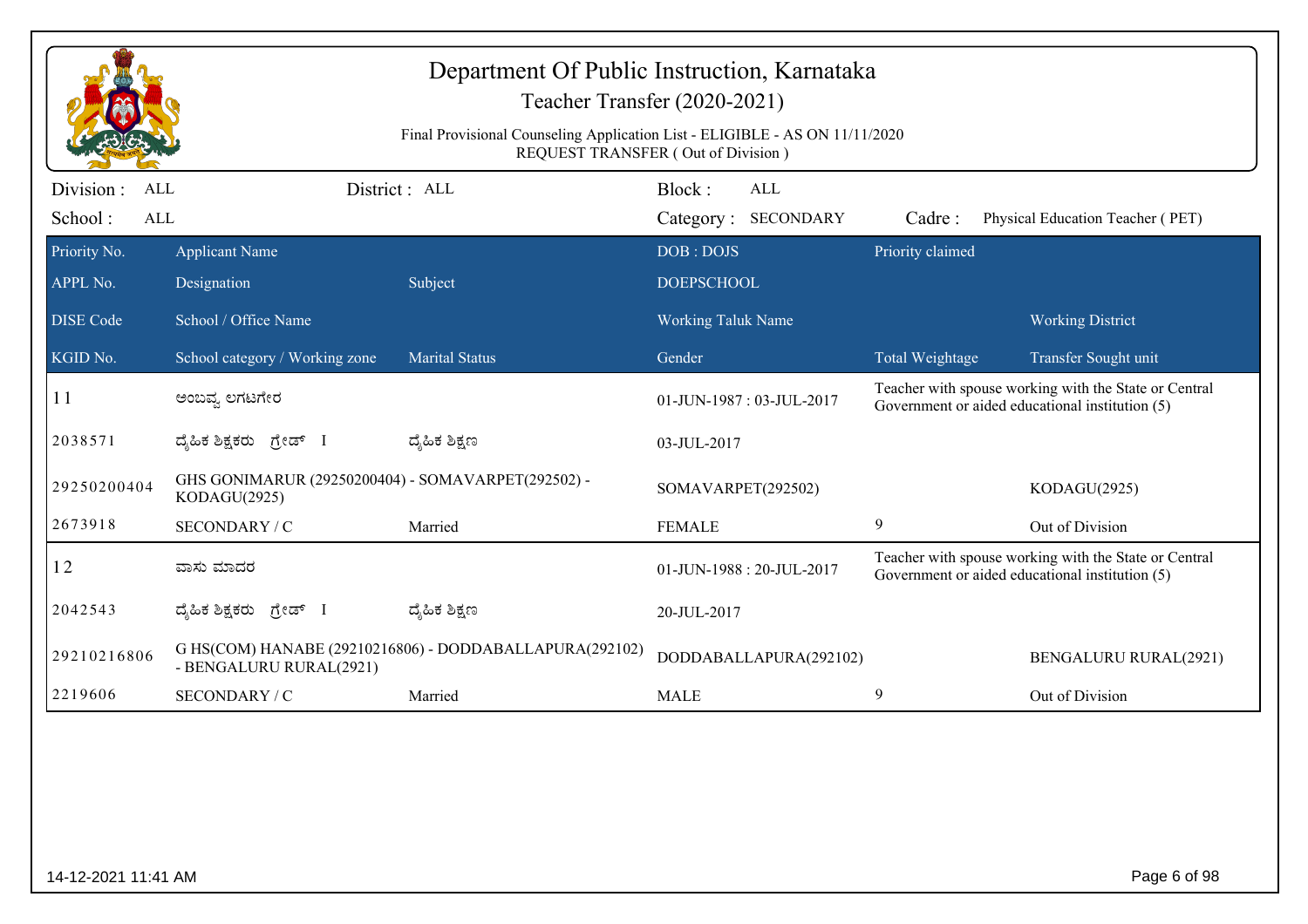|                                    | Department Of Public Instruction, Karnataka<br>Teacher Transfer (2020-2021)<br>Final Provisional Counseling Application List - ELIGIBLE - AS ON 11/11/2020<br><b>REQUEST TRANSFER (Out of Division)</b> |                                                         |                                     |                            |                  |                                                                                                                                  |  |
|------------------------------------|---------------------------------------------------------------------------------------------------------------------------------------------------------------------------------------------------------|---------------------------------------------------------|-------------------------------------|----------------------------|------------------|----------------------------------------------------------------------------------------------------------------------------------|--|
| Division:<br>ALL<br>School:<br>ALL |                                                                                                                                                                                                         | District : ALL                                          | Block:                              | ALL<br>Category: SECONDARY | Cadre:           | Physical Education Teacher (PET)                                                                                                 |  |
| Priority No.<br>APPL No.           | <b>Applicant Name</b><br>Designation                                                                                                                                                                    | Subject                                                 | DOB: DOJS<br><b>DOEPSCHOOL</b>      |                            | Priority claimed |                                                                                                                                  |  |
| <b>DISE</b> Code<br>KGID No.       | School / Office Name                                                                                                                                                                                    | <b>Marital Status</b>                                   | <b>Working Taluk Name</b><br>Gender |                            |                  | <b>Working District</b>                                                                                                          |  |
| 11                                 | School category / Working zone<br>ಅಂಬವ್ನ ಲಗಟಗೇರ                                                                                                                                                         |                                                         |                                     | 01-JUN-1987: 03-JUL-2017   | Total Weightage  | Transfer Sought unit<br>Teacher with spouse working with the State or Central<br>Government or aided educational institution (5) |  |
| 2038571                            | ದ್ಯಹಿಕ ಶಿಕ್ಷಕರು ಗ್ರೇಡ್ I                                                                                                                                                                                | ದ್ಮಹಿಕ ಶಿಕ್ಷಣ                                           | 03-JUL-2017                         |                            |                  |                                                                                                                                  |  |
| 29250200404                        | GHS GONIMARUR (29250200404) - SOMAVARPET(292502) -<br>KODAGU(2925)                                                                                                                                      |                                                         | SOMAVARPET(292502)                  |                            |                  | KODAGU(2925)                                                                                                                     |  |
| 2673918                            | SECONDARY / C                                                                                                                                                                                           | Married                                                 | <b>FEMALE</b>                       |                            | 9                | Out of Division                                                                                                                  |  |
| 12                                 | ವಾಸು ಮಾದರ                                                                                                                                                                                               |                                                         |                                     | 01-JUN-1988: 20-JUL-2017   |                  | Teacher with spouse working with the State or Central<br>Government or aided educational institution (5)                         |  |
| 2042543                            | ದ್ಯಹಿಕ ಶಿಕ್ಷಕರು ಗ್ರೇಡ್ I                                                                                                                                                                                | ದ್ಶೆಹಿಕ ಶಿಕ್ಷಣ                                          | 20-JUL-2017                         |                            |                  |                                                                                                                                  |  |
| 29210216806                        | - BENGALURU RURAL(2921)                                                                                                                                                                                 | G HS(COM) HANABE (29210216806) - DODDABALLAPURA(292102) |                                     | DODDABALLAPURA(292102)     |                  | <b>BENGALURU RURAL(2921)</b>                                                                                                     |  |
| 2219606                            | SECONDARY / C                                                                                                                                                                                           | Married                                                 | <b>MALE</b>                         |                            | 9                | Out of Division                                                                                                                  |  |
|                                    |                                                                                                                                                                                                         |                                                         |                                     |                            |                  |                                                                                                                                  |  |
| 14-12-2021 11:41 AM                |                                                                                                                                                                                                         |                                                         |                                     |                            |                  | Page 6 of 98                                                                                                                     |  |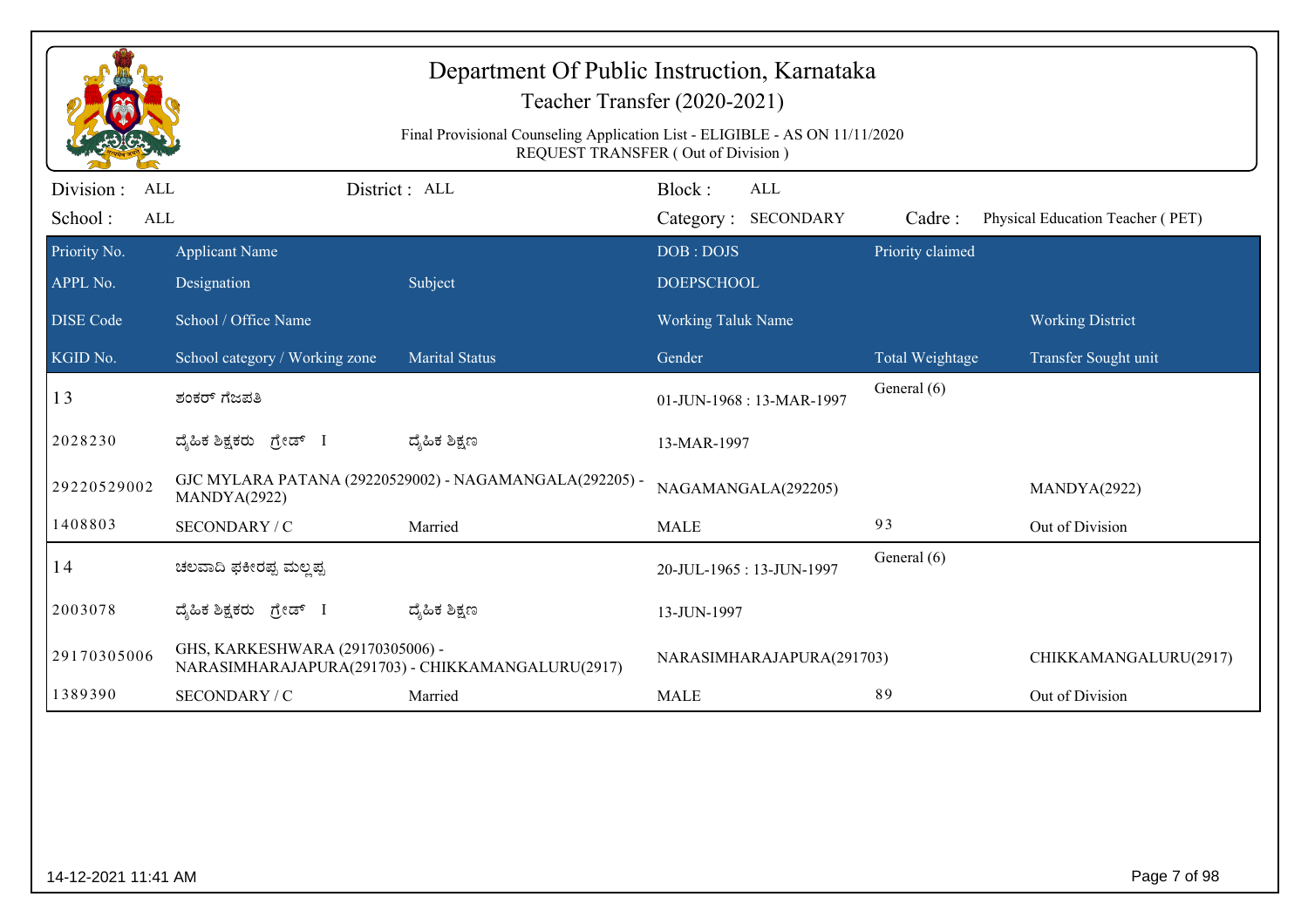|                                                   | Department Of Public Instruction, Karnataka<br>Teacher Transfer (2020-2021) |                                                                                                                   |                                |                            |                  |                                  |  |
|---------------------------------------------------|-----------------------------------------------------------------------------|-------------------------------------------------------------------------------------------------------------------|--------------------------------|----------------------------|------------------|----------------------------------|--|
|                                                   |                                                                             | Final Provisional Counseling Application List - ELIGIBLE - AS ON 11/11/2020<br>REQUEST TRANSFER (Out of Division) |                                |                            |                  |                                  |  |
| Division :<br><b>ALL</b><br>School:<br><b>ALL</b> |                                                                             | District : ALL                                                                                                    | Block:                         | ALL<br>Category: SECONDARY | Cadre:           | Physical Education Teacher (PET) |  |
| Priority No.<br>APPL No.                          | <b>Applicant Name</b><br>Designation                                        | Subject                                                                                                           | DOB: DOJS<br><b>DOEPSCHOOL</b> |                            | Priority claimed |                                  |  |
| <b>DISE Code</b>                                  | School / Office Name                                                        |                                                                                                                   | <b>Working Taluk Name</b>      |                            |                  | <b>Working District</b>          |  |
| KGID No.                                          | School category / Working zone                                              | <b>Marital Status</b>                                                                                             | Gender                         |                            | Total Weightage  | Transfer Sought unit             |  |
| 13                                                | ಶಂಕರ್ ಗೆಜಪತಿ                                                                |                                                                                                                   |                                | 01-JUN-1968: 13-MAR-1997   | General (6)      |                                  |  |
| 2028230                                           | ದ್ಯಹಿಕ ಶಿಕ್ಷಕರು ಗ್ರೇಡ್ I                                                    | ದ್ಯಹಿಕ ಶಿಕ್ಷಣ                                                                                                     | 13-MAR-1997                    |                            |                  |                                  |  |
| 29220529002                                       | MANDYA(2922)                                                                | GJC MYLARA PATANA (29220529002) - NAGAMANGALA(292205) -                                                           |                                | NAGAMANGALA(292205)        |                  | MANDYA(2922)                     |  |
| 1408803                                           | SECONDARY / C                                                               | Married                                                                                                           | <b>MALE</b>                    |                            | 93               | Out of Division                  |  |
| 14                                                | ಚಲವಾದಿ ಫಕೀರಪ್ಪ ಮಲ್ಲಪ್ಪ                                                      |                                                                                                                   |                                | 20-JUL-1965: 13-JUN-1997   | General (6)      |                                  |  |
| 2003078                                           | ದ್ಯಹಿಕ ಶಿಕ್ಷಕರು ಗ್ರೇಡ್ I                                                    | ದ್ಮಹಿಕ ಶಿಕ್ಷಣ                                                                                                     | 13-JUN-1997                    |                            |                  |                                  |  |
| 29170305006                                       | GHS, KARKESHWARA (29170305006) -                                            | NARASIMHARAJAPURA(291703) - CHIKKAMANGALURU(2917)                                                                 |                                | NARASIMHARAJAPURA(291703)  |                  | CHIKKAMANGALURU(2917)            |  |
| 1389390                                           | SECONDARY / C                                                               | Married                                                                                                           | <b>MALE</b>                    |                            | 89               | Out of Division                  |  |
|                                                   |                                                                             |                                                                                                                   |                                |                            |                  |                                  |  |
| 14-12-2021 11:41 AM                               |                                                                             |                                                                                                                   |                                |                            |                  | Page 7 of 98                     |  |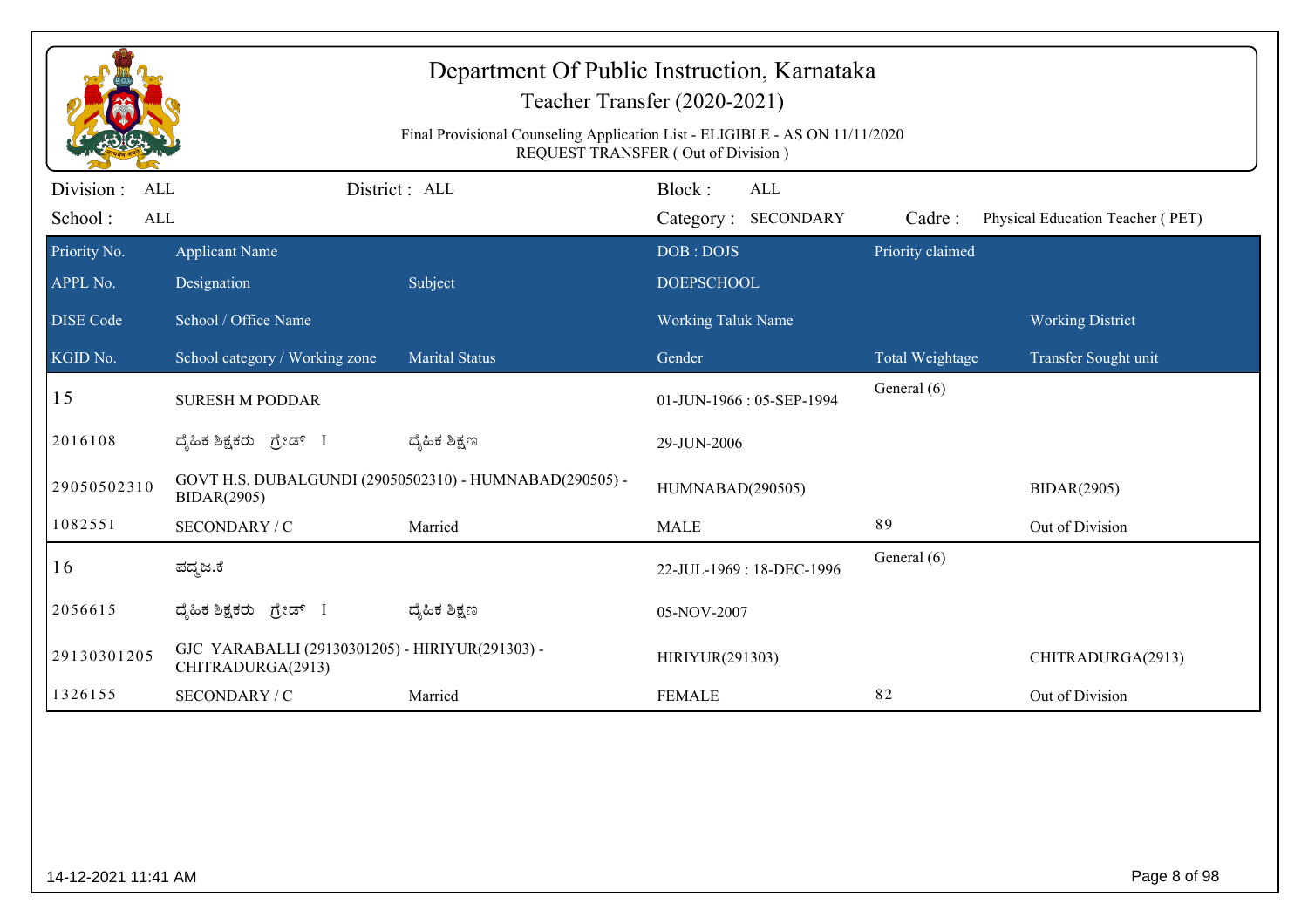| Department Of Public Instruction, Karnataka<br>Teacher Transfer (2020-2021)<br>Final Provisional Counseling Application List - ELIGIBLE - AS ON 11/11/2020<br>REQUEST TRANSFER (Out of Division) |                                                                      |                                                         |                           |                                   |                  |                                  |
|--------------------------------------------------------------------------------------------------------------------------------------------------------------------------------------------------|----------------------------------------------------------------------|---------------------------------------------------------|---------------------------|-----------------------------------|------------------|----------------------------------|
| Division :<br>ALL<br>School:<br><b>ALL</b>                                                                                                                                                       | District: ALL                                                        |                                                         | Block:                    | <b>ALL</b><br>Category: SECONDARY | Cadre:           | Physical Education Teacher (PET) |
| Priority No.                                                                                                                                                                                     | <b>Applicant Name</b>                                                |                                                         | DOB: DOJS                 |                                   | Priority claimed |                                  |
| APPL No.                                                                                                                                                                                         | Designation                                                          | Subject                                                 | <b>DOEPSCHOOL</b>         |                                   |                  |                                  |
| <b>DISE Code</b>                                                                                                                                                                                 | School / Office Name                                                 |                                                         | <b>Working Taluk Name</b> |                                   |                  | <b>Working District</b>          |
| KGID No.                                                                                                                                                                                         | School category / Working zone                                       | <b>Marital Status</b>                                   | Gender                    |                                   | Total Weightage  | Transfer Sought unit             |
| 15                                                                                                                                                                                               | <b>SURESH M PODDAR</b>                                               |                                                         | 01-JUN-1966: 05-SEP-1994  |                                   | General (6)      |                                  |
| 2016108                                                                                                                                                                                          | ದೈಹಿಕ ಶಿಕ್ಷಕರು <i>ಗ್ರೇಡ್</i> I                                       | ದ್ಯೆಹಿಕ ಶಿಕ್ಷಣ                                          | 29-JUN-2006               |                                   |                  |                                  |
| 29050502310                                                                                                                                                                                      | <b>BIDAR(2905)</b>                                                   | GOVT H.S. DUBALGUNDI (29050502310) - HUMNABAD(290505) - | HUMNABAD(290505)          |                                   |                  | <b>BIDAR(2905)</b>               |
| 1082551                                                                                                                                                                                          | SECONDARY / C                                                        | Married                                                 | <b>MALE</b>               |                                   | 89               | Out of Division                  |
| 16                                                                                                                                                                                               | ಪದ್ಮಜ.ಕೆ                                                             |                                                         |                           | 22-JUL-1969: 18-DEC-1996          | General (6)      |                                  |
| 2056615                                                                                                                                                                                          | ದೈಹಿಕ ಶಿಕ್ಷಕರು ಗ್ರೇಡ್ I                                              | ದ್ಯೆಹಿಕ ಶಿಕ್ಷಣ                                          | 05-NOV-2007               |                                   |                  |                                  |
| 29130301205                                                                                                                                                                                      | GJC YARABALLI (29130301205) - HIRIYUR(291303) -<br>CHITRADURGA(2913) |                                                         | HIRIYUR(291303)           |                                   |                  | CHITRADURGA(2913)                |
| 1326155                                                                                                                                                                                          | SECONDARY / C                                                        | Married                                                 | <b>FEMALE</b>             |                                   | 82               | Out of Division                  |
|                                                                                                                                                                                                  |                                                                      |                                                         |                           |                                   |                  |                                  |
| 14-12-2021 11:41 AM                                                                                                                                                                              |                                                                      |                                                         |                           |                                   |                  | Page 8 of 98                     |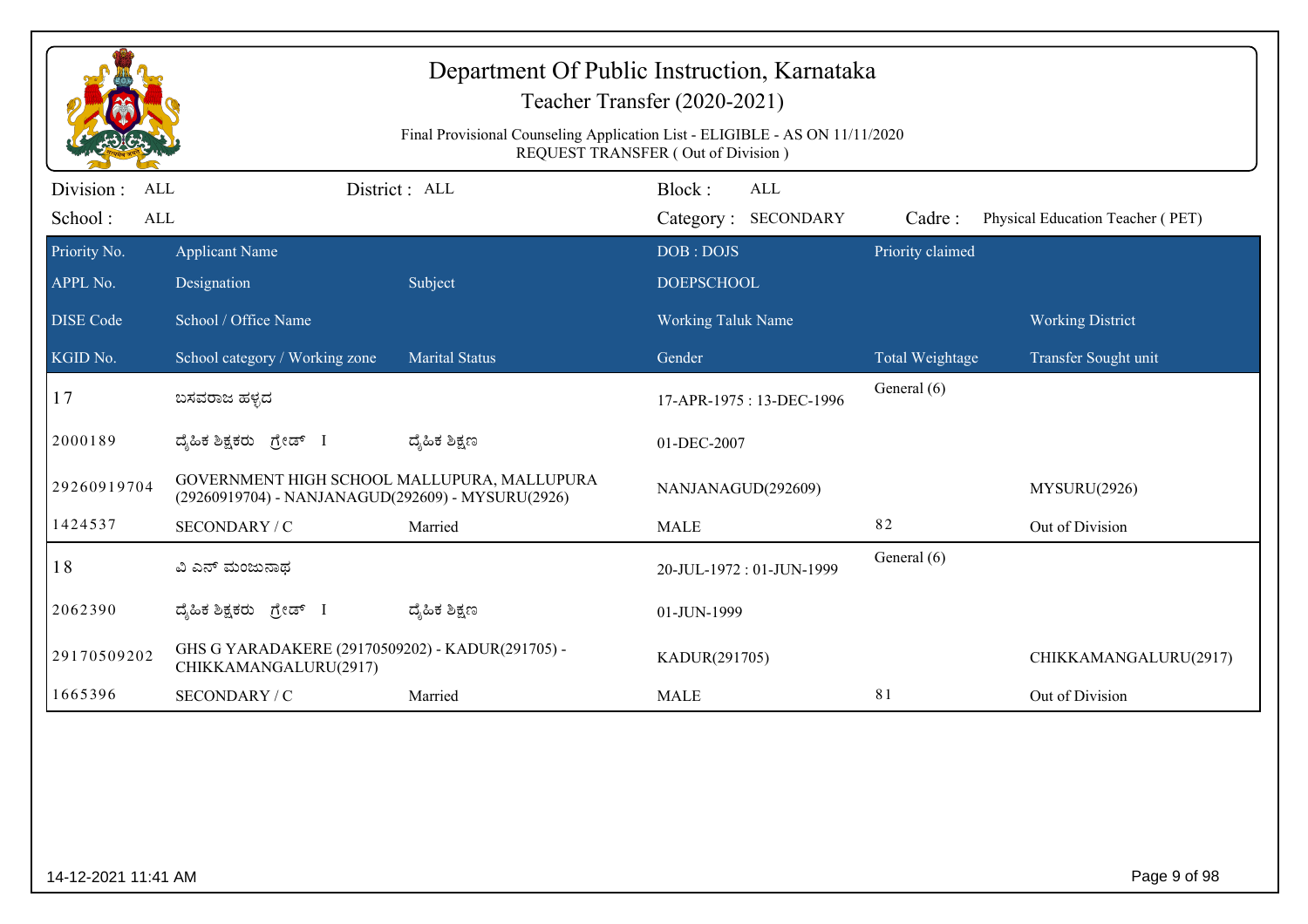|                                                                             | Department Of Public Instruction, Karnataka<br>Teacher Transfer (2020-2021)<br>Final Provisional Counseling Application List - ELIGIBLE - AS ON 11/11/2020<br>REQUEST TRANSFER (Out of Division) |                       |                                  |                            |                                  |  |  |
|-----------------------------------------------------------------------------|--------------------------------------------------------------------------------------------------------------------------------------------------------------------------------------------------|-----------------------|----------------------------------|----------------------------|----------------------------------|--|--|
| Division :<br>ALL                                                           |                                                                                                                                                                                                  | District: ALL         | Block:<br><b>ALL</b>             |                            |                                  |  |  |
| School:<br><b>ALL</b><br>Priority No.                                       | <b>Applicant Name</b>                                                                                                                                                                            |                       | Category: SECONDARY<br>DOB: DOJS | Cadre:<br>Priority claimed | Physical Education Teacher (PET) |  |  |
| APPL No.                                                                    | Designation                                                                                                                                                                                      | Subject               | <b>DOEPSCHOOL</b>                |                            |                                  |  |  |
| <b>DISE</b> Code                                                            | School / Office Name                                                                                                                                                                             |                       | <b>Working Taluk Name</b>        |                            | <b>Working District</b>          |  |  |
| KGID No.                                                                    | School category / Working zone                                                                                                                                                                   | <b>Marital Status</b> | Gender                           | Total Weightage            | Transfer Sought unit             |  |  |
| 17                                                                          | ಬಸವರಾಜ ಹಳ್ಳದ                                                                                                                                                                                     |                       | 17-APR-1975: 13-DEC-1996         | General (6)                |                                  |  |  |
| 2000189                                                                     | ದೈಹಿಕ ಶಿಕ್ಷಕರು ಗ್ರೇಡ್ I                                                                                                                                                                          | ದ್ಯೆಹಿಕ ಶಿಕ್ಷಣ        | 01-DEC-2007                      |                            |                                  |  |  |
| 29260919704                                                                 | GOVERNMENT HIGH SCHOOL MALLUPURA, MALLUPURA<br>(29260919704) - NANJANAGUD(292609) - MYSURU(2926)                                                                                                 |                       | NANJANAGUD(292609)               |                            | MYSURU(2926)                     |  |  |
| 1424537                                                                     | SECONDARY / C                                                                                                                                                                                    | Married               | <b>MALE</b>                      | 82                         | Out of Division                  |  |  |
| 18                                                                          | ವಿ ಎನ್ ಮಂಜುನಾಥ                                                                                                                                                                                   |                       | 20-JUL-1972: 01-JUN-1999         | General (6)                |                                  |  |  |
| 2062390                                                                     | ದ್ಯಹಿಕ ಶಿಕ್ಷಕರು ಗ್ರೇಡ್ I                                                                                                                                                                         | ದ್ಮಹಿಕ ಶಿಕ್ಷಣ         | 01-JUN-1999                      |                            |                                  |  |  |
| 29170509202                                                                 | GHS G YARADAKERE (29170509202) - KADUR(291705) -<br>CHIKKAMANGALURU(2917)                                                                                                                        |                       | KADUR(291705)                    |                            | CHIKKAMANGALURU(2917)            |  |  |
| 1665396<br>81<br>Out of Division<br>SECONDARY / C<br>Married<br><b>MALE</b> |                                                                                                                                                                                                  |                       |                                  |                            |                                  |  |  |
|                                                                             |                                                                                                                                                                                                  |                       |                                  |                            |                                  |  |  |
| 14-12-2021 11:41 AM                                                         |                                                                                                                                                                                                  |                       |                                  |                            | Page 9 of 98                     |  |  |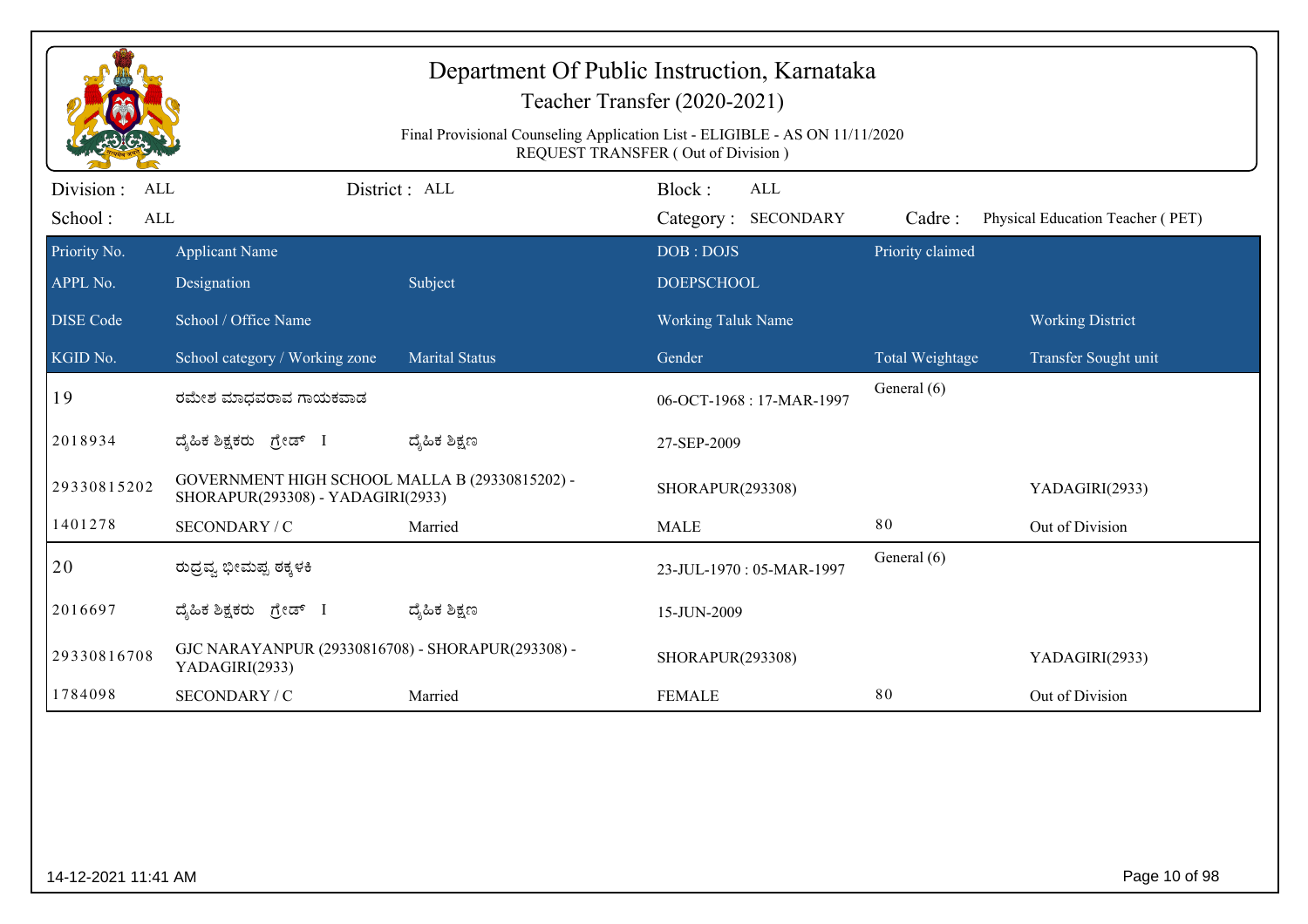| Department Of Public Instruction, Karnataka<br>Teacher Transfer (2020-2021)<br>Final Provisional Counseling Application List - ELIGIBLE - AS ON 11/11/2020<br>REQUEST TRANSFER (Out of Division) |                                                                                     |                       |                                      |                  |                                  |  |
|--------------------------------------------------------------------------------------------------------------------------------------------------------------------------------------------------|-------------------------------------------------------------------------------------|-----------------------|--------------------------------------|------------------|----------------------------------|--|
| Division :<br>ALL<br>School:<br>$\mbox{ALL}$                                                                                                                                                     |                                                                                     | District: ALL         | Block:<br>ALL<br>Category: SECONDARY | Cadre:           | Physical Education Teacher (PET) |  |
| Priority No.                                                                                                                                                                                     | <b>Applicant Name</b>                                                               |                       | DOB: DOJS                            | Priority claimed |                                  |  |
| APPL No.                                                                                                                                                                                         | Designation                                                                         | Subject               | <b>DOEPSCHOOL</b>                    |                  |                                  |  |
| <b>DISE</b> Code                                                                                                                                                                                 | School / Office Name                                                                |                       | <b>Working Taluk Name</b>            |                  | <b>Working District</b>          |  |
| KGID No.                                                                                                                                                                                         | School category / Working zone                                                      | <b>Marital Status</b> | Gender                               | Total Weightage  | Transfer Sought unit             |  |
| 19                                                                                                                                                                                               | ರಮೇಶ ಮಾಧವರಾವ ಗಾಯಕವಾಡ                                                                |                       | 06-OCT-1968: 17-MAR-1997             | General (6)      |                                  |  |
| 2018934                                                                                                                                                                                          | ದೈಹಿಕ ಶಿಕ್ಷಕರು ಗ್ರೇಡ್ I                                                             | ದ್ಶೆಹಿಕ ಶಿಕ್ಷಣ        | 27-SEP-2009                          |                  |                                  |  |
| 29330815202                                                                                                                                                                                      | GOVERNMENT HIGH SCHOOL MALLA B (29330815202) -<br>SHORAPUR(293308) - YADAGIRI(2933) |                       | SHORAPUR(293308)                     |                  | YADAGIRI(2933)                   |  |
| 1401278                                                                                                                                                                                          | SECONDARY / C                                                                       | Married               | <b>MALE</b>                          | 80               | Out of Division                  |  |
| 20                                                                                                                                                                                               | ರುದ್ರವ್ಯ ಭೀಮಪ್ಪ ಠಕ್ಕಳಕಿ                                                             |                       | 23-JUL-1970: 05-MAR-1997             | General (6)      |                                  |  |
| 2016697                                                                                                                                                                                          | ದೈಹಿಕ ಶಿಕ್ಷಕರು ಗ್ರೇಡ್ I                                                             | ದ್ಶೆಹಿಕ ಶಿಕ್ಷಣ        | 15-JUN-2009                          |                  |                                  |  |
| GJC NARAYANPUR (29330816708) - SHORAPUR(293308) -<br>29330816708<br>YADAGIRI(2933)                                                                                                               |                                                                                     |                       | SHORAPUR(293308)                     |                  | YADAGIRI(2933)                   |  |
| 1784098                                                                                                                                                                                          | SECONDARY / C                                                                       | Married               | <b>FEMALE</b>                        | 80               | Out of Division                  |  |
|                                                                                                                                                                                                  |                                                                                     |                       |                                      |                  |                                  |  |
| Page 10 of 98<br>14-12-2021 11:41 AM                                                                                                                                                             |                                                                                     |                       |                                      |                  |                                  |  |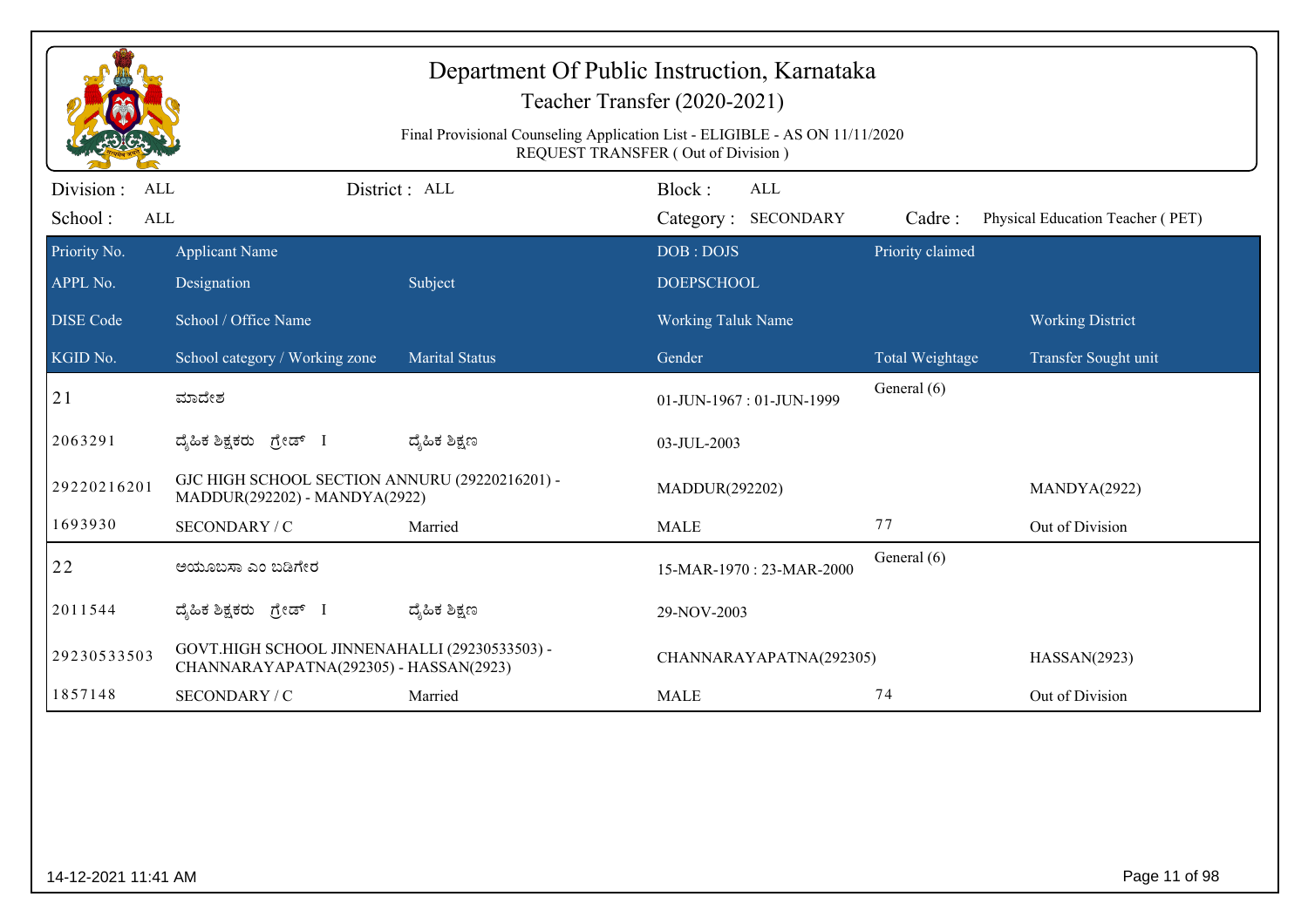| Department Of Public Instruction, Karnataka<br>Teacher Transfer (2020-2021)<br>Final Provisional Counseling Application List - ELIGIBLE - AS ON 11/11/2020<br>REQUEST TRANSFER (Out of Division) |                                                                                                                   |                       |                                      |                  |                                  |  |
|--------------------------------------------------------------------------------------------------------------------------------------------------------------------------------------------------|-------------------------------------------------------------------------------------------------------------------|-----------------------|--------------------------------------|------------------|----------------------------------|--|
| Division :<br>ALL<br>School:<br><b>ALL</b>                                                                                                                                                       |                                                                                                                   | District: ALL         | Block:<br>ALL<br>Category: SECONDARY | Cadre:           | Physical Education Teacher (PET) |  |
| Priority No.                                                                                                                                                                                     | <b>Applicant Name</b>                                                                                             |                       | DOB: DOJS                            | Priority claimed |                                  |  |
| APPL No.                                                                                                                                                                                         | Designation                                                                                                       | Subject               | <b>DOEPSCHOOL</b>                    |                  |                                  |  |
| <b>DISE Code</b>                                                                                                                                                                                 | School / Office Name                                                                                              |                       | <b>Working Taluk Name</b>            |                  | <b>Working District</b>          |  |
| KGID No.                                                                                                                                                                                         | School category / Working zone                                                                                    | <b>Marital Status</b> | Gender                               | Total Weightage  | Transfer Sought unit             |  |
| 21                                                                                                                                                                                               | ಮಾದೇಶ                                                                                                             |                       | 01-JUN-1967: 01-JUN-1999             | General (6)      |                                  |  |
| 2063291                                                                                                                                                                                          | ದೈಹಿಕ ಶಿಕ್ಷಕರು ಗ್ರೇಡ್ I                                                                                           | ದ್ಮಹಿಕ ಶಿಕ್ಷಣ         | 03-JUL-2003                          |                  |                                  |  |
| 29220216201                                                                                                                                                                                      | GJC HIGH SCHOOL SECTION ANNURU (29220216201) -<br>MADDUR(292202)<br>MANDYA(2922)<br>MADDUR(292202) - MANDYA(2922) |                       |                                      |                  |                                  |  |
| 1693930                                                                                                                                                                                          | SECONDARY / C                                                                                                     | Married               | <b>MALE</b>                          | 77               | Out of Division                  |  |
| 22                                                                                                                                                                                               | ಅಯೂಬಸಾ ಎಂ ಬಡಿಗೇರ                                                                                                  |                       | 15-MAR-1970: 23-MAR-2000             | General (6)      |                                  |  |
| 2011544                                                                                                                                                                                          | ದ್ಯಹಿಕ ಶಿಕ್ಷಕರು ಗ್ರೇಡ್ I                                                                                          | ದ್ಯೆಹಿಕ ಶಿಕ್ಷಣ        | 29-NOV-2003                          |                  |                                  |  |
| 29230533503                                                                                                                                                                                      | GOVT.HIGH SCHOOL JINNENAHALLI (29230533503) -<br>CHANNARAYAPATNA(292305) - HASSAN(2923)                           |                       | CHANNARAYAPATNA(292305)              |                  | HASSAN(2923)                     |  |
| 1857148                                                                                                                                                                                          | SECONDARY / C                                                                                                     | Married               | <b>MALE</b>                          | 74               | Out of Division                  |  |
|                                                                                                                                                                                                  |                                                                                                                   |                       |                                      |                  |                                  |  |
| 14-12-2021 11:41 AM                                                                                                                                                                              |                                                                                                                   |                       |                                      |                  | Page 11 of 98                    |  |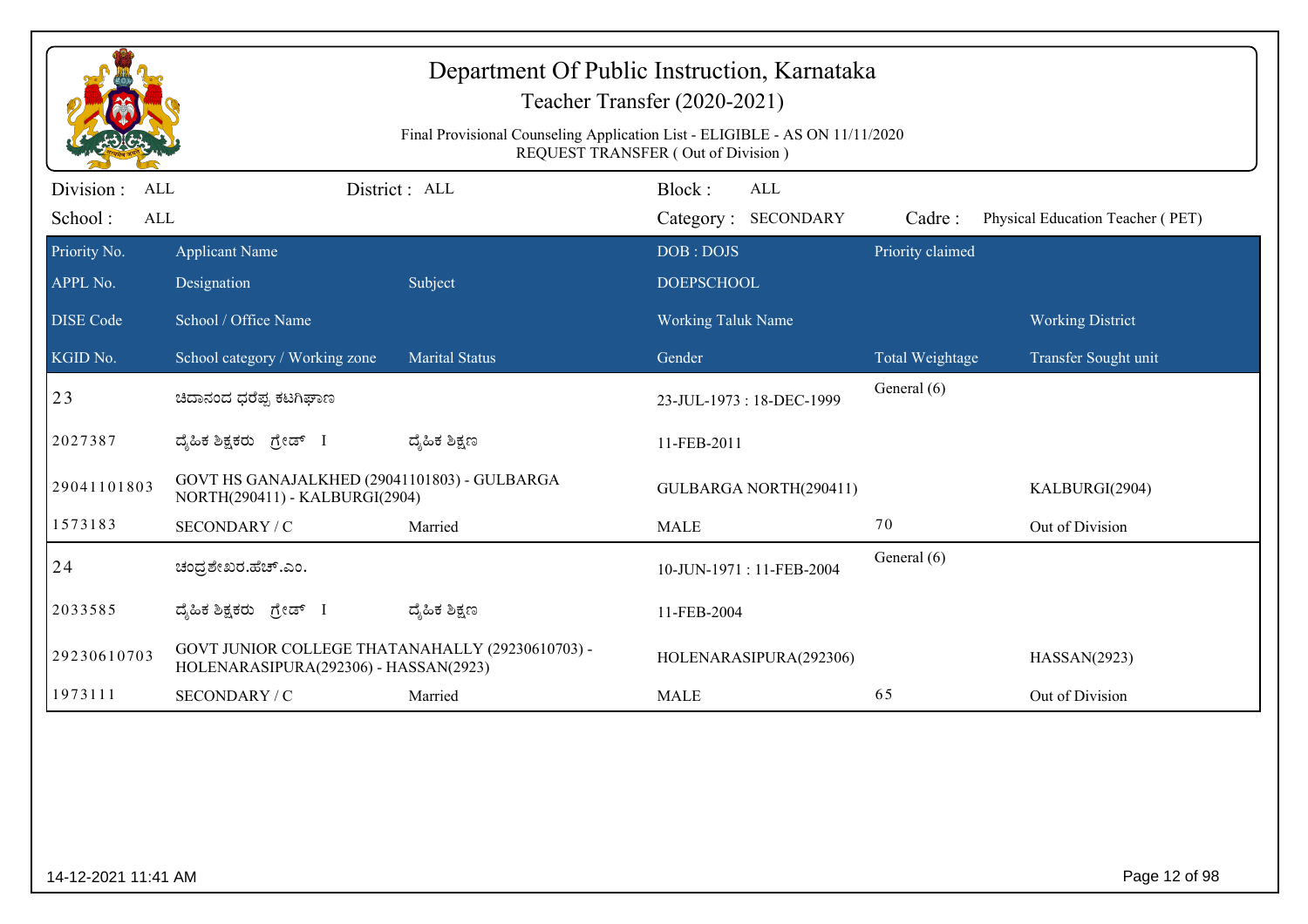|                          | Department Of Public Instruction, Karnataka<br>Teacher Transfer (2020-2021)<br>Final Provisional Counseling Application List - ELIGIBLE - AS ON 11/11/2020<br>REQUEST TRANSFER (Out of Division) |                       |                                |                  |                                  |  |  |
|--------------------------|--------------------------------------------------------------------------------------------------------------------------------------------------------------------------------------------------|-----------------------|--------------------------------|------------------|----------------------------------|--|--|
| Division :<br>ALL        |                                                                                                                                                                                                  | District: ALL         | Block:<br><b>ALL</b>           |                  |                                  |  |  |
| School:<br>ALL           |                                                                                                                                                                                                  |                       | Category: SECONDARY            | Cadre:           | Physical Education Teacher (PET) |  |  |
| Priority No.<br>APPL No. | <b>Applicant Name</b><br>Designation                                                                                                                                                             | Subject               | DOB: DOJS<br><b>DOEPSCHOOL</b> | Priority claimed |                                  |  |  |
| <b>DISE Code</b>         | School / Office Name                                                                                                                                                                             |                       | Working Taluk Name             |                  | <b>Working District</b>          |  |  |
| KGID No.                 | School category / Working zone                                                                                                                                                                   | <b>Marital Status</b> | Gender                         | Total Weightage  | Transfer Sought unit             |  |  |
| 23                       | ಚಿದಾನಂದ ಧರೆಪ್ಪ ಕಟಗಿಘಾಣ                                                                                                                                                                           |                       | 23-JUL-1973: 18-DEC-1999       | General (6)      |                                  |  |  |
| 2027387                  | ದೈಹಿಕ ಶಿಕ್ಷಕರು ಗ್ರೇಡ್ I                                                                                                                                                                          | ದ್ಯೆಹಿಕ ಶಿಕ್ಷಣ        | 11-FEB-2011                    |                  |                                  |  |  |
| 29041101803              | GOVT HS GANAJALKHED (29041101803) - GULBARGA<br>NORTH(290411) - KALBURGI(2904)                                                                                                                   |                       | GULBARGA NORTH(290411)         |                  | KALBURGI(2904)                   |  |  |
| 1573183                  | SECONDARY / C                                                                                                                                                                                    | Married               | <b>MALE</b>                    | 70               | Out of Division                  |  |  |
| 24                       | ಚಂದ್ರಶೇಖರ.ಹೆಚ್.ಎಂ.                                                                                                                                                                               |                       | 10-JUN-1971: 11-FEB-2004       | General (6)      |                                  |  |  |
| 2033585                  | ದೈಹಿಕ ಶಿಕ್ಷಕರು ಗ್ರೇಡ್ I                                                                                                                                                                          | ದ್ಯೆಹಿಕ ಶಿಕ್ಷಣ        | 11-FEB-2004                    |                  |                                  |  |  |
| 29230610703              | GOVT JUNIOR COLLEGE THATANAHALLY (29230610703) -<br>HOLENARASIPURA(292306) - HASSAN(2923)                                                                                                        |                       | HOLENARASIPURA(292306)         |                  | HASSAN(2923)                     |  |  |
| 1973111                  | SECONDARY / C                                                                                                                                                                                    | Married               | <b>MALE</b>                    | 65               | Out of Division                  |  |  |
|                          |                                                                                                                                                                                                  |                       |                                |                  |                                  |  |  |
| 14-12-2021 11:41 AM      |                                                                                                                                                                                                  |                       |                                |                  | Page 12 of 98                    |  |  |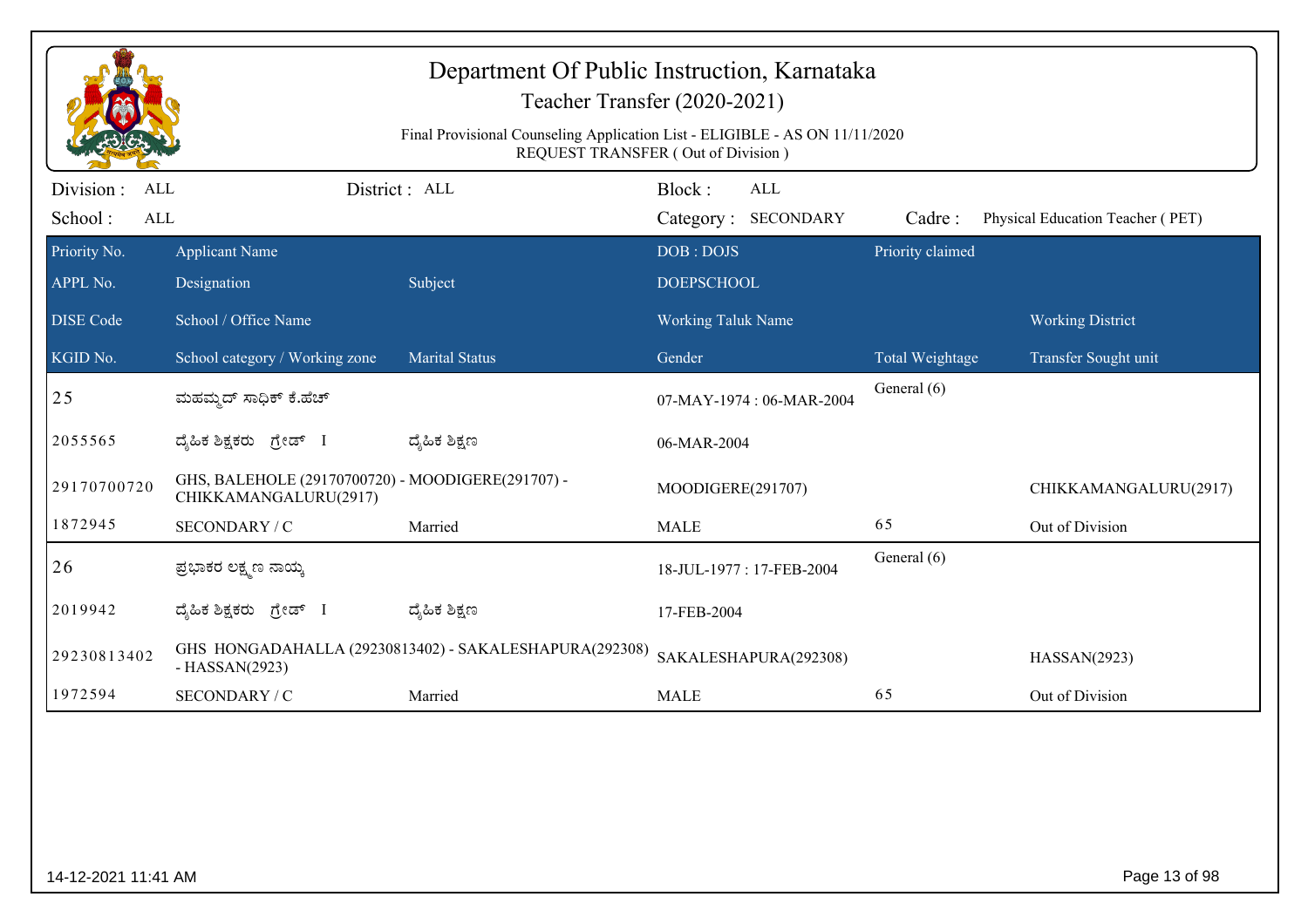|                                     |                                                                            | Department Of Public Instruction, Karnataka<br>Teacher Transfer (2020-2021)<br>Final Provisional Counseling Application List - ELIGIBLE - AS ON 11/11/2020<br>REQUEST TRANSFER (Out of Division) |                    |                                   |                  |                                  |
|-------------------------------------|----------------------------------------------------------------------------|--------------------------------------------------------------------------------------------------------------------------------------------------------------------------------------------------|--------------------|-----------------------------------|------------------|----------------------------------|
| Division :<br>ALL<br>School:<br>ALL |                                                                            | District : ALL                                                                                                                                                                                   | Block:             | <b>ALL</b><br>Category: SECONDARY | Cadre:           | Physical Education Teacher (PET) |
| Priority No.                        | <b>Applicant Name</b>                                                      |                                                                                                                                                                                                  | DOB: DOJS          |                                   | Priority claimed |                                  |
| APPL No.                            | Designation                                                                | Subject                                                                                                                                                                                          | <b>DOEPSCHOOL</b>  |                                   |                  |                                  |
| <b>DISE Code</b>                    | School / Office Name                                                       |                                                                                                                                                                                                  | Working Taluk Name |                                   |                  | <b>Working District</b>          |
| KGID No.                            | School category / Working zone                                             | <b>Marital Status</b>                                                                                                                                                                            | Gender             |                                   | Total Weightage  | Transfer Sought unit             |
| 25                                  | ಮಹಮ್ಮದ್ ಸಾಧಿಕ್ ಕೆ.ಹೆಚ್                                                     |                                                                                                                                                                                                  |                    | 07-MAY-1974 : 06-MAR-2004         | General (6)      |                                  |
| 2055565                             | ದ್ಯಹಿಕ ಶಿಕ್ಷಕರು ಗ್ರೇಡ್ I                                                   | ದ್ಶೆಹಿಕ ಶಿಕ್ಷಣ                                                                                                                                                                                   | 06-MAR-2004        |                                   |                  |                                  |
| 29170700720                         | GHS, BALEHOLE (29170700720) - MOODIGERE(291707) -<br>CHIKKAMANGALURU(2917) |                                                                                                                                                                                                  | MOODIGERE(291707)  |                                   |                  | CHIKKAMANGALURU(2917)            |
| 1872945                             | SECONDARY / C                                                              | Married                                                                                                                                                                                          | <b>MALE</b>        |                                   | 65               | Out of Division                  |
| 26                                  | ಪ್ರಭಾಕರ ಲಕ್ಷ್ಮಣ ನಾಯ್ಕ                                                      |                                                                                                                                                                                                  |                    | 18-JUL-1977: 17-FEB-2004          | General (6)      |                                  |
| 2019942                             | ದ್ಯಹಿಕ ಶಿಕ್ಷಕರು ಗ್ರೇಡ್ I                                                   | ದ್ಶೆಹಿಕ ಶಿಕ್ಷಣ                                                                                                                                                                                   | 17-FEB-2004        |                                   |                  |                                  |
| 29230813402                         | $-HASSAN(2923)$                                                            | GHS HONGADAHALLA (29230813402) - SAKALESHAPURA(292308)                                                                                                                                           |                    | SAKALESHAPURA(292308)             |                  | HASSAN(2923)                     |
| 1972594                             | SECONDARY / C                                                              | Married                                                                                                                                                                                          | <b>MALE</b>        |                                   | 65               | Out of Division                  |
|                                     |                                                                            |                                                                                                                                                                                                  |                    |                                   |                  |                                  |
| 14-12-2021 11:41 AM                 |                                                                            |                                                                                                                                                                                                  |                    |                                   |                  | Page 13 of 98                    |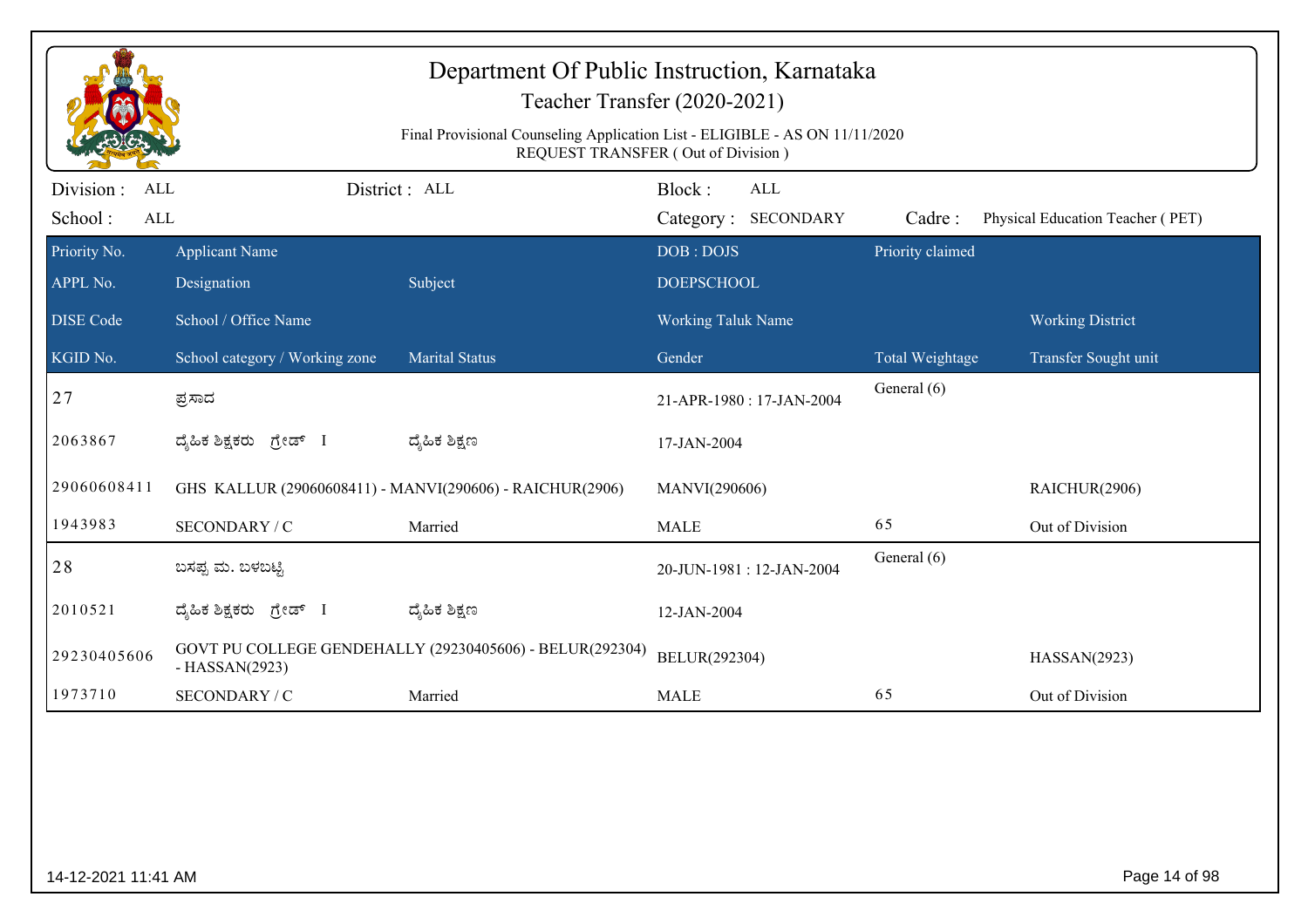|                                            |                                | Department Of Public Instruction, Karnataka<br>Teacher Transfer (2020-2021)<br>Final Provisional Counseling Application List - ELIGIBLE - AS ON 11/11/2020<br>REQUEST TRANSFER (Out of Division) |                    |                          |                            |                                  |
|--------------------------------------------|--------------------------------|--------------------------------------------------------------------------------------------------------------------------------------------------------------------------------------------------|--------------------|--------------------------|----------------------------|----------------------------------|
| Division :<br>ALL<br>School:<br><b>ALL</b> |                                | District: ALL                                                                                                                                                                                    | Block:             | <b>ALL</b>               |                            |                                  |
| Priority No.                               | <b>Applicant Name</b>          |                                                                                                                                                                                                  | DOB: DOJS          | Category: SECONDARY      | Cadre:<br>Priority claimed | Physical Education Teacher (PET) |
| APPL No.                                   | Designation                    | Subject                                                                                                                                                                                          | <b>DOEPSCHOOL</b>  |                          |                            |                                  |
| <b>DISE Code</b>                           | School / Office Name           |                                                                                                                                                                                                  | Working Taluk Name |                          |                            | <b>Working District</b>          |
| KGID No.                                   | School category / Working zone | <b>Marital Status</b>                                                                                                                                                                            | Gender             |                          | Total Weightage            | Transfer Sought unit             |
| 27                                         | ಪ್ರಸಾದ                         |                                                                                                                                                                                                  |                    | 21-APR-1980: 17-JAN-2004 | General (6)                |                                  |
| 2063867                                    | ದೈಹಿಕ ಶಿಕ್ಷಕರು <i>ಗ್ರೇಡ್</i> I | ದ್ಯೆಹಿಕ ಶಿಕ್ಷಣ                                                                                                                                                                                   | 17-JAN-2004        |                          |                            |                                  |
| 29060608411                                |                                | GHS KALLUR (29060608411) - MANVI(290606) - RAICHUR(2906)                                                                                                                                         | MANVI(290606)      |                          |                            | RAICHUR(2906)                    |
| 1943983                                    | SECONDARY / C                  | Married                                                                                                                                                                                          | <b>MALE</b>        |                          | 65                         | Out of Division                  |
| 28                                         | ಬಸಪ್ಪ ಮ. ಬಳಬಟ್ಟಿ               |                                                                                                                                                                                                  |                    | 20-JUN-1981: 12-JAN-2004 | General (6)                |                                  |
| 2010521                                    | ದ್ಯಹಿಕ ಶಿಕ್ಷಕರು ಗ್ರೇಡ್ I       | ದ್ಯೆಹಿಕ ಶಿಕ್ಷಣ                                                                                                                                                                                   | 12-JAN-2004        |                          |                            |                                  |
| 29230405606                                | $-HASSAN(2923)$                | GOVT PU COLLEGE GENDEHALLY (29230405606) - BELUR(292304)                                                                                                                                         | BELUR(292304)      |                          |                            | HASSAN(2923)                     |
| 1973710                                    | SECONDARY / C                  | Married                                                                                                                                                                                          | <b>MALE</b>        |                          | 65                         | Out of Division                  |
|                                            |                                |                                                                                                                                                                                                  |                    |                          |                            |                                  |
| 14-12-2021 11:41 AM                        |                                |                                                                                                                                                                                                  |                    |                          |                            | Page 14 of 98                    |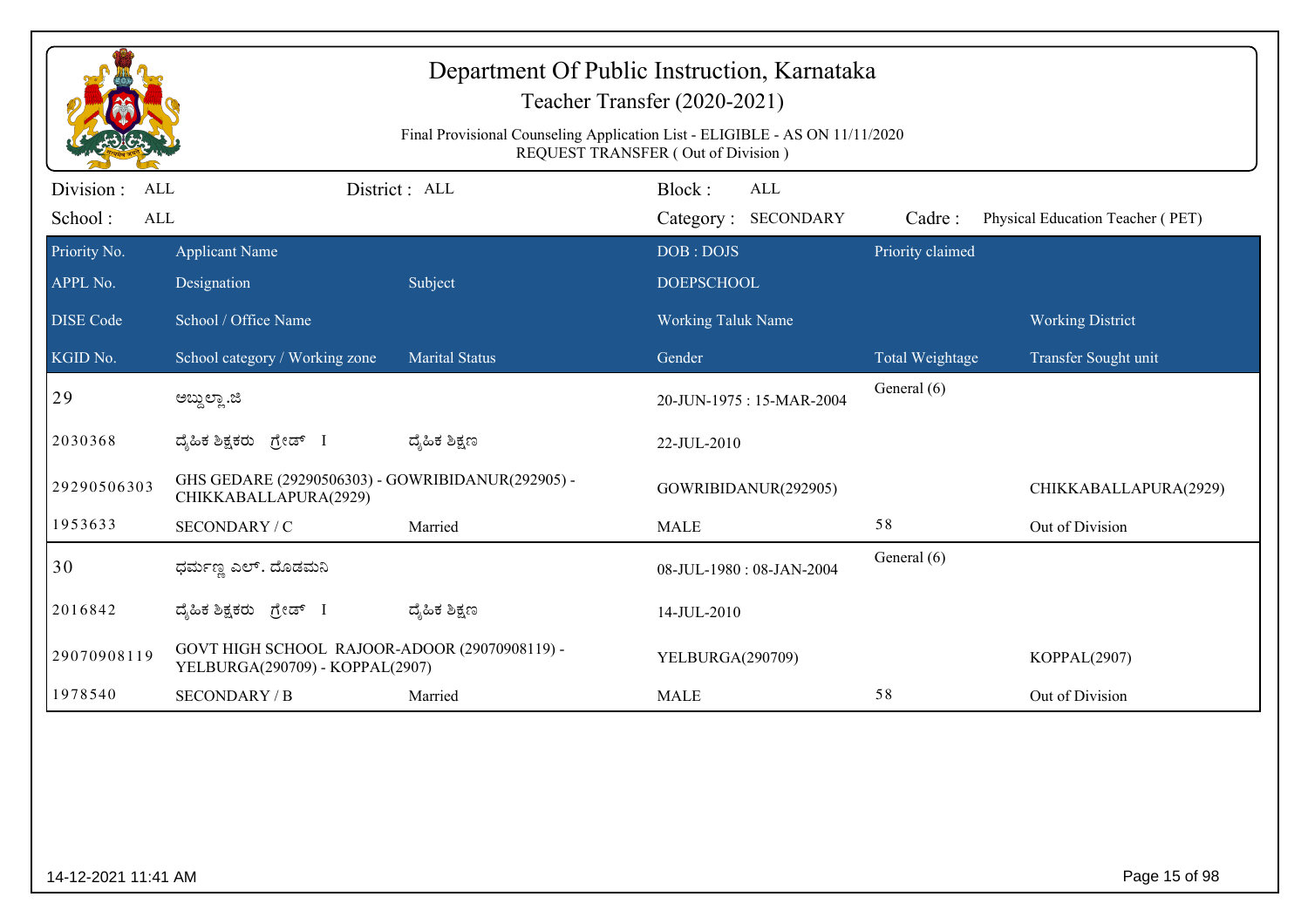|                                           |                                                                                  | Final Provisional Counseling Application List - ELIGIBLE - AS ON 11/11/2020 | Department Of Public Instruction, Karnataka<br>Teacher Transfer (2020-2021) |                  |                                  |
|-------------------------------------------|----------------------------------------------------------------------------------|-----------------------------------------------------------------------------|-----------------------------------------------------------------------------|------------------|----------------------------------|
|                                           |                                                                                  |                                                                             | REQUEST TRANSFER (Out of Division)                                          |                  |                                  |
| Division:<br>ALL<br>School:<br><b>ALL</b> |                                                                                  | District: ALL                                                               | Block:<br>ALL<br><b>SECONDARY</b><br>Category:                              | Cadre:           | Physical Education Teacher (PET) |
| Priority No.                              | <b>Applicant Name</b>                                                            |                                                                             | DOB: DOJS                                                                   | Priority claimed |                                  |
| APPL No.                                  | Designation                                                                      | Subject                                                                     | <b>DOEPSCHOOL</b>                                                           |                  |                                  |
| <b>DISE</b> Code                          | School / Office Name                                                             |                                                                             | <b>Working Taluk Name</b>                                                   |                  | <b>Working District</b>          |
| KGID No.                                  | School category / Working zone                                                   | <b>Marital Status</b>                                                       | Gender                                                                      | Total Weightage  | Transfer Sought unit             |
| 29                                        | ಅಬ್ದುಲ್ಲಾ .ಜಿ                                                                    |                                                                             | 20-JUN-1975: 15-MAR-2004                                                    | General (6)      |                                  |
| 2030368                                   | ದ್ಯಹಿಕ ಶಿಕ್ಷಕರು ಗ್ರೇಡ್ I                                                         | ದ್ಮೆಹಿಕ ಶಿಕ್ಷಣ                                                              | 22-JUL-2010                                                                 |                  |                                  |
| 29290506303                               | GHS GEDARE (29290506303) - GOWRIBIDANUR(292905) -<br>CHIKKABALLAPURA(2929)       |                                                                             | GOWRIBIDANUR(292905)                                                        |                  | CHIKKABALLAPURA(2929)            |
| 1953633                                   | SECONDARY / C                                                                    | Married                                                                     | <b>MALE</b>                                                                 | 58               | Out of Division                  |
| 30                                        | ಧರ್ಮಣ್ಣ ಎಲ್. ದೊಡಮನಿ                                                              |                                                                             | 08-JUL-1980: 08-JAN-2004                                                    | General (6)      |                                  |
| 2016842                                   | ದ್ಯಹಿಕ ಶಿಕ್ಷಕರು ಗ್ರೇಡ್ I                                                         | ದ್ಯೆಹಿಕ ಶಿಕ್ಷಣ                                                              | 14-JUL-2010                                                                 |                  |                                  |
| 29070908119                               | GOVT HIGH SCHOOL RAJOOR-ADOOR (29070908119) -<br>YELBURGA(290709) - KOPPAL(2907) |                                                                             | YELBURGA(290709)                                                            |                  | KOPPAL(2907)                     |
| 1978540                                   | <b>SECONDARY / B</b>                                                             | Married                                                                     | <b>MALE</b>                                                                 | 58               | Out of Division                  |
|                                           |                                                                                  |                                                                             |                                                                             |                  |                                  |
| 14-12-2021 11:41 AM                       |                                                                                  |                                                                             |                                                                             |                  | Page 15 of 98                    |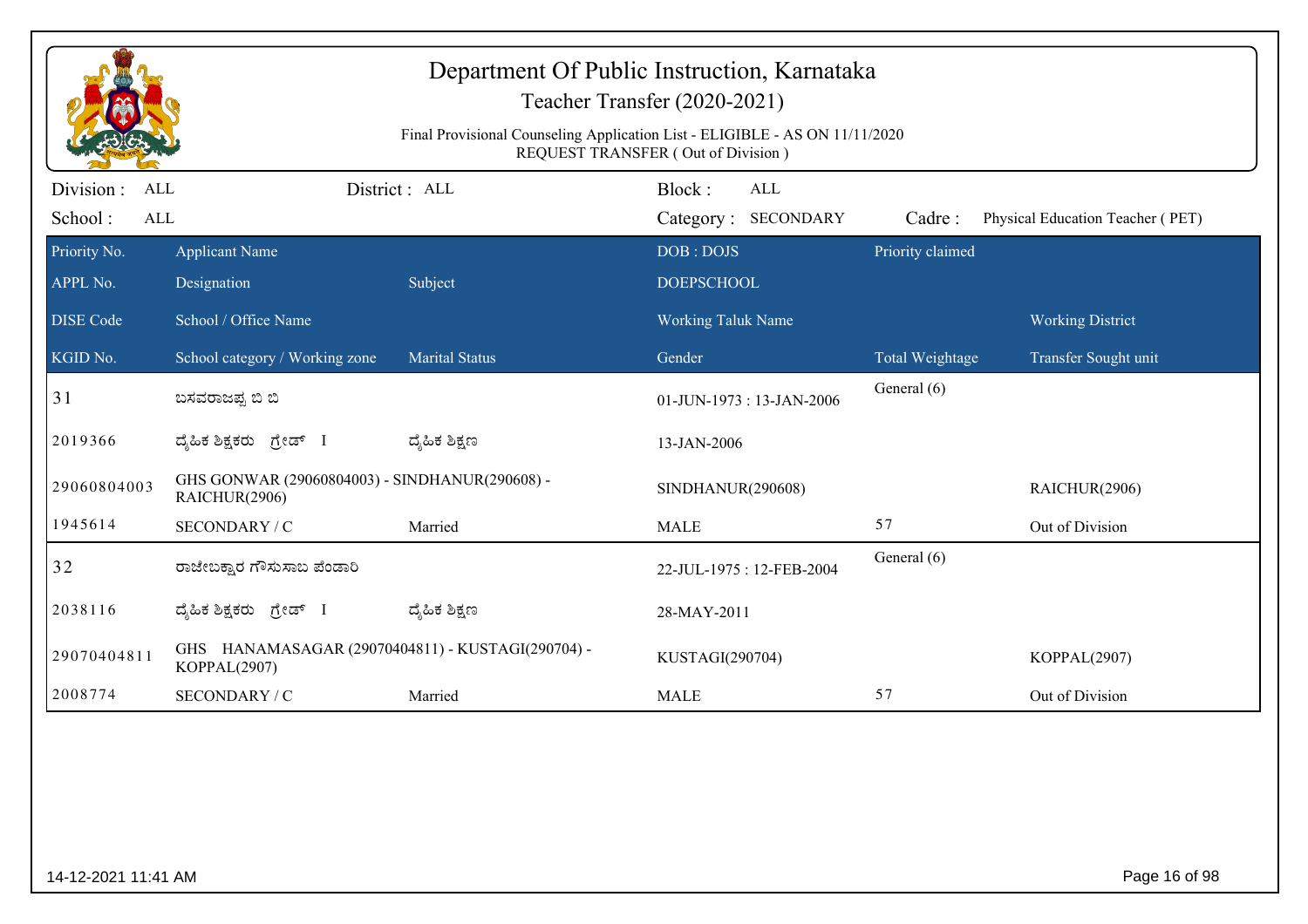|                                   |                                                                   | Final Provisional Counseling Application List - ELIGIBLE - AS ON 11/11/2020 | Department Of Public Instruction, Karnataka<br>Teacher Transfer (2020-2021)<br><b>REQUEST TRANSFER (Out of Division)</b> |                            |                                  |
|-----------------------------------|-------------------------------------------------------------------|-----------------------------------------------------------------------------|--------------------------------------------------------------------------------------------------------------------------|----------------------------|----------------------------------|
| Division :<br>ALL<br>$\mbox{ALL}$ |                                                                   | District: ALL                                                               | Block:<br><b>ALL</b>                                                                                                     |                            |                                  |
| School:<br>Priority No.           | <b>Applicant Name</b>                                             |                                                                             | Category: SECONDARY<br>DOB: DOJS                                                                                         | Cadre:<br>Priority claimed | Physical Education Teacher (PET) |
| APPL No.                          | Designation                                                       | Subject                                                                     | <b>DOEPSCHOOL</b>                                                                                                        |                            |                                  |
| <b>DISE</b> Code                  | School / Office Name                                              |                                                                             | Working Taluk Name                                                                                                       |                            | <b>Working District</b>          |
| KGID No.                          | School category / Working zone                                    | <b>Marital Status</b>                                                       | Gender                                                                                                                   | Total Weightage            | Transfer Sought unit             |
| 31                                | ಬಸವರಾಜಪ್ಪ ಬಿ ಬಿ                                                   |                                                                             | 01-JUN-1973: 13-JAN-2006                                                                                                 | General (6)                |                                  |
| 2019366                           | ದೈಹಿಕ ಶಿಕ್ಷಕರು ಗ್ರೇಡ್ I                                           | ದ್ಶೆಹಿಕ ಶಿಕ್ಷಣ                                                              | 13-JAN-2006                                                                                                              |                            |                                  |
| 29060804003                       | GHS GONWAR (29060804003) - SINDHANUR(290608) -<br>RAICHUR(2906)   |                                                                             | SINDHANUR(290608)                                                                                                        |                            | RAICHUR(2906)                    |
| 1945614                           | SECONDARY / C                                                     | Married                                                                     | <b>MALE</b>                                                                                                              | 57                         | Out of Division                  |
| 32                                | ರಾಜೇಬಕ್ಷಾರ ಗೌಸುಸಾಬ ಪೆಂಡಾರಿ                                        |                                                                             | 22-JUL-1975: 12-FEB-2004                                                                                                 | General (6)                |                                  |
| 2038116                           | ದ್ಯಹಿಕ ಶಿಕ್ಷಕರು ಗ್ರೇಡ್ I                                          | ದ್ಶೆಹಿಕ ಶಿಕ್ಷಣ                                                              | 28-MAY-2011                                                                                                              |                            |                                  |
| 29070404811                       | GHS HANAMASAGAR (29070404811) - KUSTAGI(290704) -<br>KOPPAL(2907) |                                                                             | KUSTAGI(290704)                                                                                                          |                            | KOPPAL(2907)                     |
| 2008774                           | SECONDARY / C                                                     | Married                                                                     | <b>MALE</b>                                                                                                              | 57                         | Out of Division                  |
|                                   |                                                                   |                                                                             |                                                                                                                          |                            |                                  |
| 14-12-2021 11:41 AM               |                                                                   |                                                                             |                                                                                                                          |                            | Page 16 of 98                    |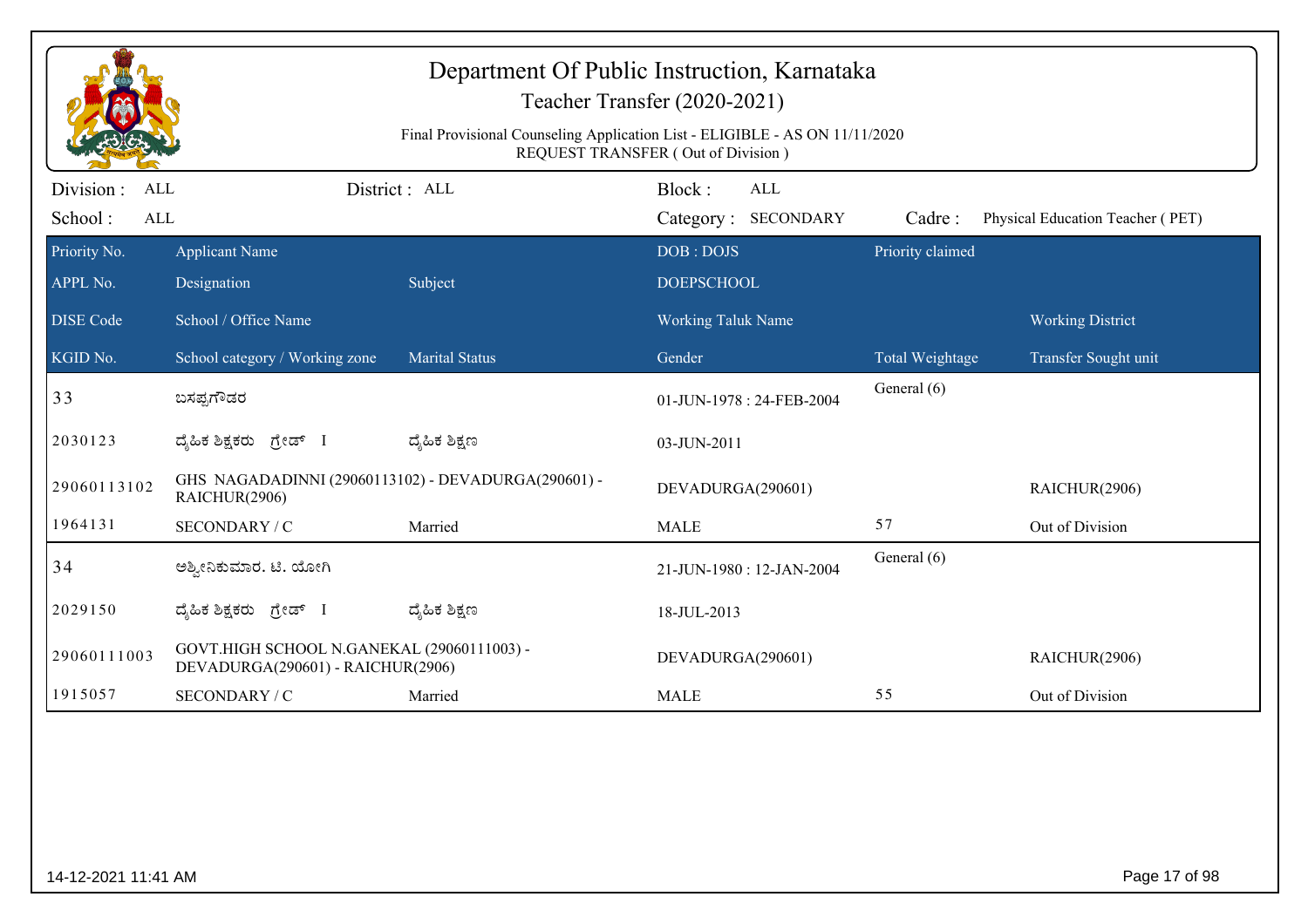|                         |                                                                                 | Final Provisional Counseling Application List - ELIGIBLE - AS ON 11/11/2020 | <b>REQUEST TRANSFER (Out of Division)</b> |                  |                                  |
|-------------------------|---------------------------------------------------------------------------------|-----------------------------------------------------------------------------|-------------------------------------------|------------------|----------------------------------|
| Division :<br>ALL       |                                                                                 | District: ALL                                                               | Block:<br><b>ALL</b>                      |                  |                                  |
| School:<br>$\mbox{ALL}$ |                                                                                 |                                                                             | Category: SECONDARY                       | Cadre:           | Physical Education Teacher (PET) |
| Priority No.            | <b>Applicant Name</b>                                                           |                                                                             | DOB: DOJS                                 | Priority claimed |                                  |
| APPL No.                | Designation                                                                     | Subject                                                                     | <b>DOEPSCHOOL</b>                         |                  |                                  |
| <b>DISE</b> Code        | School / Office Name                                                            |                                                                             | Working Taluk Name                        |                  | <b>Working District</b>          |
| KGID No.                | School category / Working zone                                                  | <b>Marital Status</b>                                                       | Gender                                    | Total Weightage  | Transfer Sought unit             |
| 33                      | ಬಸಪ್ಪಗೌಡರ                                                                       |                                                                             | 01-JUN-1978: 24-FEB-2004                  | General (6)      |                                  |
| 2030123                 | ದ್ಯಹಿಕ ಶಿಕ್ಷಕರು ಗ್ರೇಡ್ I                                                        | ದ್ಶೆಹಿಕ ಶಿಕ್ಷಣ                                                              | 03-JUN-2011                               |                  |                                  |
| 29060113102             | GHS NAGADADINNI (29060113102) - DEVADURGA(290601) -<br>RAICHUR(2906)            |                                                                             | DEVADURGA(290601)                         |                  | RAICHUR(2906)                    |
| 1964131                 | SECONDARY / C                                                                   | Married                                                                     | <b>MALE</b>                               | 57               | Out of Division                  |
| 34                      | ಅಶ್ವೀನಿಕುಮಾರ. ಟಿ. ಯೋಗಿ                                                          |                                                                             | 21-JUN-1980: 12-JAN-2004                  | General (6)      |                                  |
| 2029150                 | ದೈಹಿಕ ಶಿಕ್ಷಕರು ಗ್ರೇಡ್ I                                                         | ದ್ಶೆಹಿಕ ಶಿಕ್ಷಣ                                                              | 18-JUL-2013                               |                  |                                  |
| 29060111003             | GOVT.HIGH SCHOOL N.GANEKAL (29060111003) -<br>DEVADURGA(290601) - RAICHUR(2906) |                                                                             | DEVADURGA(290601)                         |                  | RAICHUR(2906)                    |
| 1915057                 | SECONDARY / C                                                                   | Married                                                                     | <b>MALE</b>                               | 55               | Out of Division                  |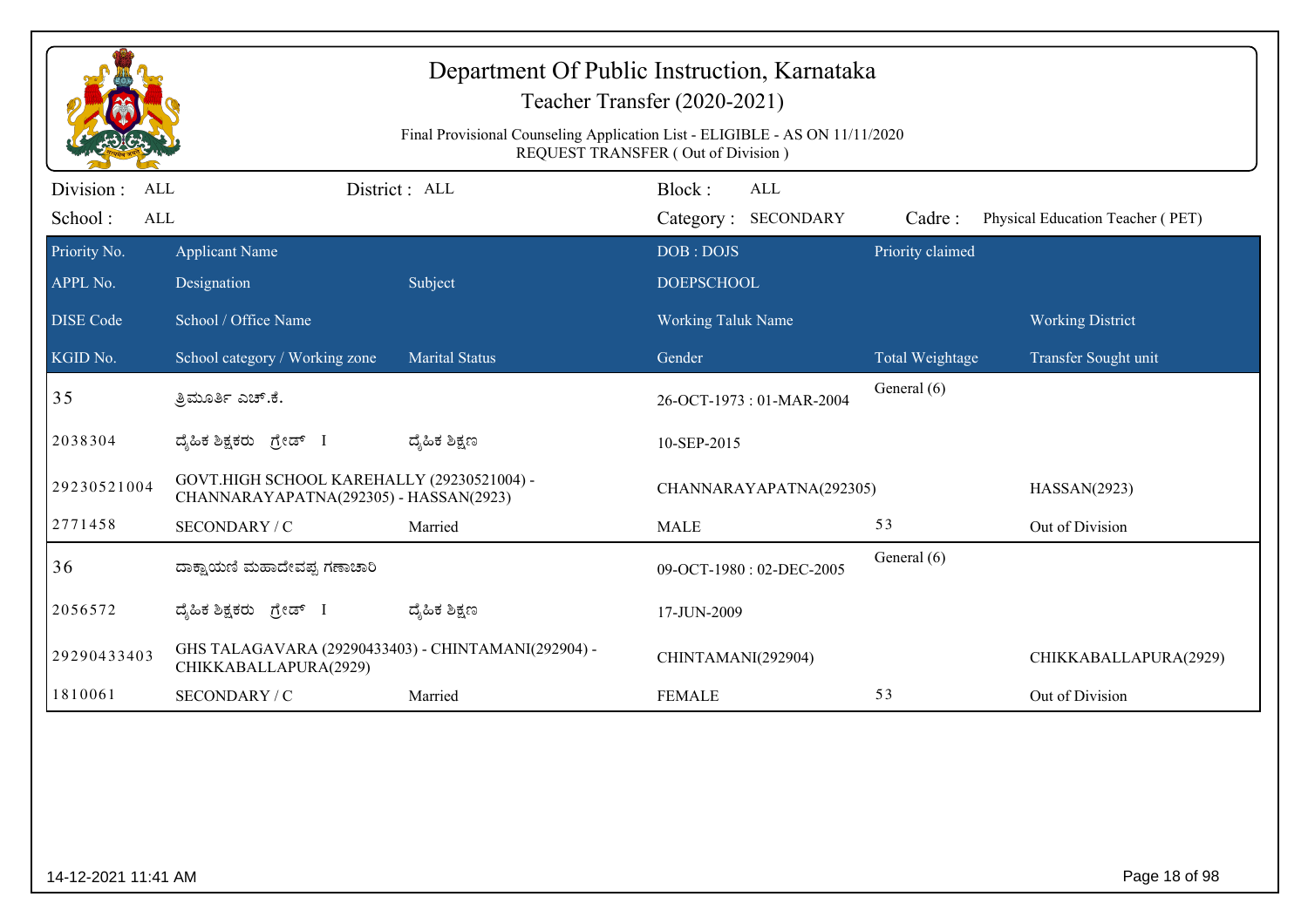|                                            |                                                                                      | Final Provisional Counseling Application List - ELIGIBLE - AS ON 11/11/2020 | Department Of Public Instruction, Karnataka<br>Teacher Transfer (2020-2021)<br>REQUEST TRANSFER (Out of Division) |                  |                                  |  |
|--------------------------------------------|--------------------------------------------------------------------------------------|-----------------------------------------------------------------------------|-------------------------------------------------------------------------------------------------------------------|------------------|----------------------------------|--|
| Division :<br>ALL<br>School:<br><b>ALL</b> |                                                                                      | District: ALL                                                               | Block:<br><b>ALL</b><br>Category: SECONDARY                                                                       | Cadre:           |                                  |  |
| Priority No.                               | <b>Applicant Name</b>                                                                |                                                                             | DOB: DOJS                                                                                                         | Priority claimed | Physical Education Teacher (PET) |  |
| APPL No.                                   | Designation                                                                          | Subject                                                                     | <b>DOEPSCHOOL</b>                                                                                                 |                  |                                  |  |
| <b>DISE</b> Code                           | School / Office Name                                                                 |                                                                             | <b>Working Taluk Name</b>                                                                                         |                  | <b>Working District</b>          |  |
| KGID No.                                   | School category / Working zone                                                       | <b>Marital Status</b>                                                       | Gender                                                                                                            | Total Weightage  | Transfer Sought unit             |  |
| 35                                         | ತ್ರಿಮೂರ್ತಿ ಎಚ್.ಕೆ.                                                                   |                                                                             | 26-OCT-1973: 01-MAR-2004                                                                                          | General (6)      |                                  |  |
| 2038304                                    | ದೈಹಿಕ ಶಿಕ್ಷಕರು ಗ್ರೇಡ್ I                                                              | ದ್ಯೆಹಿಕ ಶಿಕ್ಷಣ                                                              | 10-SEP-2015                                                                                                       |                  |                                  |  |
| 29230521004                                | GOVT.HIGH SCHOOL KAREHALLY (29230521004) -<br>CHANNARAYAPATNA(292305) - HASSAN(2923) |                                                                             | CHANNARAYAPATNA(292305)                                                                                           |                  | HASSAN(2923)                     |  |
| 2771458                                    | SECONDARY / C                                                                        | Married                                                                     | <b>MALE</b>                                                                                                       | 53               | Out of Division                  |  |
| 36                                         | ದಾಕ್ಷಾಯಣಿ ಮಹಾದೇವಪ್ಪ ಗಣಾಚಾರಿ                                                          |                                                                             | 09-OCT-1980: 02-DEC-2005                                                                                          | General (6)      |                                  |  |
| 2056572                                    | ದೈಹಿಕ ಶಿಕ್ಷಕರು ಗ್ರೇಡ್ I                                                              | ದ್ಮಹಿಕ ಶಿಕ್ಷಣ                                                               | 17-JUN-2009                                                                                                       |                  |                                  |  |
| 29290433403                                | GHS TALAGAVARA (29290433403) - CHINTAMANI(292904) -<br>CHIKKABALLAPURA(2929)         |                                                                             | CHINTAMANI(292904)                                                                                                |                  | CHIKKABALLAPURA(2929)            |  |
| 1810061                                    | SECONDARY / C                                                                        | Married                                                                     | <b>FEMALE</b>                                                                                                     | 53               | Out of Division                  |  |
|                                            |                                                                                      |                                                                             |                                                                                                                   |                  |                                  |  |
| 14-12-2021 11:41 AM                        |                                                                                      |                                                                             |                                                                                                                   |                  | Page 18 of 98                    |  |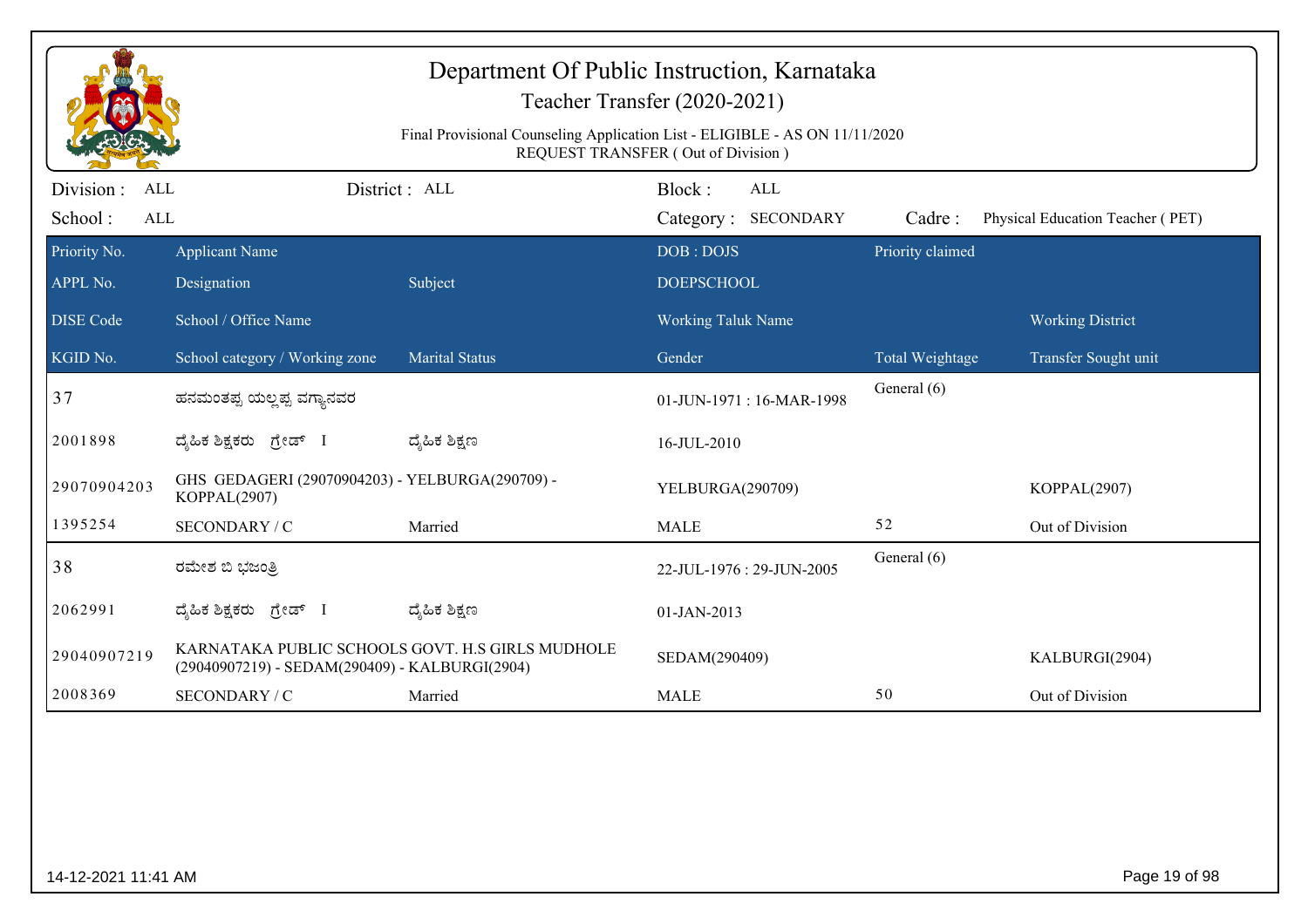| Department Of Public Instruction, Karnataka<br>Teacher Transfer (2020-2021)<br>Final Provisional Counseling Application List - ELIGIBLE - AS ON 11/11/2020<br>REQUEST TRANSFER (Out of Division) |                                                                 |                                                  |                                             |                  |                                  |  |  |
|--------------------------------------------------------------------------------------------------------------------------------------------------------------------------------------------------|-----------------------------------------------------------------|--------------------------------------------------|---------------------------------------------|------------------|----------------------------------|--|--|
| Division :<br><b>ALL</b><br>School:<br><b>ALL</b>                                                                                                                                                |                                                                 | District: ALL                                    | Block:<br><b>ALL</b><br>Category: SECONDARY | Cadre:           | Physical Education Teacher (PET) |  |  |
| Priority No.<br>APPL No.                                                                                                                                                                         | <b>Applicant Name</b><br>Designation                            | Subject                                          | DOB: DOJS<br><b>DOEPSCHOOL</b>              | Priority claimed |                                  |  |  |
| <b>DISE Code</b>                                                                                                                                                                                 | School / Office Name                                            |                                                  | Working Taluk Name                          |                  | <b>Working District</b>          |  |  |
| $KGID N0$ .                                                                                                                                                                                      | School category / Working zone                                  | <b>Marital Status</b>                            | Gender                                      | Total Weightage  | Transfer Sought unit             |  |  |
| 37                                                                                                                                                                                               | ಹನಮಂತಪ್ಪ ಯಲ್ಲಪ್ಪ ವಗ್ಯಾನವರ                                       |                                                  | 01-JUN-1971: 16-MAR-1998                    | General (6)      |                                  |  |  |
| 2001898                                                                                                                                                                                          | ದ್ಯಹಿಕ ಶಿಕ್ಷಕರು ಗ್ರೇಡ್ I                                        | ದ್ಯೆಹಿಕ ಶಿಕ್ಷಣ                                   | 16-JUL-2010                                 |                  |                                  |  |  |
| 29070904203                                                                                                                                                                                      | GHS GEDAGERI (29070904203) - YELBURGA(290709) -<br>KOPPAL(2907) |                                                  | YELBURGA(290709)                            |                  | KOPPAL(2907)                     |  |  |
| 1395254                                                                                                                                                                                          | SECONDARY / C                                                   | Married                                          | <b>MALE</b>                                 | 52               | Out of Division                  |  |  |
| 38                                                                                                                                                                                               | ರಮೇಶ ಬಿ ಭಜಂತ್ರಿ                                                 |                                                  | 22-JUL-1976: 29-JUN-2005                    | General (6)      |                                  |  |  |
| 2062991                                                                                                                                                                                          | ದ್ಯಹಿಕ ಶಿಕ್ಷಕರು ಗ್ರೇಡ್                                          | ದ್ಯೆಹಿಕ ಶಿಕ್ಷಣ                                   | 01-JAN-2013                                 |                  |                                  |  |  |
| 29040907219                                                                                                                                                                                      | (29040907219) - SEDAM(290409) - KALBURGI(2904)                  | KARNATAKA PUBLIC SCHOOLS GOVT. H.S GIRLS MUDHOLE | SEDAM(290409)                               |                  | KALBURGI(2904)                   |  |  |
| 2008369                                                                                                                                                                                          | SECONDARY / C                                                   | Married                                          | <b>MALE</b>                                 | 50               | Out of Division                  |  |  |
|                                                                                                                                                                                                  |                                                                 |                                                  |                                             |                  |                                  |  |  |
| 14-12-2021 11:41 AM                                                                                                                                                                              |                                                                 |                                                  |                                             |                  | Page 19 of 98                    |  |  |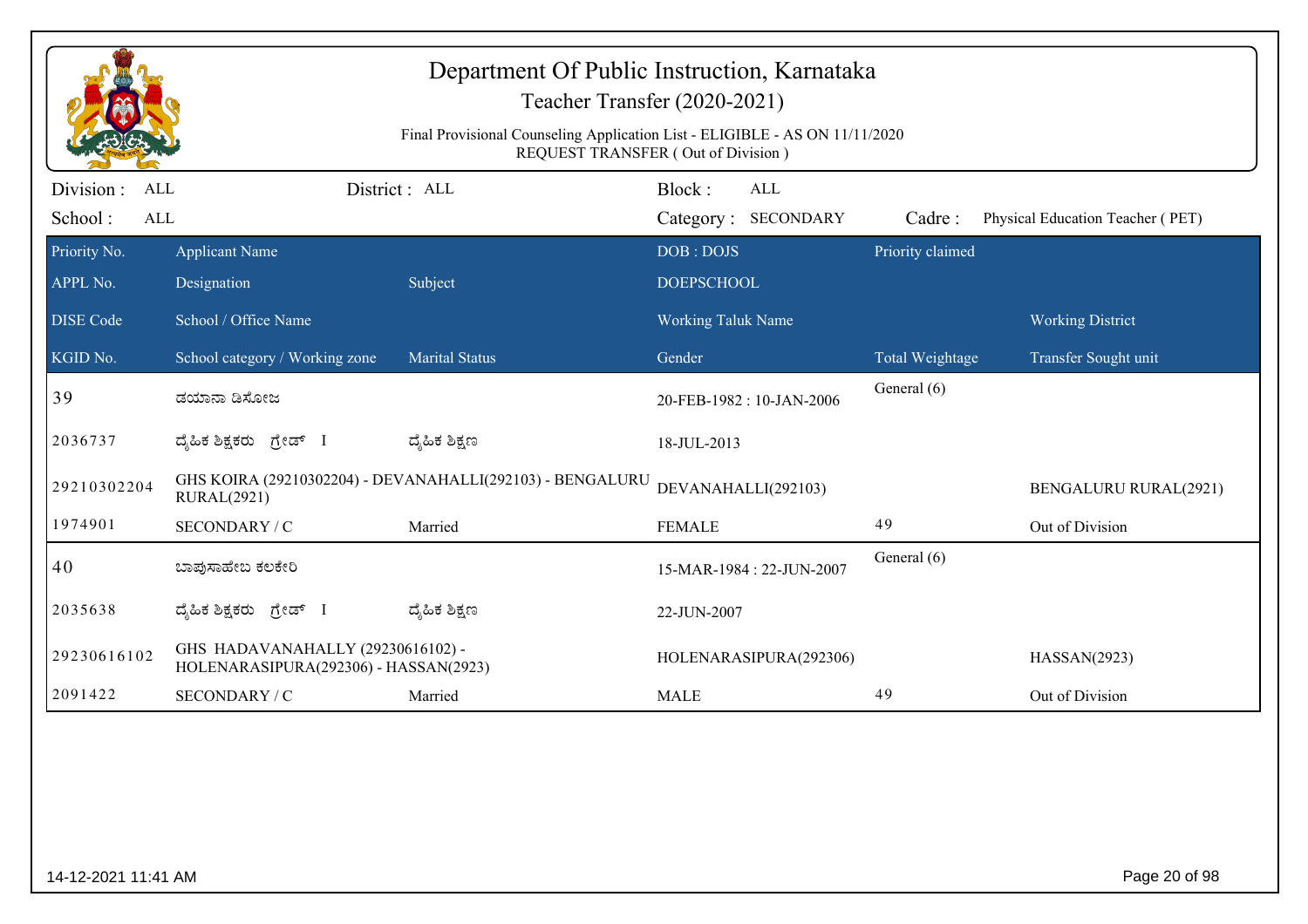|                       |                                                                                 |                       | <b>REQUEST TRANSFER (Out of Division)</b> |                        |                                  |
|-----------------------|---------------------------------------------------------------------------------|-----------------------|-------------------------------------------|------------------------|----------------------------------|
| Division :<br>ALL     |                                                                                 | District: ALL         | Block:<br>ALL                             |                        |                                  |
| School:<br><b>ALL</b> |                                                                                 |                       | Category: SECONDARY                       | Cadre:                 | Physical Education Teacher (PET) |
| Priority No.          | <b>Applicant Name</b>                                                           |                       | DOB: DOJS                                 | Priority claimed       |                                  |
| APPL No.              | Designation                                                                     | Subject               | <b>DOEPSCHOOL</b>                         |                        |                                  |
| <b>DISE</b> Code      | School / Office Name                                                            |                       | <b>Working Taluk Name</b>                 |                        | <b>Working District</b>          |
| KGID No.              | School category / Working zone                                                  | <b>Marital Status</b> | Gender                                    | <b>Total Weightage</b> | Transfer Sought unit             |
| 39                    | ಡಯಾನಾ ಡಿಸೋಜ                                                                     |                       | 20-FEB-1982: 10-JAN-2006                  | General (6)            |                                  |
| 2036737               | ದ್ಯಹಿಕ ಶಿಕ್ಷಕರು ಗ್ರೇಡ್ I                                                        | ದ್ಯೆಹಿಕ ಶಿಕ್ಷಣ        | 18-JUL-2013                               |                        |                                  |
| 29210302204           | GHS KOIRA (29210302204) - DEVANAHALLI(292103) - BENGALURU<br><b>RURAL(2921)</b> |                       | DEVANAHALLI(292103)                       |                        | <b>BENGALURU RURAL(2921)</b>     |
| 1974901               | SECONDARY / C                                                                   | Married               | <b>FEMALE</b>                             | 49                     | Out of Division                  |
| 40                    | ಬಾಪುಸಾಹೇಬ ಕಲಕೇರಿ                                                                |                       | 15-MAR-1984: 22-JUN-2007                  | General (6)            |                                  |
| 2035638               | ದ್ಯಹಿಕ ಶಿಕ್ಷಕರು ಗ್ರೇಡ್ I                                                        | ದ್ಯಹಿಕ ಶಿಕ್ಷಣ         | 22-JUN-2007                               |                        |                                  |
| 29230616102           | GHS HADAVANAHALLY (29230616102) -<br>HOLENARASIPURA(292306) - HASSAN(2923)      |                       | HOLENARASIPURA(292306)                    |                        | HASSAN(2923)                     |
| 2091422               | SECONDARY / C                                                                   | Married               | <b>MALE</b>                               | 49                     | Out of Division                  |

14-12-2021 11:41 AM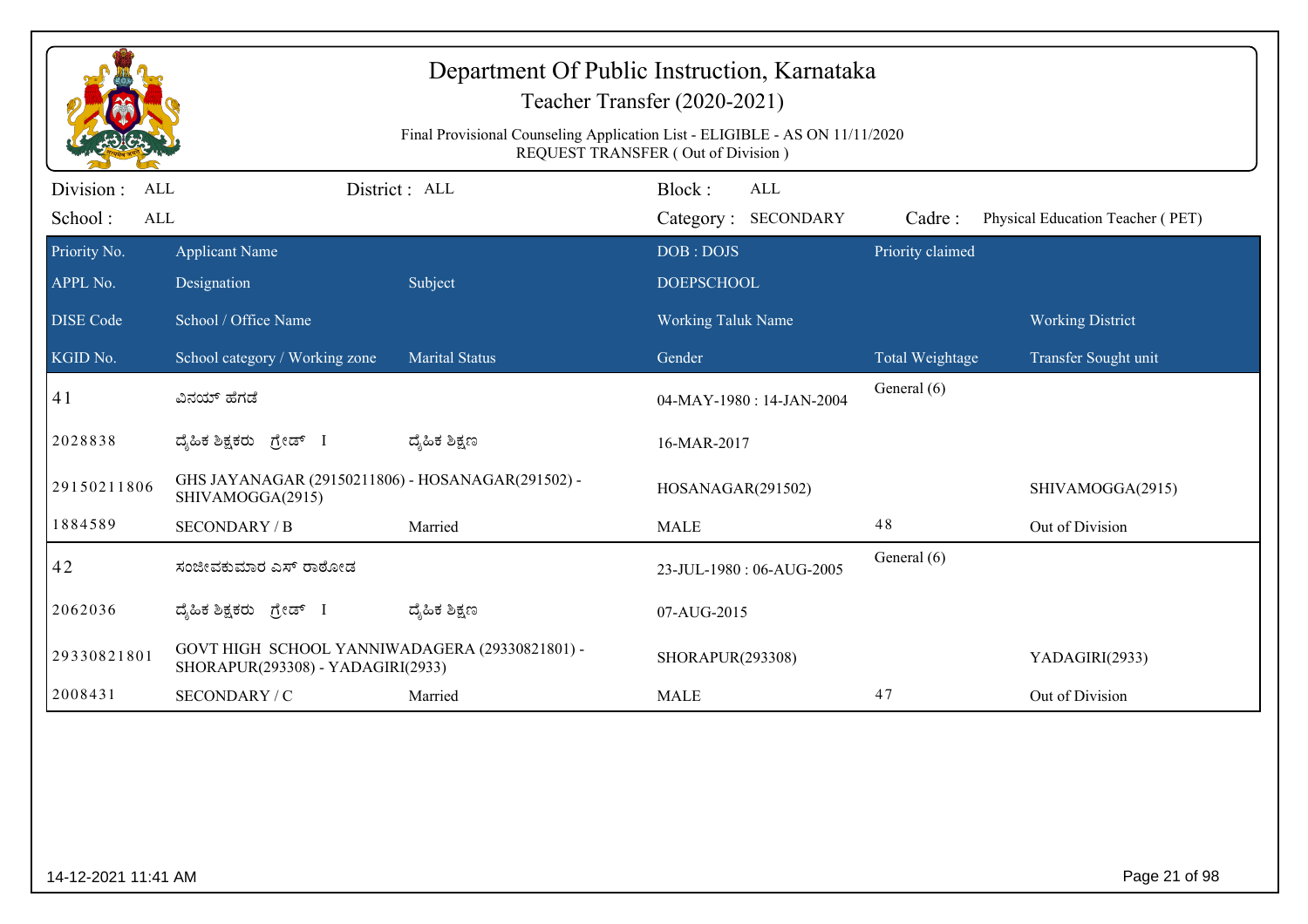|                                              |                                                                                     | Final Provisional Counseling Application List - ELIGIBLE - AS ON 11/11/2020 | Department Of Public Instruction, Karnataka<br>Teacher Transfer (2020-2021)<br><b>REQUEST TRANSFER (Out of Division)</b> |                  |                                  |
|----------------------------------------------|-------------------------------------------------------------------------------------|-----------------------------------------------------------------------------|--------------------------------------------------------------------------------------------------------------------------|------------------|----------------------------------|
| Division :<br>ALL<br>School:<br>$\mbox{ALL}$ |                                                                                     | District: ALL                                                               | Block:<br><b>ALL</b><br>Category: SECONDARY                                                                              | Cadre:           | Physical Education Teacher (PET) |
| Priority No.<br>APPL No.                     | <b>Applicant Name</b><br>Designation                                                | Subject                                                                     | DOB: DOJS<br><b>DOEPSCHOOL</b>                                                                                           | Priority claimed |                                  |
| <b>DISE Code</b>                             | School / Office Name                                                                |                                                                             | Working Taluk Name                                                                                                       |                  | <b>Working District</b>          |
| $\overline{\text{KGID No.}}$                 | School category / Working zone                                                      | <b>Marital Status</b>                                                       | Gender                                                                                                                   | Total Weightage  | Transfer Sought unit             |
| 41                                           | ವಿನಯ್ ಹೆಗಡೆ                                                                         |                                                                             | 04-MAY-1980: 14-JAN-2004                                                                                                 | General (6)      |                                  |
| 2028838                                      | ದ್ಯಹಿಕ ಶಿಕ್ಷಕರು ಗ್ರೇಡ್ I                                                            | ದ್ಶೆಹಿಕ ಶಿಕ್ಷಣ                                                              | 16-MAR-2017                                                                                                              |                  |                                  |
| 29150211806                                  | GHS JAYANAGAR (29150211806) - HOSANAGAR(291502) -<br>SHIVAMOGGA(2915)               |                                                                             | HOSANAGAR(291502)                                                                                                        |                  | SHIVAMOGGA(2915)                 |
| 1884589                                      | <b>SECONDARY / B</b>                                                                | Married                                                                     | <b>MALE</b>                                                                                                              | 48               | Out of Division                  |
| 42                                           | ಸಂಜೀವಕುಮಾರ ಎಸ್ ರಾಠೋಡ                                                                |                                                                             | 23-JUL-1980: 06-AUG-2005                                                                                                 | General (6)      |                                  |
| 2062036                                      | ದ್ಯಹಿಕ ಶಿಕ್ಷಕರು ಗ್ರೇಡ್ I                                                            | ದ್ಶೆಹಿಕ ಶಿಕ್ಷಣ                                                              | 07-AUG-2015                                                                                                              |                  |                                  |
| 29330821801                                  | GOVT HIGH SCHOOL YANNIWADAGERA (29330821801) -<br>SHORAPUR(293308) - YADAGIRI(2933) |                                                                             | SHORAPUR(293308)                                                                                                         |                  | YADAGIRI(2933)                   |
| 2008431                                      | SECONDARY / C                                                                       | Married                                                                     | <b>MALE</b>                                                                                                              | 47               | Out of Division                  |
|                                              |                                                                                     |                                                                             |                                                                                                                          |                  |                                  |
| 14-12-2021 11:41 AM                          |                                                                                     |                                                                             |                                                                                                                          |                  | Page 21 of 98                    |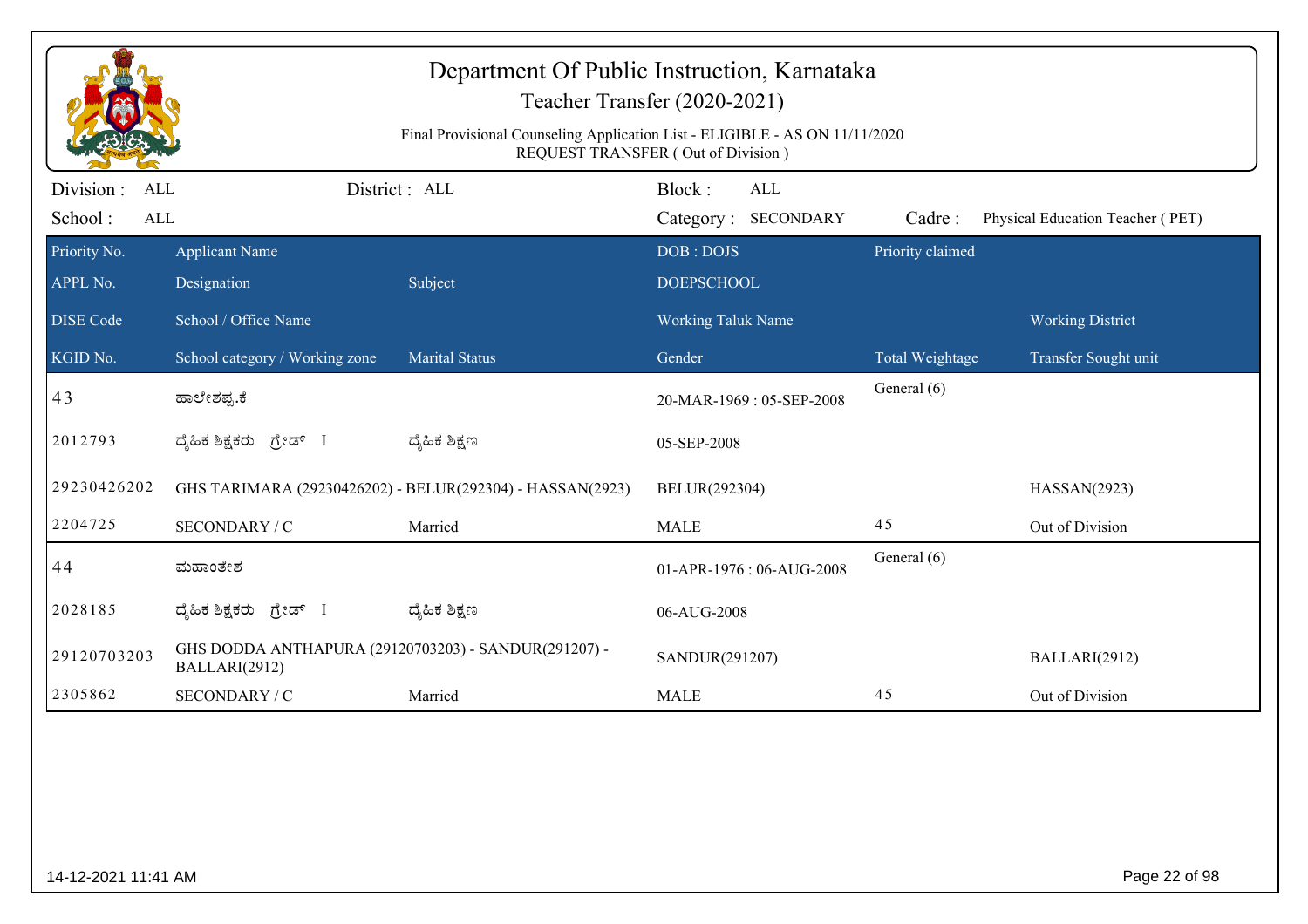|                                     |                                                                       | Department Of Public Instruction, Karnataka<br>Final Provisional Counseling Application List - ELIGIBLE - AS ON 11/11/2020 | Teacher Transfer (2020-2021)<br>REQUEST TRANSFER (Out of Division) |                                |                                  |
|-------------------------------------|-----------------------------------------------------------------------|----------------------------------------------------------------------------------------------------------------------------|--------------------------------------------------------------------|--------------------------------|----------------------------------|
| Division :<br>ALL<br>School:<br>ALL |                                                                       | District: ALL                                                                                                              | Block:<br><b>ALL</b><br>Category: SECONDARY                        | Cadre:                         | Physical Education Teacher (PET) |
| Priority No.<br>APPL No.            | <b>Applicant Name</b><br>Designation                                  | Subject                                                                                                                    | DOB: DOJS<br><b>DOEPSCHOOL</b>                                     | Priority claimed               |                                  |
| <b>DISE Code</b>                    | School / Office Name                                                  |                                                                                                                            | Working Taluk Name                                                 |                                | <b>Working District</b>          |
| KGID No.<br>43                      | School category / Working zone<br>ಹಾಲೇಶಪ್ಪ.ಕೆ                         | <b>Marital Status</b>                                                                                                      | Gender<br>20-MAR-1969: 05-SEP-2008                                 | Total Weightage<br>General (6) | Transfer Sought unit             |
| 2012793                             | ದೈಹಿಕ ಶಿಕ್ಷಕರು ಗ್ರೇಡ್ I                                               | ದ್ಯೆಹಿಕ ಶಿಕ್ಷಣ                                                                                                             | 05-SEP-2008                                                        |                                |                                  |
| 29230426202                         |                                                                       | GHS TARIMARA (29230426202) - BELUR(292304) - HASSAN(2923)                                                                  | BELUR(292304)                                                      |                                | HASSAN(2923)                     |
| 2204725                             | SECONDARY / C                                                         | Married                                                                                                                    | <b>MALE</b>                                                        | 45                             | Out of Division                  |
| 44                                  | ಮಹಾಂತೇಶ                                                               |                                                                                                                            | 01-APR-1976: 06-AUG-2008                                           | General (6)                    |                                  |
| 2028185                             | ದ್ಶೆಹಿಕ ಶಿಕ್ಷಕರು<br>ಗ್ರೇಡ್ I                                          | ದ್ಯೆಹಿಕ ಶಿಕ್ಷಣ                                                                                                             | 06-AUG-2008                                                        |                                |                                  |
| 29120703203                         | GHS DODDA ANTHAPURA (29120703203) - SANDUR(291207) -<br>BALLARI(2912) |                                                                                                                            | SANDUR(291207)                                                     |                                | BALLARI(2912)                    |
| 2305862                             | SECONDARY / C                                                         | Married                                                                                                                    | <b>MALE</b>                                                        | 45                             | Out of Division                  |
|                                     |                                                                       |                                                                                                                            |                                                                    |                                |                                  |
| 14-12-2021 11:41 AM                 |                                                                       |                                                                                                                            |                                                                    |                                | Page 22 of 98                    |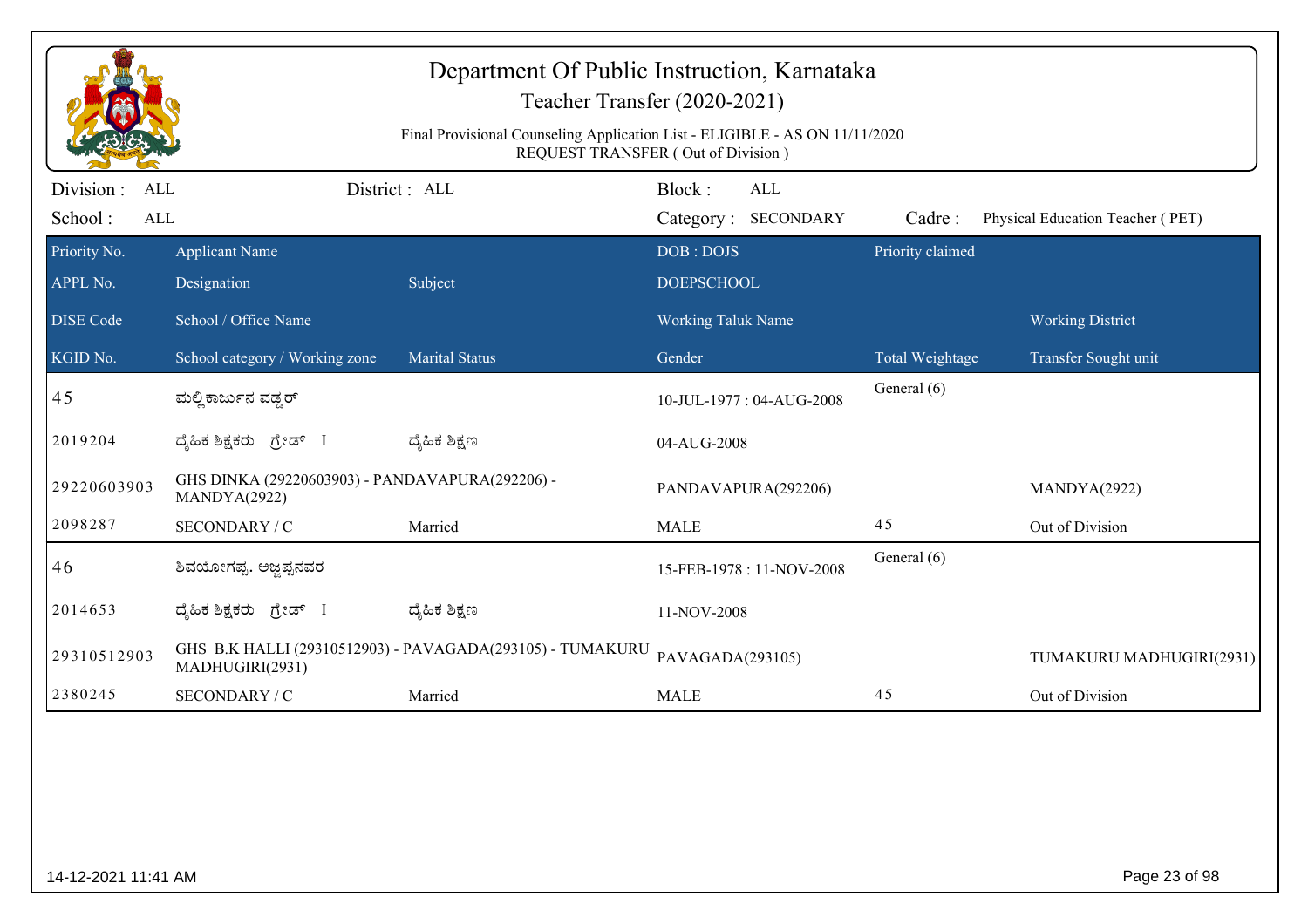|                                            |                                                                 | Department Of Public Instruction, Karnataka<br>Teacher Transfer (2020-2021)<br>Final Provisional Counseling Application List - ELIGIBLE - AS ON 11/11/2020<br>REQUEST TRANSFER (Out of Division) |                                |                            |                  |                                  |
|--------------------------------------------|-----------------------------------------------------------------|--------------------------------------------------------------------------------------------------------------------------------------------------------------------------------------------------|--------------------------------|----------------------------|------------------|----------------------------------|
| Division :<br>ALL<br>School:<br><b>ALL</b> |                                                                 | District: ALL                                                                                                                                                                                    | Block:                         | ALL<br>Category: SECONDARY | Cadre:           | Physical Education Teacher (PET) |
| Priority No.<br>APPL No.                   | <b>Applicant Name</b><br>Designation                            | Subject                                                                                                                                                                                          | DOB: DOJS<br><b>DOEPSCHOOL</b> |                            | Priority claimed |                                  |
| <b>DISE Code</b>                           | School / Office Name                                            |                                                                                                                                                                                                  | <b>Working Taluk Name</b>      |                            |                  | <b>Working District</b>          |
| KGID No.                                   | School category / Working zone                                  | <b>Marital Status</b>                                                                                                                                                                            | Gender                         |                            | Total Weightage  | Transfer Sought unit             |
| 45                                         | ಮಲ್ಲಿ ಕಾರ್ಜುನ ವಡ್ಡರ್                                            |                                                                                                                                                                                                  |                                | 10-JUL-1977: 04-AUG-2008   | General (6)      |                                  |
| 2019204                                    | ದೈಹಿಕ ಶಿಕ್ಷಕರು ಗ್ರೇಡ್ I                                         | ದ್ಮಹಿಕ ಶಿಕ್ಷಣ                                                                                                                                                                                    | 04-AUG-2008                    |                            |                  |                                  |
| 29220603903                                | GHS DINKA (29220603903) - PANDAVAPURA(292206) -<br>MANDYA(2922) |                                                                                                                                                                                                  | PANDAVAPURA(292206)            |                            |                  | MANDYA(2922)                     |
| 2098287                                    | SECONDARY / C                                                   | Married                                                                                                                                                                                          | <b>MALE</b>                    |                            | 45               | Out of Division                  |
| 46                                         | ಶಿವಯೋಗಪ್ಪ. ಅಜ್ಞಪ್ಪನವರ                                           |                                                                                                                                                                                                  |                                | 15-FEB-1978: 11-NOV-2008   | General (6)      |                                  |
| 2014653                                    | ದೈಹಿಕ ಶಿಕ್ಷಕರು ಗ್ರೇಡ್ I                                         | ದ್ಯೆಹಿಕ ಶಿಕ್ಷಣ                                                                                                                                                                                   | 11-NOV-2008                    |                            |                  |                                  |
| 29310512903                                | MADHUGIRI(2931)                                                 | GHS B.K HALLI (29310512903) - PAVAGADA(293105) - TUMAKURU                                                                                                                                        | PAVAGADA(293105)               |                            |                  | TUMAKURU MADHUGIRI(2931)         |
| 2380245                                    | SECONDARY / C                                                   | Married                                                                                                                                                                                          | <b>MALE</b>                    |                            | 45               | Out of Division                  |
|                                            |                                                                 |                                                                                                                                                                                                  |                                |                            |                  |                                  |
| 14-12-2021 11:41 AM                        |                                                                 |                                                                                                                                                                                                  |                                |                            |                  | Page 23 of 98                    |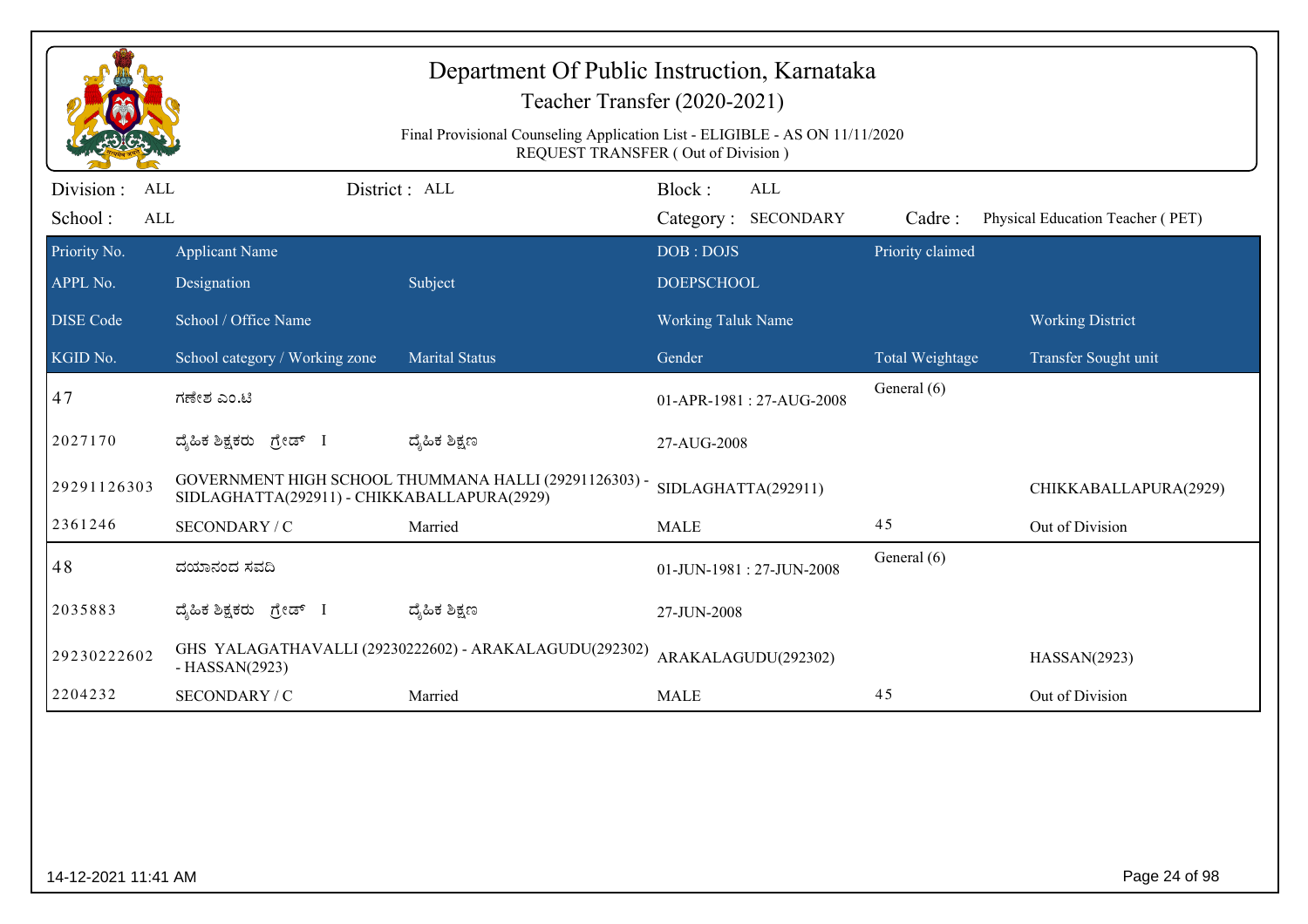|                                            |                                             | Department Of Public Instruction, Karnataka<br>Teacher Transfer (2020-2021)<br>Final Provisional Counseling Application List - ELIGIBLE - AS ON 11/11/2020<br><b>REQUEST TRANSFER (Out of Division)</b> |                           |                            |                  |                                  |
|--------------------------------------------|---------------------------------------------|---------------------------------------------------------------------------------------------------------------------------------------------------------------------------------------------------------|---------------------------|----------------------------|------------------|----------------------------------|
| Division :<br>ALL<br>School:<br><b>ALL</b> |                                             | District: ALL                                                                                                                                                                                           | Block:                    | ALL<br>Category: SECONDARY | Cadre:           | Physical Education Teacher (PET) |
| Priority No.                               | <b>Applicant Name</b>                       |                                                                                                                                                                                                         | DOB: DOJS                 |                            | Priority claimed |                                  |
| APPL No.                                   | Designation                                 | Subject                                                                                                                                                                                                 | <b>DOEPSCHOOL</b>         |                            |                  |                                  |
| <b>DISE</b> Code                           | School / Office Name                        |                                                                                                                                                                                                         | <b>Working Taluk Name</b> |                            |                  | <b>Working District</b>          |
| KGID No.                                   | School category / Working zone              | <b>Marital Status</b>                                                                                                                                                                                   | Gender                    |                            | Total Weightage  | Transfer Sought unit             |
| 47                                         | ಗಣೇಶ ಎಂ.ಟಿ                                  |                                                                                                                                                                                                         |                           | 01-APR-1981: 27-AUG-2008   | General (6)      |                                  |
| 2027170                                    | ದೈಹಿಕ ಶಿಕ್ಷಕರು ಗ್ರೇಡ್ I                     | ದ್ಯೆಹಿಕ ಶಿಕ್ಷಣ                                                                                                                                                                                          | 27-AUG-2008               |                            |                  |                                  |
| 29291126303                                | SIDLAGHATTA(292911) - CHIKKABALLAPURA(2929) | GOVERNMENT HIGH SCHOOL THUMMANA HALLI (29291126303) -                                                                                                                                                   |                           | SIDLAGHATTA(292911)        |                  | CHIKKABALLAPURA(2929)            |
| 2361246                                    | SECONDARY / C                               | Married                                                                                                                                                                                                 | <b>MALE</b>               |                            | 45               | Out of Division                  |
| 48                                         | ದಯಾನಂದ ಸವದಿ                                 |                                                                                                                                                                                                         |                           | 01-JUN-1981: 27-JUN-2008   | General (6)      |                                  |
| 2035883                                    | ದೈಹಿಕ ಶಿಕ್ಷಕರು ಗ್ರೇಡ್ I                     | ದ್ಮಹಿಕ ಶಿಕ್ಷಣ                                                                                                                                                                                           | 27-JUN-2008               |                            |                  |                                  |
| 29230222602                                | $-HASSAN(2923)$                             | GHS YALAGATHAVALLI (29230222602) - ARAKALAGUDU(292302)                                                                                                                                                  |                           | ARAKALAGUDU(292302)        |                  | HASSAN(2923)                     |
| 2204232                                    | SECONDARY / C                               | Married                                                                                                                                                                                                 | <b>MALE</b>               |                            | 45               | Out of Division                  |
|                                            |                                             |                                                                                                                                                                                                         |                           |                            |                  |                                  |
| 14-12-2021 11:41 AM                        |                                             |                                                                                                                                                                                                         |                           |                            |                  | Page 24 of 98                    |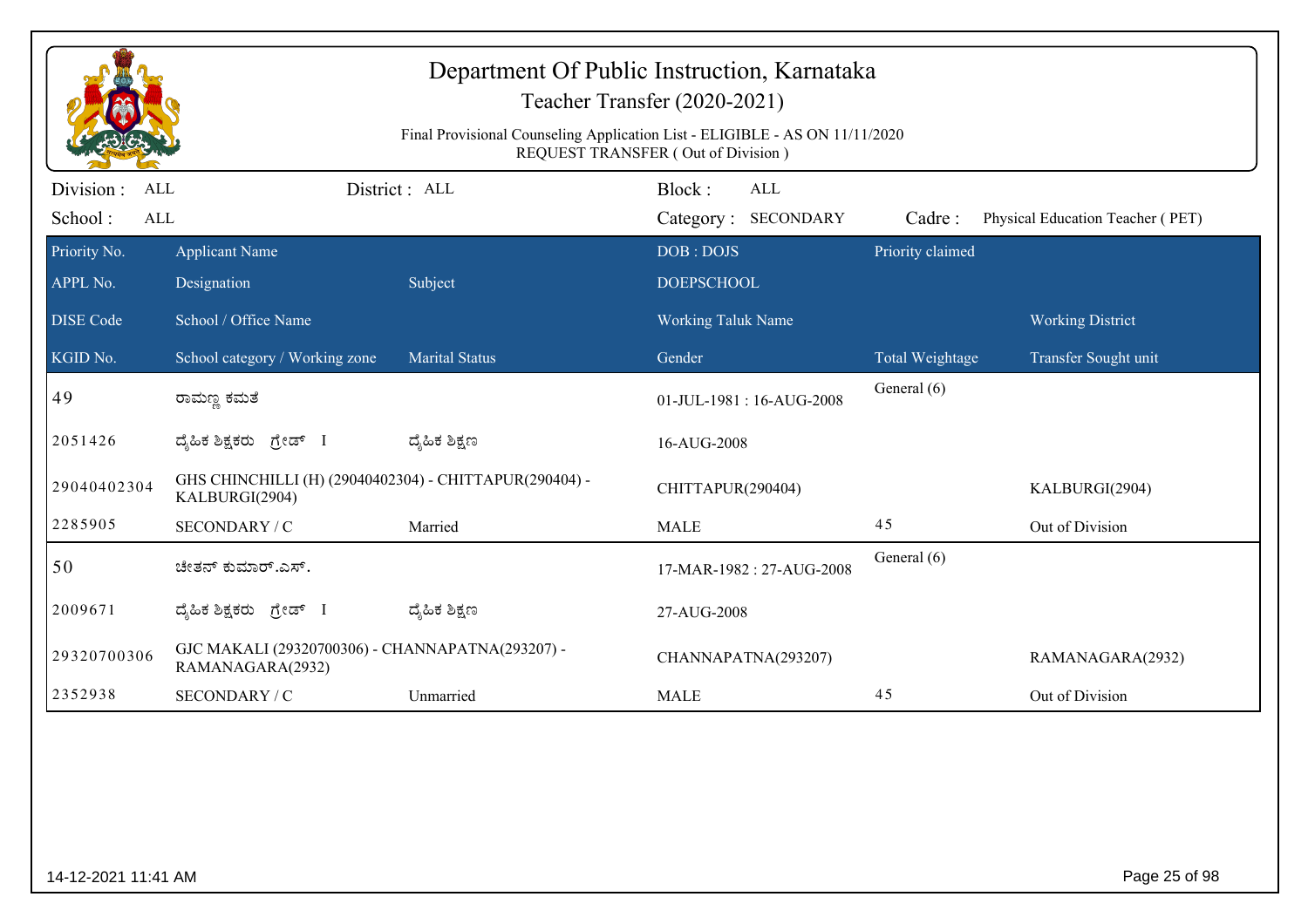|                                                     |                                                                          |                                                                             | Department Of Public Instruction, Karnataka<br>Teacher Transfer (2020-2021) |                  |                                  |
|-----------------------------------------------------|--------------------------------------------------------------------------|-----------------------------------------------------------------------------|-----------------------------------------------------------------------------|------------------|----------------------------------|
|                                                     |                                                                          | Final Provisional Counseling Application List - ELIGIBLE - AS ON 11/11/2020 | REQUEST TRANSFER (Out of Division)                                          |                  |                                  |
| Division :<br><b>ALL</b><br>School:<br>$\mbox{ALL}$ |                                                                          | District: ALL                                                               | Block:<br>ALL<br>Category: SECONDARY                                        | Cadre:           | Physical Education Teacher (PET) |
| Priority No.                                        | <b>Applicant Name</b>                                                    |                                                                             | DOB: DOJS                                                                   | Priority claimed |                                  |
| APPL No.                                            | Designation                                                              | Subject                                                                     | <b>DOEPSCHOOL</b>                                                           |                  |                                  |
| <b>DISE</b> Code                                    | School / Office Name                                                     |                                                                             | <b>Working Taluk Name</b>                                                   |                  | <b>Working District</b>          |
| KGID No.                                            | School category / Working zone                                           | <b>Marital Status</b>                                                       | Gender                                                                      | Total Weightage  | Transfer Sought unit             |
| 49                                                  | ರಾಮಣ್ಣ ಕಮತೆ                                                              |                                                                             | 01-JUL-1981: 16-AUG-2008                                                    | General (6)      |                                  |
| 2051426                                             | ದ್ಯಹಿಕ ಶಿಕ್ಷಕರು ಗ್ರೇಡ್ I                                                 | ದ್ಯೆಹಿಕ ಶಿಕ್ಷಣ                                                              | 16-AUG-2008                                                                 |                  |                                  |
| 29040402304                                         | GHS CHINCHILLI (H) (29040402304) - CHITTAPUR(290404) -<br>KALBURGI(2904) |                                                                             | CHITTAPUR(290404)                                                           |                  | KALBURGI(2904)                   |
| 2285905                                             | SECONDARY / C                                                            | Married                                                                     | <b>MALE</b>                                                                 | 45               | Out of Division                  |
| 50                                                  | ಚೇತನ್ ಕುಮಾರ್.ಎಸ್.                                                        |                                                                             | 17-MAR-1982: 27-AUG-2008                                                    | General (6)      |                                  |
| 2009671                                             | ದ್ಯಹಿಕ ಶಿಕ್ಷಕರು ಗ್ರೇಡ್ I                                                 | ದ್ಯೆಹಿಕ ಶಿಕ್ಷಣ                                                              | 27-AUG-2008                                                                 |                  |                                  |
| 29320700306                                         | GJC MAKALI (29320700306) - CHANNAPATNA(293207) -<br>RAMANAGARA(2932)     |                                                                             | CHANNAPATNA(293207)                                                         |                  | RAMANAGARA(2932)                 |
| 2352938                                             | SECONDARY / C                                                            | Unmarried                                                                   | <b>MALE</b>                                                                 | 45               | Out of Division                  |

extending the control of the control of the control of the control of the control of the control of the control of the control of the control of the control of the control of the control of the control of the control of th

14-12-2021 11:41 AM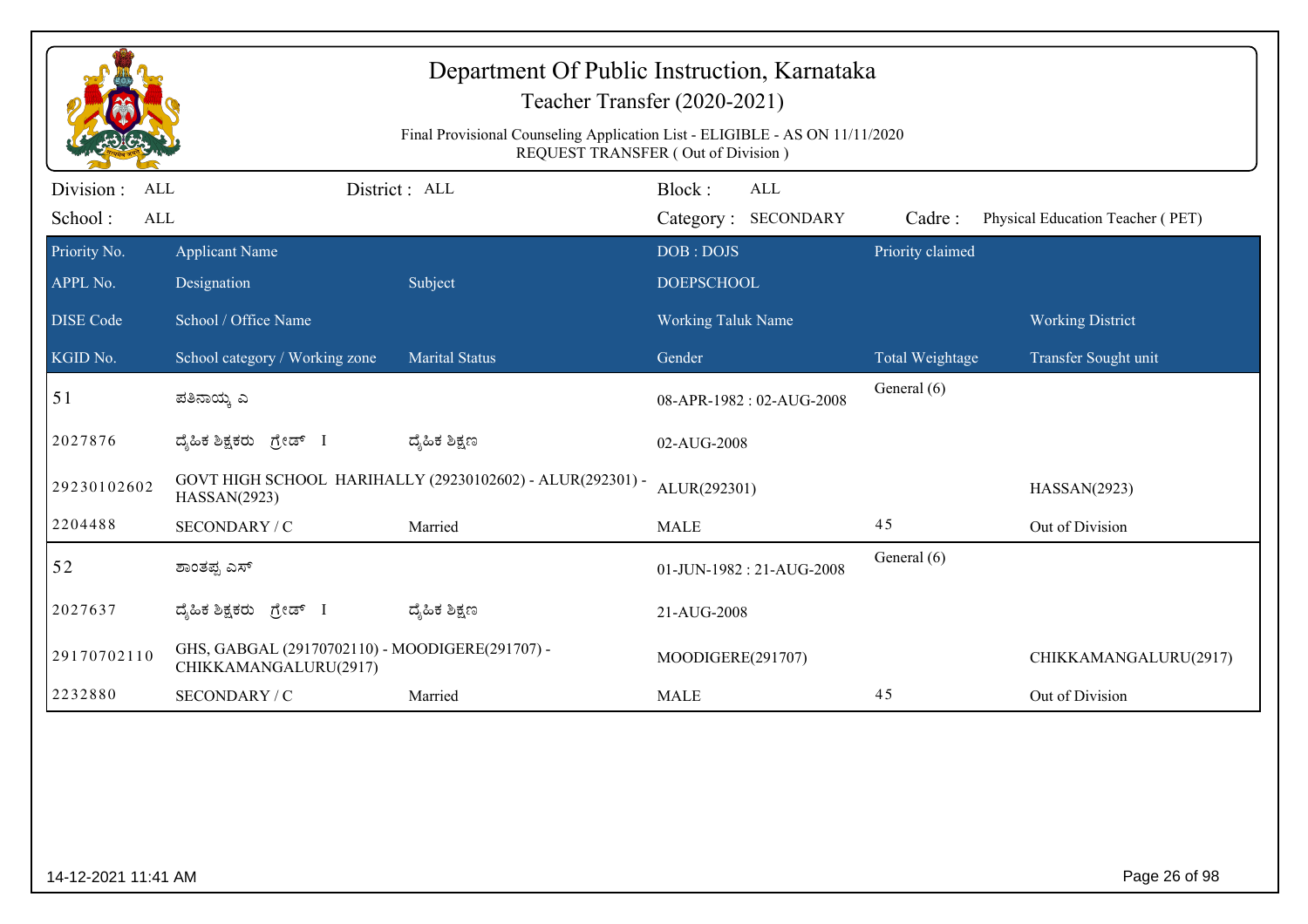|                                     |                                                                          | Department Of Public Instruction, Karnataka                                 | Teacher Transfer (2020-2021)                |                  |                                  |
|-------------------------------------|--------------------------------------------------------------------------|-----------------------------------------------------------------------------|---------------------------------------------|------------------|----------------------------------|
|                                     |                                                                          | Final Provisional Counseling Application List - ELIGIBLE - AS ON 11/11/2020 | REQUEST TRANSFER (Out of Division)          |                  |                                  |
| Division :<br>ALL<br>School:<br>ALL |                                                                          | District: ALL                                                               | Block:<br><b>ALL</b><br>Category: SECONDARY | Cadre:           | Physical Education Teacher (PET) |
| Priority No.<br>APPL No.            | <b>Applicant Name</b><br>Designation                                     | Subject                                                                     | DOB: DOJS<br><b>DOEPSCHOOL</b>              | Priority claimed |                                  |
| <b>DISE</b> Code                    | School / Office Name                                                     |                                                                             | <b>Working Taluk Name</b>                   |                  | <b>Working District</b>          |
| KGID No.                            | School category / Working zone                                           | <b>Marital Status</b>                                                       | Gender                                      | Total Weightage  | Transfer Sought unit             |
| 51                                  | ಪತಿನಾಯ್ತ ಎ                                                               |                                                                             | 08-APR-1982: 02-AUG-2008                    | General (6)      |                                  |
| 2027876                             | ದೈಹಿಕ ಶಿಕ್ಷಕರು ಗ್ರೇಡ್ I                                                  | ದ್ಯೆಹಿಕ ಶಿಕ್ಷಣ                                                              | 02-AUG-2008                                 |                  |                                  |
| 29230102602                         | HASSAN(2923)                                                             | GOVT HIGH SCHOOL HARIHALLY (29230102602) - ALUR(292301) -                   | ALUR(292301)                                |                  | HASSAN(2923)                     |
| 2204488                             | SECONDARY / C                                                            | Married                                                                     | <b>MALE</b>                                 | 45               | Out of Division                  |
| 52                                  | ಶಾಂತಪ್ಪ ಎಸ್                                                              |                                                                             | 01-JUN-1982: 21-AUG-2008                    | General (6)      |                                  |
| 2027637                             | ದೈಹಿಕ ಶಿಕ್ಷಕರು ಗ್ರೇಡ್ I                                                  | ದ್ಯೆಹಿಕ ಶಿಕ್ಷಣ                                                              | 21-AUG-2008                                 |                  |                                  |
| 29170702110                         | GHS, GABGAL (29170702110) - MOODIGERE(291707) -<br>CHIKKAMANGALURU(2917) |                                                                             | MOODIGERE(291707)                           |                  | CHIKKAMANGALURU(2917)            |
| 2232880                             | SECONDARY / C                                                            | Married                                                                     | <b>MALE</b>                                 | 45               | Out of Division                  |
|                                     |                                                                          |                                                                             |                                             |                  |                                  |
| 14-12-2021 11:41 AM                 |                                                                          |                                                                             |                                             |                  | Page 26 of 98                    |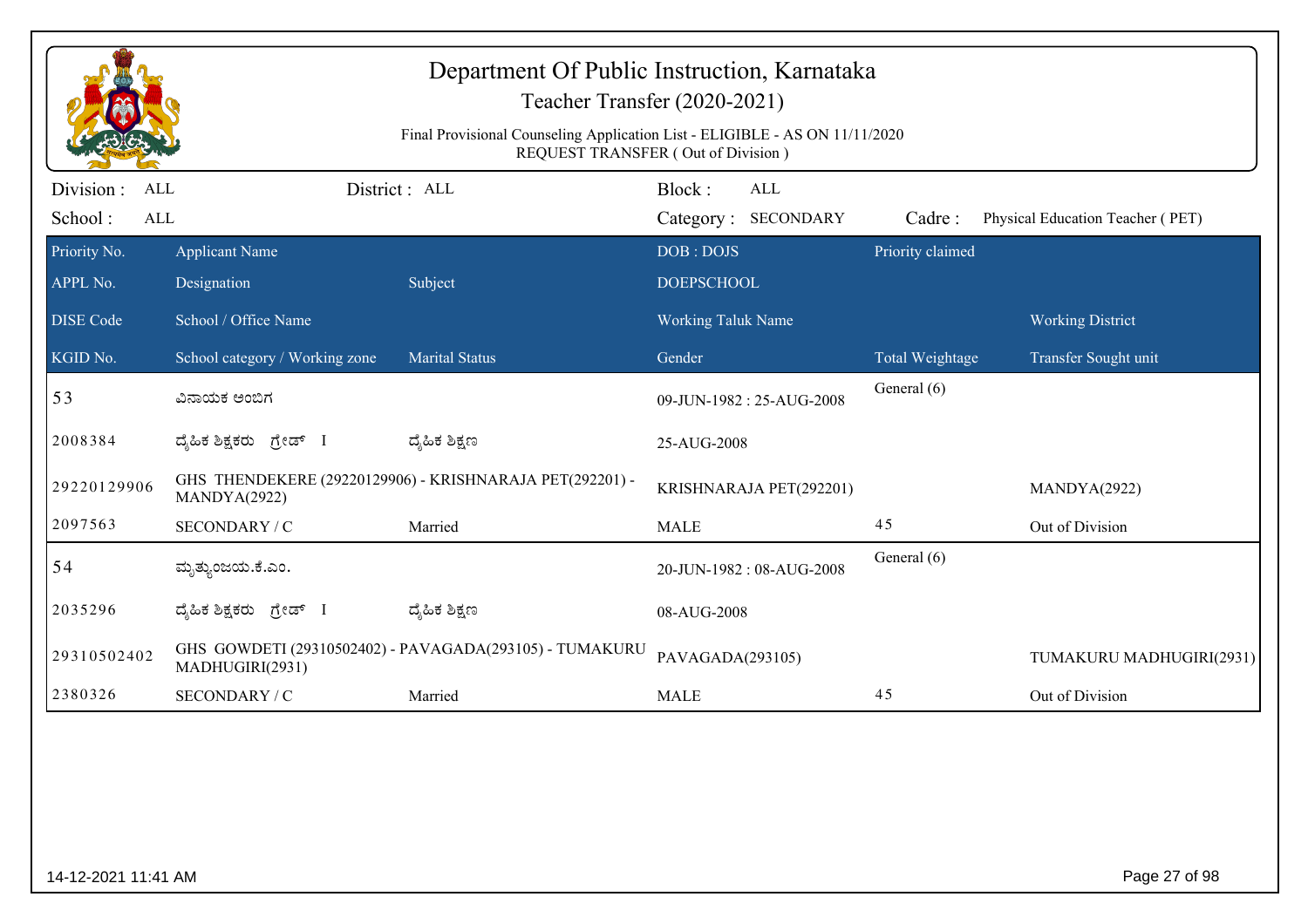|                                            |                                      | Department Of Public Instruction, Karnataka<br>Teacher Transfer (2020-2021)<br>Final Provisional Counseling Application List - ELIGIBLE - AS ON 11/11/2020<br>REQUEST TRANSFER (Out of Division) |                                |                                   |                  |                                  |
|--------------------------------------------|--------------------------------------|--------------------------------------------------------------------------------------------------------------------------------------------------------------------------------------------------|--------------------------------|-----------------------------------|------------------|----------------------------------|
| Division :<br>ALL<br>School:<br><b>ALL</b> |                                      | District: ALL                                                                                                                                                                                    | Block:                         | <b>ALL</b><br>Category: SECONDARY | Cadre:           | Physical Education Teacher (PET) |
| Priority No.<br>APPL No.                   | <b>Applicant Name</b><br>Designation | Subject                                                                                                                                                                                          | DOB: DOJS<br><b>DOEPSCHOOL</b> |                                   | Priority claimed |                                  |
| <b>DISE</b> Code                           | School / Office Name                 |                                                                                                                                                                                                  | <b>Working Taluk Name</b>      |                                   |                  | <b>Working District</b>          |
| KGID No.                                   | School category / Working zone       | <b>Marital Status</b>                                                                                                                                                                            | Gender                         |                                   | Total Weightage  | Transfer Sought unit             |
| 53                                         | ವಿನಾಯಕ ಅಂಬಿಗ                         |                                                                                                                                                                                                  |                                | 09-JUN-1982: 25-AUG-2008          | General (6)      |                                  |
| 2008384                                    | ದೈಹಿಕ ಶಿಕ್ಷಕರು ಗ್ರೇಡ್ I              | ದ್ಯೆಹಿಕ ಶಿಕ್ಷಣ                                                                                                                                                                                   | 25-AUG-2008                    |                                   |                  |                                  |
| 29220129906                                | MANDYA(2922)                         | GHS THENDEKERE (29220129906) - KRISHNARAJA PET(292201) -                                                                                                                                         |                                | KRISHNARAJA PET(292201)           |                  | MANDYA(2922)                     |
| 2097563                                    | SECONDARY / C                        | Married                                                                                                                                                                                          | <b>MALE</b>                    |                                   | 45               | Out of Division                  |
| 54                                         | ಮೃತ್ತುಂಜಯ.ಕೆ.ಎಂ.                     |                                                                                                                                                                                                  |                                | 20-JUN-1982: 08-AUG-2008          | General (6)      |                                  |
| 2035296                                    | ದ್ಯಹಿಕ ಶಿಕ್ಷಕರು ಗ್ರೇಡ್ I             | ದ್ಮಹಿಕ ಶಿಕ್ಷಣ                                                                                                                                                                                    | 08-AUG-2008                    |                                   |                  |                                  |
| 29310502402                                | MADHUGIRI(2931)                      | GHS GOWDETI (29310502402) - PAVAGADA(293105) - TUMAKURU                                                                                                                                          | PAVAGADA(293105)               |                                   |                  | TUMAKURU MADHUGIRI(2931)         |
| 2380326                                    | SECONDARY / C                        | Married                                                                                                                                                                                          | <b>MALE</b>                    |                                   | 45               | Out of Division                  |
|                                            |                                      |                                                                                                                                                                                                  |                                |                                   |                  |                                  |
| 14-12-2021 11:41 AM                        |                                      |                                                                                                                                                                                                  |                                |                                   |                  | Page 27 of 98                    |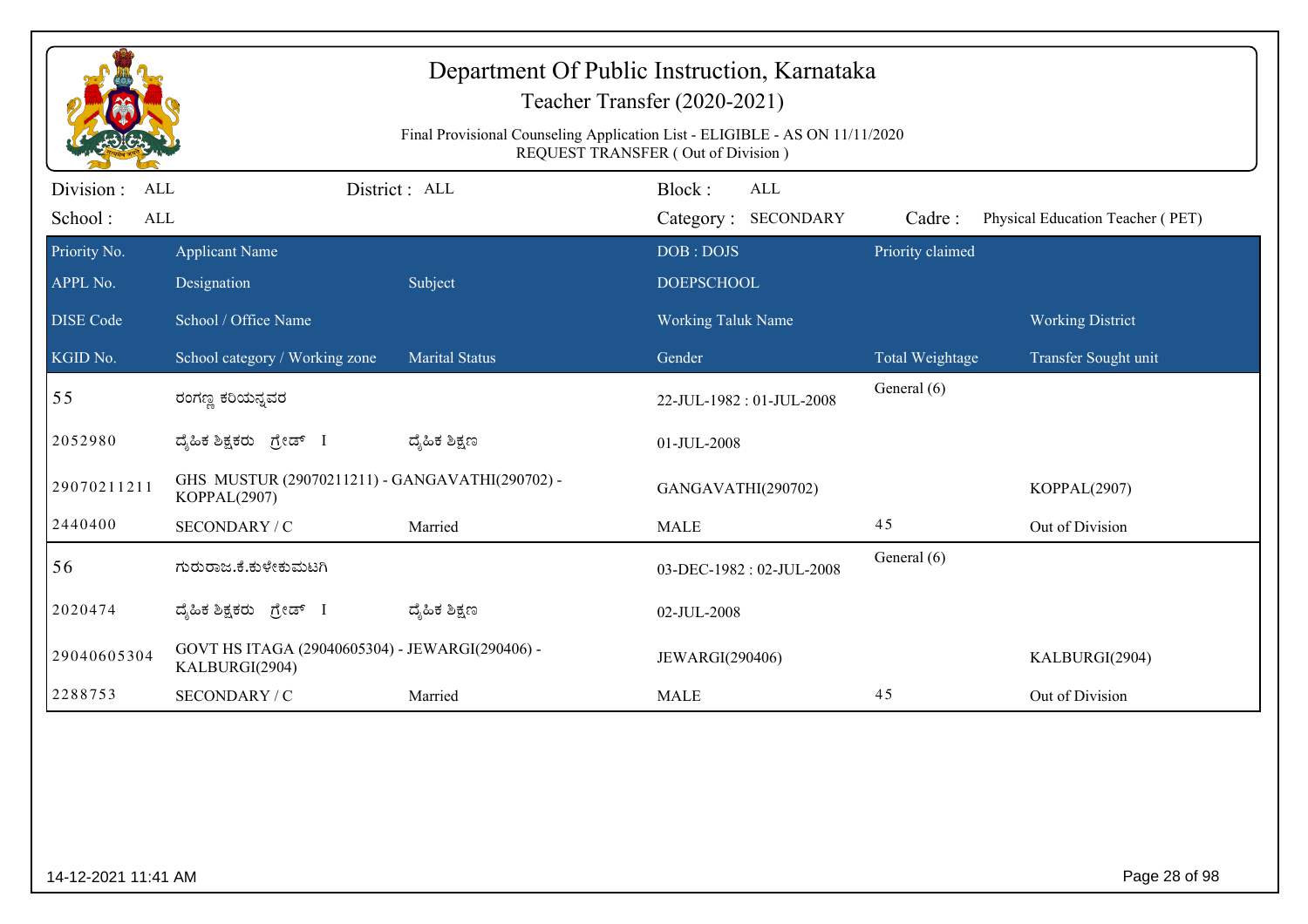|                                     |                                                                   |                       | Final Provisional Counseling Application List - ELIGIBLE - AS ON 11/11/2020<br><b>REQUEST TRANSFER (Out of Division)</b> |                  |                                  |
|-------------------------------------|-------------------------------------------------------------------|-----------------------|--------------------------------------------------------------------------------------------------------------------------|------------------|----------------------------------|
| Division :<br>ALL<br>School:<br>ALL |                                                                   | District: ALL         | Block:<br><b>ALL</b><br>Category: SECONDARY                                                                              | Cadre:           | Physical Education Teacher (PET) |
| Priority No.                        | <b>Applicant Name</b>                                             |                       | DOB: DOJS                                                                                                                | Priority claimed |                                  |
| APPL No.                            | Designation                                                       | Subject               | <b>DOEPSCHOOL</b>                                                                                                        |                  |                                  |
| <b>DISE Code</b>                    | School / Office Name                                              |                       | Working Taluk Name                                                                                                       |                  | <b>Working District</b>          |
| KGID No.                            | School category / Working zone                                    | <b>Marital Status</b> | Gender                                                                                                                   | Total Weightage  | Transfer Sought unit             |
| 55                                  | ರಂಗಣ್ಣ ಕರಿಯನ್ನವರ                                                  |                       | 22-JUL-1982: 01-JUL-2008                                                                                                 | General (6)      |                                  |
| 2052980                             | ದ್ಯಹಿಕ ಶಿಕ್ಷಕರು ಗ್ರೇಡ್ I                                          | ದ್ಶೆಹಿಕ ಶಿಕ್ಷಣ        | 01-JUL-2008                                                                                                              |                  |                                  |
| 29070211211                         | GHS MUSTUR (29070211211) - GANGAVATHI(290702) -<br>KOPPAL(2907)   |                       | GANGAVATHI(290702)                                                                                                       |                  | KOPPAL(2907)                     |
| 2440400                             | SECONDARY / C                                                     | Married               | <b>MALE</b>                                                                                                              | 45               | Out of Division                  |
| 56                                  | ಗುರುರಾಜ.ಕೆ.ಕುಳೇಕುಮಟಗಿ                                             |                       | 03-DEC-1982: 02-JUL-2008                                                                                                 | General (6)      |                                  |
| 2020474                             | ದ್ಯಹಿಕ ಶಿಕ್ಷಕರು ಗ್ರೇಡ್ I                                          | ದ್ಶೆಹಿಕ ಶಿಕ್ಷಣ        | 02-JUL-2008                                                                                                              |                  |                                  |
| 29040605304                         | GOVT HS ITAGA (29040605304) - JEWARGI(290406) -<br>KALBURGI(2904) |                       | JEWARGI(290406)                                                                                                          |                  | KALBURGI(2904)                   |
| 2288753                             | SECONDARY / C                                                     | Married               | <b>MALE</b>                                                                                                              | 45               | Out of Division                  |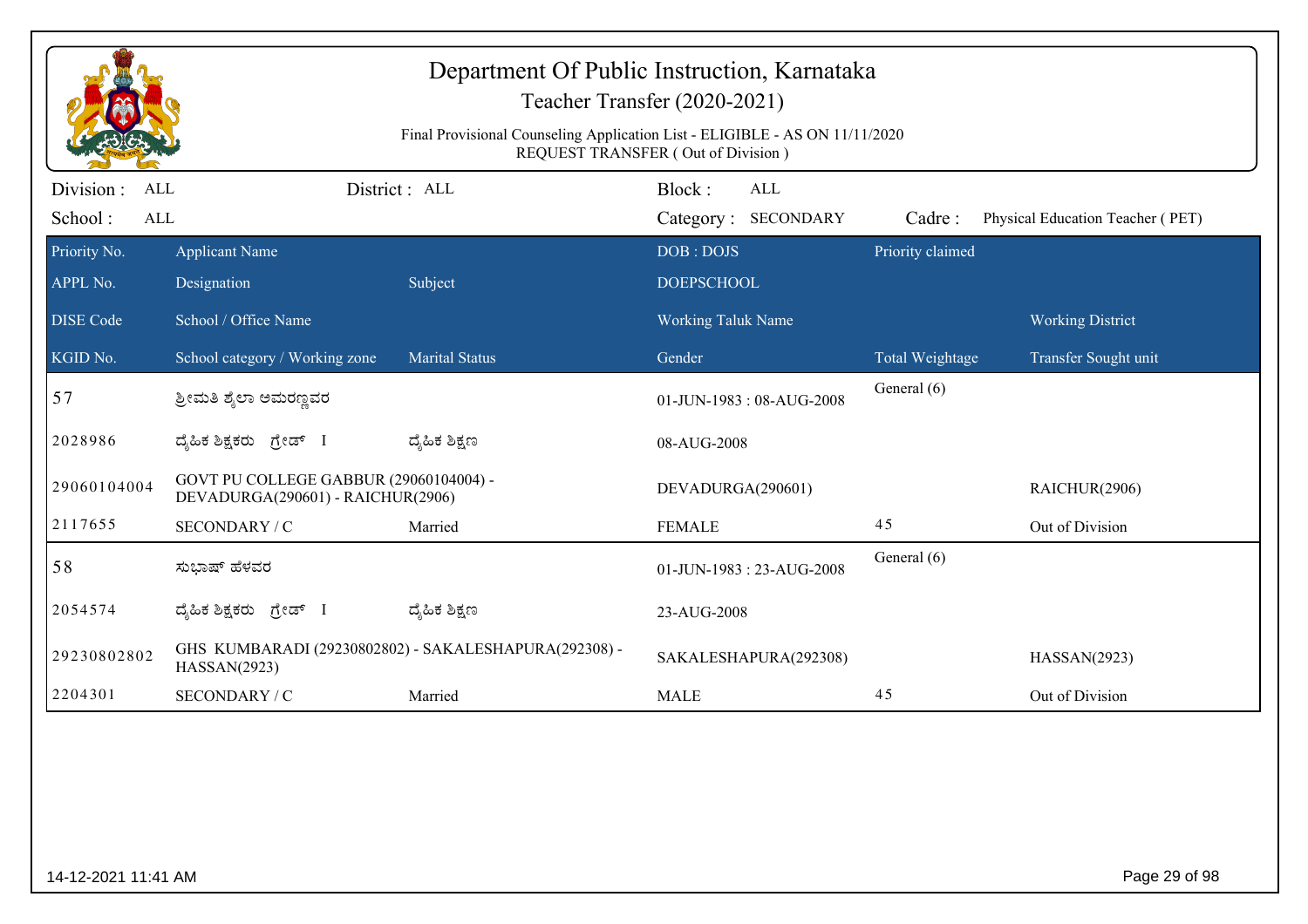|                                     |                                                                             | Final Provisional Counseling Application List - ELIGIBLE - AS ON 11/11/2020 | Department Of Public Instruction, Karnataka<br>Teacher Transfer (2020-2021)<br>REQUEST TRANSFER (Out of Division) |                  |                                  |
|-------------------------------------|-----------------------------------------------------------------------------|-----------------------------------------------------------------------------|-------------------------------------------------------------------------------------------------------------------|------------------|----------------------------------|
| Division :<br>ALL<br>School:<br>ALL |                                                                             | District: ALL                                                               | Block:<br><b>ALL</b><br>Category: SECONDARY                                                                       | Cadre:           | Physical Education Teacher (PET) |
| Priority No.                        | <b>Applicant Name</b>                                                       |                                                                             | DOB: DOJS                                                                                                         | Priority claimed |                                  |
| APPL No.                            | Designation                                                                 | Subject                                                                     | <b>DOEPSCHOOL</b>                                                                                                 |                  |                                  |
| <b>DISE Code</b>                    | School / Office Name                                                        |                                                                             | Working Taluk Name                                                                                                |                  | <b>Working District</b>          |
| KGID No.                            | School category / Working zone                                              | <b>Marital Status</b>                                                       | Gender                                                                                                            | Total Weightage  | Transfer Sought unit             |
| 57                                  | ಶ್ರೀಮತಿ ಶೈಲಾ ಅಮರಣ್ಣವರ                                                       |                                                                             | 01-JUN-1983: 08-AUG-2008                                                                                          | General (6)      |                                  |
| 2028986                             | ದೈಹಿಕ ಶಿಕ್ಷಕರು ಗ್ರೇಡ್ I                                                     | ದ್ಯೆಹಿಕ ಶಿಕ್ಷಣ                                                              | 08-AUG-2008                                                                                                       |                  |                                  |
| 29060104004                         | GOVT PU COLLEGE GABBUR (29060104004) -<br>DEVADURGA(290601) - RAICHUR(2906) |                                                                             | DEVADURGA(290601)                                                                                                 |                  | RAICHUR(2906)                    |
| 2117655                             | SECONDARY / C                                                               | Married                                                                     | <b>FEMALE</b>                                                                                                     | 45               | Out of Division                  |
| 58                                  | ಸುಭಾಷ್ ಹೆಳವರ                                                                |                                                                             | 01-JUN-1983: 23-AUG-2008                                                                                          | General (6)      |                                  |
| 2054574                             | ದೈಹಿಕ ಶಿಕ್ಷಕರು ಗ್ರೇಡ್ I                                                     | ದ್ಯೆಹಿಕ ಶಿಕ್ಷಣ                                                              | 23-AUG-2008                                                                                                       |                  |                                  |
| 29230802802                         | HASSAN(2923)                                                                | GHS KUMBARADI (29230802802) - SAKALESHAPURA(292308) -                       | SAKALESHAPURA(292308)                                                                                             |                  | HASSAN(2923)                     |
| 2204301                             | SECONDARY / C                                                               | Married                                                                     | <b>MALE</b>                                                                                                       | 45               | Out of Division                  |
|                                     |                                                                             |                                                                             |                                                                                                                   |                  |                                  |
| 14-12-2021 11:41 AM                 |                                                                             |                                                                             |                                                                                                                   |                  | Page 29 of 98                    |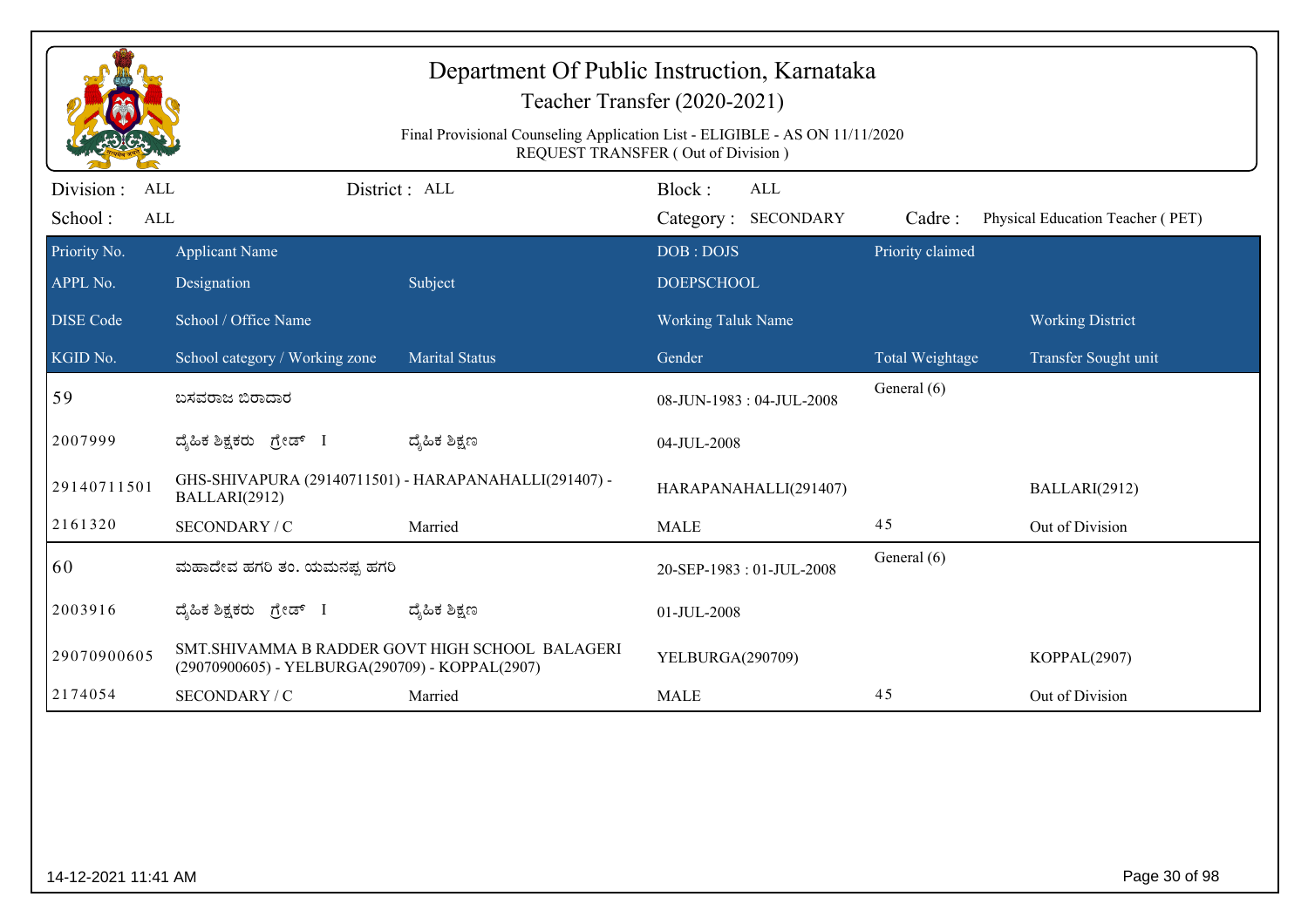|                                |                                                                        | Final Provisional Counseling Application List - ELIGIBLE - AS ON 11/11/2020 | Department Of Public Instruction, Karnataka<br>Teacher Transfer (2020-2021)<br>REQUEST TRANSFER (Out of Division) |                            |                                  |
|--------------------------------|------------------------------------------------------------------------|-----------------------------------------------------------------------------|-------------------------------------------------------------------------------------------------------------------|----------------------------|----------------------------------|
| Division :<br>ALL              |                                                                        | District: ALL                                                               | Block:<br><b>ALL</b>                                                                                              |                            |                                  |
| School:<br>ALL<br>Priority No. |                                                                        |                                                                             | Category: SECONDARY<br>DOB: DOJS                                                                                  | Cadre:<br>Priority claimed | Physical Education Teacher (PET) |
| APPL No.                       | <b>Applicant Name</b><br>Designation                                   | Subject                                                                     | <b>DOEPSCHOOL</b>                                                                                                 |                            |                                  |
| <b>DISE Code</b>               | School / Office Name                                                   |                                                                             | <b>Working Taluk Name</b>                                                                                         |                            | <b>Working District</b>          |
| KGID No.                       | School category / Working zone                                         | <b>Marital Status</b>                                                       | Gender                                                                                                            | Total Weightage            | Transfer Sought unit             |
| 59                             | ಬಸವರಾಜ ಬಿರಾದಾರ                                                         |                                                                             | 08-JUN-1983: 04-JUL-2008                                                                                          | General (6)                |                                  |
| 2007999                        | ದೈಹಿಕ ಶಿಕ್ಷಕರು ಗ್ರೇಡ್ I                                                | ದ್ಶೆಹಿಕ ಶಿಕ್ಷಣ                                                              | 04-JUL-2008                                                                                                       |                            |                                  |
| 29140711501                    | GHS-SHIVAPURA (29140711501) - HARAPANAHALLI(291407) -<br>BALLARI(2912) |                                                                             | HARAPANAHALLI(291407)                                                                                             |                            | BALLARI(2912)                    |
| 2161320                        | SECONDARY / C                                                          | Married                                                                     | <b>MALE</b>                                                                                                       | 45                         | Out of Division                  |
| 60                             | ಮಹಾದೇವ ಹಗರಿ ತಂ. ಯಮನಪ್ಪ ಹಗರಿ                                            |                                                                             | 20-SEP-1983: 01-JUL-2008                                                                                          | General (6)                |                                  |
| 2003916                        | ದೈಹಿಕ ಶಿಕ್ಷಕರು ಗ್ರೇಡ್ I                                                | ದ್ಶೆಹಿಕ ಶಿಕ್ಷಣ                                                              | 01-JUL-2008                                                                                                       |                            |                                  |
| 29070900605                    | (29070900605) - YELBURGA(290709) - KOPPAL(2907)                        | SMT.SHIVAMMA B RADDER GOVT HIGH SCHOOL BALAGERI                             | YELBURGA(290709)                                                                                                  |                            | KOPPAL(2907)                     |
| 2174054                        | SECONDARY / C                                                          | Married                                                                     | <b>MALE</b>                                                                                                       | 45                         | Out of Division                  |
|                                |                                                                        |                                                                             |                                                                                                                   |                            |                                  |
| 14-12-2021 11:41 AM            |                                                                        |                                                                             |                                                                                                                   |                            | Page 30 of 98                    |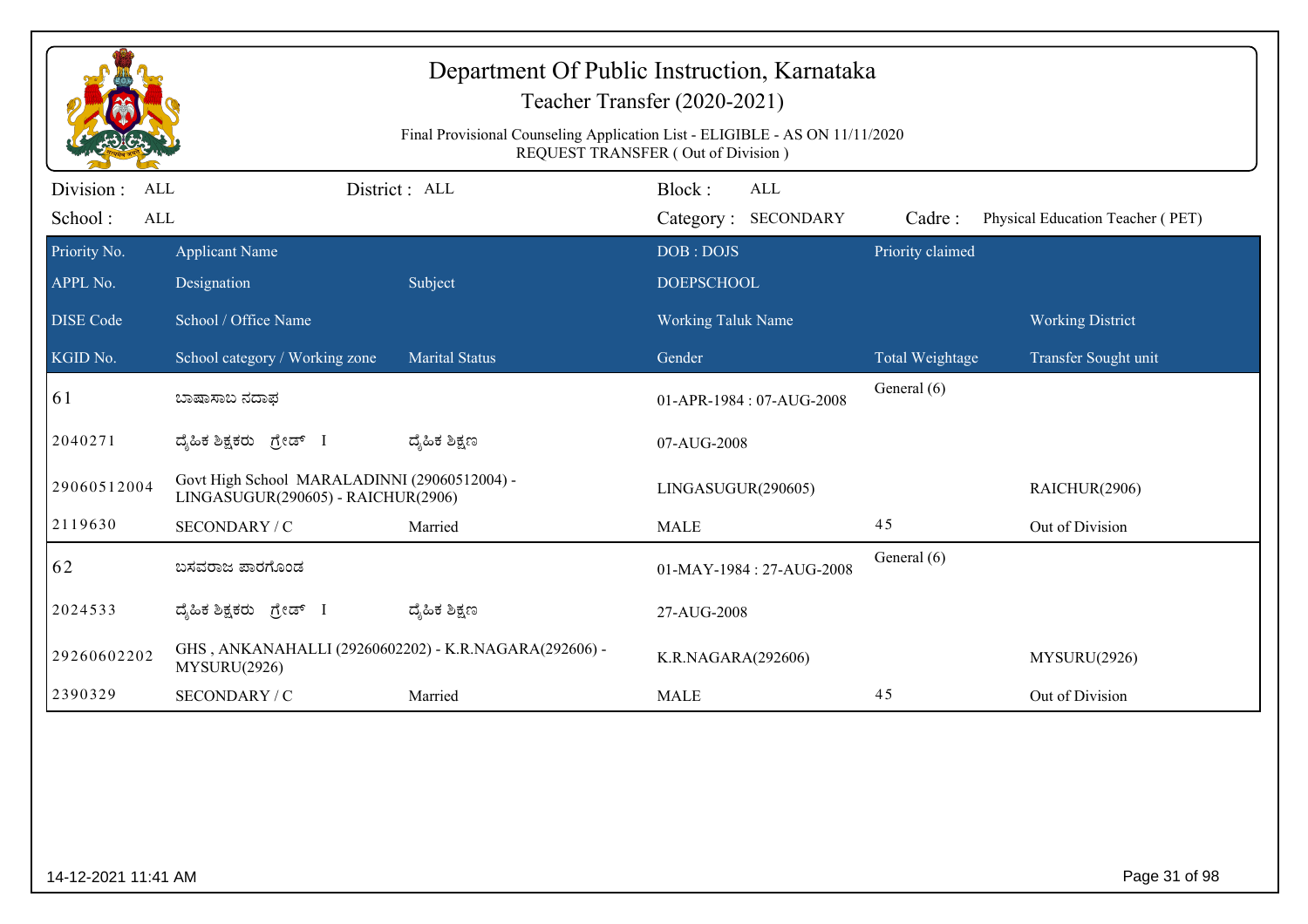|                                     |                                                                                    | Final Provisional Counseling Application List - ELIGIBLE - AS ON 11/11/2020 | Department Of Public Instruction, Karnataka<br>Teacher Transfer (2020-2021)<br>REQUEST TRANSFER (Out of Division) |                  |                                  |
|-------------------------------------|------------------------------------------------------------------------------------|-----------------------------------------------------------------------------|-------------------------------------------------------------------------------------------------------------------|------------------|----------------------------------|
| Division :<br>ALL<br>School:<br>ALL |                                                                                    | District : ALL                                                              | Block:<br><b>ALL</b><br>Category: SECONDARY                                                                       | Cadre:           | Physical Education Teacher (PET) |
| Priority No.                        | <b>Applicant Name</b>                                                              |                                                                             | DOB: DOJS                                                                                                         | Priority claimed |                                  |
| APPL No.                            | Designation                                                                        | Subject                                                                     | <b>DOEPSCHOOL</b>                                                                                                 |                  |                                  |
| <b>DISE Code</b>                    | School / Office Name                                                               |                                                                             | <b>Working Taluk Name</b>                                                                                         |                  | <b>Working District</b>          |
| KGID No.                            | School category / Working zone                                                     | <b>Marital Status</b>                                                       | Gender                                                                                                            | Total Weightage  | Transfer Sought unit             |
| 61                                  | ಬಾಷಾಸಾಬ ನದಾಫ                                                                       |                                                                             | 01-APR-1984: 07-AUG-2008                                                                                          | General (6)      |                                  |
| 2040271                             | ದ್ಯಹಿಕ ಶಿಕ್ಷಕರು ಗ್ರೇಡ್ I                                                           | ದ್ಶೆಹಿಕ ಶಿಕ್ಷಣ                                                              | 07-AUG-2008                                                                                                       |                  |                                  |
| 29060512004                         | Govt High School MARALADINNI (29060512004) -<br>LINGASUGUR(290605) - RAICHUR(2906) |                                                                             | LINGASUGUR(290605)                                                                                                |                  | RAICHUR(2906)                    |
| 2119630                             | SECONDARY / C                                                                      | Married                                                                     | <b>MALE</b>                                                                                                       | 45               | Out of Division                  |
| 62                                  | ಬಸವರಾಜ ಪಾರಗೊಂಡ                                                                     |                                                                             | 01-MAY-1984: 27-AUG-2008                                                                                          | General (6)      |                                  |
| 2024533                             | ದ್ಯಹಿಕ ಶಿಕ್ಷಕರು ಗ್ರೇಡ್ I                                                           | ದ್ಶೆಹಿಕ ಶಿಕ್ಷಣ                                                              | 27-AUG-2008                                                                                                       |                  |                                  |
| 29260602202                         | GHS, ANKANAHALLI (29260602202) - K.R.NAGARA(292606) -<br>MYSURU(2926)              |                                                                             | K.R.NAGARA(292606)                                                                                                |                  | MYSURU(2926)                     |
| 2390329                             | SECONDARY / C                                                                      | Married                                                                     | <b>MALE</b>                                                                                                       | 45               | Out of Division                  |
|                                     |                                                                                    |                                                                             |                                                                                                                   |                  |                                  |
| 14-12-2021 11:41 AM                 |                                                                                    |                                                                             |                                                                                                                   |                  | Page 31 of 98                    |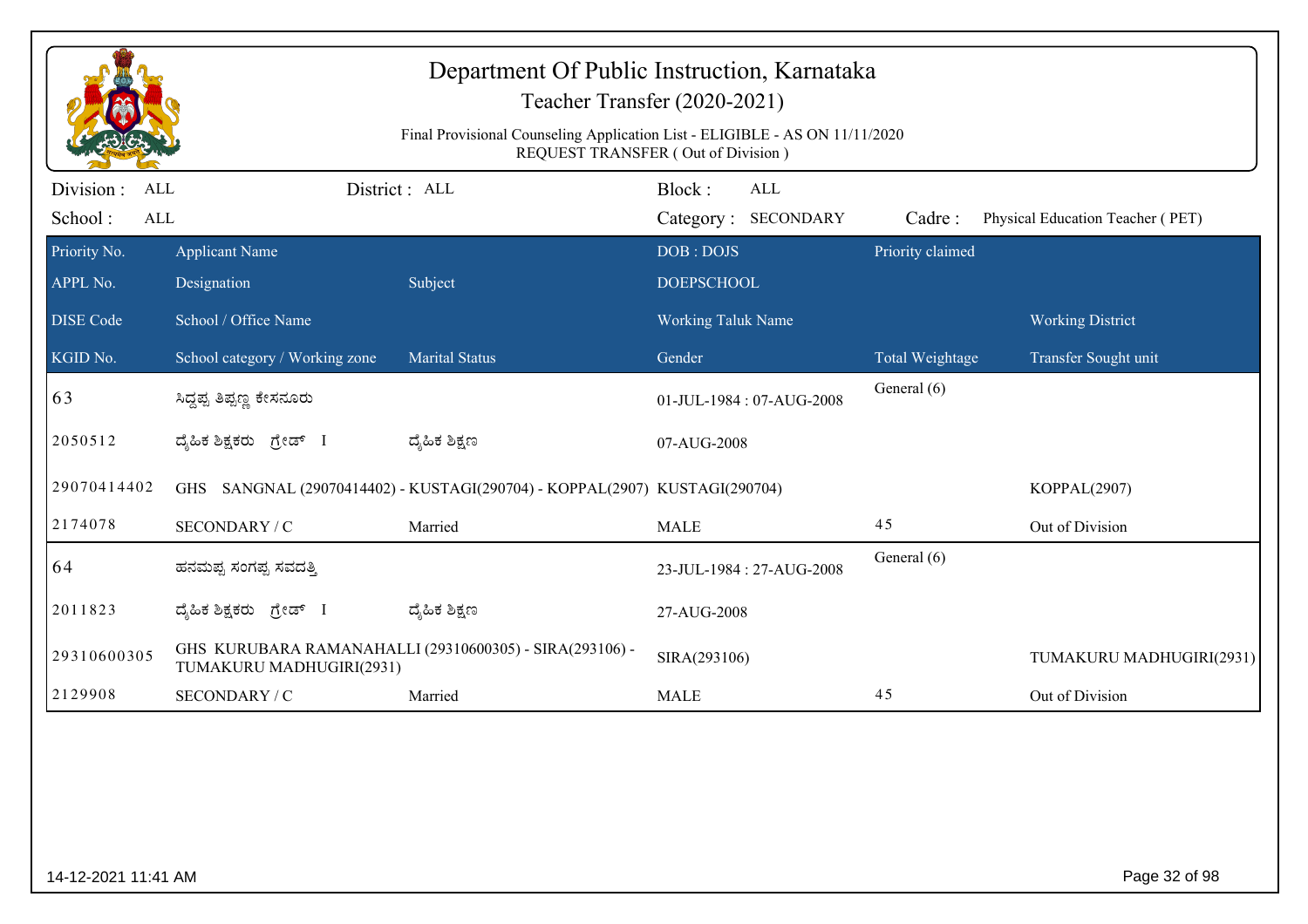|                                           |                                      | Department Of Public Instruction, Karnataka                                 | Teacher Transfer (2020-2021)         |                  |                                  |
|-------------------------------------------|--------------------------------------|-----------------------------------------------------------------------------|--------------------------------------|------------------|----------------------------------|
|                                           |                                      | Final Provisional Counseling Application List - ELIGIBLE - AS ON 11/11/2020 | REQUEST TRANSFER (Out of Division)   |                  |                                  |
| Division:<br><b>ALL</b><br>School:<br>ALL |                                      | District : ALL                                                              | Block:<br>ALL<br>Category: SECONDARY | Cadre:           | Physical Education Teacher (PET) |
| Priority No.<br>APPL No.                  | <b>Applicant Name</b><br>Designation | Subject                                                                     | DOB: DOJS<br><b>DOEPSCHOOL</b>       | Priority claimed |                                  |
| <b>DISE</b> Code                          | School / Office Name                 |                                                                             | <b>Working Taluk Name</b>            |                  | <b>Working District</b>          |
| KGID No.                                  | School category / Working zone       | <b>Marital Status</b>                                                       | Gender                               | Total Weightage  | Transfer Sought unit             |
| 63                                        | ಸಿದ್ದಪ್ಪ ತಿಪ್ಪಣ್ಣ ಕೇಸನೂರು            |                                                                             | 01-JUL-1984: 07-AUG-2008             | General (6)      |                                  |
| 2050512                                   | ದ್ಯಹಿಕ ಶಿಕ್ಷಕರು ಗ್ರೇಡ್ I             | ದ್ಯಹಿಕ ಶಿಕ್ಷಣ                                                               | 07-AUG-2008                          |                  |                                  |
| 29070414402                               | GHS                                  | SANGNAL (29070414402) - KUSTAGI(290704) - KOPPAL(2907) KUSTAGI(290704)      |                                      |                  | KOPPAL(2907)                     |
| 2174078                                   | SECONDARY / C                        | Married                                                                     | <b>MALE</b>                          | 45               | Out of Division                  |
| 64                                        | ಹನಮಪ್ಪ ಸಂಗಪ್ಪ ಸವದತ್ತಿ                |                                                                             | 23-JUL-1984: 27-AUG-2008             | General (6)      |                                  |
| 2011823                                   | ದ್ಯಹಿಕ ಶಿಕ್ಷಕರು ಗ್ರೇಡ್ I             | ದ್ಯೆಹಿಕ ಶಿಕ್ಷಣ                                                              | 27-AUG-2008                          |                  |                                  |
| 29310600305                               | TUMAKURU MADHUGIRI(2931)             | GHS KURUBARA RAMANAHALLI (29310600305) - SIRA(293106) -                     | SIRA(293106)                         |                  | TUMAKURU MADHUGIRI(2931)         |
| 2129908                                   | SECONDARY / C                        | Married                                                                     | <b>MALE</b>                          | 45               | Out of Division                  |
|                                           |                                      |                                                                             |                                      |                  |                                  |
| 14-12-2021 11:41 AM                       |                                      |                                                                             |                                      |                  | Page 32 of 98                    |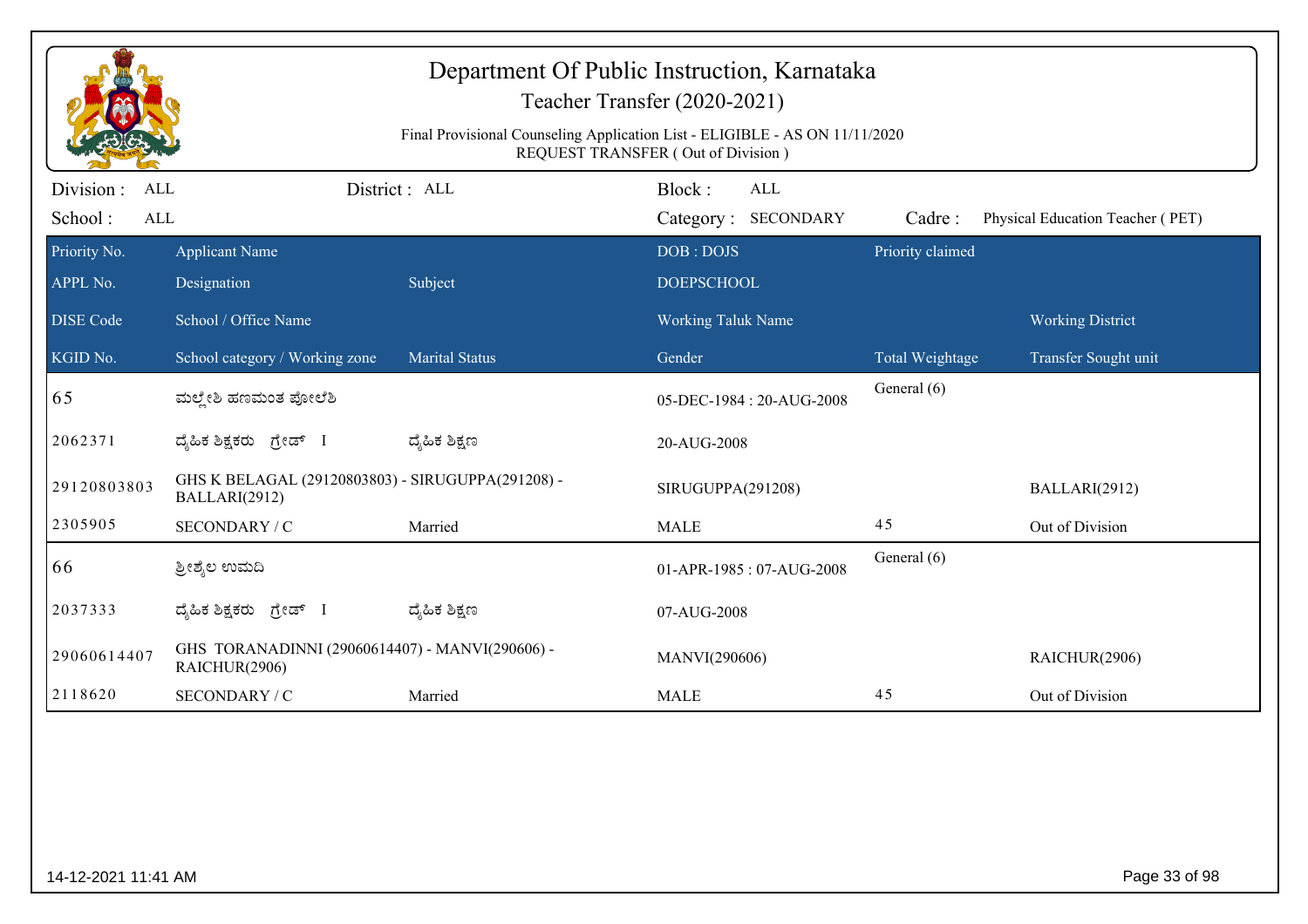|                          |                                                                    | Final Provisional Counseling Application List - ELIGIBLE - AS ON 11/11/2020 | Department Of Public Instruction, Karnataka<br>Teacher Transfer (2020-2021)<br>REQUEST TRANSFER (Out of Division) |                  |                                  |
|--------------------------|--------------------------------------------------------------------|-----------------------------------------------------------------------------|-------------------------------------------------------------------------------------------------------------------|------------------|----------------------------------|
| Division :<br>ALL        |                                                                    | District: ALL                                                               | Block:<br><b>ALL</b>                                                                                              |                  |                                  |
| School:<br>ALL           |                                                                    |                                                                             | Category: SECONDARY                                                                                               | Cadre:           | Physical Education Teacher (PET) |
| Priority No.<br>APPL No. | <b>Applicant Name</b><br>Designation                               | Subject                                                                     | DOB: DOJS<br><b>DOEPSCHOOL</b>                                                                                    | Priority claimed |                                  |
| <b>DISE Code</b>         | School / Office Name                                               |                                                                             | <b>Working Taluk Name</b>                                                                                         |                  | <b>Working District</b>          |
| KGID No.                 | School category / Working zone                                     | <b>Marital Status</b>                                                       | Gender                                                                                                            | Total Weightage  | Transfer Sought unit             |
| 65                       | ಮಲ್ಲೇಶಿ ಹಣಮಂತ ಪೋಲೆಶಿ                                               |                                                                             | 05-DEC-1984: 20-AUG-2008                                                                                          | General (6)      |                                  |
| 2062371                  | ದೈಹಿಕ ಶಿಕ್ಷಕರು ಗ್ರೇಡ್ I                                            | ದ್ಶೆಹಿಕ ಶಿಕ್ಷಣ                                                              | 20-AUG-2008                                                                                                       |                  |                                  |
| 29120803803              | GHS K BELAGAL (29120803803) - SIRUGUPPA(291208) -<br>BALLARI(2912) |                                                                             | SIRUGUPPA(291208)                                                                                                 |                  | BALLARI(2912)                    |
| 2305905                  | SECONDARY / C                                                      | Married                                                                     | <b>MALE</b>                                                                                                       | 45               | Out of Division                  |
| 66                       | ತ್ರೀಶ್ಮೆಲ ಉಮದಿ                                                     |                                                                             | 01-APR-1985: 07-AUG-2008                                                                                          | General (6)      |                                  |
| 2037333                  | ದೈಹಿಕ ಶಿಕ್ಷಕರು ಗ್ರೇಡ್<br>$\perp$                                   | ದ್ಶೆಹಿಕ ಶಿಕ್ಷಣ                                                              | 07-AUG-2008                                                                                                       |                  |                                  |
| 29060614407              | GHS TORANADINNI (29060614407) - MANVI(290606) -<br>RAICHUR(2906)   |                                                                             | MANVI(290606)                                                                                                     |                  | RAICHUR(2906)                    |
| 2118620                  | SECONDARY / C                                                      | Married                                                                     | <b>MALE</b>                                                                                                       | 45               | Out of Division                  |
|                          |                                                                    |                                                                             |                                                                                                                   |                  |                                  |
| 14-12-2021 11:41 AM      |                                                                    |                                                                             |                                                                                                                   |                  | Page 33 of 98                    |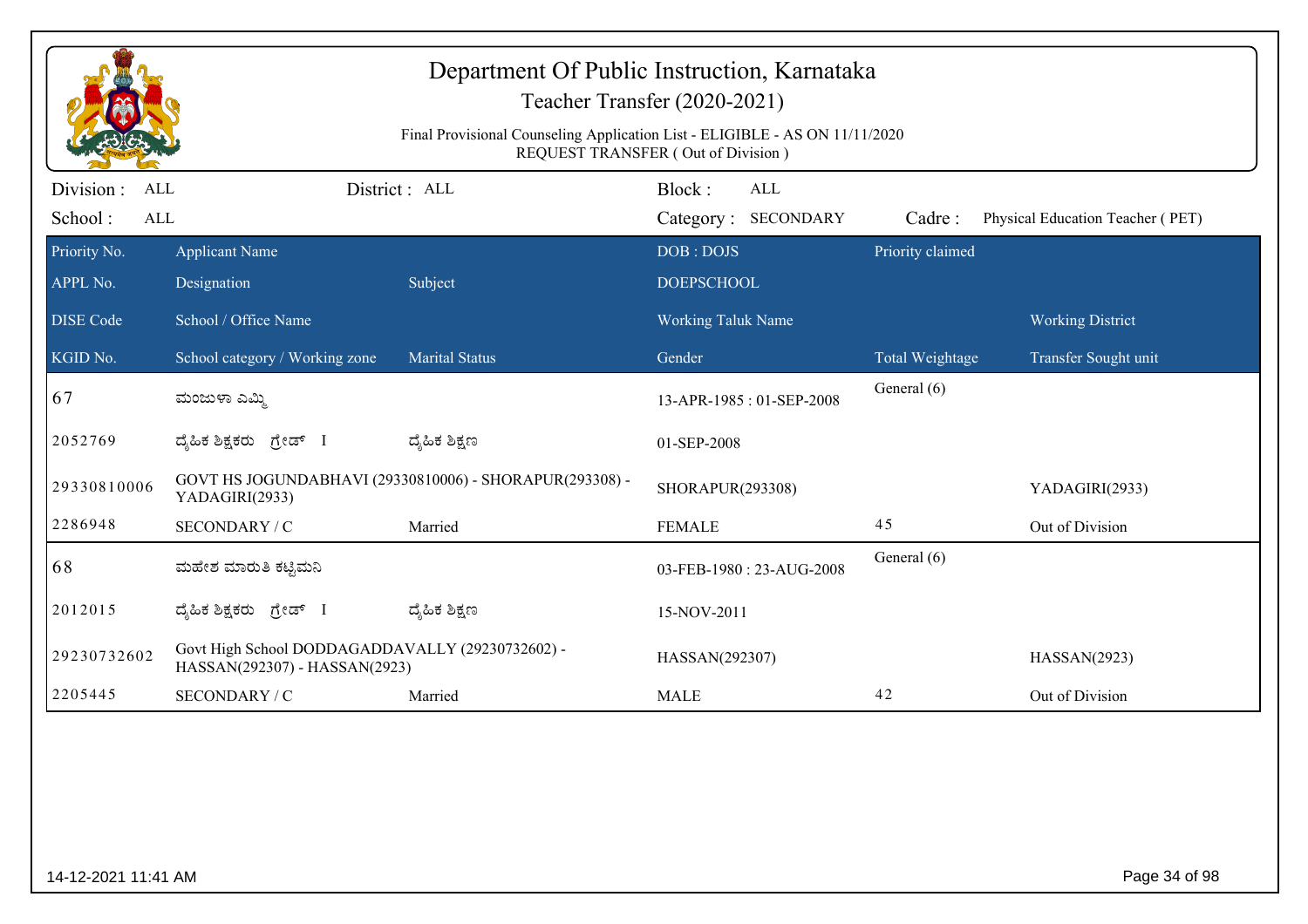| Department Of Public Instruction, Karnataka<br>Teacher Transfer (2020-2021)                                       |                                                                                   |                                                         |                                      |                  |                                  |  |  |  |
|-------------------------------------------------------------------------------------------------------------------|-----------------------------------------------------------------------------------|---------------------------------------------------------|--------------------------------------|------------------|----------------------------------|--|--|--|
| Final Provisional Counseling Application List - ELIGIBLE - AS ON 11/11/2020<br>REQUEST TRANSFER (Out of Division) |                                                                                   |                                                         |                                      |                  |                                  |  |  |  |
| Division :<br>ALL<br>School:<br>ALL                                                                               |                                                                                   | District : ALL                                          | Block:<br>ALL<br>Category: SECONDARY | Cadre:           | Physical Education Teacher (PET) |  |  |  |
| Priority No.                                                                                                      | <b>Applicant Name</b>                                                             |                                                         | DOB: DOJS                            | Priority claimed |                                  |  |  |  |
| APPL No.                                                                                                          | Designation                                                                       | Subject                                                 | <b>DOEPSCHOOL</b>                    |                  |                                  |  |  |  |
| <b>DISE</b> Code                                                                                                  | School / Office Name                                                              |                                                         | <b>Working Taluk Name</b>            |                  | <b>Working District</b>          |  |  |  |
| KGID No.                                                                                                          | School category / Working zone                                                    | <b>Marital Status</b>                                   | Gender                               | Total Weightage  | Transfer Sought unit             |  |  |  |
| 67                                                                                                                | ಮಂಜುಳಾ ಎಮ್ಮಿ                                                                      |                                                         | 13-APR-1985: 01-SEP-2008             | General (6)      |                                  |  |  |  |
| 2052769                                                                                                           | ದೈಹಿಕ ಶಿಕ್ಷಕರು <i>ಗ್ರೇಡ್</i> I                                                    | ದ್ಯೆಹಿಕ ಶಿಕ್ಷಣ                                          | 01-SEP-2008                          |                  |                                  |  |  |  |
| 29330810006                                                                                                       | YADAGIRI(2933)                                                                    | GOVT HS JOGUNDABHAVI (29330810006) - SHORAPUR(293308) - | SHORAPUR(293308)                     |                  | YADAGIRI(2933)                   |  |  |  |
| 2286948                                                                                                           | SECONDARY / C                                                                     | Married                                                 | <b>FEMALE</b>                        | 45               | Out of Division                  |  |  |  |
| 68                                                                                                                | ಮಹೇಶ ಮಾರುತಿ ಕಟ್ಟಿಮನಿ                                                              |                                                         | 03-FEB-1980: 23-AUG-2008             | General (6)      |                                  |  |  |  |
| 2012015                                                                                                           | ದೈಹಿಕ ಶಿಕ್ಷಕರು ಗ್ರೇಡ್ I                                                           | ದ್ಮಹಿಕ ಶಿಕ್ಷಣ                                           | 15-NOV-2011                          |                  |                                  |  |  |  |
| 29230732602                                                                                                       | Govt High School DODDAGADDAVALLY (29230732602) -<br>HASSAN(292307) - HASSAN(2923) |                                                         | HASSAN(292307)                       |                  | HASSAN(2923)                     |  |  |  |
| 2205445                                                                                                           | SECONDARY / C                                                                     | Married                                                 | <b>MALE</b>                          | 42               | Out of Division                  |  |  |  |

er and the set of the set of the set of the set of the set of the set of the set of the set of the set of the set of the set of the set of the set of the set of the set of the set of the set of the set of the set of the se

14-12-2021 11:41 AM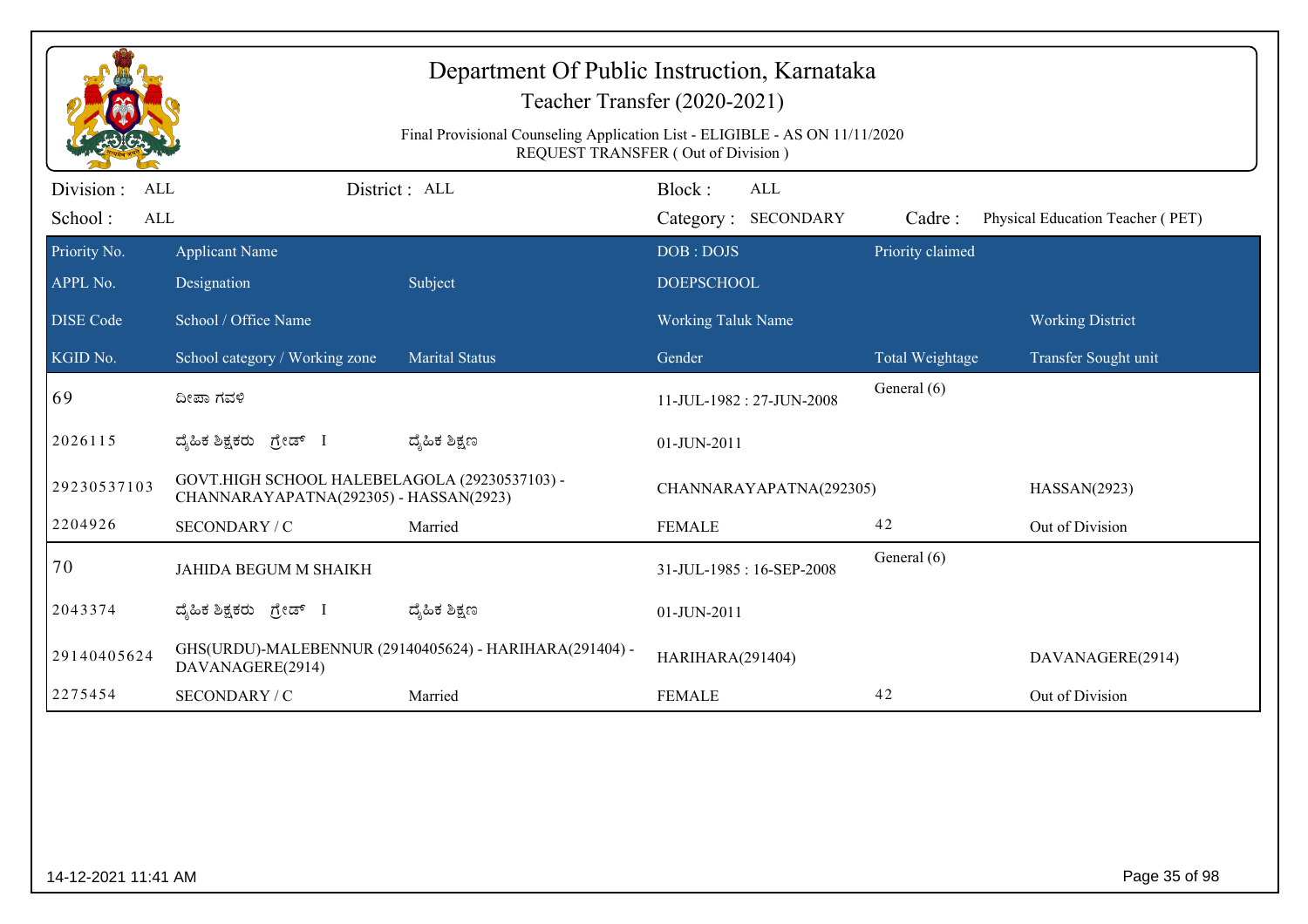|                                            |                                                                                         | Department Of Public Instruction, Karnataka<br>Final Provisional Counseling Application List - ELIGIBLE - AS ON 11/11/2020 | Teacher Transfer (2020-2021)<br>REQUEST TRANSFER (Out of Division) |                  |                                  |
|--------------------------------------------|-----------------------------------------------------------------------------------------|----------------------------------------------------------------------------------------------------------------------------|--------------------------------------------------------------------|------------------|----------------------------------|
| Division :<br>ALL<br>School:<br><b>ALL</b> |                                                                                         | District: ALL                                                                                                              | Block:<br><b>ALL</b><br>Category: SECONDARY                        | Cadre:           | Physical Education Teacher (PET) |
| Priority No.                               | <b>Applicant Name</b>                                                                   |                                                                                                                            | DOB: DOJS                                                          | Priority claimed |                                  |
| APPL No.                                   | Designation                                                                             | Subject                                                                                                                    | <b>DOEPSCHOOL</b>                                                  |                  |                                  |
| <b>DISE</b> Code                           | School / Office Name                                                                    |                                                                                                                            | <b>Working Taluk Name</b>                                          |                  | <b>Working District</b>          |
| KGID No.                                   | School category / Working zone                                                          | <b>Marital Status</b>                                                                                                      | Gender                                                             | Total Weightage  | Transfer Sought unit             |
| 69                                         | ದೀಪಾ ಗವಳಿ                                                                               |                                                                                                                            | 11-JUL-1982: 27-JUN-2008                                           | General (6)      |                                  |
| 2026115                                    | ದೈಹಿಕ ಶಿಕ್ಷಕರು ಗ್ರೇಡ್ I                                                                 | ದ್ಯೆಹಿಕ ಶಿಕ್ಷಣ                                                                                                             | 01-JUN-2011                                                        |                  |                                  |
| 29230537103                                | GOVT.HIGH SCHOOL HALEBELAGOLA (29230537103) -<br>CHANNARAYAPATNA(292305) - HASSAN(2923) |                                                                                                                            | CHANNARAYAPATNA(292305)                                            |                  | HASSAN(2923)                     |
| 2204926                                    | SECONDARY / C                                                                           | Married                                                                                                                    | <b>FEMALE</b>                                                      | 42               | Out of Division                  |
| 70                                         | <b>JAHIDA BEGUM M SHAIKH</b>                                                            |                                                                                                                            | 31-JUL-1985: 16-SEP-2008                                           | General (6)      |                                  |
| 2043374                                    | ದೈಹಿಕ ಶಿಕ್ಷಕರು ಗ್ರೇಡ್ I                                                                 | ದ್ಯೆಹಿಕ ಶಿಕ್ಷಣ                                                                                                             | 01-JUN-2011                                                        |                  |                                  |
| 29140405624                                | DAVANAGERE(2914)                                                                        | GHS(URDU)-MALEBENNUR (29140405624) - HARIHARA(291404) -                                                                    | HARIHARA(291404)                                                   |                  | DAVANAGERE(2914)                 |
| 2275454                                    | SECONDARY / C                                                                           | Married                                                                                                                    | <b>FEMALE</b>                                                      | 42               | Out of Division                  |
|                                            |                                                                                         |                                                                                                                            |                                                                    |                  |                                  |
| 14-12-2021 11:41 AM                        |                                                                                         |                                                                                                                            |                                                                    |                  | Page 35 of 98                    |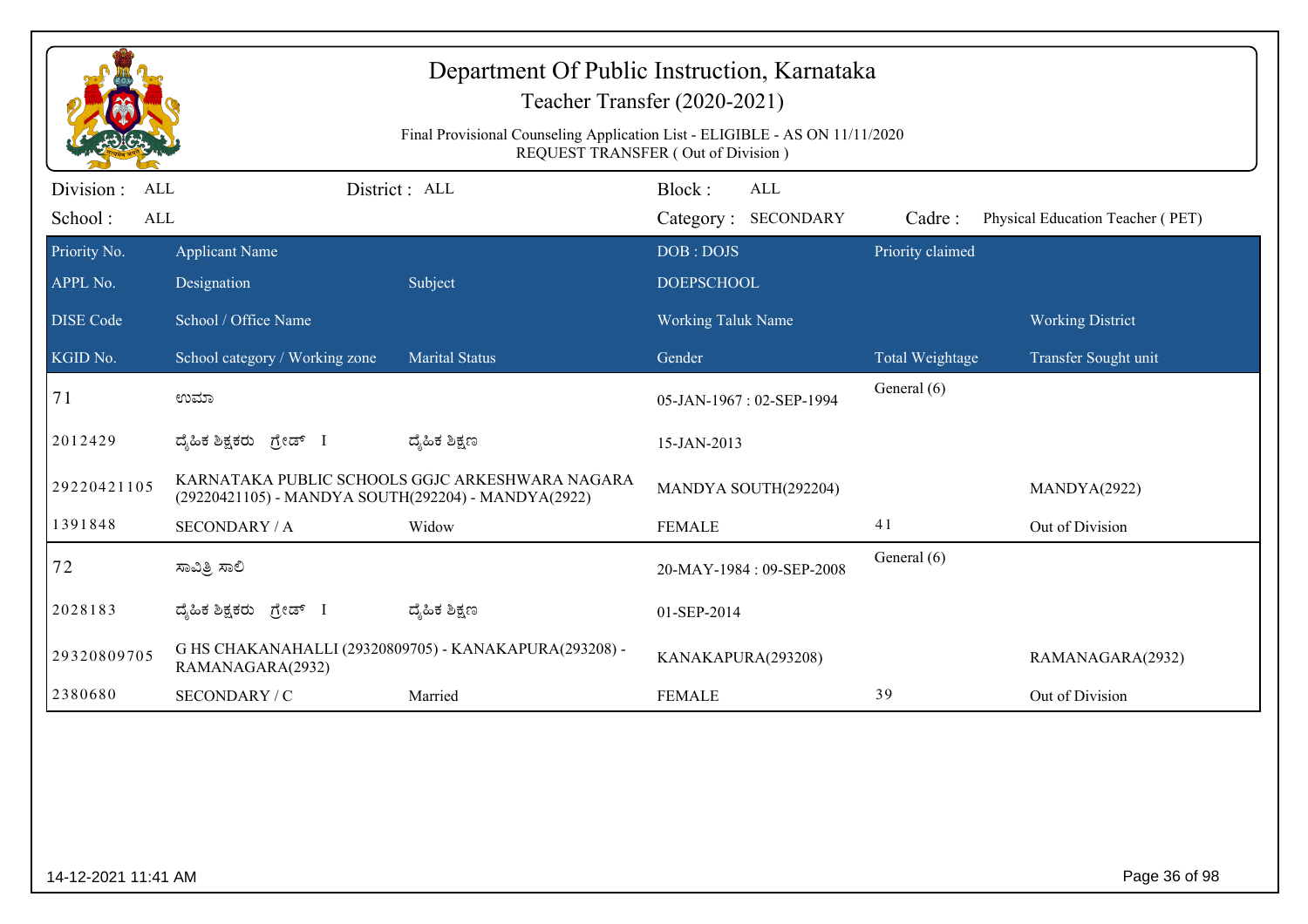|                                     |                                                     | Department Of Public Instruction, Karnataka                                 | Teacher Transfer (2020-2021)         |                  |                                  |
|-------------------------------------|-----------------------------------------------------|-----------------------------------------------------------------------------|--------------------------------------|------------------|----------------------------------|
|                                     |                                                     | Final Provisional Counseling Application List - ELIGIBLE - AS ON 11/11/2020 | REQUEST TRANSFER (Out of Division)   |                  |                                  |
| Division :<br>ALL<br>School:<br>ALL |                                                     | District: ALL                                                               | Block:<br>ALL<br>Category: SECONDARY | Cadre:           | Physical Education Teacher (PET) |
| Priority No.<br>APPL No.            | <b>Applicant Name</b><br>Designation                | Subject                                                                     | DOB: DOJS<br><b>DOEPSCHOOL</b>       | Priority claimed |                                  |
| <b>DISE</b> Code                    | School / Office Name                                |                                                                             | <b>Working Taluk Name</b>            |                  | <b>Working District</b>          |
| KGID No.                            | School category / Working zone                      | <b>Marital Status</b>                                                       | Gender                               | Total Weightage  | Transfer Sought unit             |
| 71                                  | ಉಮಾ                                                 |                                                                             | 05-JAN-1967: 02-SEP-1994             | General (6)      |                                  |
| 2012429                             | ದೈಹಿಕ ಶಿಕ್ಷಕರು ಗ್ರೇಡ್ I                             | ದ್ಯೆಹಿಕ ಶಿಕ್ಷಣ                                                              | 15-JAN-2013                          |                  |                                  |
| 29220421105                         | (29220421105) - MANDYA SOUTH(292204) - MANDYA(2922) | KARNATAKA PUBLIC SCHOOLS GGJC ARKESHWARA NAGARA                             | MANDYA SOUTH(292204)                 |                  | MANDYA(2922)                     |
| 1391848                             | <b>SECONDARY / A</b>                                | Widow                                                                       | <b>FEMALE</b>                        | 41               | Out of Division                  |
| 72                                  | ಸಾವಿತ್ರಿ ಸಾಲಿ                                       |                                                                             | 20-MAY-1984: 09-SEP-2008             | General (6)      |                                  |
| 2028183                             | ದೈಹಿಕ ಶಿಕ್ಷಕರು ಗ್ರೇಡ್ I                             | ದ್ಯೆಹಿಕ ಶಿಕ್ಷಣ                                                              | 01-SEP-2014                          |                  |                                  |
| 29320809705                         | RAMANAGARA(2932)                                    | G HS CHAKANAHALLI (29320809705) - KANAKAPURA(293208) -                      | KANAKAPURA(293208)                   |                  | RAMANAGARA(2932)                 |
|                                     | SECONDARY / C                                       | Married                                                                     | <b>FEMALE</b>                        | 39               | Out of Division                  |
| 2380680                             |                                                     |                                                                             |                                      |                  |                                  |
| 14-12-2021 11:41 AM                 |                                                     |                                                                             |                                      |                  | Page 36 of 98                    |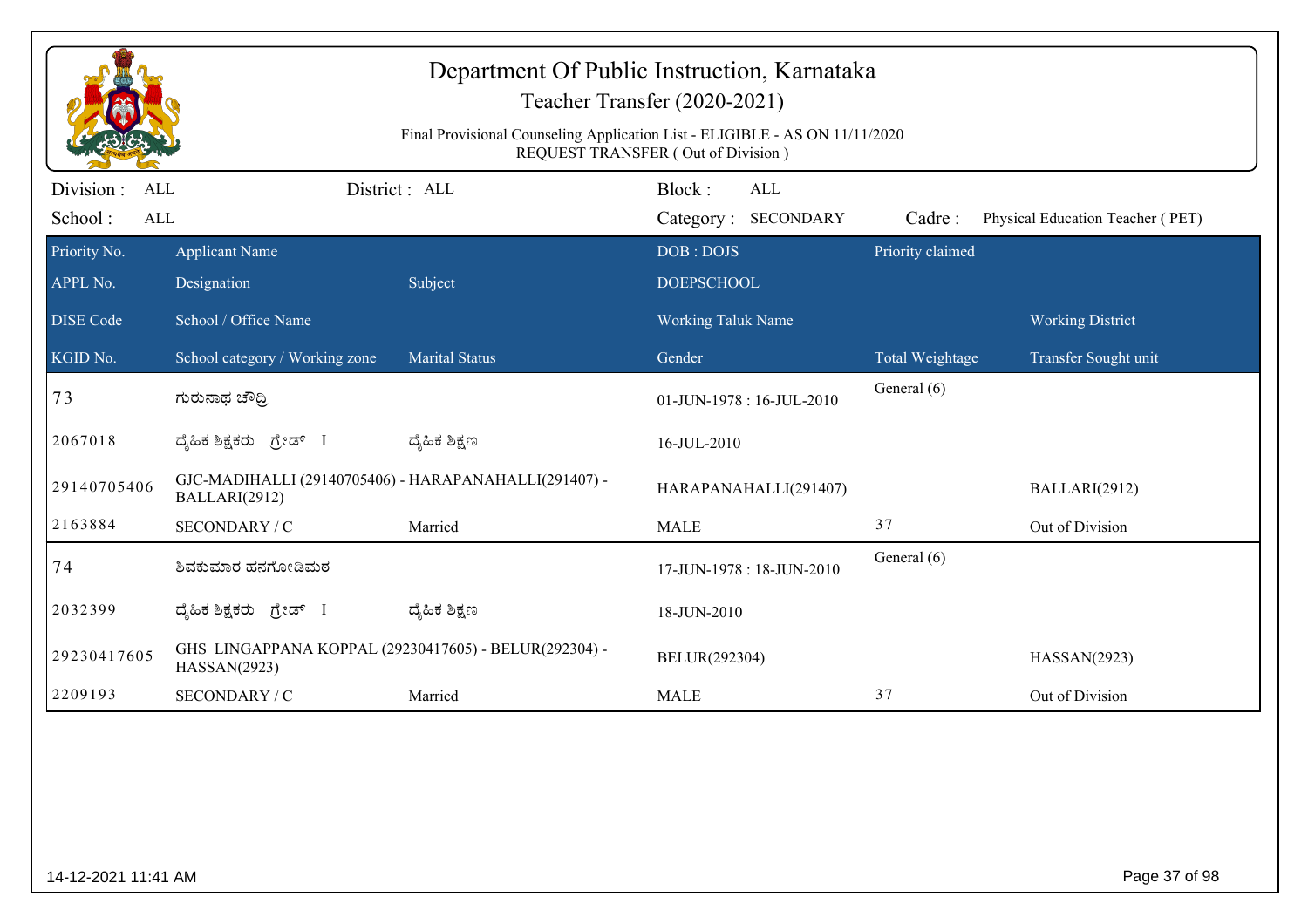|                                     | Department Of Public Instruction, Karnataka<br>Teacher Transfer (2020-2021)<br>Final Provisional Counseling Application List - ELIGIBLE - AS ON 11/11/2020<br><b>REQUEST TRANSFER (Out of Division)</b> |                       |                                             |                                |                                  |  |  |  |
|-------------------------------------|---------------------------------------------------------------------------------------------------------------------------------------------------------------------------------------------------------|-----------------------|---------------------------------------------|--------------------------------|----------------------------------|--|--|--|
| Division :<br>ALL<br>School:<br>ALL |                                                                                                                                                                                                         | District: ALL         | Block:<br><b>ALL</b><br>Category: SECONDARY | Cadre:                         | Physical Education Teacher (PET) |  |  |  |
| Priority No.<br>APPL No.            | <b>Applicant Name</b><br>Designation                                                                                                                                                                    | Subject               | DOB: DOJS<br><b>DOEPSCHOOL</b>              | Priority claimed               |                                  |  |  |  |
| <b>DISE</b> Code                    | School / Office Name                                                                                                                                                                                    |                       | <b>Working Taluk Name</b>                   |                                | <b>Working District</b>          |  |  |  |
| KGID No.<br>73                      | School category / Working zone<br>ಗುರುನಾಥ ಚೌದ್ರಿ                                                                                                                                                        | <b>Marital Status</b> | Gender<br>01-JUN-1978: 16-JUL-2010          | Total Weightage<br>General (6) | Transfer Sought unit             |  |  |  |
| 2067018                             | ದೈಹಿಕ ಶಿಕ್ಷಕರು ಗ್ರೇಡ್ I                                                                                                                                                                                 | ದ್ಶೆಹಿಕ ಶಿಕ್ಷಣ        | 16-JUL-2010                                 |                                |                                  |  |  |  |
| 29140705406                         | GJC-MADIHALLI (29140705406) - HARAPANAHALLI(291407) -<br>BALLARI(2912)                                                                                                                                  |                       | HARAPANAHALLI(291407)                       |                                | BALLARI(2912)                    |  |  |  |
| 2163884                             | SECONDARY / C                                                                                                                                                                                           | Married               | <b>MALE</b>                                 | 37                             | Out of Division                  |  |  |  |
| 74                                  | ಶಿವಕುಮಾರ ಹನಗೋಡಿಮಠ                                                                                                                                                                                       |                       | 17-JUN-1978: 18-JUN-2010                    | General (6)                    |                                  |  |  |  |
| 2032399                             | ದೈಹಿಕ ಶಿಕ್ಷಕರು ಗ್ರೇಡ್ I                                                                                                                                                                                 | ದ್ಶೆಹಿಕ ಶಿಕ್ಷಣ        | 18-JUN-2010                                 |                                |                                  |  |  |  |
| 29230417605                         | GHS LINGAPPANA KOPPAL (29230417605) - BELUR(292304) -<br>HASSAN(2923)                                                                                                                                   |                       | BELUR(292304)                               |                                | HASSAN(2923)                     |  |  |  |
| 2209193                             | SECONDARY / C                                                                                                                                                                                           | Married               | <b>MALE</b>                                 | 37                             | Out of Division                  |  |  |  |
|                                     |                                                                                                                                                                                                         |                       |                                             |                                |                                  |  |  |  |
| 14-12-2021 11:41 AM                 |                                                                                                                                                                                                         |                       |                                             |                                | Page 37 of 98                    |  |  |  |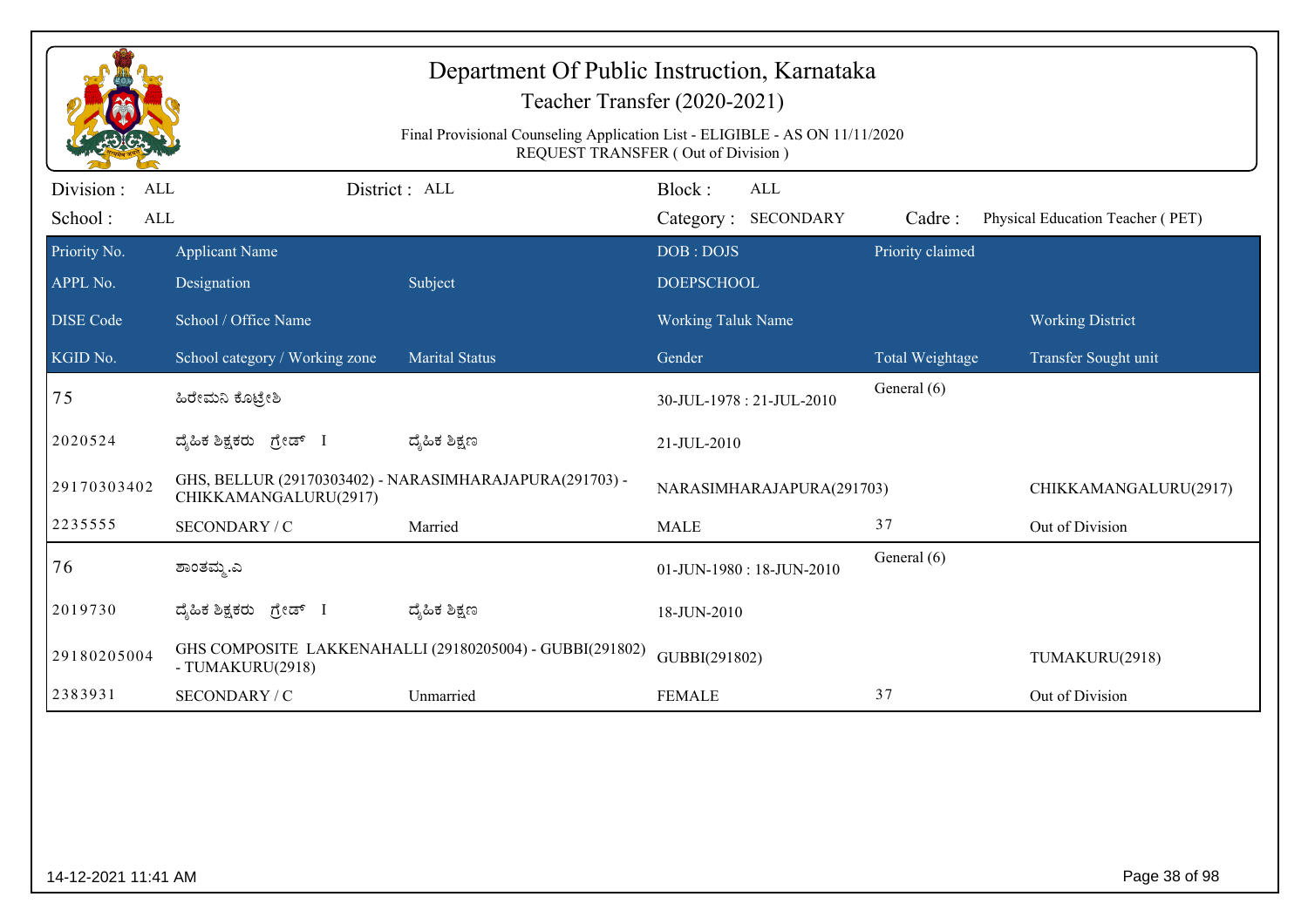|                                            | Department Of Public Instruction, Karnataka<br>Teacher Transfer (2020-2021)<br>Final Provisional Counseling Application List - ELIGIBLE - AS ON 11/11/2020<br>REQUEST TRANSFER (Out of Division) |                                                          |                           |                                   |                  |                                  |  |  |
|--------------------------------------------|--------------------------------------------------------------------------------------------------------------------------------------------------------------------------------------------------|----------------------------------------------------------|---------------------------|-----------------------------------|------------------|----------------------------------|--|--|
| Division :<br>ALL<br>School:<br><b>ALL</b> |                                                                                                                                                                                                  | District: ALL                                            | Block:                    | <b>ALL</b><br>Category: SECONDARY | Cadre:           | Physical Education Teacher (PET) |  |  |
| Priority No.                               | <b>Applicant Name</b>                                                                                                                                                                            |                                                          | DOB: DOJS                 |                                   | Priority claimed |                                  |  |  |
| APPL No.                                   | Designation                                                                                                                                                                                      | Subject                                                  | <b>DOEPSCHOOL</b>         |                                   |                  |                                  |  |  |
| <b>DISE</b> Code                           | School / Office Name                                                                                                                                                                             |                                                          | <b>Working Taluk Name</b> |                                   |                  | <b>Working District</b>          |  |  |
| KGID No.                                   | School category / Working zone                                                                                                                                                                   | <b>Marital Status</b>                                    | Gender                    |                                   | Total Weightage  | Transfer Sought unit             |  |  |
| 75                                         | ಹಿರೇಮನಿ ಕೊಟ್ರೇಶಿ                                                                                                                                                                                 |                                                          |                           | 30-JUL-1978: 21-JUL-2010          | General (6)      |                                  |  |  |
| 2020524                                    | ದೈಹಿಕ ಶಿಕ್ಷಕರು ಗ್ರೇಡ್ I                                                                                                                                                                          | ದ್ಯೆಹಿಕ ಶಿಕ್ಷಣ                                           | 21-JUL-2010               |                                   |                  |                                  |  |  |
| 29170303402                                | CHIKKAMANGALURU(2917)                                                                                                                                                                            | GHS, BELLUR (29170303402) - NARASIMHARAJAPURA(291703) -  |                           | NARASIMHARAJAPURA(291703)         |                  | CHIKKAMANGALURU(2917)            |  |  |
| 2235555                                    | SECONDARY / C                                                                                                                                                                                    | Married                                                  | <b>MALE</b>               |                                   | 37               | Out of Division                  |  |  |
| 76                                         | ಶಾಂತಮ್ಮ.ಎ                                                                                                                                                                                        |                                                          |                           | 01-JUN-1980: 18-JUN-2010          | General (6)      |                                  |  |  |
| 2019730                                    | ದೈಹಿಕ ಶಿಕ್ಷಕರು ಗ್ರೇಡ್ I                                                                                                                                                                          | ದ್ಮಹಿಕ ಶಿಕ್ಷಣ                                            | 18-JUN-2010               |                                   |                  |                                  |  |  |
| 29180205004                                | - TUMAKURU(2918)                                                                                                                                                                                 | GHS COMPOSITE LAKKENAHALLI (29180205004) - GUBBI(291802) | GUBBI(291802)             |                                   |                  | TUMAKURU(2918)                   |  |  |
| 2383931                                    | SECONDARY / C                                                                                                                                                                                    | Unmarried                                                | <b>FEMALE</b>             |                                   | 37               | Out of Division                  |  |  |
|                                            |                                                                                                                                                                                                  |                                                          |                           |                                   |                  |                                  |  |  |
| 14-12-2021 11:41 AM                        |                                                                                                                                                                                                  |                                                          |                           |                                   |                  | Page 38 of 98                    |  |  |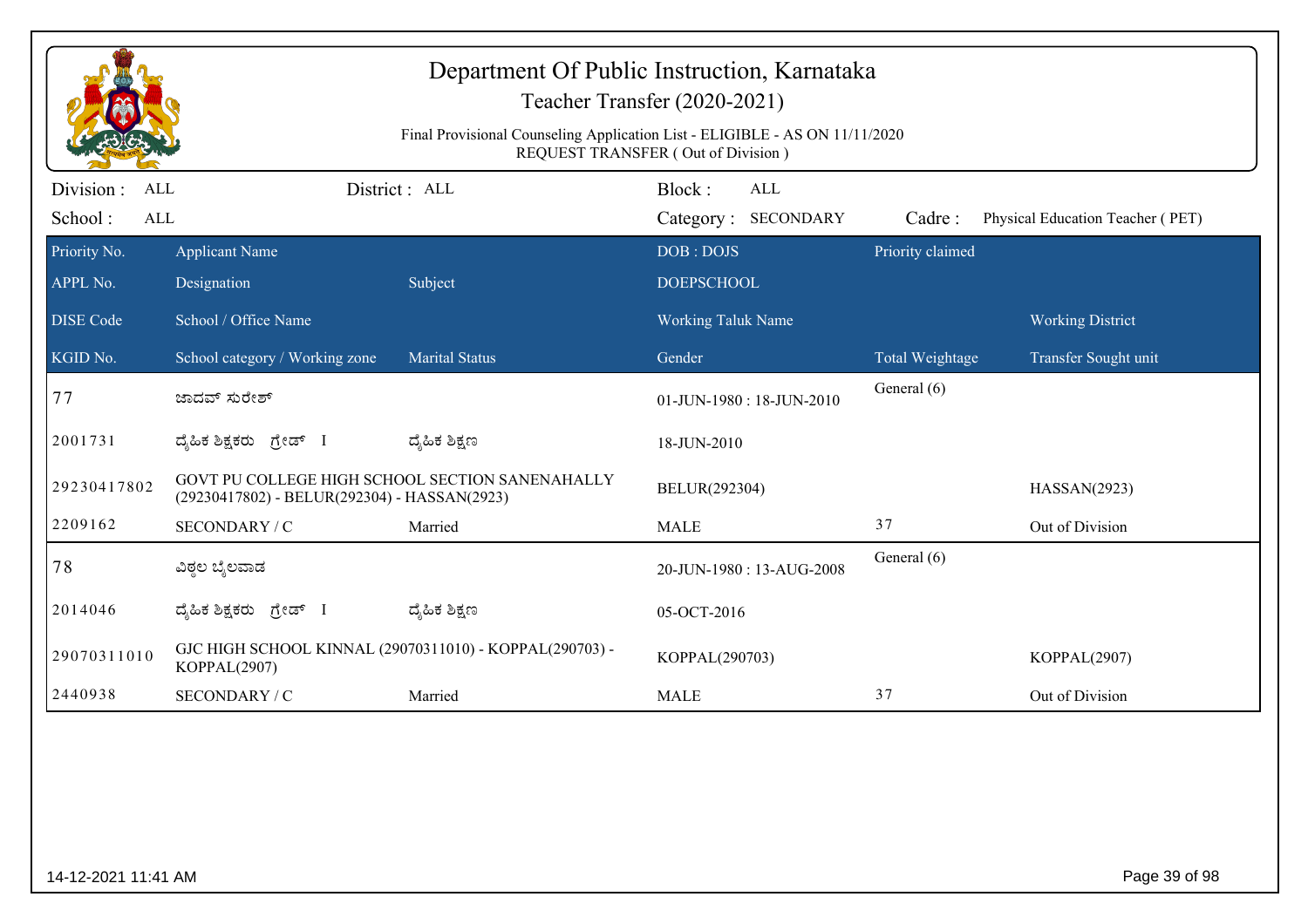| Department Of Public Instruction, Karnataka<br>Teacher Transfer (2020-2021)<br>Final Provisional Counseling Application List - ELIGIBLE - AS ON 11/11/2020<br>REQUEST TRANSFER (Out of Division) |                                                                                                 |                       |                                  |                            |                                  |  |  |
|--------------------------------------------------------------------------------------------------------------------------------------------------------------------------------------------------|-------------------------------------------------------------------------------------------------|-----------------------|----------------------------------|----------------------------|----------------------------------|--|--|
| Division :<br>ALL                                                                                                                                                                                |                                                                                                 | District: ALL         | Block:<br><b>ALL</b>             |                            |                                  |  |  |
| School:<br>ALL                                                                                                                                                                                   |                                                                                                 |                       | Category: SECONDARY<br>DOB: DOJS | Cadre:<br>Priority claimed | Physical Education Teacher (PET) |  |  |
| Priority No.<br>APPL No.                                                                                                                                                                         | <b>Applicant Name</b><br>Designation                                                            | Subject               | <b>DOEPSCHOOL</b>                |                            |                                  |  |  |
| <b>DISE Code</b>                                                                                                                                                                                 | School / Office Name                                                                            |                       | Working Taluk Name               |                            | <b>Working District</b>          |  |  |
| KGID No.                                                                                                                                                                                         | School category / Working zone                                                                  | <b>Marital Status</b> | Gender                           | Total Weightage            | Transfer Sought unit             |  |  |
| 77                                                                                                                                                                                               | ಜಾದವ್ ಸುರೇಶ್                                                                                    |                       | 01-JUN-1980: 18-JUN-2010         | General (6)                |                                  |  |  |
| 2001731                                                                                                                                                                                          | ದೈಹಿಕ ಶಿಕ್ಷಕರು ಗ್ರೇಡ್ I                                                                         | ದ್ಶೆಹಿಕ ಶಿಕ್ಷಣ        | 18-JUN-2010                      |                            |                                  |  |  |
| 29230417802                                                                                                                                                                                      | GOVT PU COLLEGE HIGH SCHOOL SECTION SANENAHALLY<br>(29230417802) - BELUR(292304) - HASSAN(2923) |                       | BELUR(292304)                    |                            | HASSAN(2923)                     |  |  |
| 2209162                                                                                                                                                                                          | SECONDARY / C                                                                                   | Married               | <b>MALE</b>                      | 37                         | Out of Division                  |  |  |
| 78                                                                                                                                                                                               | ವಿಠ್ಠಲ ಬೈಲವಾಡ                                                                                   |                       | 20-JUN-1980: 13-AUG-2008         | General (6)                |                                  |  |  |
| 2014046                                                                                                                                                                                          | ದ್ಯಹಿಕ ಶಿಕ್ಷಕರು ಗ್ರೇಡ್ I                                                                        | ದ್ಶೆಹಿಕ ಶಿಕ್ಷಣ        | 05-OCT-2016                      |                            |                                  |  |  |
| 29070311010                                                                                                                                                                                      | GJC HIGH SCHOOL KINNAL (29070311010) - KOPPAL(290703) -<br>KOPPAL(2907)                         |                       | KOPPAL(290703)                   |                            | KOPPAL(2907)                     |  |  |
| 2440938                                                                                                                                                                                          | SECONDARY / C                                                                                   | Married               | <b>MALE</b>                      | 37                         | Out of Division                  |  |  |
|                                                                                                                                                                                                  |                                                                                                 |                       |                                  |                            |                                  |  |  |
| 14-12-2021 11:41 AM                                                                                                                                                                              |                                                                                                 |                       |                                  |                            | Page 39 of 98                    |  |  |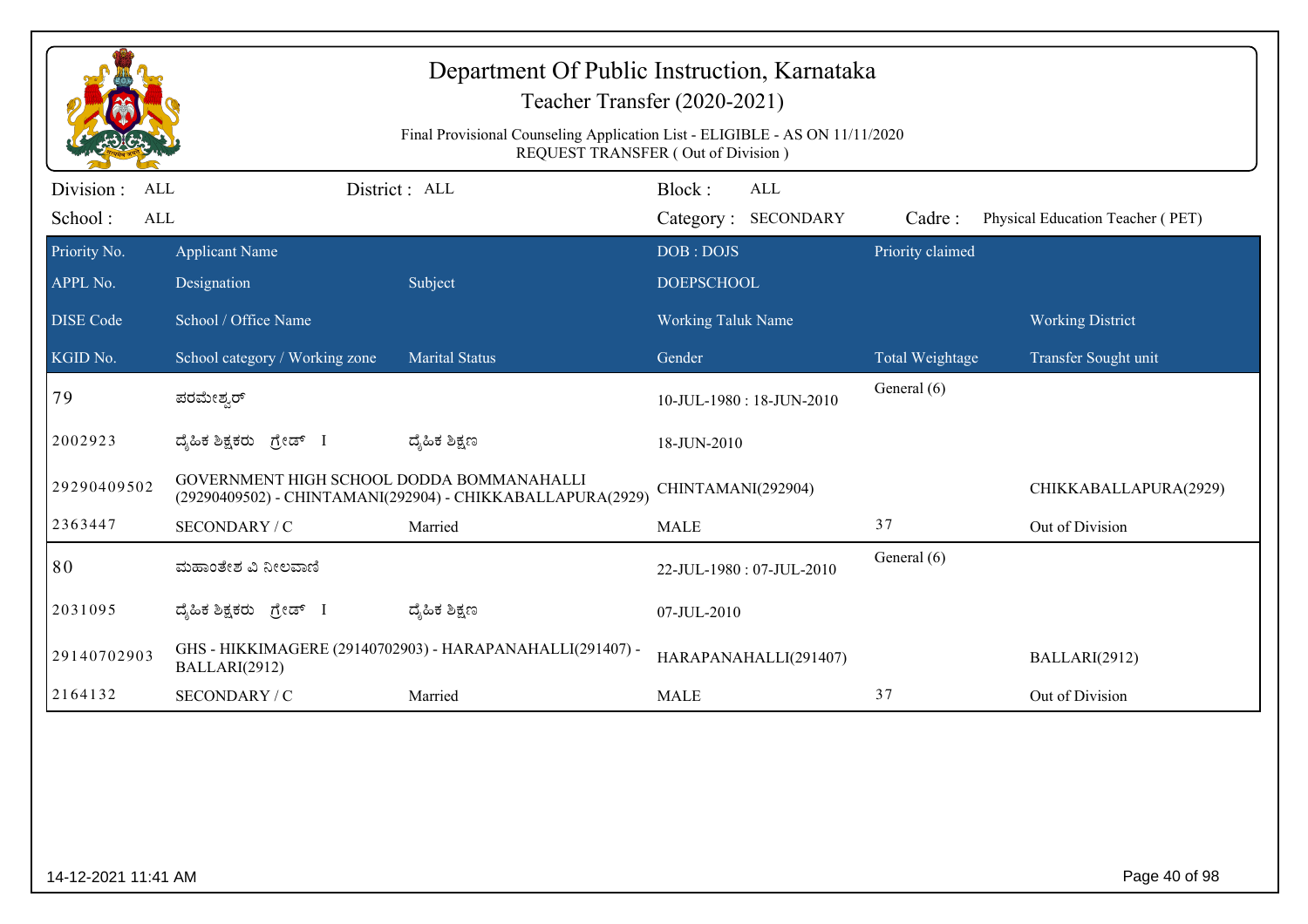|                                           |                                                                                                                   | Department Of Public Instruction, Karnataka                | Teacher Transfer (2020-2021)                   |                  |                                  |  |  |  |
|-------------------------------------------|-------------------------------------------------------------------------------------------------------------------|------------------------------------------------------------|------------------------------------------------|------------------|----------------------------------|--|--|--|
|                                           | Final Provisional Counseling Application List - ELIGIBLE - AS ON 11/11/2020<br>REQUEST TRANSFER (Out of Division) |                                                            |                                                |                  |                                  |  |  |  |
| Division:<br><b>ALL</b><br>School:<br>ALL |                                                                                                                   | District : ALL                                             | Block:<br>ALL<br>Category: SECONDARY           | Cadre:           | Physical Education Teacher (PET) |  |  |  |
| Priority No.                              | <b>Applicant Name</b>                                                                                             |                                                            | DOB: DOJS                                      | Priority claimed |                                  |  |  |  |
| APPL No.<br><b>DISE</b> Code              | Designation<br>School / Office Name                                                                               | Subject                                                    | <b>DOEPSCHOOL</b><br><b>Working Taluk Name</b> |                  | <b>Working District</b>          |  |  |  |
| KGID No.                                  | School category / Working zone                                                                                    | <b>Marital Status</b>                                      | Gender                                         | Total Weightage  | Transfer Sought unit             |  |  |  |
| 79                                        | ಪರಮೇಶ್ವರ್                                                                                                         |                                                            | 10-JUL-1980: 18-JUN-2010                       | General (6)      |                                  |  |  |  |
| 2002923                                   | ಗ್ರೇಡ್ I<br>ದ್ಯೆಹಿಕ ಶಿಕ್ಷಕರು                                                                                      | ದ್ಯಹಿಕ ಶಿಕ್ಷಣ                                              | 18-JUN-2010                                    |                  |                                  |  |  |  |
| 29290409502                               | GOVERNMENT HIGH SCHOOL DODDA BOMMANAHALLI                                                                         | (29290409502) - CHINTAMANI(292904) - CHIKKABALLAPURA(2929) | CHINTAMANI(292904)                             |                  | CHIKKABALLAPURA(2929)            |  |  |  |
| 2363447                                   | SECONDARY / C                                                                                                     | Married                                                    | <b>MALE</b>                                    | 37               | Out of Division                  |  |  |  |
| 80                                        | ಮಹಾಂತೇಶ ವಿ ನೀಲವಾಣಿ                                                                                                |                                                            | 22-JUL-1980: 07-JUL-2010                       | General (6)      |                                  |  |  |  |
| 2031095                                   | ದ್ಯಹಿಕ ಶಿಕ್ಷಕರು ಗ್ರೇಡ್ I                                                                                          | ದ್ಮಹಿಕ ಶಿಕ್ಷಣ                                              | 07-JUL-2010                                    |                  |                                  |  |  |  |
| 29140702903                               | BALLARI(2912)                                                                                                     | GHS - HIKKIMAGERE (29140702903) - HARAPANAHALLI(291407) -  | HARAPANAHALLI(291407)                          |                  | BALLARI(2912)                    |  |  |  |
| 2164132                                   | SECONDARY / C                                                                                                     | Married                                                    | <b>MALE</b>                                    | 37               | Out of Division                  |  |  |  |
|                                           |                                                                                                                   |                                                            |                                                |                  |                                  |  |  |  |
| 14-12-2021 11:41 AM                       |                                                                                                                   |                                                            |                                                |                  | Page 40 of 98                    |  |  |  |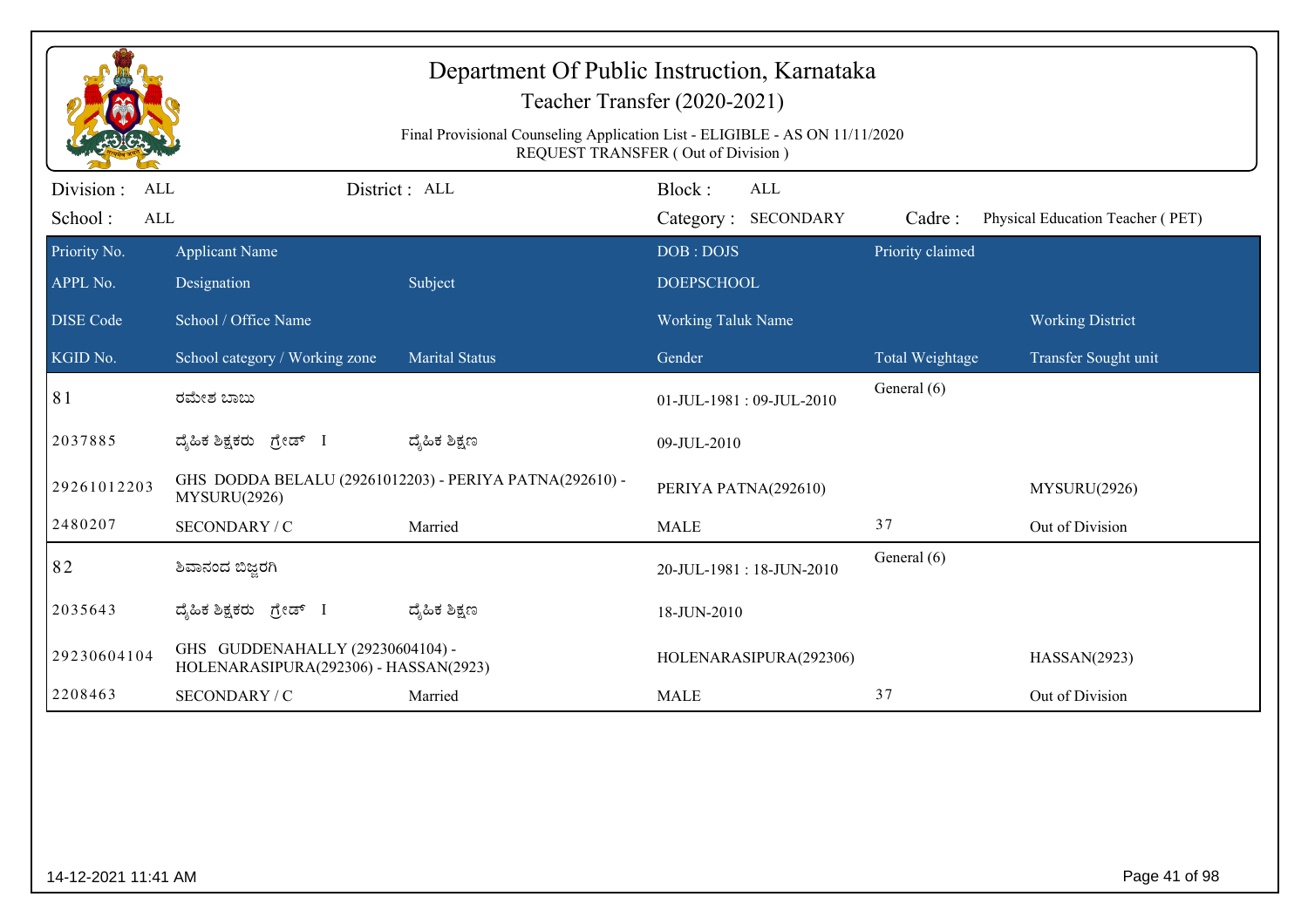|                   |                                                                           |                                                                             | Teacher Transfer (2020-2021)              |                  |                                  |
|-------------------|---------------------------------------------------------------------------|-----------------------------------------------------------------------------|-------------------------------------------|------------------|----------------------------------|
|                   |                                                                           | Final Provisional Counseling Application List - ELIGIBLE - AS ON 11/11/2020 | <b>REQUEST TRANSFER (Out of Division)</b> |                  |                                  |
| Division :<br>ALL |                                                                           | District: ALL                                                               | Block:<br>ALL                             |                  |                                  |
| School:<br>ALL    |                                                                           |                                                                             | Category: SECONDARY                       | Cadre:           | Physical Education Teacher (PET) |
| Priority No.      | <b>Applicant Name</b>                                                     |                                                                             | DOB: DOJS                                 | Priority claimed |                                  |
| APPL No.          | Designation                                                               | Subject                                                                     | <b>DOEPSCHOOL</b>                         |                  |                                  |
| <b>DISE Code</b>  | School / Office Name                                                      |                                                                             | <b>Working Taluk Name</b>                 |                  | <b>Working District</b>          |
| KGID No.          | School category / Working zone                                            | <b>Marital Status</b>                                                       | Gender                                    | Total Weightage  | Transfer Sought unit             |
| 81                | ರಮೇಶ ಬಾಬು                                                                 |                                                                             | 01-JUL-1981: 09-JUL-2010                  | General (6)      |                                  |
| 2037885           | ದ್ಯಹಿಕ ಶಿಕ್ಷಕರು ಗ್ರೇಡ್ I                                                  | ದ್ಮಹಿಕ ಶಿಕ್ಷಣ                                                               | 09-JUL-2010                               |                  |                                  |
| 29261012203       | MYSURU(2926)                                                              | GHS DODDA BELALU (29261012203) - PERIYA PATNA(292610) -                     | PERIYA PATNA(292610)                      |                  | MYSURU(2926)                     |
| 2480207           | SECONDARY / C                                                             | Married                                                                     | <b>MALE</b>                               | 37               | Out of Division                  |
| 82                | ಶಿವಾನಂದ ಬಿಜ್ಜರಗಿ                                                          |                                                                             | 20-JUL-1981: 18-JUN-2010                  | General (6)      |                                  |
| 2035643           | ದ್ಯಹಿಕ ಶಿಕ್ಷಕರು <i>ಗ್ರೇ</i> ಡ್ I                                          | ದ್ಶೆಹಿಕ ಶಿಕ್ಷಣ                                                              | 18-JUN-2010                               |                  |                                  |
| 29230604104       | GHS GUDDENAHALLY (29230604104) -<br>HOLENARASIPURA(292306) - HASSAN(2923) |                                                                             | HOLENARASIPURA(292306)                    |                  | HASSAN(2923)                     |
| 2208463           | SECONDARY / C                                                             | Married                                                                     | <b>MALE</b>                               | 37               | Out of Division                  |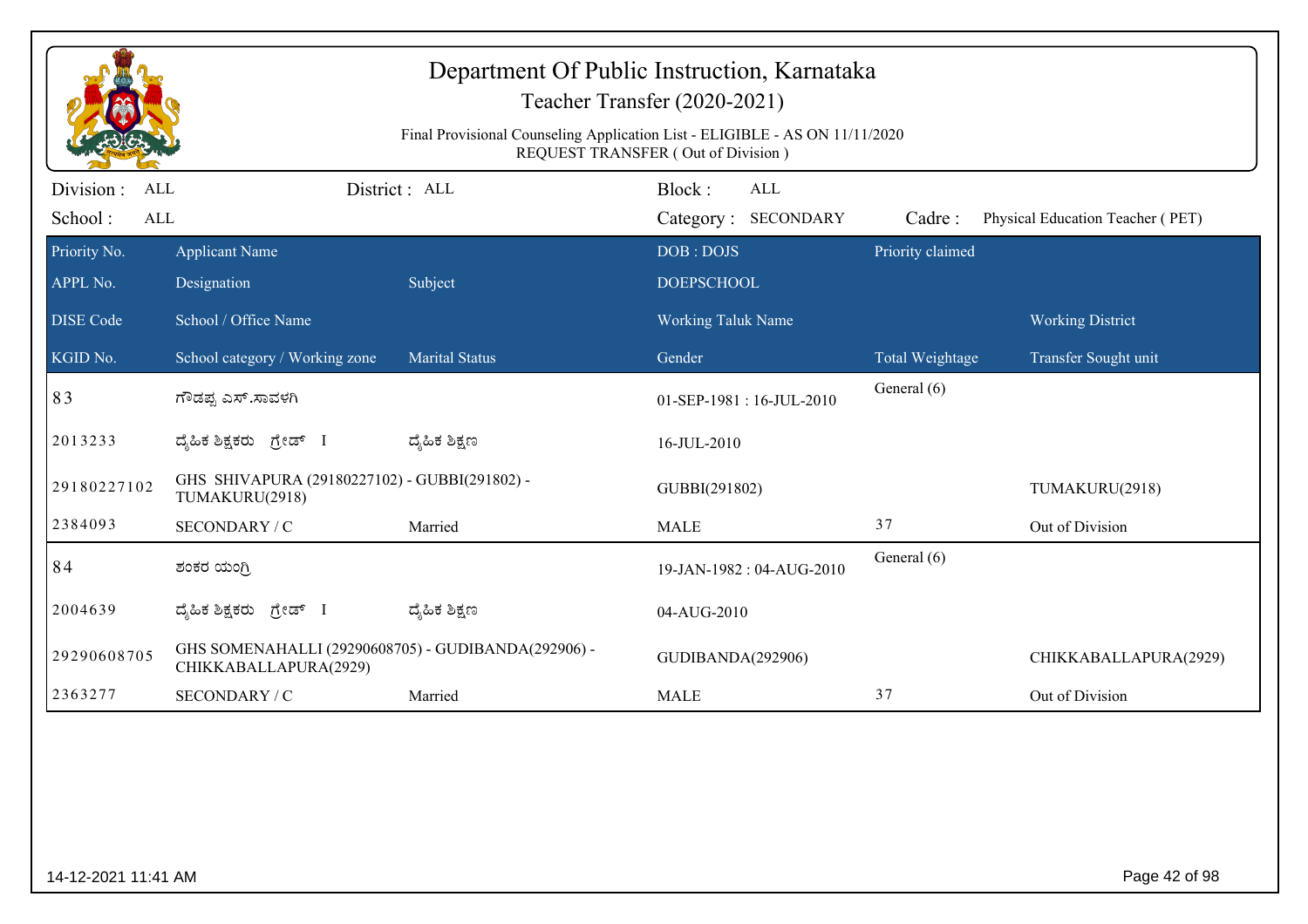|                                     |                                                                              | Final Provisional Counseling Application List - ELIGIBLE - AS ON 11/11/2020 | Department Of Public Instruction, Karnataka<br>Teacher Transfer (2020-2021)<br>REQUEST TRANSFER (Out of Division) |                  |                                  |
|-------------------------------------|------------------------------------------------------------------------------|-----------------------------------------------------------------------------|-------------------------------------------------------------------------------------------------------------------|------------------|----------------------------------|
| Division :<br>ALL<br>School:<br>ALL |                                                                              | District: ALL                                                               | Block:<br><b>ALL</b><br>Category: SECONDARY                                                                       | Cadre:           | Physical Education Teacher (PET) |
| Priority No.<br>APPL No.            | <b>Applicant Name</b><br>Designation                                         | Subject                                                                     | DOB: DOJS<br><b>DOEPSCHOOL</b>                                                                                    | Priority claimed |                                  |
| <b>DISE Code</b>                    | School / Office Name                                                         |                                                                             | <b>Working Taluk Name</b>                                                                                         |                  | <b>Working District</b>          |
| KGID No.                            | School category / Working zone                                               | Marital Status                                                              | Gender                                                                                                            | Total Weightage  | Transfer Sought unit             |
| 83                                  | ಗೌಡಪ್ಪ ಎಸ್.ಸಾವಳಗಿ                                                            |                                                                             | 01-SEP-1981:16-JUL-2010                                                                                           | General (6)      |                                  |
| 2013233                             | ದೈಹಿಕ ಶಿಕ್ಷಕರು ಗ್ರೇಡ್ I                                                      | ದ್ಮಹಿಕ ಶಿಕ್ಷಣ                                                               | 16-JUL-2010                                                                                                       |                  |                                  |
| 29180227102                         | GHS SHIVAPURA (29180227102) - GUBBI(291802) -<br>TUMAKURU(2918)              |                                                                             | GUBBI(291802)                                                                                                     |                  | TUMAKURU(2918)                   |
| 2384093                             | SECONDARY / C                                                                | Married                                                                     | <b>MALE</b>                                                                                                       | 37               | Out of Division                  |
| 84                                  | ಶಂಕರ ಯಂಗ್ರಿ                                                                  |                                                                             | 19-JAN-1982: 04-AUG-2010                                                                                          | General (6)      |                                  |
| 2004639                             | ದ್ಯಹಿಕ ಶಿಕ್ಷಕರು ಗ್ರೇಡ್ I                                                     | ದ್ಮಹಿಕ ಶಿಕ್ಷಣ                                                               | 04-AUG-2010                                                                                                       |                  |                                  |
| 29290608705                         | GHS SOMENAHALLI (29290608705) - GUDIBANDA(292906) -<br>CHIKKABALLAPURA(2929) |                                                                             | GUDIBANDA(292906)                                                                                                 |                  | CHIKKABALLAPURA(2929)            |
| 2363277                             | SECONDARY / C                                                                | Married                                                                     | <b>MALE</b>                                                                                                       | 37               | Out of Division                  |
|                                     |                                                                              |                                                                             |                                                                                                                   |                  |                                  |
| 14-12-2021 11:41 AM                 |                                                                              |                                                                             |                                                                                                                   |                  | Page 42 of 98                    |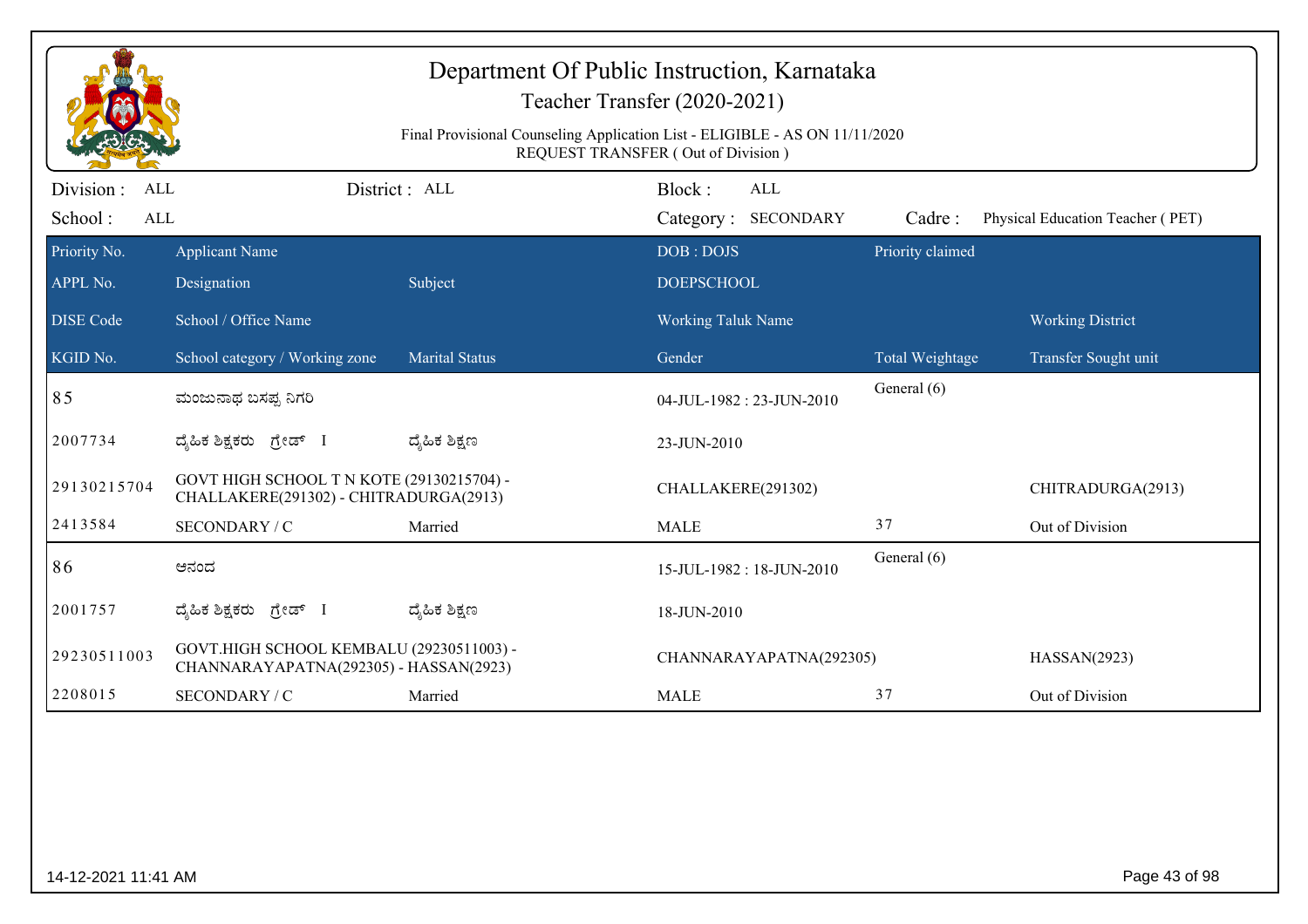|                                                   |                                                                                     |                       | Teacher Transfer (2020-2021)<br>Final Provisional Counseling Application List - ELIGIBLE - AS ON 11/11/2020<br>REQUEST TRANSFER (Out of Division) |                  |                                  |
|---------------------------------------------------|-------------------------------------------------------------------------------------|-----------------------|---------------------------------------------------------------------------------------------------------------------------------------------------|------------------|----------------------------------|
| Division :<br><b>ALL</b><br>School:<br><b>ALL</b> |                                                                                     | District : ALL        | Block:<br>ALL<br>Category: SECONDARY                                                                                                              | Cadre:           | Physical Education Teacher (PET) |
| Priority No.<br>APPL No.                          | <b>Applicant Name</b><br>Designation                                                | Subject               | DOB: DOJS<br><b>DOEPSCHOOL</b>                                                                                                                    | Priority claimed |                                  |
| <b>DISE Code</b>                                  | School / Office Name                                                                |                       | <b>Working Taluk Name</b>                                                                                                                         |                  | <b>Working District</b>          |
| KGID No.                                          | School category / Working zone                                                      | <b>Marital Status</b> | Gender                                                                                                                                            | Total Weightage  | Transfer Sought unit             |
| 85                                                | ಮಂಜುನಾಥ ಬಸಪ್ಪ ನಿಗರಿ                                                                 |                       | 04-JUL-1982: 23-JUN-2010                                                                                                                          | General (6)      |                                  |
| 2007734                                           | ದ್ಯಹಿಕ ಶಿಕ್ಷಕರು ಗ್ರೇಡ್ I                                                            | ದ್ಯೆಹಿಕ ಶಿಕ್ಷಣ        | 23-JUN-2010                                                                                                                                       |                  |                                  |
| 29130215704                                       | GOVT HIGH SCHOOL T N KOTE (29130215704) -<br>CHALLAKERE(291302) - CHITRADURGA(2913) |                       | CHALLAKERE(291302)                                                                                                                                |                  | CHITRADURGA(2913)                |
| 2413584                                           | SECONDARY / C                                                                       | Married               | <b>MALE</b>                                                                                                                                       | 37               | Out of Division                  |
| 86                                                | ಆನಂದ                                                                                |                       | 15-JUL-1982: 18-JUN-2010                                                                                                                          | General (6)      |                                  |
| 2001757                                           | ದೈಹಿಕ ಶಿಕ್ಷಕರು ಗ್ರೇಡ್ I                                                             | ದ್ಯೆಹಿಕ ಶಿಕ್ಷಣ        | 18-JUN-2010                                                                                                                                       |                  |                                  |
| 29230511003                                       | GOVT.HIGH SCHOOL KEMBALU (29230511003) -<br>CHANNARAYAPATNA(292305) - HASSAN(2923)  |                       | CHANNARAYAPATNA(292305)                                                                                                                           |                  | HASSAN(2923)                     |
| 2208015                                           | SECONDARY / C                                                                       | Married               | <b>MALE</b>                                                                                                                                       | 37               | Out of Division                  |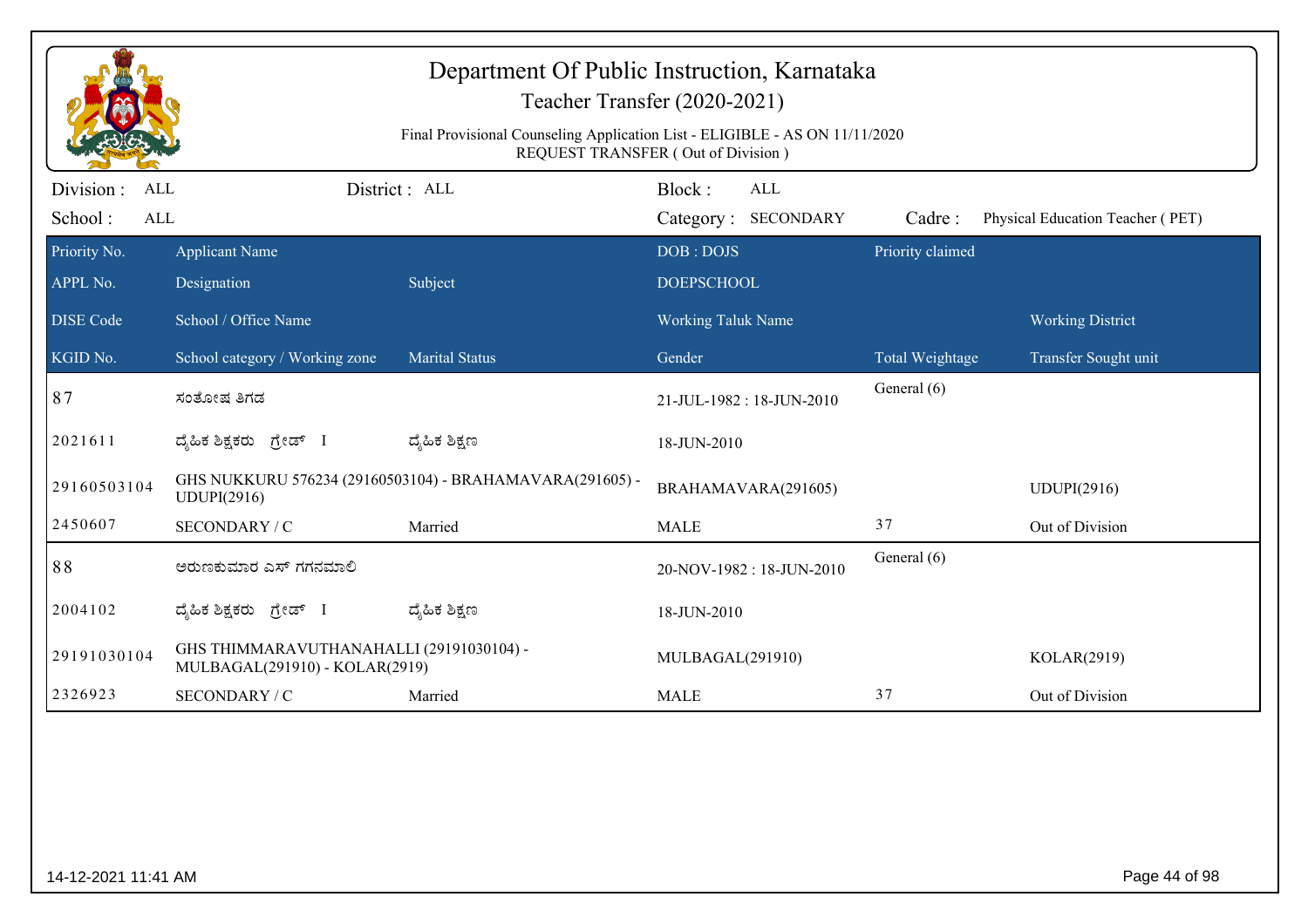|                                     |                                                                            | Department Of Public Instruction, Karnataka<br>Final Provisional Counseling Application List - ELIGIBLE - AS ON 11/11/2020 | Teacher Transfer (2020-2021)                                               |                  |                                  |
|-------------------------------------|----------------------------------------------------------------------------|----------------------------------------------------------------------------------------------------------------------------|----------------------------------------------------------------------------|------------------|----------------------------------|
| Division :<br>ALL<br>School:<br>ALL |                                                                            | District: ALL                                                                                                              | REQUEST TRANSFER (Out of Division)<br>Block:<br>ALL<br>Category: SECONDARY | Cadre:           | Physical Education Teacher (PET) |
| Priority No.<br>APPL No.            | <b>Applicant Name</b><br>Designation                                       | Subject                                                                                                                    | DOB: DOJS<br><b>DOEPSCHOOL</b>                                             | Priority claimed |                                  |
| <b>DISE</b> Code                    | School / Office Name                                                       |                                                                                                                            | <b>Working Taluk Name</b>                                                  |                  | <b>Working District</b>          |
| KGID No.                            | School category / Working zone                                             | <b>Marital Status</b>                                                                                                      | Gender                                                                     | Total Weightage  | Transfer Sought unit             |
| 87                                  | ಸಂತೋಷ ತಿಗಡ                                                                 |                                                                                                                            | 21-JUL-1982: 18-JUN-2010                                                   | General (6)      |                                  |
| 2021611                             | ದೈಹಿಕ ಶಿಕ್ಷಕರು ಗ್ರೇಡ್ I                                                    | ದ್ಶೆಹಿಕ ಶಿಕ್ಷಣ                                                                                                             | 18-JUN-2010                                                                |                  |                                  |
| 29160503104                         | UDUPI(2916)                                                                | GHS NUKKURU 576234 (29160503104) - BRAHAMAVARA(291605) -                                                                   | BRAHAMAVARA(291605)                                                        |                  | <b>UDUPI(2916)</b>               |
| 2450607                             | SECONDARY / C                                                              | Married                                                                                                                    | <b>MALE</b>                                                                | 37               | Out of Division                  |
| 88                                  | ಅರುಣಕುಮಾರ ಎಸ್ ಗಗನಮಾಲಿ                                                      |                                                                                                                            | 20-NOV-1982: 18-JUN-2010                                                   | General (6)      |                                  |
| 2004102                             | ದೈಹಿಕ ಶಿಕ್ಷಕರು ಗ್ರೇಡ್ I                                                    | ದ್ಶೆಹಿಕ ಶಿಕ್ಷಣ                                                                                                             | 18-JUN-2010                                                                |                  |                                  |
| 29191030104                         | GHS THIMMARAVUTHANAHALLI (29191030104) -<br>MULBAGAL(291910) - KOLAR(2919) |                                                                                                                            | MULBAGAL(291910)                                                           |                  | KOLAR(2919)                      |
| 2326923                             | SECONDARY / C                                                              | Married                                                                                                                    | <b>MALE</b>                                                                | 37               | Out of Division                  |
|                                     |                                                                            |                                                                                                                            |                                                                            |                  |                                  |
| 14-12-2021 11:41 AM                 |                                                                            |                                                                                                                            |                                                                            |                  | Page 44 of 98                    |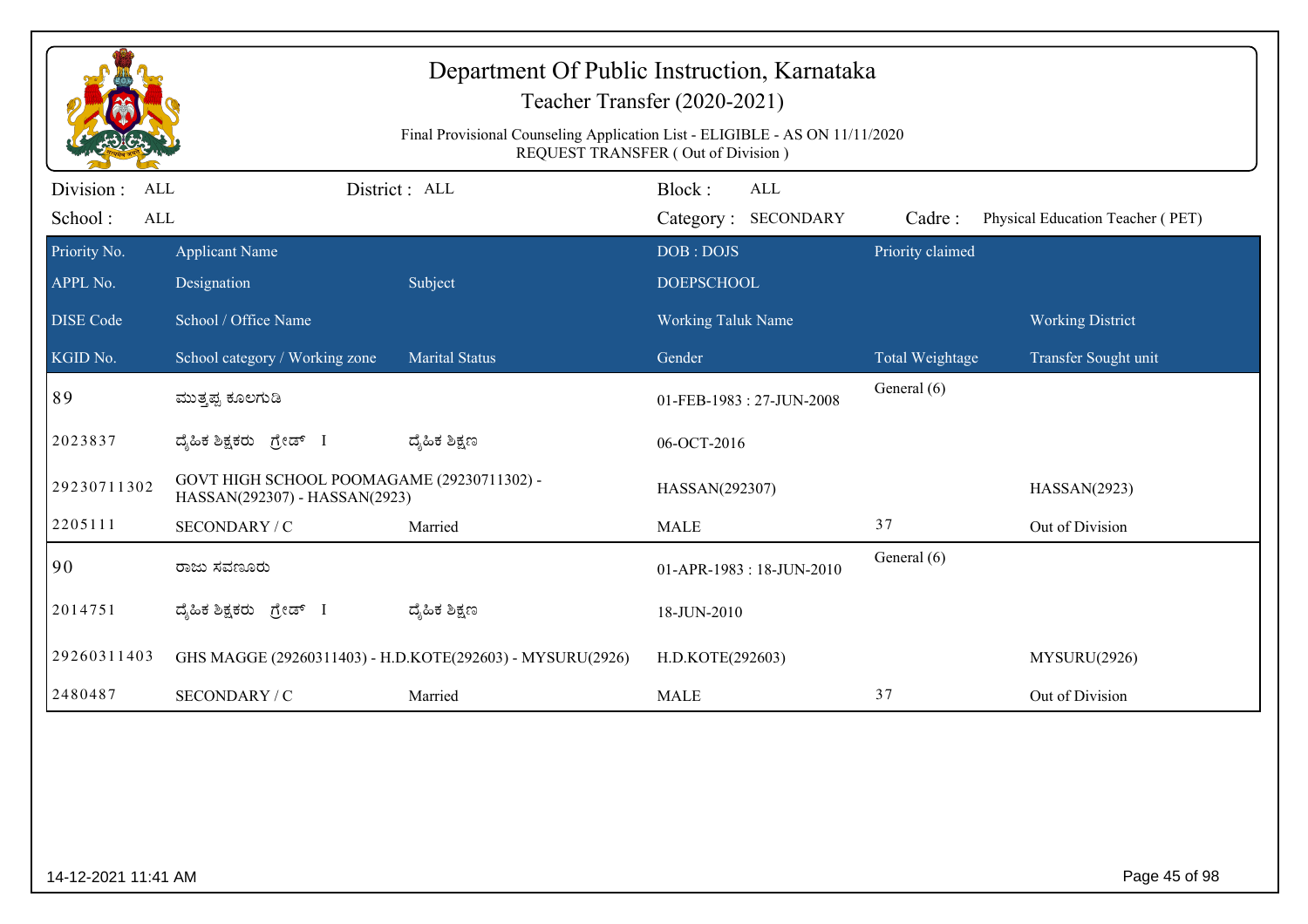| Department Of Public Instruction, Karnataka<br>Teacher Transfer (2020-2021)<br>Final Provisional Counseling Application List - ELIGIBLE - AS ON 11/11/2020<br>REQUEST TRANSFER (Out of Division) |                                                                             |                                                           |                           |                                   |                  |                                  |  |
|--------------------------------------------------------------------------------------------------------------------------------------------------------------------------------------------------|-----------------------------------------------------------------------------|-----------------------------------------------------------|---------------------------|-----------------------------------|------------------|----------------------------------|--|
| Division :<br>ALL<br>School:<br><b>ALL</b>                                                                                                                                                       |                                                                             | District: ALL                                             | Block:                    | <b>ALL</b><br>Category: SECONDARY | Cadre:           | Physical Education Teacher (PET) |  |
| Priority No.                                                                                                                                                                                     | <b>Applicant Name</b>                                                       |                                                           | DOB: DOJS                 |                                   | Priority claimed |                                  |  |
| APPL No.                                                                                                                                                                                         | Designation                                                                 | Subject                                                   | <b>DOEPSCHOOL</b>         |                                   |                  |                                  |  |
| <b>DISE</b> Code                                                                                                                                                                                 | School / Office Name                                                        |                                                           | <b>Working Taluk Name</b> |                                   |                  | <b>Working District</b>          |  |
| KGID No.                                                                                                                                                                                         | School category / Working zone                                              | <b>Marital Status</b>                                     | Gender                    |                                   | Total Weightage  | Transfer Sought unit             |  |
| 89                                                                                                                                                                                               | ಮುತ್ತಪ್ಪ ಕೂಲಗುಡಿ                                                            |                                                           |                           | 01-FEB-1983: 27-JUN-2008          | General (6)      |                                  |  |
| 2023837                                                                                                                                                                                          | ದೈಹಿಕ ಶಿಕ್ಷಕರು ಗ್ರೇಡ್ I                                                     | ದ್ಯೆಹಿಕ ಶಿಕ್ಷಣ                                            | 06-OCT-2016               |                                   |                  |                                  |  |
| 29230711302                                                                                                                                                                                      | GOVT HIGH SCHOOL POOMAGAME (29230711302) -<br>HASSAN(292307) - HASSAN(2923) |                                                           | HASSAN(292307)            |                                   |                  | HASSAN(2923)                     |  |
| 2205111                                                                                                                                                                                          | SECONDARY / C                                                               | Married                                                   | <b>MALE</b>               |                                   | 37               | Out of Division                  |  |
| 90                                                                                                                                                                                               | ರಾಜು ಸವಣೂರು                                                                 |                                                           |                           | 01-APR-1983 : 18-JUN-2010         | General (6)      |                                  |  |
| 2014751                                                                                                                                                                                          | ದೈಹಿಕ ಶಿಕ್ಷಕರು ಗ್ರೇಡ್ I                                                     | ದ್ಯೆಹಿಕ ಶಿಕ್ಷಣ                                            | 18-JUN-2010               |                                   |                  |                                  |  |
| 29260311403                                                                                                                                                                                      |                                                                             | GHS MAGGE (29260311403) - H.D.KOTE(292603) - MYSURU(2926) | H.D.KOTE(292603)          |                                   |                  | MYSURU(2926)                     |  |
| 2480487                                                                                                                                                                                          | SECONDARY / C                                                               | Married                                                   | <b>MALE</b>               |                                   | 37               | Out of Division                  |  |
|                                                                                                                                                                                                  |                                                                             |                                                           |                           |                                   |                  |                                  |  |
| 14-12-2021 11:41 AM                                                                                                                                                                              |                                                                             |                                                           |                           |                                   |                  | Page 45 of 98                    |  |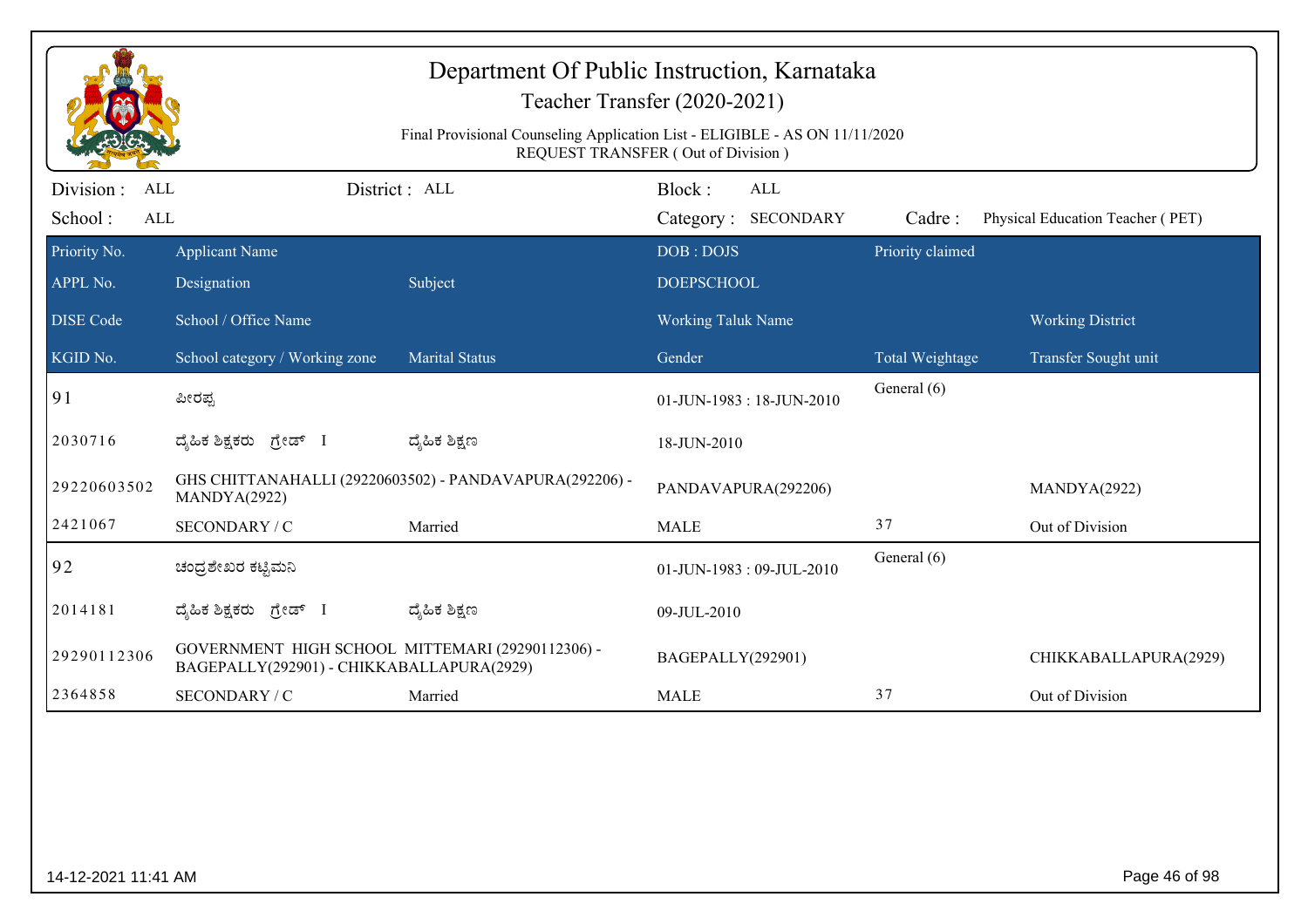|                                            | Department Of Public Instruction, Karnataka<br>Teacher Transfer (2020-2021)<br>Final Provisional Counseling Application List - ELIGIBLE - AS ON 11/11/2020<br>REQUEST TRANSFER (Out of Division) |                                                         |                                |                                   |                  |                                  |  |  |
|--------------------------------------------|--------------------------------------------------------------------------------------------------------------------------------------------------------------------------------------------------|---------------------------------------------------------|--------------------------------|-----------------------------------|------------------|----------------------------------|--|--|
| Division :<br>ALL<br>School:<br><b>ALL</b> |                                                                                                                                                                                                  | District: ALL                                           | Block:                         | <b>ALL</b><br>Category: SECONDARY | Cadre:           | Physical Education Teacher (PET) |  |  |
| Priority No.<br>APPL No.                   | <b>Applicant Name</b><br>Designation                                                                                                                                                             | Subject                                                 | DOB: DOJS<br><b>DOEPSCHOOL</b> |                                   | Priority claimed |                                  |  |  |
| <b>DISE</b> Code                           | School / Office Name                                                                                                                                                                             |                                                         | <b>Working Taluk Name</b>      |                                   |                  | <b>Working District</b>          |  |  |
| KGID No.                                   | School category / Working zone                                                                                                                                                                   | <b>Marital Status</b>                                   | Gender                         |                                   | Total Weightage  | Transfer Sought unit             |  |  |
| 91                                         | ಪೀರಪ್ಪ                                                                                                                                                                                           |                                                         |                                | 01-JUN-1983: 18-JUN-2010          | General (6)      |                                  |  |  |
| 2030716                                    | ದೈಹಿಕ ಶಿಕ್ಷಕರು <i>ಗ್ರೇಡ್</i> I                                                                                                                                                                   | ದ್ಯೆಹಿಕ ಶಿಕ್ಷಣ                                          | 18-JUN-2010                    |                                   |                  |                                  |  |  |
| 29220603502                                | MANDYA(2922)                                                                                                                                                                                     | GHS CHITTANAHALLI (29220603502) - PANDAVAPURA(292206) - |                                | PANDAVAPURA(292206)               |                  | MANDYA(2922)                     |  |  |
| 2421067                                    | SECONDARY / C                                                                                                                                                                                    | Married                                                 | <b>MALE</b>                    |                                   | 37               | Out of Division                  |  |  |
| 92                                         | ಚಂದ್ರಶೇಖರ ಕಟ್ಟಿಮನಿ                                                                                                                                                                               |                                                         |                                | 01-JUN-1983: 09-JUL-2010          | General (6)      |                                  |  |  |
| 2014181                                    | ದ್ಯಹಿಕ ಶಿಕ್ಷಕರು ಗ್ರೇಡ್ I                                                                                                                                                                         | ದ್ಮಹಿಕ ಶಿಕ್ಷಣ                                           | 09-JUL-2010                    |                                   |                  |                                  |  |  |
| 29290112306                                | GOVERNMENT HIGH SCHOOL MITTEMARI (29290112306) -<br>BAGEPALLY(292901) - CHIKKABALLAPURA(2929)                                                                                                    |                                                         | BAGEPALLY(292901)              |                                   |                  | CHIKKABALLAPURA(2929)            |  |  |
| 2364858                                    | SECONDARY / C                                                                                                                                                                                    | Married                                                 | <b>MALE</b>                    |                                   | 37               | Out of Division                  |  |  |
|                                            |                                                                                                                                                                                                  |                                                         |                                |                                   |                  |                                  |  |  |
| 14-12-2021 11:41 AM                        |                                                                                                                                                                                                  |                                                         |                                |                                   |                  | Page 46 of 98                    |  |  |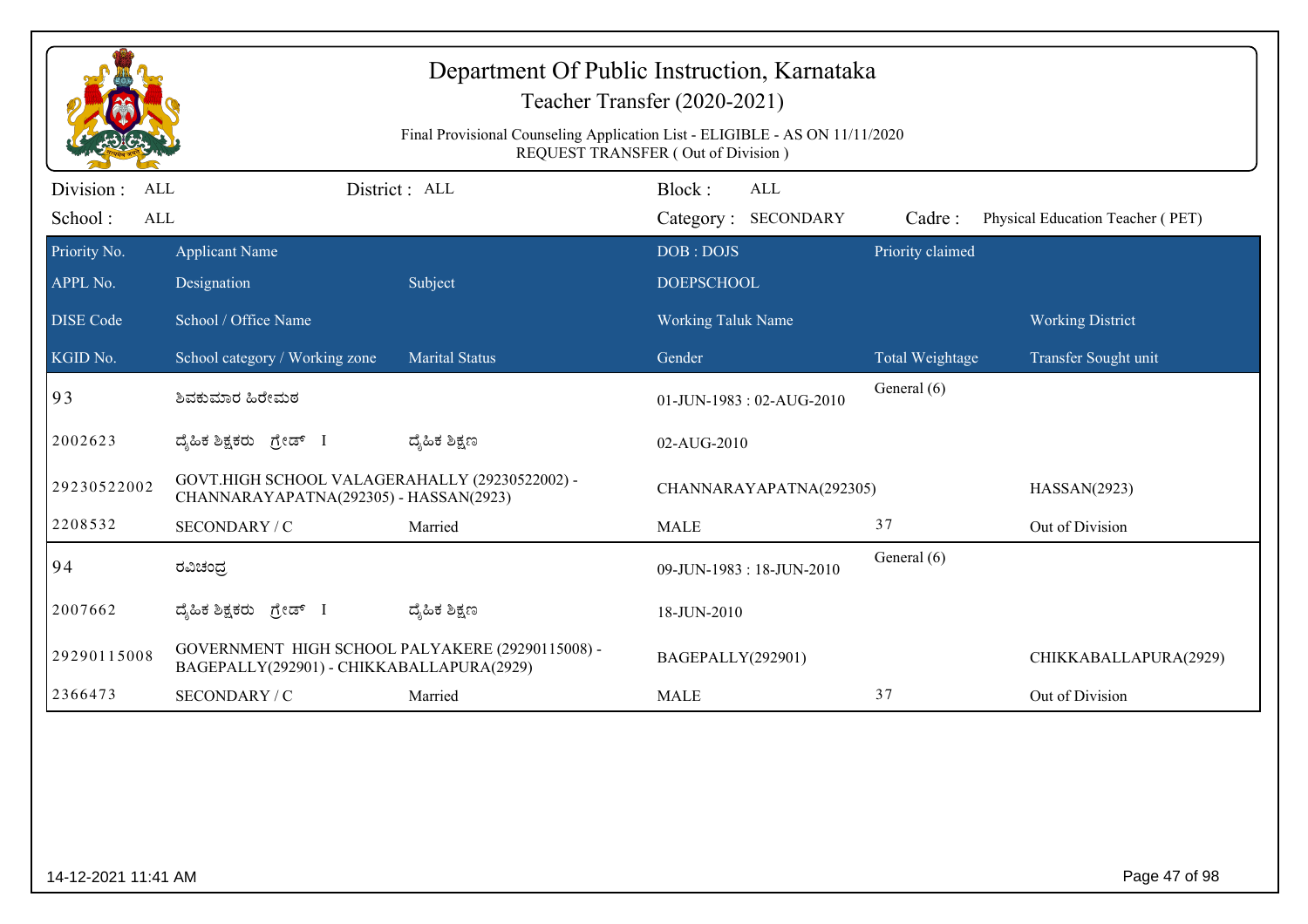|                                     | Department Of Public Instruction, Karnataka<br>Teacher Transfer (2020-2021)<br>Final Provisional Counseling Application List - ELIGIBLE - AS ON 11/11/2020<br>REQUEST TRANSFER (Out of Division) |                       |                                      |                  |                                  |  |  |  |
|-------------------------------------|--------------------------------------------------------------------------------------------------------------------------------------------------------------------------------------------------|-----------------------|--------------------------------------|------------------|----------------------------------|--|--|--|
| Division :<br>ALL<br>School:<br>ALL |                                                                                                                                                                                                  | District: ALL         | Block:<br>ALL<br>Category: SECONDARY | Cadre:           | Physical Education Teacher (PET) |  |  |  |
| Priority No.<br>APPL No.            | <b>Applicant Name</b><br>Designation                                                                                                                                                             | Subject               | DOB: DOJS<br><b>DOEPSCHOOL</b>       | Priority claimed |                                  |  |  |  |
| <b>DISE Code</b>                    | School / Office Name                                                                                                                                                                             |                       | <b>Working Taluk Name</b>            |                  | <b>Working District</b>          |  |  |  |
| KGID No.                            | School category / Working zone                                                                                                                                                                   | <b>Marital Status</b> | Gender                               | Total Weightage  | Transfer Sought unit             |  |  |  |
| 93                                  | ಶಿವಕುಮಾರ ಹಿರೇಮಠ                                                                                                                                                                                  |                       | 01-JUN-1983: 02-AUG-2010             | General (6)      |                                  |  |  |  |
| 2002623                             | ದೈಹಿಕ ಶಿಕ್ಷಕರು ಗ್ರೇಡ್ I                                                                                                                                                                          | ದ್ಮಹಿಕ ಶಿಕ್ಷಣ         | 02-AUG-2010                          |                  |                                  |  |  |  |
| 29230522002                         | GOVT.HIGH SCHOOL VALAGERAHALLY (29230522002) -<br>CHANNARAYAPATNA(292305) - HASSAN(2923)                                                                                                         |                       | CHANNARAYAPATNA(292305)              |                  | HASSAN(2923)                     |  |  |  |
| 2208532                             | SECONDARY / C                                                                                                                                                                                    | Married               | <b>MALE</b>                          | 37               | Out of Division                  |  |  |  |
| 94                                  | ರವಿಚಂದ್ರ                                                                                                                                                                                         |                       | 09-JUN-1983: 18-JUN-2010             | General (6)      |                                  |  |  |  |
| 2007662                             | ದ್ಯಹಿಕ ಶಿಕ್ಷಕರು ಗ್ರೇಡ್ I                                                                                                                                                                         | ದ್ಯೆಹಿಕ ಶಿಕ್ಷಣ        | 18-JUN-2010                          |                  |                                  |  |  |  |
| 29290115008                         | GOVERNMENT HIGH SCHOOL PALYAKERE (29290115008) -<br>BAGEPALLY(292901) - CHIKKABALLAPURA(2929)                                                                                                    |                       | BAGEPALLY(292901)                    |                  | CHIKKABALLAPURA(2929)            |  |  |  |
| 2366473                             | <b>SECONDARY / C</b>                                                                                                                                                                             | Married               | <b>MALE</b>                          | 37               | Out of Division                  |  |  |  |
|                                     |                                                                                                                                                                                                  |                       |                                      |                  |                                  |  |  |  |
| 14-12-2021 11:41 AM                 |                                                                                                                                                                                                  |                       |                                      |                  | Page 47 of 98                    |  |  |  |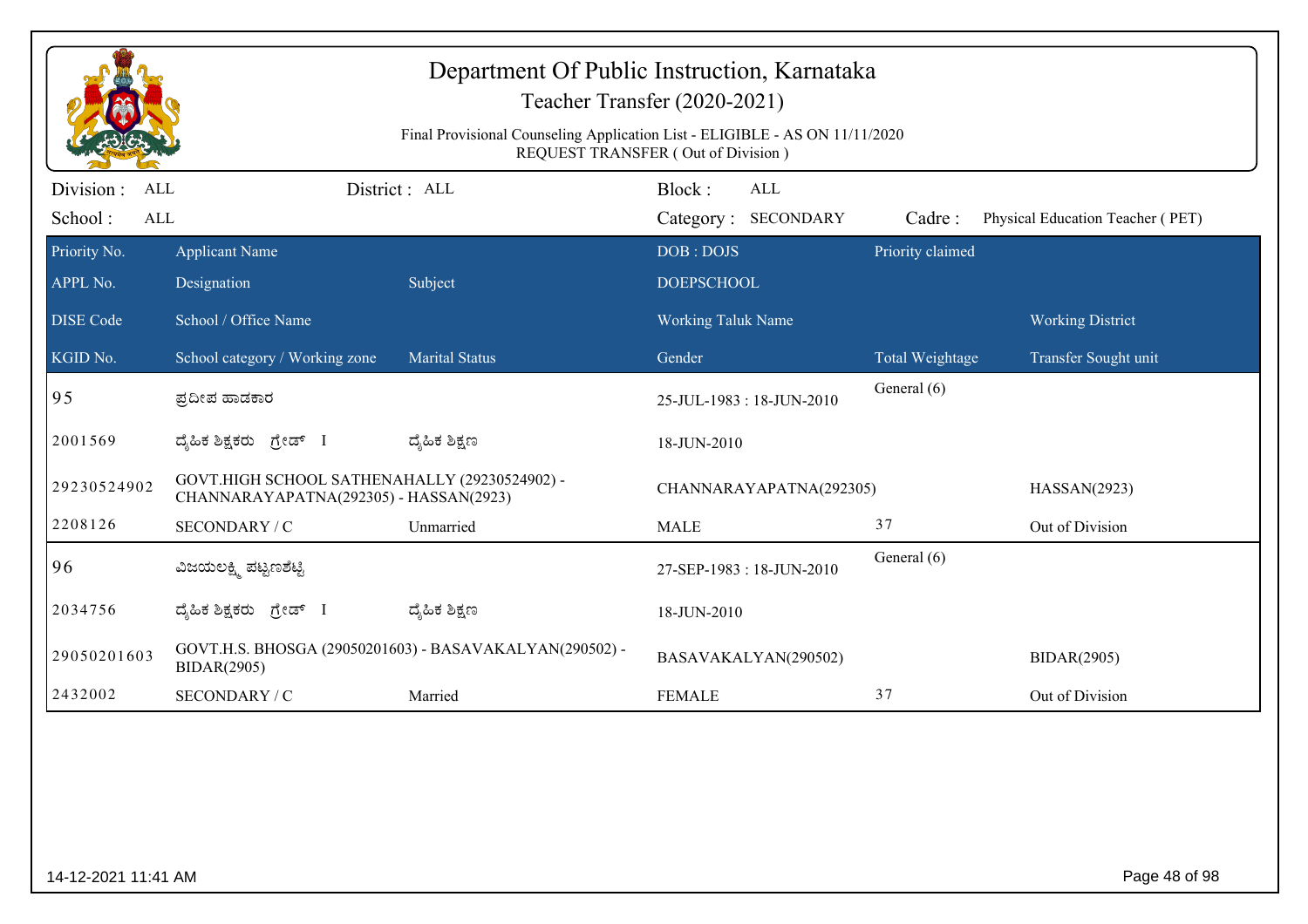| Department Of Public Instruction, Karnataka<br>Teacher Transfer (2020-2021)<br>Final Provisional Counseling Application List - ELIGIBLE - AS ON 11/11/2020<br>REQUEST TRANSFER (Out of Division) |                                                                                         |                                                         |                                |                  |                                  |  |  |
|--------------------------------------------------------------------------------------------------------------------------------------------------------------------------------------------------|-----------------------------------------------------------------------------------------|---------------------------------------------------------|--------------------------------|------------------|----------------------------------|--|--|
| Division :<br>ALL                                                                                                                                                                                |                                                                                         | District: ALL                                           | Block:<br><b>ALL</b>           |                  |                                  |  |  |
| School:<br>ALL                                                                                                                                                                                   |                                                                                         |                                                         | Category: SECONDARY            | Cadre:           | Physical Education Teacher (PET) |  |  |
| Priority No.<br>APPL No.                                                                                                                                                                         | <b>Applicant Name</b><br>Designation                                                    | Subject                                                 | DOB: DOJS<br><b>DOEPSCHOOL</b> | Priority claimed |                                  |  |  |
|                                                                                                                                                                                                  |                                                                                         |                                                         |                                |                  |                                  |  |  |
| <b>DISE Code</b>                                                                                                                                                                                 | School / Office Name                                                                    |                                                         | <b>Working Taluk Name</b>      |                  | <b>Working District</b>          |  |  |
| KGID No.                                                                                                                                                                                         | School category / Working zone                                                          | <b>Marital Status</b>                                   | Gender                         | Total Weightage  | Transfer Sought unit             |  |  |
| 95                                                                                                                                                                                               | ಪ್ರದೀಪ ಹಾಡಕಾರ                                                                           |                                                         | 25-JUL-1983: 18-JUN-2010       | General (6)      |                                  |  |  |
| 2001569                                                                                                                                                                                          | ದೈಹಿಕ ಶಿಕ್ಷಕರು ಗ್ರೇಡ್ I                                                                 | ದ್ಮಹಿಕ ಶಿಕ್ಷಣ                                           | 18-JUN-2010                    |                  |                                  |  |  |
| 29230524902                                                                                                                                                                                      | GOVT.HIGH SCHOOL SATHENAHALLY (29230524902) -<br>CHANNARAYAPATNA(292305) - HASSAN(2923) |                                                         | CHANNARAYAPATNA(292305)        |                  | HASSAN(2923)                     |  |  |
| 2208126                                                                                                                                                                                          | SECONDARY / C                                                                           | Unmarried                                               | <b>MALE</b>                    | 37               | Out of Division                  |  |  |
| 96                                                                                                                                                                                               | ವಿಜಯಲಕ್ಷ್ಮಿ ಪಟ್ಟಣಶೆಟ್ಟಿ                                                                 |                                                         | 27-SEP-1983: 18-JUN-2010       | General (6)      |                                  |  |  |
| 2034756                                                                                                                                                                                          | ದೈಹಿಕ ಶಿಕ್ಷಕರು <i>ಗ್ರೇಡ್</i> I                                                          | ದ್ಶೆಹಿಕ ಶಿಕ್ಷಣ                                          | 18-JUN-2010                    |                  |                                  |  |  |
| 29050201603                                                                                                                                                                                      | <b>BIDAR(2905)</b>                                                                      | GOVT.H.S. BHOSGA (29050201603) - BASAVAKALYAN(290502) - | BASAVAKALYAN(290502)           |                  | <b>BIDAR(2905)</b>               |  |  |
| 2432002                                                                                                                                                                                          | SECONDARY / C                                                                           | Married                                                 | <b>FEMALE</b>                  | 37               | Out of Division                  |  |  |
|                                                                                                                                                                                                  |                                                                                         |                                                         |                                |                  |                                  |  |  |
| 14-12-2021 11:41 AM                                                                                                                                                                              |                                                                                         |                                                         |                                |                  | Page 48 of 98                    |  |  |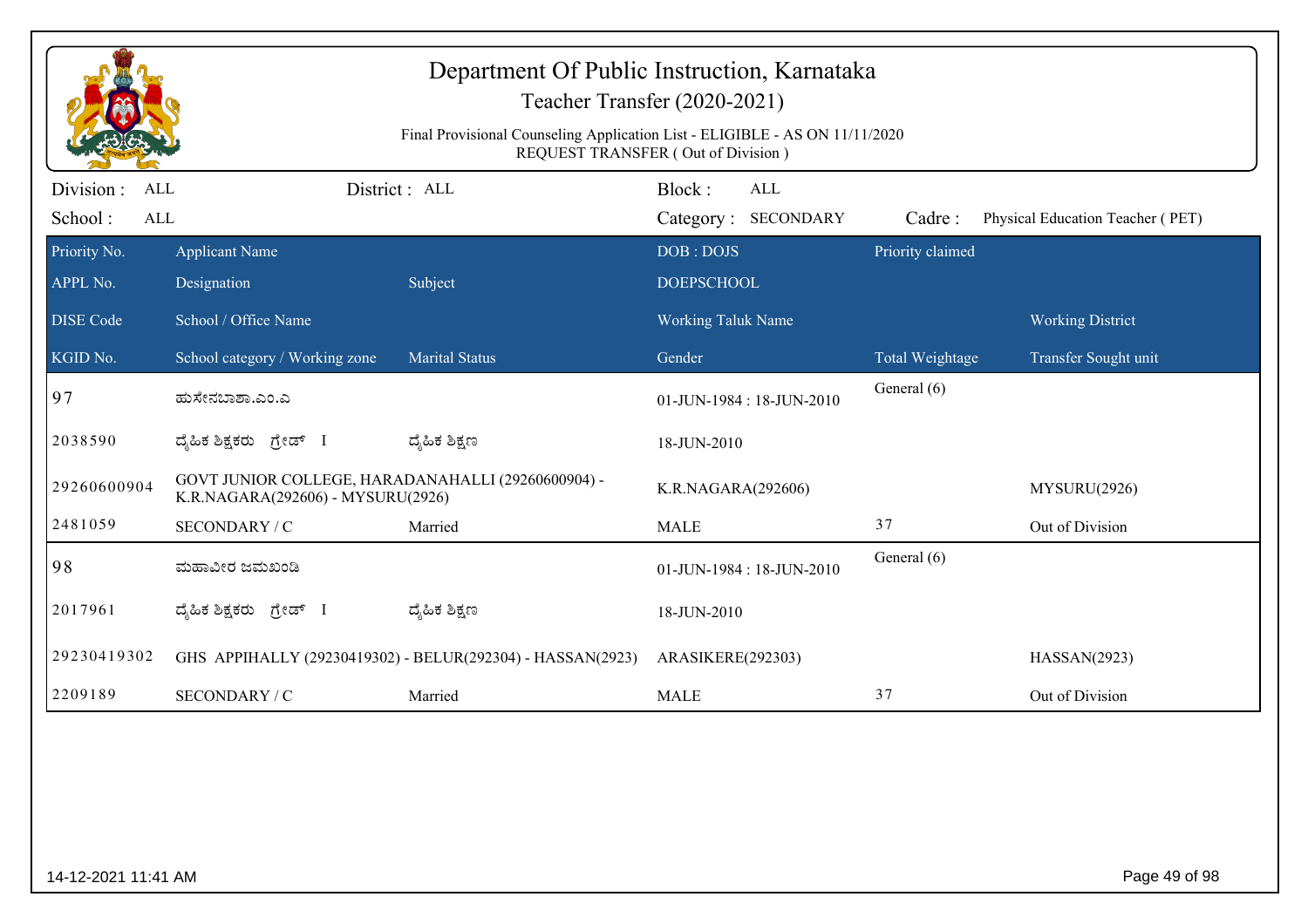|                                            | Department Of Public Instruction, Karnataka<br>Teacher Transfer (2020-2021)<br>Final Provisional Counseling Application List - ELIGIBLE - AS ON 11/11/2020<br>REQUEST TRANSFER (Out of Division) |                                                            |                                  |                            |                                  |  |  |  |  |
|--------------------------------------------|--------------------------------------------------------------------------------------------------------------------------------------------------------------------------------------------------|------------------------------------------------------------|----------------------------------|----------------------------|----------------------------------|--|--|--|--|
| Division :<br>ALL<br>School:<br><b>ALL</b> |                                                                                                                                                                                                  | District: ALL                                              | Block:<br><b>ALL</b>             |                            | Physical Education Teacher (PET) |  |  |  |  |
| Priority No.                               | <b>Applicant Name</b>                                                                                                                                                                            |                                                            | Category: SECONDARY<br>DOB: DOJS | Cadre:<br>Priority claimed |                                  |  |  |  |  |
| APPL No.                                   | Designation                                                                                                                                                                                      | Subject                                                    | <b>DOEPSCHOOL</b>                |                            |                                  |  |  |  |  |
| <b>DISE</b> Code                           | School / Office Name                                                                                                                                                                             |                                                            | Working Taluk Name               |                            | <b>Working District</b>          |  |  |  |  |
| KGID No.                                   | School category / Working zone                                                                                                                                                                   | <b>Marital Status</b>                                      | Gender                           | Total Weightage            | Transfer Sought unit             |  |  |  |  |
| 97                                         | ಹುಸೇನಬಾಶಾ.ಎಂ.ಎ                                                                                                                                                                                   |                                                            | 01-JUN-1984: 18-JUN-2010         | General (6)                |                                  |  |  |  |  |
| 2038590                                    | ದ್ಯಹಿಕ ಶಿಕ್ಷಕರು ಗ್ರೇಡ್ I                                                                                                                                                                         | ದ್ಮಹಿಕ ಶಿಕ್ಷಣ                                              | 18-JUN-2010                      |                            |                                  |  |  |  |  |
| 29260600904                                | GOVT JUNIOR COLLEGE, HARADANAHALLI (29260600904) -<br>K.R.NAGARA(292606) - MYSURU(2926)                                                                                                          |                                                            | K.R.NAGARA(292606)               |                            | MYSURU(2926)                     |  |  |  |  |
| 2481059                                    | SECONDARY / C                                                                                                                                                                                    | Married                                                    | <b>MALE</b>                      | 37                         | Out of Division                  |  |  |  |  |
| 98                                         | ಮಹಾವೀರ ಜಮಖಂಡಿ                                                                                                                                                                                    |                                                            | 01-JUN-1984: 18-JUN-2010         | General (6)                |                                  |  |  |  |  |
| 2017961                                    | ದ್ಯಹಿಕ ಶಿಕ್ಷಕರು <i>ಗ್ರೇ</i> ಡ್ I                                                                                                                                                                 | ದ್ಮಹಿಕ ಶಿಕ್ಷಣ                                              | 18-JUN-2010                      |                            |                                  |  |  |  |  |
| 29230419302                                |                                                                                                                                                                                                  | GHS APPIHALLY (29230419302) - BELUR(292304) - HASSAN(2923) | ARASIKERE(292303)                |                            | HASSAN(2923)                     |  |  |  |  |
| 2209189                                    | <b>SECONDARY / C</b>                                                                                                                                                                             | Married                                                    | <b>MALE</b>                      | 37                         | Out of Division                  |  |  |  |  |
|                                            |                                                                                                                                                                                                  |                                                            |                                  |                            |                                  |  |  |  |  |
| 14-12-2021 11:41 AM                        |                                                                                                                                                                                                  |                                                            |                                  |                            | Page 49 of 98                    |  |  |  |  |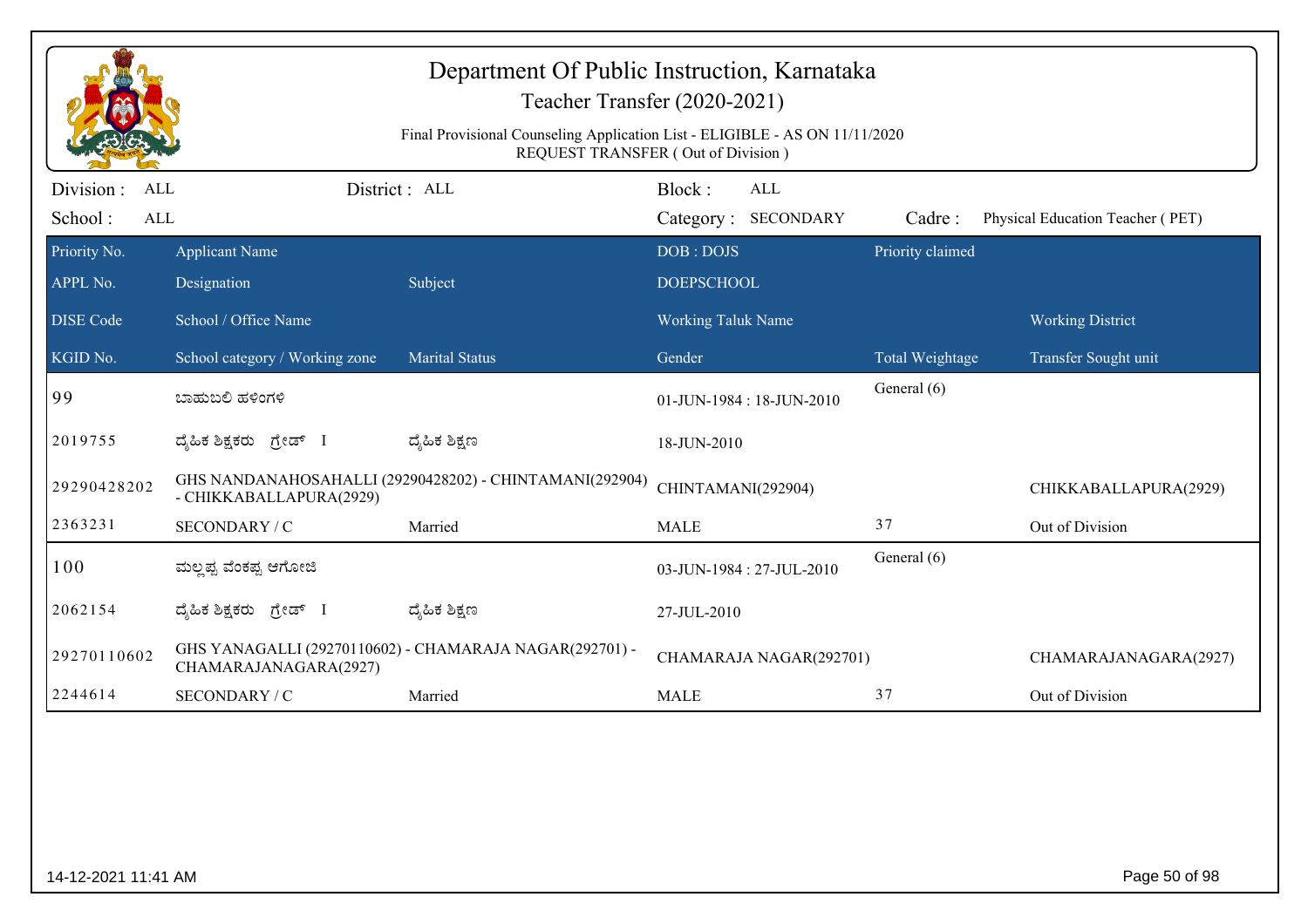| Department Of Public Instruction, Karnataka<br>Teacher Transfer (2020-2021) |                                                                                                                   |                                                         |                                      |                  |                                  |  |  |  |  |
|-----------------------------------------------------------------------------|-------------------------------------------------------------------------------------------------------------------|---------------------------------------------------------|--------------------------------------|------------------|----------------------------------|--|--|--|--|
|                                                                             | Final Provisional Counseling Application List - ELIGIBLE - AS ON 11/11/2020<br>REQUEST TRANSFER (Out of Division) |                                                         |                                      |                  |                                  |  |  |  |  |
| Division :<br>ALL<br>School:<br>ALL                                         | District: ALL                                                                                                     |                                                         | Block:<br>ALL<br>Category: SECONDARY | Cadre:           | Physical Education Teacher (PET) |  |  |  |  |
| Priority No.<br>APPL No.                                                    | <b>Applicant Name</b><br>Designation                                                                              | Subject                                                 | DOB: DOJS<br><b>DOEPSCHOOL</b>       | Priority claimed |                                  |  |  |  |  |
| <b>DISE</b> Code                                                            | School / Office Name                                                                                              |                                                         | <b>Working Taluk Name</b>            |                  | <b>Working District</b>          |  |  |  |  |
| KGID No.                                                                    | School category / Working zone                                                                                    | <b>Marital Status</b>                                   | Gender                               | Total Weightage  | Transfer Sought unit             |  |  |  |  |
| 99                                                                          | ಬಾಹುಬಲಿ ಹಳಿಂಗಳಿ                                                                                                   |                                                         | 01-JUN-1984: 18-JUN-2010             | General (6)      |                                  |  |  |  |  |
| 2019755                                                                     | ದೈಹಿಕ ಶಿಕ್ಷಕರು ಗ್ರೇಡ್ I                                                                                           | ದ್ಯೆಹಿಕ ಶಿಕ್ಷಣ                                          | 18-JUN-2010                          |                  |                                  |  |  |  |  |
| 29290428202                                                                 | - CHIKKABALLAPURA(2929)                                                                                           | GHS NANDANAHOSAHALLI (29290428202) - CHINTAMANI(292904) | CHINTAMANI(292904)                   |                  | CHIKKABALLAPURA(2929)            |  |  |  |  |
| 2363231                                                                     | SECONDARY / C                                                                                                     | Married                                                 | <b>MALE</b>                          | 37               | Out of Division                  |  |  |  |  |
| 100                                                                         | ಮಲ್ಷಪ್ಪ ವೆಂಕಪ್ಪ ಆಗೋಜಿ                                                                                             |                                                         | 03-JUN-1984 : 27-JUL-2010            | General (6)      |                                  |  |  |  |  |
| 2062154                                                                     | ದ್ಯಹಿಕ ಶಿಕ್ಷಕರು ಗ್ರೇಡ್ I                                                                                          | ದ್ಯೆಹಿಕ ಶಿಕ್ಷಣ                                          | 27-JUL-2010                          |                  |                                  |  |  |  |  |
| 29270110602                                                                 | CHAMARAJANAGARA(2927)                                                                                             | GHS YANAGALLI (29270110602) - CHAMARAJA NAGAR(292701) - | CHAMARAJA NAGAR(292701)              |                  | CHAMARAJANAGARA(2927)            |  |  |  |  |
| 2244614                                                                     | SECONDARY / C                                                                                                     | Married                                                 | <b>MALE</b>                          | 37               | Out of Division                  |  |  |  |  |
|                                                                             |                                                                                                                   |                                                         |                                      |                  |                                  |  |  |  |  |
|                                                                             |                                                                                                                   |                                                         |                                      |                  |                                  |  |  |  |  |
|                                                                             |                                                                                                                   |                                                         |                                      |                  |                                  |  |  |  |  |
| 14-12-2021 11:41 AM                                                         |                                                                                                                   |                                                         |                                      |                  | Page 50 of 98                    |  |  |  |  |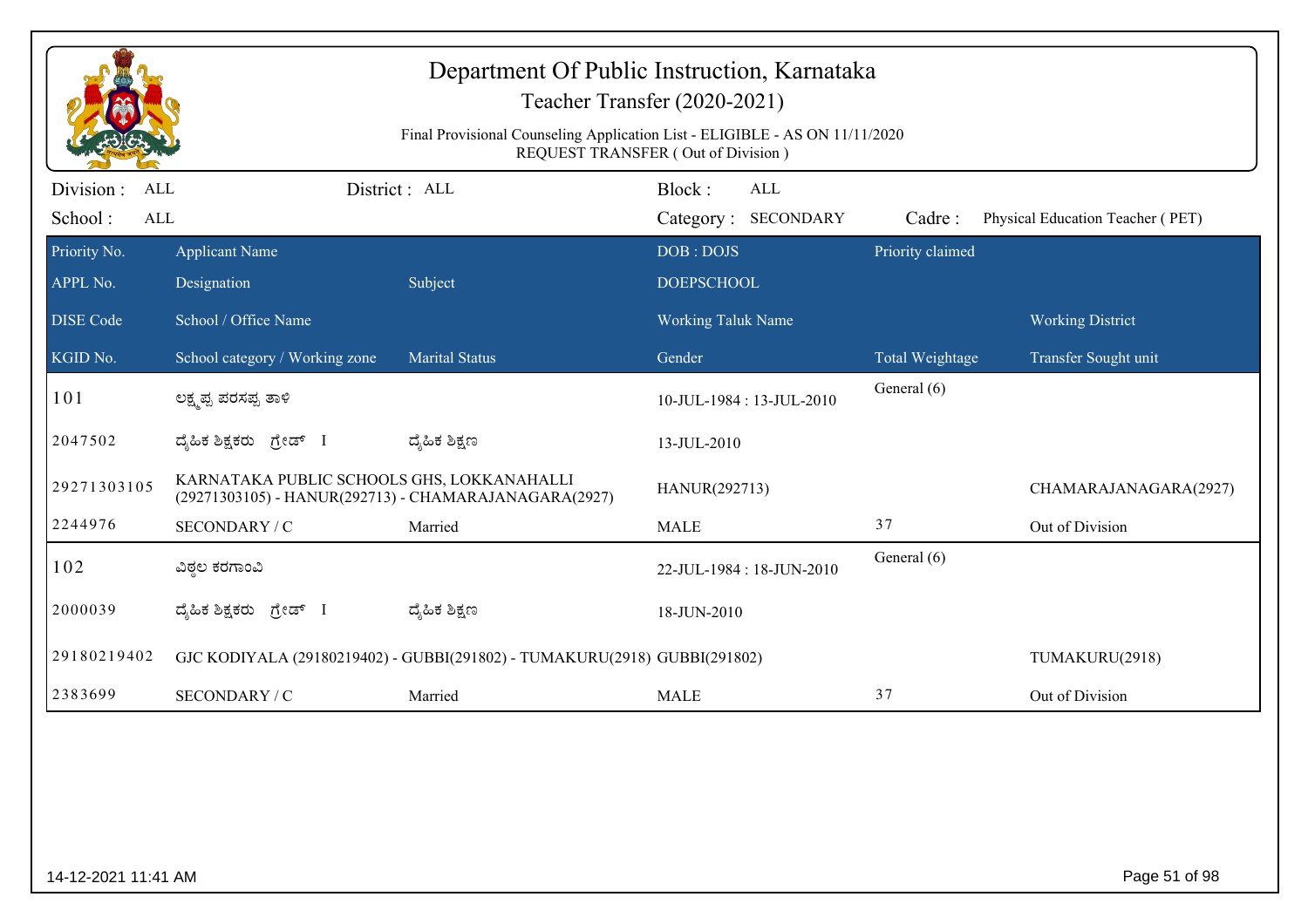|                                     | Department Of Public Instruction, Karnataka<br>Teacher Transfer (2020-2021)<br>Final Provisional Counseling Application List - ELIGIBLE - AS ON 11/11/2020<br>REQUEST TRANSFER (Out of Division) |                                                                           |                                             |                  |                                  |  |  |  |  |
|-------------------------------------|--------------------------------------------------------------------------------------------------------------------------------------------------------------------------------------------------|---------------------------------------------------------------------------|---------------------------------------------|------------------|----------------------------------|--|--|--|--|
| Division :<br>ALL<br>School:<br>ALL |                                                                                                                                                                                                  | District: ALL                                                             | Block:<br><b>ALL</b><br>Category: SECONDARY | Cadre:           | Physical Education Teacher (PET) |  |  |  |  |
| Priority No.<br>APPL No.            | <b>Applicant Name</b><br>Designation                                                                                                                                                             | Subject                                                                   | DOB: DOJS<br><b>DOEPSCHOOL</b>              | Priority claimed |                                  |  |  |  |  |
| <b>DISE</b> Code                    | School / Office Name                                                                                                                                                                             |                                                                           | <b>Working Taluk Name</b>                   |                  | <b>Working District</b>          |  |  |  |  |
| KGID No.                            | School category / Working zone                                                                                                                                                                   | <b>Marital Status</b>                                                     | Gender                                      | Total Weightage  | Transfer Sought unit             |  |  |  |  |
| 101                                 | ಲಕ್ಷ್ಮಪ್ಪ ಪರಸಪ್ಪ ತಾಳಿ                                                                                                                                                                            |                                                                           | 10-JUL-1984: 13-JUL-2010                    | General (6)      |                                  |  |  |  |  |
| 2047502                             | ದೈಹಿಕ ಶಿಕ್ಷಕರು ಗ್ರೇಡ್ I                                                                                                                                                                          | ದ್ಶೆಹಿಕ ಶಿಕ್ಷಣ                                                            | 13-JUL-2010                                 |                  |                                  |  |  |  |  |
| 29271303105                         | KARNATAKA PUBLIC SCHOOLS GHS, LOKKANAHALLI<br>(29271303105) - HANUR(292713) - CHAMARAJANAGARA(2927)                                                                                              |                                                                           | HANUR(292713)                               |                  | CHAMARAJANAGARA(2927)            |  |  |  |  |
| 2244976                             | SECONDARY / C                                                                                                                                                                                    | Married                                                                   | <b>MALE</b>                                 | 37               | Out of Division                  |  |  |  |  |
| 102                                 | ವಿಠ್ಠಲ ಕರಗಾಂವಿ                                                                                                                                                                                   |                                                                           | 22-JUL-1984: 18-JUN-2010                    | General (6)      |                                  |  |  |  |  |
| 2000039                             | ದೈಹಿಕ ಶಿಕ್ಷಕರು ಗ್ರೇಡ್ I                                                                                                                                                                          | ದ್ಮಹಿಕ ಶಿಕ್ಷಣ                                                             | 18-JUN-2010                                 |                  |                                  |  |  |  |  |
| 29180219402                         |                                                                                                                                                                                                  | GJC KODIYALA (29180219402) - GUBBI(291802) - TUMAKURU(2918) GUBBI(291802) |                                             |                  | TUMAKURU(2918)                   |  |  |  |  |
| 2383699                             | SECONDARY / C                                                                                                                                                                                    | Married                                                                   | <b>MALE</b>                                 | 37               | Out of Division                  |  |  |  |  |
|                                     |                                                                                                                                                                                                  |                                                                           |                                             |                  |                                  |  |  |  |  |
| 14-12-2021 11:41 AM                 |                                                                                                                                                                                                  |                                                                           |                                             |                  | Page 51 of 98                    |  |  |  |  |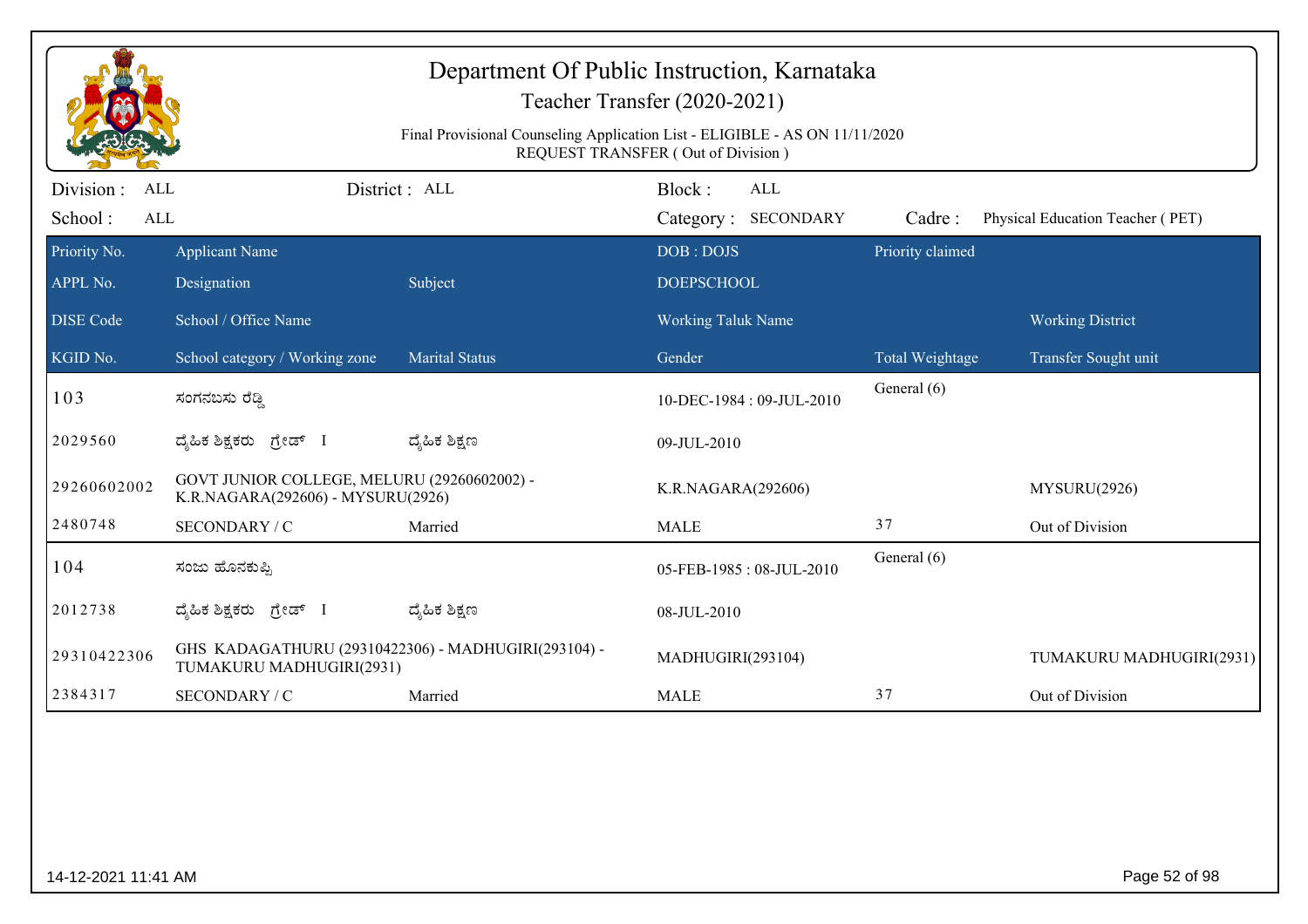|                                                  | Department Of Public Instruction, Karnataka<br>Teacher Transfer (2020-2021)<br>Final Provisional Counseling Application List - ELIGIBLE - AS ON 11/11/2020<br><b>REQUEST TRANSFER (Out of Division)</b> |                       |                                             |                  |                                  |  |  |  |  |
|--------------------------------------------------|---------------------------------------------------------------------------------------------------------------------------------------------------------------------------------------------------------|-----------------------|---------------------------------------------|------------------|----------------------------------|--|--|--|--|
| Division:<br><b>ALL</b><br>School:<br><b>ALL</b> |                                                                                                                                                                                                         | District: ALL         | Block:<br><b>ALL</b><br>Category: SECONDARY | Cadre:           | Physical Education Teacher (PET) |  |  |  |  |
| Priority No.<br>APPL No.                         | <b>Applicant Name</b><br>Designation                                                                                                                                                                    | Subject               | DOB: DOJS<br><b>DOEPSCHOOL</b>              | Priority claimed |                                  |  |  |  |  |
| <b>DISE Code</b>                                 | School / Office Name                                                                                                                                                                                    |                       | Working Taluk Name                          |                  | <b>Working District</b>          |  |  |  |  |
| KGID No.                                         | School category / Working zone                                                                                                                                                                          | <b>Marital Status</b> | Gender                                      | Total Weightage  | Transfer Sought unit             |  |  |  |  |
| 103                                              | ಸಂಗನಬಸು ರೆಡ್ಡಿ                                                                                                                                                                                          |                       | 10-DEC-1984: 09-JUL-2010                    | General (6)      |                                  |  |  |  |  |
| 2029560                                          | ದ್ಯಹಿಕ ಶಿಕ್ಷಕರು ಗ್ರೇಡ್ I                                                                                                                                                                                | ದ್ಮಹಿಕ ಶಿಕ್ಷಣ         | 09-JUL-2010                                 |                  |                                  |  |  |  |  |
| 29260602002                                      | GOVT JUNIOR COLLEGE, MELURU (29260602002) -<br>K.R.NAGARA(292606) - MYSURU(2926)                                                                                                                        |                       | K.R.NAGARA(292606)                          |                  | MYSURU(2926)                     |  |  |  |  |
| 2480748                                          | SECONDARY / C                                                                                                                                                                                           | Married               | <b>MALE</b>                                 | 37               | Out of Division                  |  |  |  |  |
| 104                                              | ಸಂಜು ಹೊನಕುಪ್ಪಿ                                                                                                                                                                                          |                       | 05-FEB-1985: 08-JUL-2010                    | General (6)      |                                  |  |  |  |  |
| 2012738                                          | ದ್ಯಹಿಕ ಶಿಕ್ಷಕರು ಗ್ರೇಡ್ I                                                                                                                                                                                | ದ್ಮಹಿಕ ಶಿಕ್ಷಣ         | 08-JUL-2010                                 |                  |                                  |  |  |  |  |
| 29310422306                                      | GHS KADAGATHURU (29310422306) - MADHUGIRI(293104) -<br>TUMAKURU MADHUGIRI(2931)                                                                                                                         |                       | MADHUGIRI(293104)                           |                  | TUMAKURU MADHUGIRI(2931)         |  |  |  |  |
| 2384317                                          | SECONDARY / C                                                                                                                                                                                           | Married               | <b>MALE</b>                                 | 37               | Out of Division                  |  |  |  |  |
|                                                  |                                                                                                                                                                                                         |                       |                                             |                  |                                  |  |  |  |  |
| 14-12-2021 11:41 AM                              |                                                                                                                                                                                                         |                       |                                             |                  | Page 52 of 98                    |  |  |  |  |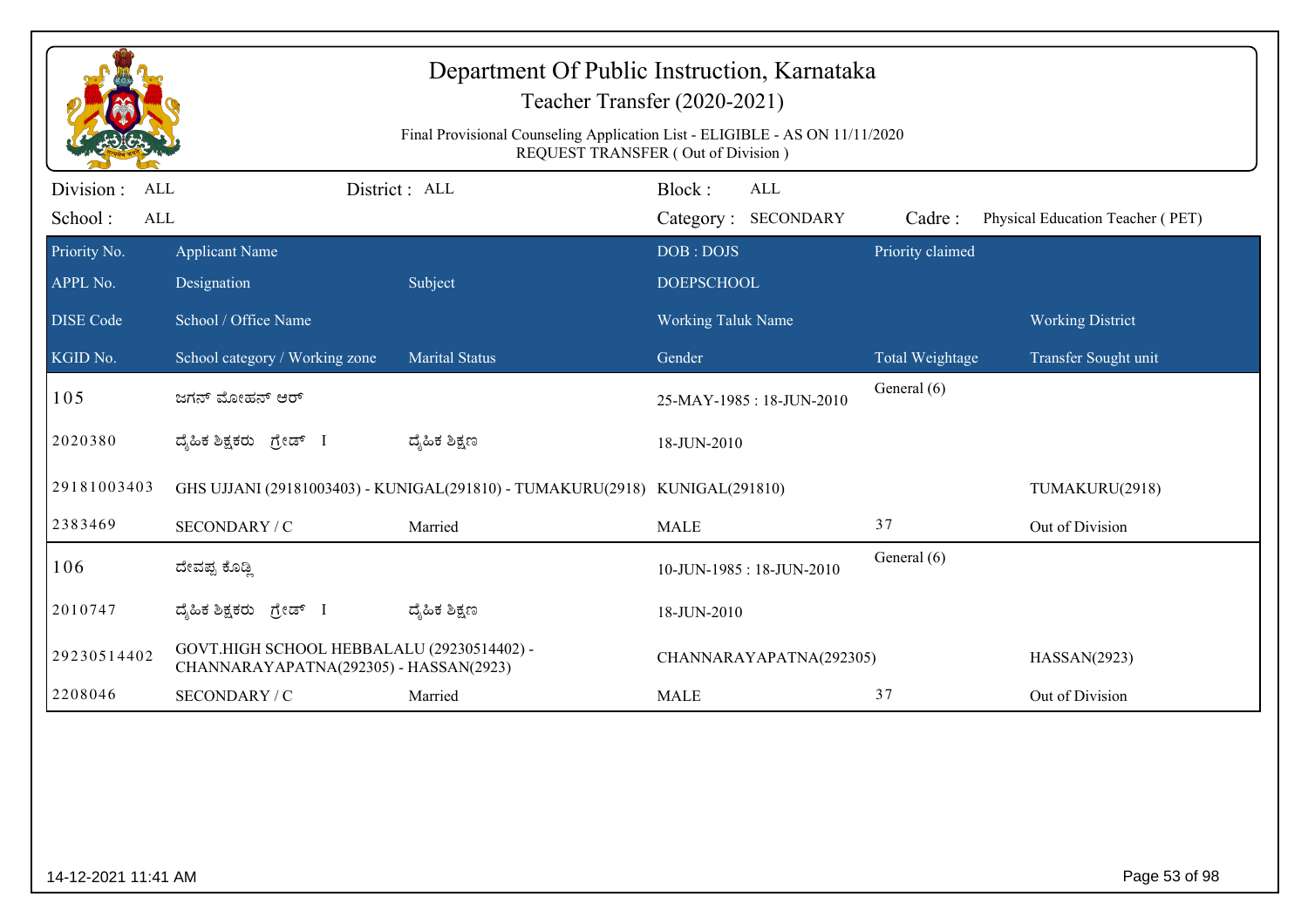|                                     | Department Of Public Instruction, Karnataka<br>Teacher Transfer (2020-2021)<br>Final Provisional Counseling Application List - ELIGIBLE - AS ON 11/11/2020<br>REQUEST TRANSFER (Out of Division) |                                                                             |                           |                                   |                  |                                  |  |  |  |
|-------------------------------------|--------------------------------------------------------------------------------------------------------------------------------------------------------------------------------------------------|-----------------------------------------------------------------------------|---------------------------|-----------------------------------|------------------|----------------------------------|--|--|--|
| Division :<br>ALL<br>School:<br>ALL |                                                                                                                                                                                                  | District: ALL                                                               | Block:                    | <b>ALL</b><br>Category: SECONDARY | Cadre:           | Physical Education Teacher (PET) |  |  |  |
| Priority No.                        | <b>Applicant Name</b>                                                                                                                                                                            |                                                                             | DOB: DOJS                 |                                   | Priority claimed |                                  |  |  |  |
| APPL No.                            | Designation                                                                                                                                                                                      | Subject                                                                     | <b>DOEPSCHOOL</b>         |                                   |                  |                                  |  |  |  |
| <b>DISE Code</b>                    | School / Office Name                                                                                                                                                                             |                                                                             | <b>Working Taluk Name</b> |                                   |                  | <b>Working District</b>          |  |  |  |
| KGID No.                            | School category / Working zone                                                                                                                                                                   | <b>Marital Status</b>                                                       | Gender                    |                                   | Total Weightage  | Transfer Sought unit             |  |  |  |
| 105                                 | ಜಗನ್ ಮೋಹನ್ ಆರ್                                                                                                                                                                                   |                                                                             |                           | 25-MAY-1985: 18-JUN-2010          | General (6)      |                                  |  |  |  |
| 2020380                             | ದೈಹಿಕ ಶಿಕ್ಷಕರು ಗ್ರೇಡ್ I                                                                                                                                                                          | ದ್ಯೆಹಿಕ ಶಿಕ್ಷಣ                                                              | 18-JUN-2010               |                                   |                  |                                  |  |  |  |
| 29181003403                         |                                                                                                                                                                                                  | GHS UJJANI (29181003403) - KUNIGAL(291810) - TUMAKURU(2918) KUNIGAL(291810) |                           |                                   |                  | TUMAKURU(2918)                   |  |  |  |
| 2383469                             | SECONDARY / C                                                                                                                                                                                    | Married                                                                     | <b>MALE</b>               |                                   | 37               | Out of Division                  |  |  |  |
| 106                                 | ದೇವಪ್ಪ ಕೊಡ್ಡಿ                                                                                                                                                                                    |                                                                             |                           | 10-JUN-1985: 18-JUN-2010          | General (6)      |                                  |  |  |  |
| 2010747                             | ದ್ಯಹಿಕ ಶಿಕ್ಷಕರು ಗ್ರೇಡ್ I                                                                                                                                                                         | ದ್ಯೆಹಿಕ ಶಿಕ್ಷಣ                                                              | 18-JUN-2010               |                                   |                  |                                  |  |  |  |
| 29230514402                         | GOVT.HIGH SCHOOL HEBBALALU (29230514402) -<br>CHANNARAYAPATNA(292305) - HASSAN(2923)                                                                                                             |                                                                             |                           | CHANNARAYAPATNA(292305)           |                  | HASSAN(2923)                     |  |  |  |
| 2208046                             | SECONDARY / C                                                                                                                                                                                    | Married                                                                     | <b>MALE</b>               |                                   | 37               | Out of Division                  |  |  |  |
|                                     |                                                                                                                                                                                                  |                                                                             |                           |                                   |                  |                                  |  |  |  |
| 14-12-2021 11:41 AM                 |                                                                                                                                                                                                  |                                                                             |                           |                                   |                  | Page 53 of 98                    |  |  |  |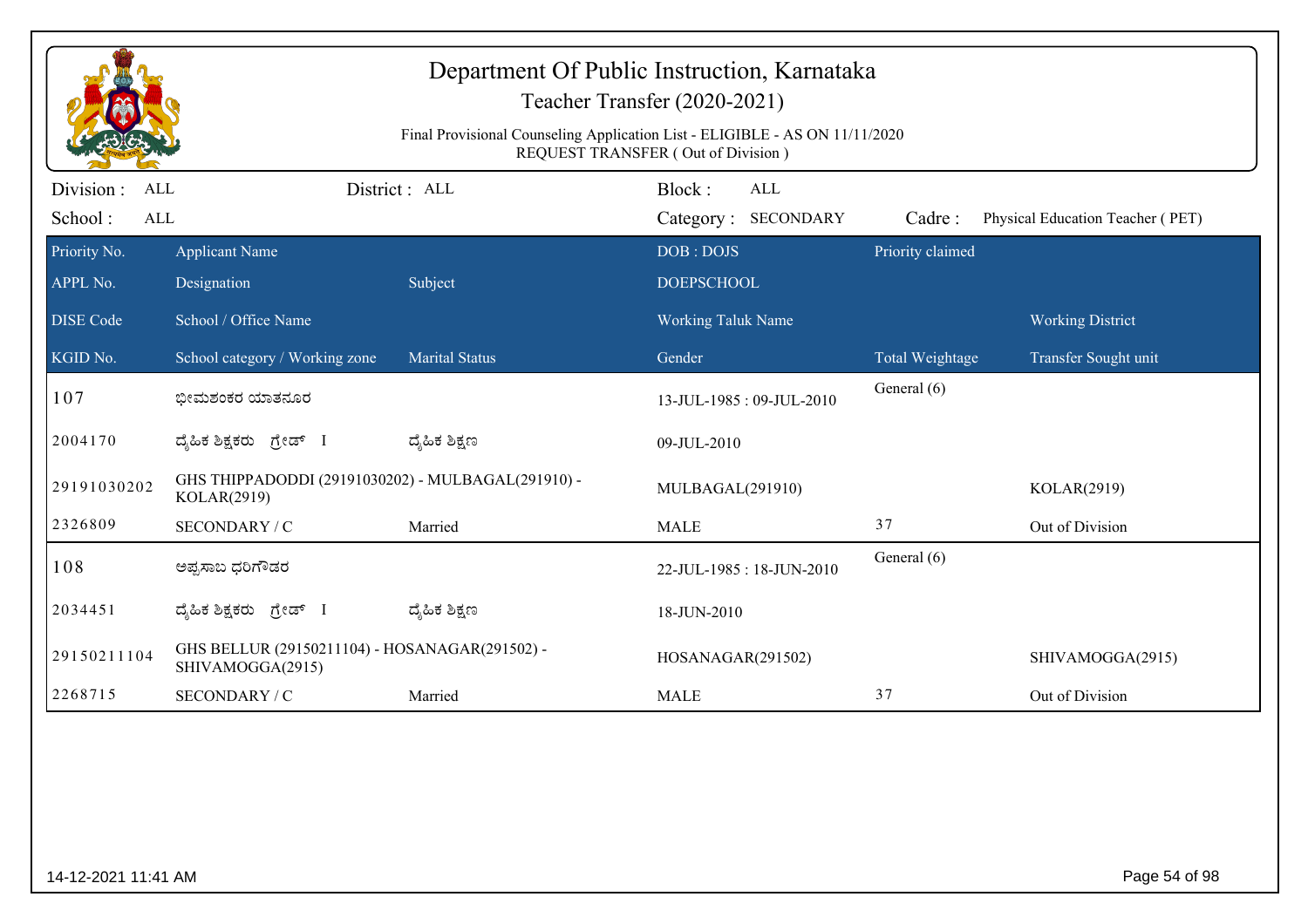|                                         |                                                                    | Final Provisional Counseling Application List - ELIGIBLE - AS ON 11/11/2020 | Department Of Public Instruction, Karnataka<br>Teacher Transfer (2020-2021)<br><b>REQUEST TRANSFER (Out of Division)</b> |                            |                                  |
|-----------------------------------------|--------------------------------------------------------------------|-----------------------------------------------------------------------------|--------------------------------------------------------------------------------------------------------------------------|----------------------------|----------------------------------|
| Division :<br>ALL                       |                                                                    | District: ALL                                                               | Block:<br><b>ALL</b>                                                                                                     |                            |                                  |
| School:<br>$\mbox{ALL}$<br>Priority No. | <b>Applicant Name</b>                                              |                                                                             | Category: SECONDARY<br>DOB: DOJS                                                                                         | Cadre:<br>Priority claimed | Physical Education Teacher (PET) |
| APPL No.                                | Designation                                                        | Subject                                                                     | <b>DOEPSCHOOL</b>                                                                                                        |                            |                                  |
| <b>DISE</b> Code                        | School / Office Name                                               |                                                                             | Working Taluk Name                                                                                                       |                            | <b>Working District</b>          |
| KGID No.                                | School category / Working zone                                     | <b>Marital Status</b>                                                       | Gender                                                                                                                   | Total Weightage            | Transfer Sought unit             |
| 107                                     | ಭೀಮಶಂಕರ ಯಾತನೂರ                                                     |                                                                             | 13-JUL-1985: 09-JUL-2010                                                                                                 | General (6)                |                                  |
| 2004170                                 | ದ್ಯಹಿಕ ಶಿಕ್ಷಕರು ಗ್ರೇಡ್ I                                           | ದ್ಶೆಹಿಕ ಶಿಕ್ಷಣ                                                              | 09-JUL-2010                                                                                                              |                            |                                  |
| 29191030202                             | GHS THIPPADODDI (29191030202) - MULBAGAL(291910) -<br>KOLAR(2919)  |                                                                             | MULBAGAL(291910)                                                                                                         |                            | KOLAR(2919)                      |
| 2326809                                 | SECONDARY / C                                                      | Married                                                                     | <b>MALE</b>                                                                                                              | 37                         | Out of Division                  |
| 108                                     | ಅಪ್ಪಸಾಬ ಧರಿಗೌಡರ                                                    |                                                                             | 22-JUL-1985: 18-JUN-2010                                                                                                 | General (6)                |                                  |
| 2034451                                 | ದ್ಯಹಿಕ ಶಿಕ್ಷಕರು ಗ್ರೇಡ್ I                                           | ದ್ಶೆಹಿಕ ಶಿಕ್ಷಣ                                                              | 18-JUN-2010                                                                                                              |                            |                                  |
| 29150211104                             | GHS BELLUR (29150211104) - HOSANAGAR(291502) -<br>SHIVAMOGGA(2915) |                                                                             | HOSANAGAR(291502)                                                                                                        |                            | SHIVAMOGGA(2915)                 |
| 2268715                                 | SECONDARY / C                                                      | Married                                                                     | <b>MALE</b>                                                                                                              | 37                         | Out of Division                  |
|                                         |                                                                    |                                                                             |                                                                                                                          |                            |                                  |
| 14-12-2021 11:41 AM                     |                                                                    |                                                                             |                                                                                                                          |                            | Page 54 of 98                    |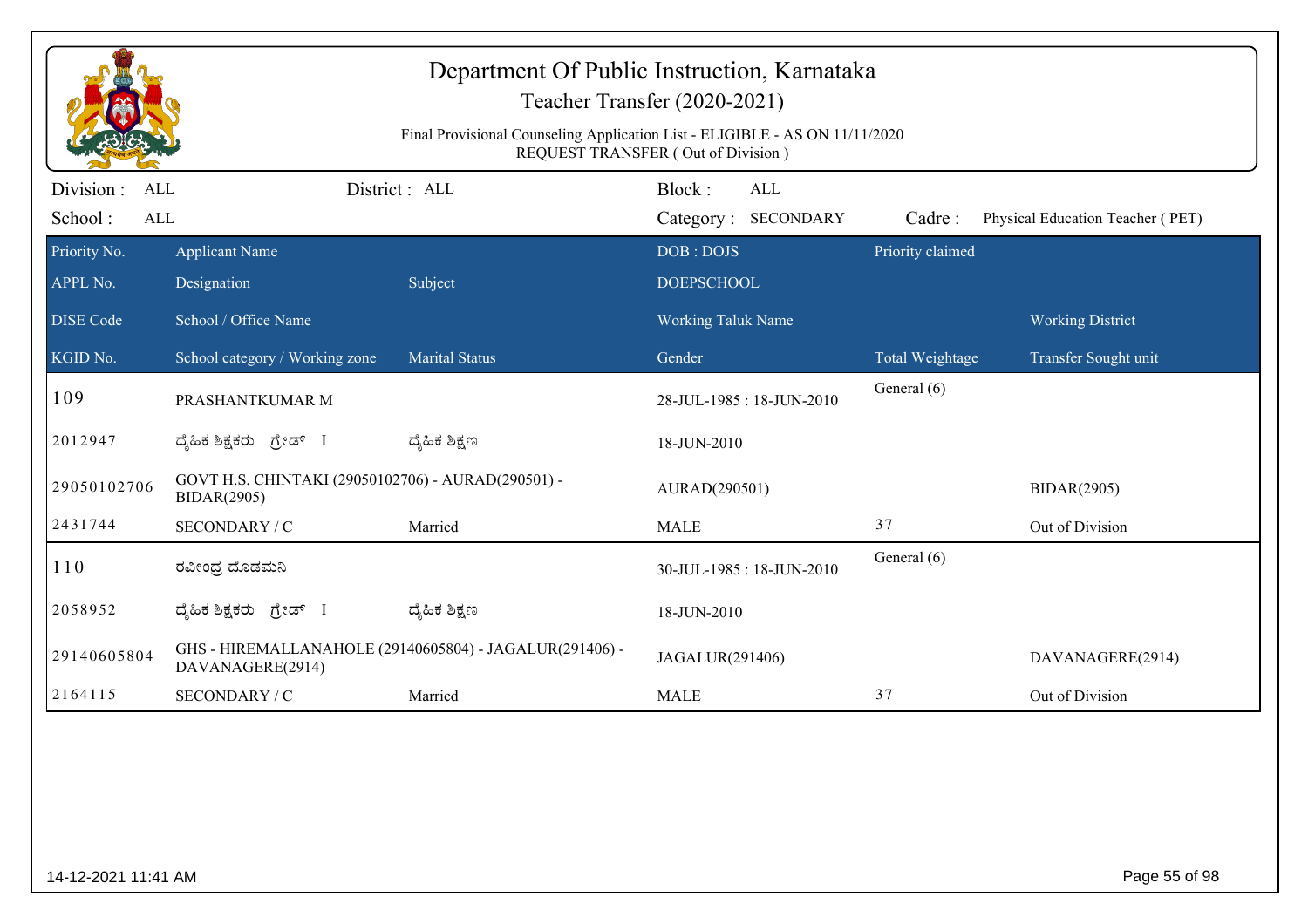| Department Of Public Instruction, Karnataka<br>Teacher Transfer (2020-2021)<br>Final Provisional Counseling Application List - ELIGIBLE - AS ON 11/11/2020<br>REQUEST TRANSFER (Out of Division) |                                                                          |                                                         |                                |                            |                                  |  |  |  |
|--------------------------------------------------------------------------------------------------------------------------------------------------------------------------------------------------|--------------------------------------------------------------------------|---------------------------------------------------------|--------------------------------|----------------------------|----------------------------------|--|--|--|
| Division :<br>ALL                                                                                                                                                                                |                                                                          | District: ALL                                           | Block:<br><b>ALL</b>           |                            |                                  |  |  |  |
| School:<br>ALL                                                                                                                                                                                   |                                                                          |                                                         | Category: SECONDARY            | Cadre:<br>Priority claimed | Physical Education Teacher (PET) |  |  |  |
| Priority No.<br>APPL No.                                                                                                                                                                         | <b>Applicant Name</b><br>Designation                                     | Subject                                                 | DOB: DOJS<br><b>DOEPSCHOOL</b> |                            |                                  |  |  |  |
| <b>DISE Code</b>                                                                                                                                                                                 | School / Office Name                                                     |                                                         | Working Taluk Name             |                            | <b>Working District</b>          |  |  |  |
| KGID No.                                                                                                                                                                                         | School category / Working zone                                           | <b>Marital Status</b>                                   | Gender                         | Total Weightage            | Transfer Sought unit             |  |  |  |
| 109                                                                                                                                                                                              | PRASHANTKUMAR M                                                          |                                                         | 28-JUL-1985: 18-JUN-2010       | General (6)                |                                  |  |  |  |
| 2012947                                                                                                                                                                                          | ದೈಹಿಕ ಶಿಕ್ಷಕರು ಗ್ರೇಡ್ I                                                  | ದ್ಯೆಹಿಕ ಶಿಕ್ಷಣ                                          | 18-JUN-2010                    |                            |                                  |  |  |  |
| 29050102706                                                                                                                                                                                      | GOVT H.S. CHINTAKI (29050102706) - AURAD(290501) -<br><b>BIDAR(2905)</b> |                                                         | AURAD(290501)                  |                            | <b>BIDAR(2905)</b>               |  |  |  |
| 2431744                                                                                                                                                                                          | SECONDARY / C                                                            | Married                                                 | <b>MALE</b>                    | 37                         | Out of Division                  |  |  |  |
| 110                                                                                                                                                                                              | ರವೀಂಧ್ರ ದೊಡಮನಿ                                                           |                                                         | 30-JUL-1985: 18-JUN-2010       | General (6)                |                                  |  |  |  |
| 2058952                                                                                                                                                                                          | ದ್ಯಹಿಕ ಶಿಕ್ಷಕರು ಗ್ರೇಡ್ I                                                 | ದ್ಯೆಹಿಕ ಶಿಕ್ಷಣ                                          | 18-JUN-2010                    |                            |                                  |  |  |  |
| 29140605804                                                                                                                                                                                      | DAVANAGERE(2914)                                                         | GHS - HIREMALLANAHOLE (29140605804) - JAGALUR(291406) - | JAGALUR(291406)                |                            | DAVANAGERE(2914)                 |  |  |  |
| 2164115                                                                                                                                                                                          | SECONDARY / C                                                            | Married                                                 | <b>MALE</b>                    | 37                         | Out of Division                  |  |  |  |
|                                                                                                                                                                                                  |                                                                          |                                                         |                                |                            |                                  |  |  |  |
| 14-12-2021 11:41 AM                                                                                                                                                                              |                                                                          |                                                         |                                |                            | Page 55 of 98                    |  |  |  |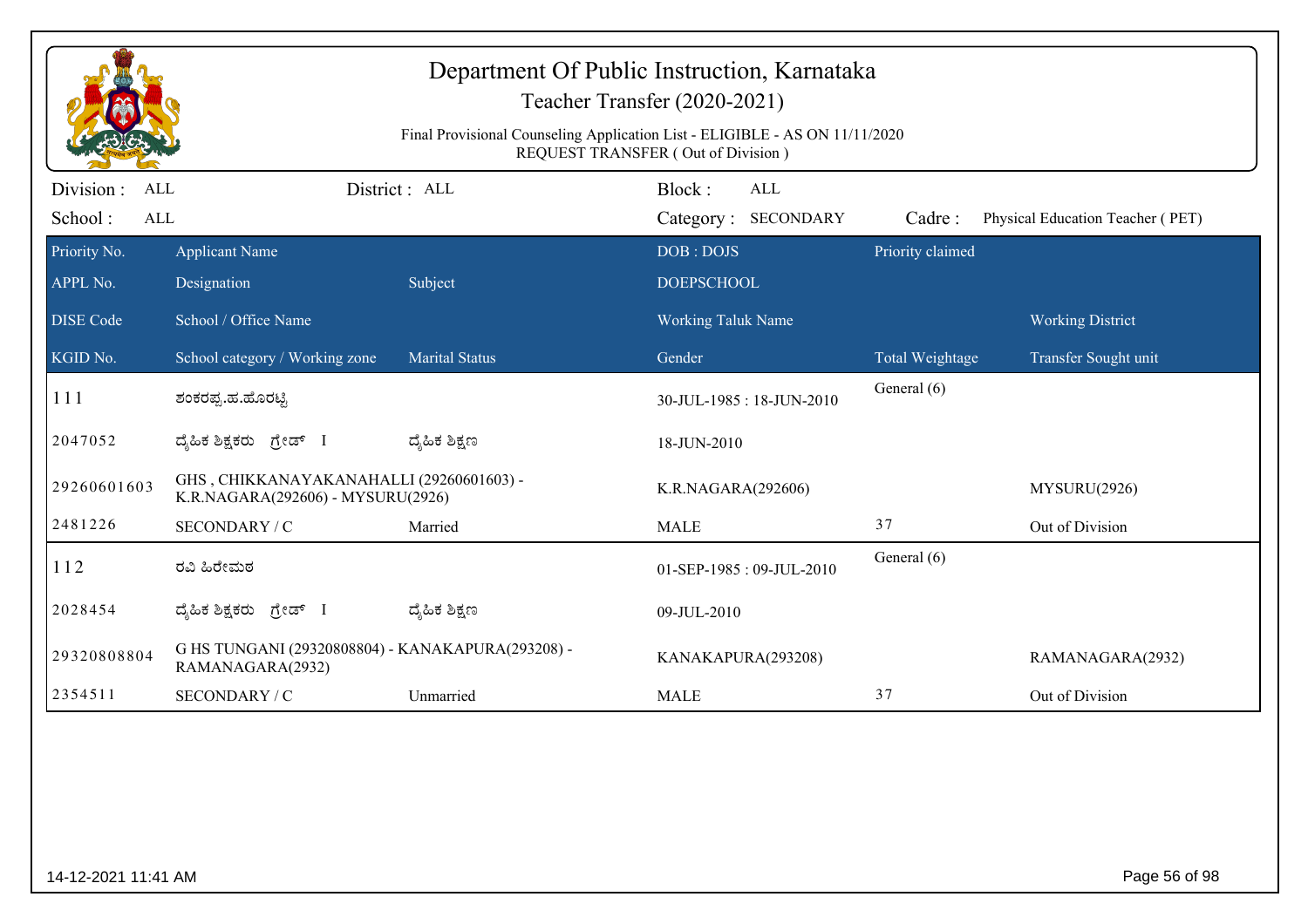|                          |                                                                               |                       | REQUEST TRANSFER (Out of Division) |                  |                                  |
|--------------------------|-------------------------------------------------------------------------------|-----------------------|------------------------------------|------------------|----------------------------------|
| Division :<br><b>ALL</b> |                                                                               | District: ALL         | Block:<br>ALL                      |                  |                                  |
| School:<br>ALL           |                                                                               |                       | Category: SECONDARY                | Cadre:           | Physical Education Teacher (PET) |
| Priority No.             | <b>Applicant Name</b>                                                         |                       | DOB: DOJS                          | Priority claimed |                                  |
| APPL No.                 | Designation                                                                   | Subject               | <b>DOEPSCHOOL</b>                  |                  |                                  |
| <b>DISE</b> Code         | School / Office Name                                                          |                       | Working Taluk Name                 |                  | <b>Working District</b>          |
| KGID No.                 | School category / Working zone                                                | <b>Marital Status</b> | Gender                             | Total Weightage  | Transfer Sought unit             |
| 111                      | ಶಂಕರಪ್ಪ.ಹ.ಹೊರಟ್ಟಿ                                                             |                       | 30-JUL-1985: 18-JUN-2010           | General (6)      |                                  |
| 2047052                  | ದ್ಯಹಿಕ ಶಿಕ್ಷಕರು ಗ್ರೇಡ್ I                                                      | ದ್ಶೆಹಿಕ ಶಿಕ್ಷಣ        | 18-JUN-2010                        |                  |                                  |
| 29260601603              | GHS, CHIKKANAYAKANAHALLI (29260601603) -<br>K.R.NAGARA(292606) - MYSURU(2926) |                       | K.R.NAGARA(292606)                 |                  | MYSURU(2926)                     |
| 2481226                  | SECONDARY / C                                                                 | Married               | <b>MALE</b>                        | 37               | Out of Division                  |
| 112                      | ರವಿ ಹಿರೇಮಠ                                                                    |                       | 01-SEP-1985: 09-JUL-2010           | General (6)      |                                  |
| 2028454                  | ದ್ಯಹಿಕ ಶಿಕ್ಷಕರು ಗ್ರೇಡ್ I                                                      | ದ್ಯೆಹಿಕ ಶಿಕ್ಷಣ        | 09-JUL-2010                        |                  |                                  |
| 29320808804              | G HS TUNGANI (29320808804) - KANAKAPURA(293208) -<br>RAMANAGARA(2932)         |                       | KANAKAPURA(293208)                 |                  | RAMANAGARA(2932)                 |
| 2354511                  | SECONDARY / C                                                                 | Unmarried             | <b>MALE</b>                        | 37               | Out of Division                  |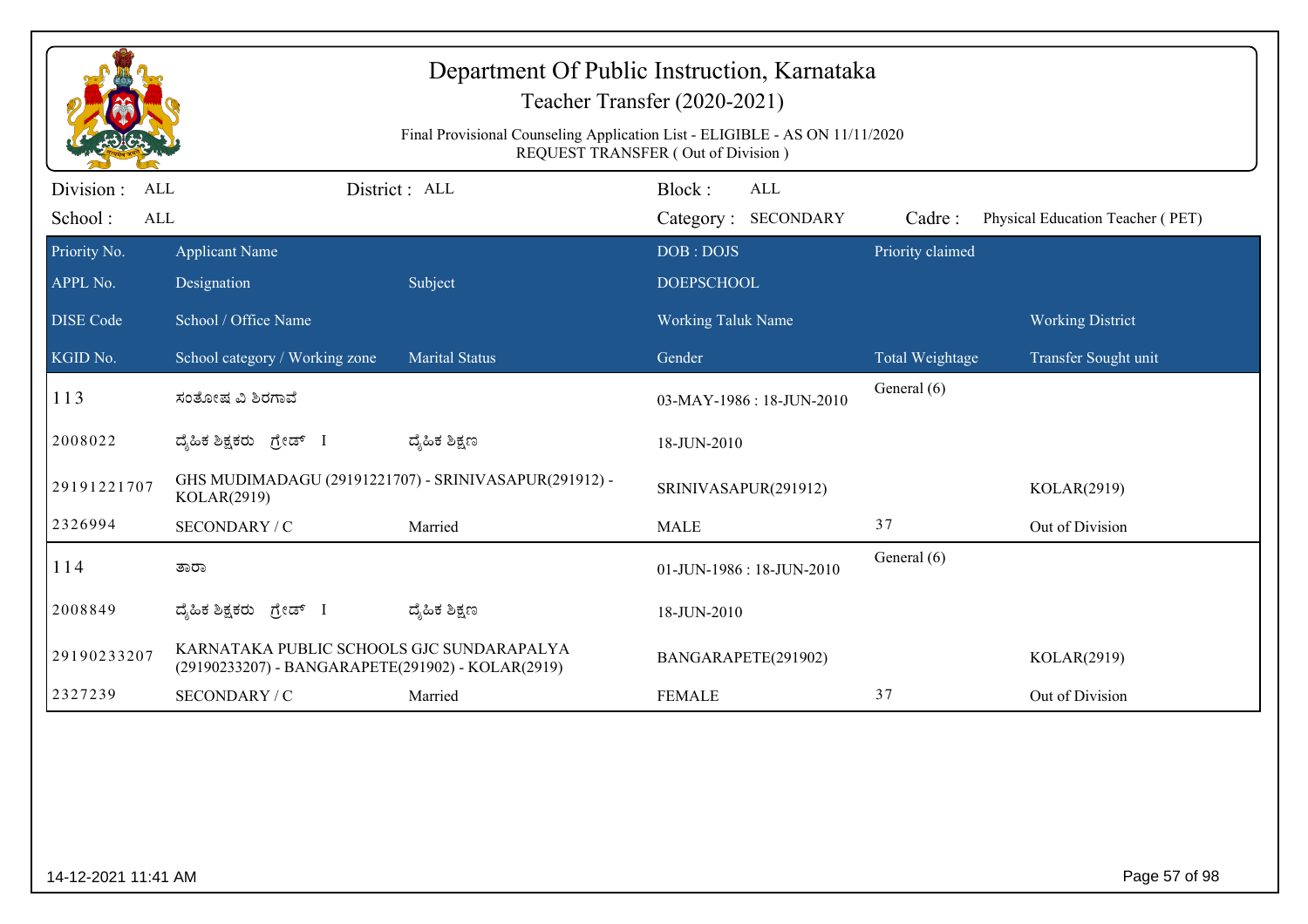|                                     | Department Of Public Instruction, Karnataka<br>Teacher Transfer (2020-2021)<br>Final Provisional Counseling Application List - ELIGIBLE - AS ON 11/11/2020<br>REQUEST TRANSFER (Out of Division) |                       |                                             |                  |                                  |  |  |  |  |
|-------------------------------------|--------------------------------------------------------------------------------------------------------------------------------------------------------------------------------------------------|-----------------------|---------------------------------------------|------------------|----------------------------------|--|--|--|--|
| Division :<br>ALL<br>School:<br>ALL |                                                                                                                                                                                                  | District : ALL        | Block:<br><b>ALL</b><br>Category: SECONDARY | Cadre:           | Physical Education Teacher (PET) |  |  |  |  |
| Priority No.<br>APPL No.            | <b>Applicant Name</b><br>Designation                                                                                                                                                             | Subject               | DOB: DOJS<br><b>DOEPSCHOOL</b>              | Priority claimed |                                  |  |  |  |  |
| <b>DISE Code</b>                    | School / Office Name                                                                                                                                                                             |                       | <b>Working Taluk Name</b>                   |                  | <b>Working District</b>          |  |  |  |  |
| KGID No.                            | School category / Working zone                                                                                                                                                                   | <b>Marital Status</b> | Gender                                      | Total Weightage  | Transfer Sought unit             |  |  |  |  |
| 113                                 | ಸಂತೋಷ ವಿ ಶಿರಗಾವೆ                                                                                                                                                                                 |                       | 03-MAY-1986: 18-JUN-2010                    | General (6)      |                                  |  |  |  |  |
| 2008022                             | ದ್ಯಹಿಕ ಶಿಕ್ಷಕರು ಗ್ರೇಡ್ I                                                                                                                                                                         | ದ್ಯಹಿಕ ಶಿಕ್ಷಣ         | 18-JUN-2010                                 |                  |                                  |  |  |  |  |
| 29191221707                         | GHS MUDIMADAGU (29191221707) - SRINIVASAPUR(291912) -<br>KOLAR(2919)                                                                                                                             |                       | SRINIVASAPUR(291912)                        |                  | KOLAR(2919)                      |  |  |  |  |
| 2326994                             | SECONDARY / C                                                                                                                                                                                    | Married               | <b>MALE</b>                                 | 37               | Out of Division                  |  |  |  |  |
| 114                                 | ತಾರಾ                                                                                                                                                                                             |                       | 01-JUN-1986: 18-JUN-2010                    | General (6)      |                                  |  |  |  |  |
| 2008849                             | ದ್ಯಹಿಕ ಶಿಕ್ಷಕರು ಗ್ರೇಡ್ I                                                                                                                                                                         | ದ್ಶೆಹಿಕ ಶಿಕ್ಷಣ        | 18-JUN-2010                                 |                  |                                  |  |  |  |  |
| 29190233207                         | KARNATAKA PUBLIC SCHOOLS GJC SUNDARAPALYA<br>(29190233207) - BANGARAPETE(291902) - KOLAR(2919)                                                                                                   |                       | BANGARAPETE(291902)                         |                  | KOLAR(2919)                      |  |  |  |  |
| 2327239                             | SECONDARY / C                                                                                                                                                                                    | Married               | <b>FEMALE</b>                               | 37               | Out of Division                  |  |  |  |  |
|                                     |                                                                                                                                                                                                  |                       |                                             |                  |                                  |  |  |  |  |
| 14-12-2021 11:41 AM                 |                                                                                                                                                                                                  |                       |                                             |                  | Page 57 of 98                    |  |  |  |  |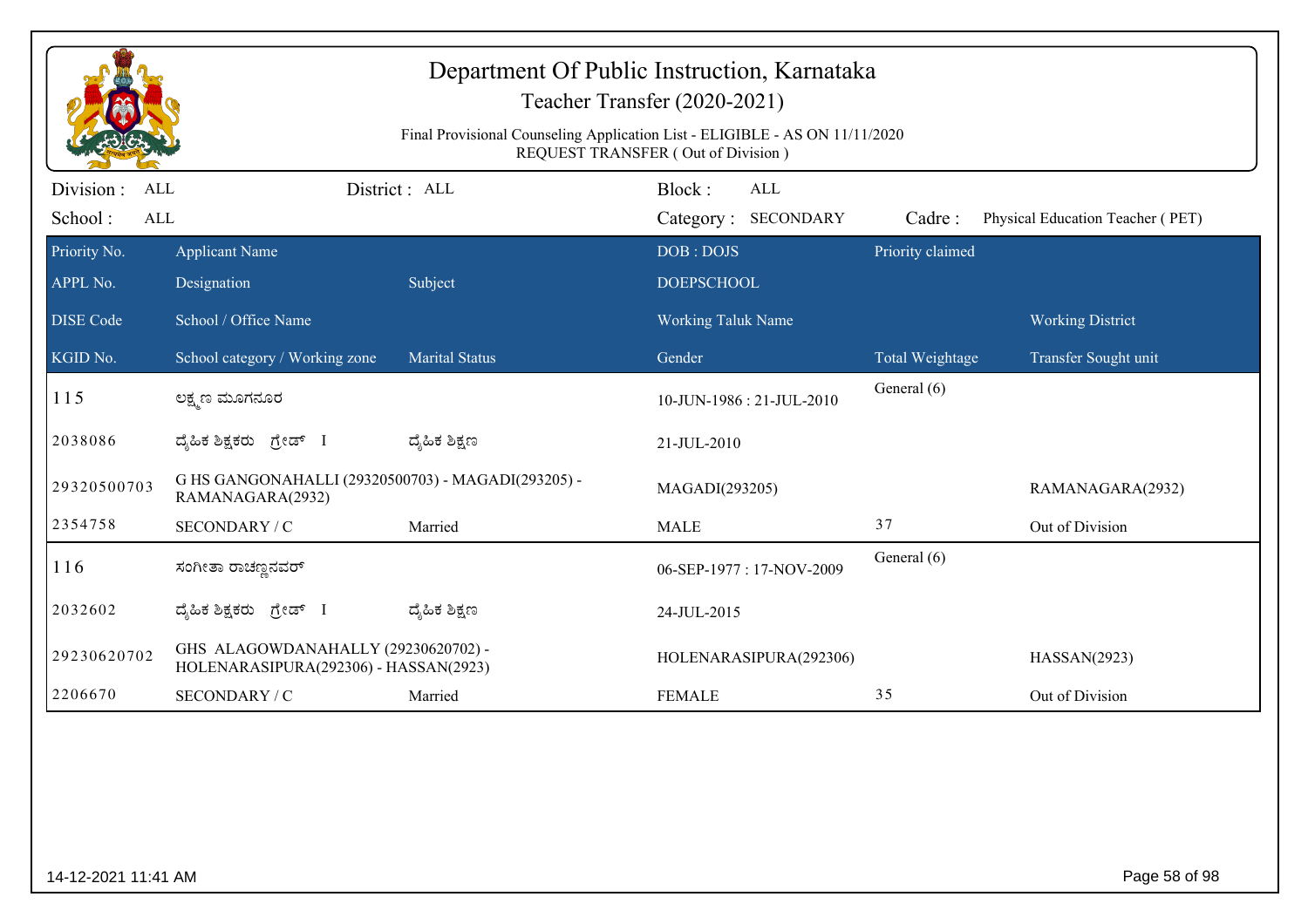|                                     | Final Provisional Counseling Application List - ELIGIBLE - AS ON 11/11/2020<br>REQUEST TRANSFER (Out of Division) |                       |                                      |                        |                                  |  |  |  |
|-------------------------------------|-------------------------------------------------------------------------------------------------------------------|-----------------------|--------------------------------------|------------------------|----------------------------------|--|--|--|
| Division :<br>ALL<br>School:<br>ALL |                                                                                                                   | District : ALL        | Block:<br>ALL<br>Category: SECONDARY | Cadre:                 | Physical Education Teacher (PET) |  |  |  |
| Priority No.                        | <b>Applicant Name</b>                                                                                             |                       | DOB: DOJS                            | Priority claimed       |                                  |  |  |  |
| APPL No.                            | Designation                                                                                                       | Subject               | <b>DOEPSCHOOL</b>                    |                        |                                  |  |  |  |
| <b>DISE Code</b>                    | School / Office Name                                                                                              |                       | <b>Working Taluk Name</b>            |                        | <b>Working District</b>          |  |  |  |
| KGID No.                            | School category / Working zone                                                                                    | <b>Marital Status</b> | Gender                               | <b>Total Weightage</b> | Transfer Sought unit             |  |  |  |
| 115                                 | ಲಕ್ಷ್ಮಣ ಮೂಗನೂರ                                                                                                    |                       | 10-JUN-1986 : 21-JUL-2010            | General (6)            |                                  |  |  |  |
| 2038086                             | ದ್ಯಹಿಕ ಶಿಕ್ಷಕರು ಗ್ರೇಡ್ I                                                                                          | ದ್ಮಹಿಕ ಶಿಕ್ಷಣ         | 21-JUL-2010                          |                        |                                  |  |  |  |
| 29320500703                         | G HS GANGONAHALLI (29320500703) - MAGADI(293205) -<br>RAMANAGARA(2932)                                            |                       | MAGADI(293205)                       |                        | RAMANAGARA(2932)                 |  |  |  |
| 2354758                             | SECONDARY / C                                                                                                     | Married               | <b>MALE</b>                          | 37                     | Out of Division                  |  |  |  |
| 116                                 | ಸಂಗೀತಾ ರಾಚಣ್ಣನವರ್                                                                                                 |                       | 06-SEP-1977: 17-NOV-2009             | General (6)            |                                  |  |  |  |
| 2032602                             | ದೈಹಿಕ ಶಿಕ್ಷಕರು ಗ್ರೇಡ್                                                                                             | ದ್ಯೆಹಿಕ ಶಿಕ್ಷಣ        | 24-JUL-2015                          |                        |                                  |  |  |  |
| 29230620702                         | GHS ALAGOWDANAHALLY (29230620702) -<br>HOLENARASIPURA(292306) - HASSAN(2923)                                      |                       | HOLENARASIPURA(292306)               |                        | HASSAN(2923)                     |  |  |  |
| 2206670                             | SECONDARY / C                                                                                                     | Married               | <b>FEMALE</b>                        | 35                     | Out of Division                  |  |  |  |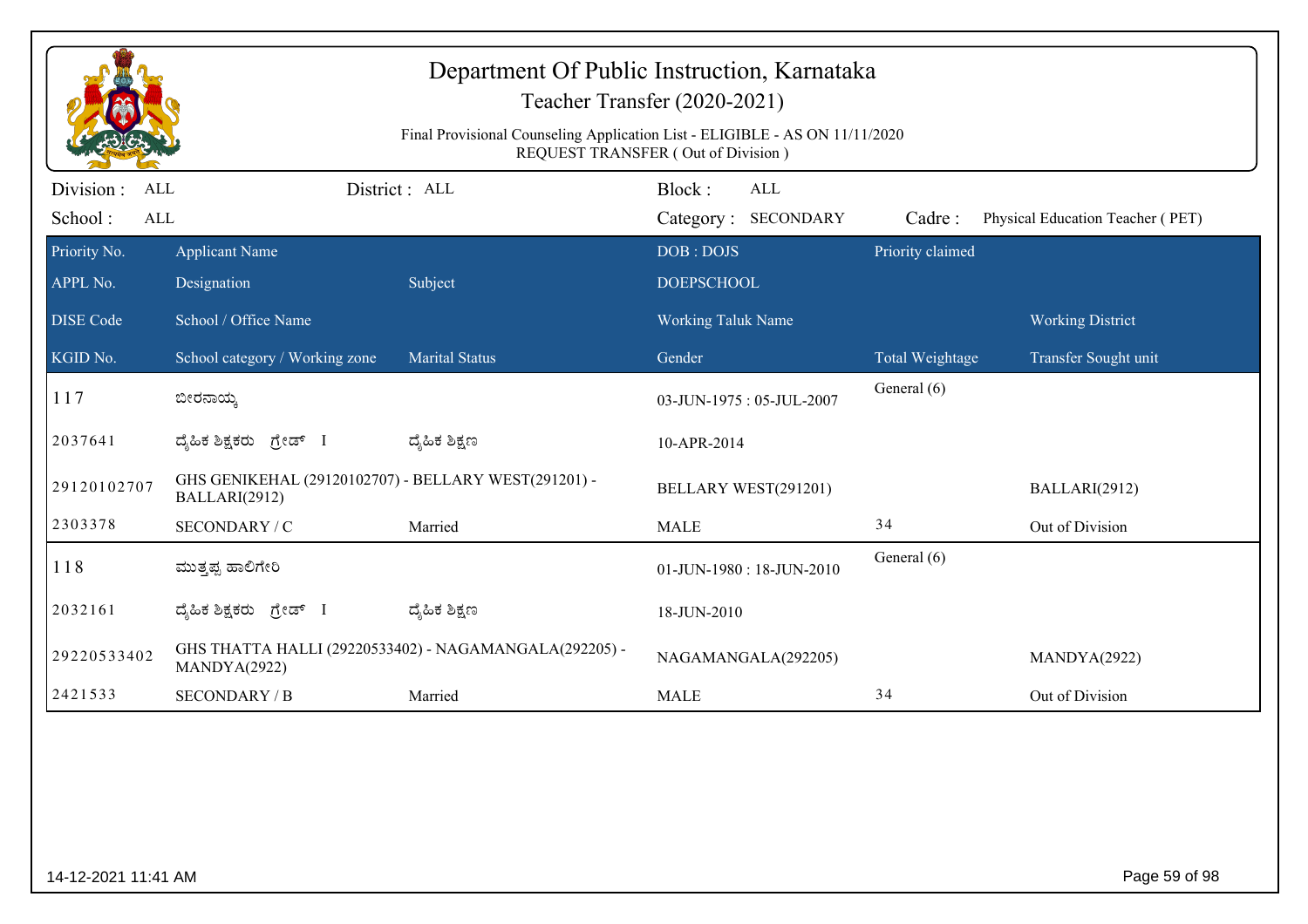| Department Of Public Instruction, Karnataka<br>Teacher Transfer (2020-2021)<br>Final Provisional Counseling Application List - ELIGIBLE - AS ON 11/11/2020<br>REQUEST TRANSFER (Out of Division) |                                                                       |                                                        |                                             |                  |                                  |  |  |  |
|--------------------------------------------------------------------------------------------------------------------------------------------------------------------------------------------------|-----------------------------------------------------------------------|--------------------------------------------------------|---------------------------------------------|------------------|----------------------------------|--|--|--|
| Division :<br>ALL<br>School:<br>ALL                                                                                                                                                              |                                                                       | District: ALL                                          | Block:<br><b>ALL</b><br>Category: SECONDARY | Cadre:           | Physical Education Teacher (PET) |  |  |  |
| Priority No.<br>APPL No.                                                                                                                                                                         | <b>Applicant Name</b><br>Designation                                  | Subject                                                | DOB: DOJS<br><b>DOEPSCHOOL</b>              | Priority claimed |                                  |  |  |  |
| <b>DISE Code</b>                                                                                                                                                                                 | School / Office Name                                                  |                                                        | <b>Working Taluk Name</b>                   |                  | <b>Working District</b>          |  |  |  |
| KGID No.                                                                                                                                                                                         | School category / Working zone                                        | <b>Marital Status</b>                                  | Gender                                      | Total Weightage  | Transfer Sought unit             |  |  |  |
| 117                                                                                                                                                                                              | ಬೀರನಾಯ್ಕ                                                              |                                                        | 03-JUN-1975: 05-JUL-2007                    | General (6)      |                                  |  |  |  |
| 2037641                                                                                                                                                                                          | ದೈಹಿಕ ಶಿಕ್ಷಕರು ಗ್ರೇಡ್ I                                               | ದ್ಶೆಹಿಕ ಶಿಕ್ಷಣ                                         | 10-APR-2014                                 |                  |                                  |  |  |  |
| 29120102707                                                                                                                                                                                      | GHS GENIKEHAL (29120102707) - BELLARY WEST(291201) -<br>BALLARI(2912) |                                                        | BELLARY WEST(291201)                        |                  | BALLARI(2912)                    |  |  |  |
| 2303378                                                                                                                                                                                          | SECONDARY / C                                                         | Married                                                | <b>MALE</b>                                 | 34               | Out of Division                  |  |  |  |
| 118                                                                                                                                                                                              | ಮುತ್ತಪ್ಪ ಹಾಲಿಗೇರಿ                                                     |                                                        | 01-JUN-1980: 18-JUN-2010                    | General (6)      |                                  |  |  |  |
| 2032161                                                                                                                                                                                          | ದೈಹಿಕ ಶಿಕ್ಷಕರು ಗ್ರೇಡ್<br>- 1                                          | ದ್ಯೆಹಿಕ ಶಿಕ್ಷಣ                                         | 18-JUN-2010                                 |                  |                                  |  |  |  |
| 29220533402                                                                                                                                                                                      | MANDYA(2922)                                                          | GHS THATTA HALLI (29220533402) - NAGAMANGALA(292205) - | NAGAMANGALA(292205)                         |                  | MANDYA(2922)                     |  |  |  |
| 2421533                                                                                                                                                                                          | <b>SECONDARY / B</b>                                                  | Married                                                | <b>MALE</b>                                 | 34               | Out of Division                  |  |  |  |
|                                                                                                                                                                                                  |                                                                       |                                                        |                                             |                  |                                  |  |  |  |
| 14-12-2021 11:41 AM                                                                                                                                                                              |                                                                       |                                                        |                                             |                  | Page 59 of 98                    |  |  |  |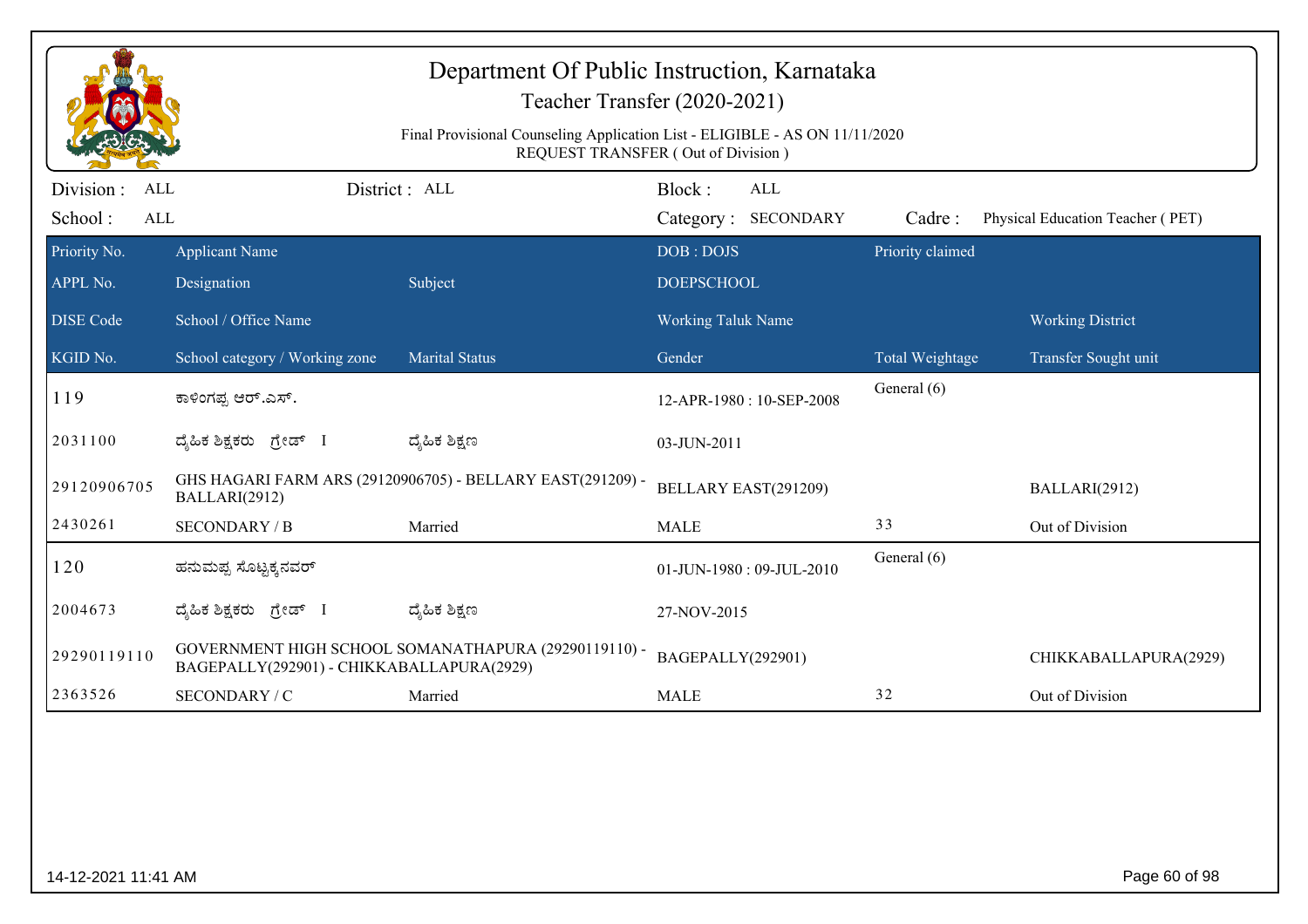|                                            | Department Of Public Instruction, Karnataka<br>Teacher Transfer (2020-2021)<br>Final Provisional Counseling Application List - ELIGIBLE - AS ON 11/11/2020<br>REQUEST TRANSFER (Out of Division) |                                                            |                                |                                   |                  |                                  |  |  |  |
|--------------------------------------------|--------------------------------------------------------------------------------------------------------------------------------------------------------------------------------------------------|------------------------------------------------------------|--------------------------------|-----------------------------------|------------------|----------------------------------|--|--|--|
| Division :<br>ALL<br>School:<br><b>ALL</b> |                                                                                                                                                                                                  | District: ALL                                              | Block:                         | <b>ALL</b><br>Category: SECONDARY | Cadre:           | Physical Education Teacher (PET) |  |  |  |
| Priority No.<br>APPL No.                   | <b>Applicant Name</b><br>Designation                                                                                                                                                             | Subject                                                    | DOB: DOJS<br><b>DOEPSCHOOL</b> |                                   | Priority claimed |                                  |  |  |  |
| <b>DISE</b> Code                           | School / Office Name                                                                                                                                                                             |                                                            | <b>Working Taluk Name</b>      |                                   |                  | <b>Working District</b>          |  |  |  |
| KGID No.                                   | School category / Working zone                                                                                                                                                                   | <b>Marital Status</b>                                      | Gender                         |                                   | Total Weightage  | Transfer Sought unit             |  |  |  |
| 119                                        | ಕಾಳಿಂಗಪ್ಪ ಆರ್.ಎಸ್.                                                                                                                                                                               |                                                            | 12-APR-1980: 10-SEP-2008       |                                   | General (6)      |                                  |  |  |  |
| 2031100                                    | ದೈಹಿಕ ಶಿಕ್ಷಕರು ಗ್ರೇಡ್ I                                                                                                                                                                          | ದ್ಮಹಿಕ ಶಿಕ್ಷಣ                                              | 03-JUN-2011                    |                                   |                  |                                  |  |  |  |
| 29120906705                                | BALLARI(2912)                                                                                                                                                                                    | GHS HAGARI FARM ARS (29120906705) - BELLARY EAST(291209) - |                                | BELLARY EAST(291209)              |                  | BALLARI(2912)                    |  |  |  |
| 2430261                                    | <b>SECONDARY / B</b>                                                                                                                                                                             | Married                                                    | <b>MALE</b>                    |                                   | 33               | Out of Division                  |  |  |  |
| 120                                        | ಹನುಮಪ್ಪ ಸೊಟ್ಟಕ್ಕನವರ್                                                                                                                                                                             |                                                            |                                | 01-JUN-1980: 09-JUL-2010          | General (6)      |                                  |  |  |  |
| 2004673                                    | ದ್ಯಹಿಕ ಶಿಕ್ಷಕರು ಗ್ರೇಡ್ I                                                                                                                                                                         | ದ್ಮಹಿಕ ಶಿಕ್ಷಣ                                              | 27-NOV-2015                    |                                   |                  |                                  |  |  |  |
| 29290119110                                | BAGEPALLY(292901) - CHIKKABALLAPURA(2929)                                                                                                                                                        | GOVERNMENT HIGH SCHOOL SOMANATHAPURA (29290119110) -       | BAGEPALLY(292901)              |                                   |                  | CHIKKABALLAPURA(2929)            |  |  |  |
| 2363526                                    | SECONDARY / C                                                                                                                                                                                    | Married                                                    | <b>MALE</b>                    |                                   | 32               | Out of Division                  |  |  |  |
|                                            |                                                                                                                                                                                                  |                                                            |                                |                                   |                  |                                  |  |  |  |
| 14-12-2021 11:41 AM                        |                                                                                                                                                                                                  |                                                            |                                |                                   |                  | Page 60 of 98                    |  |  |  |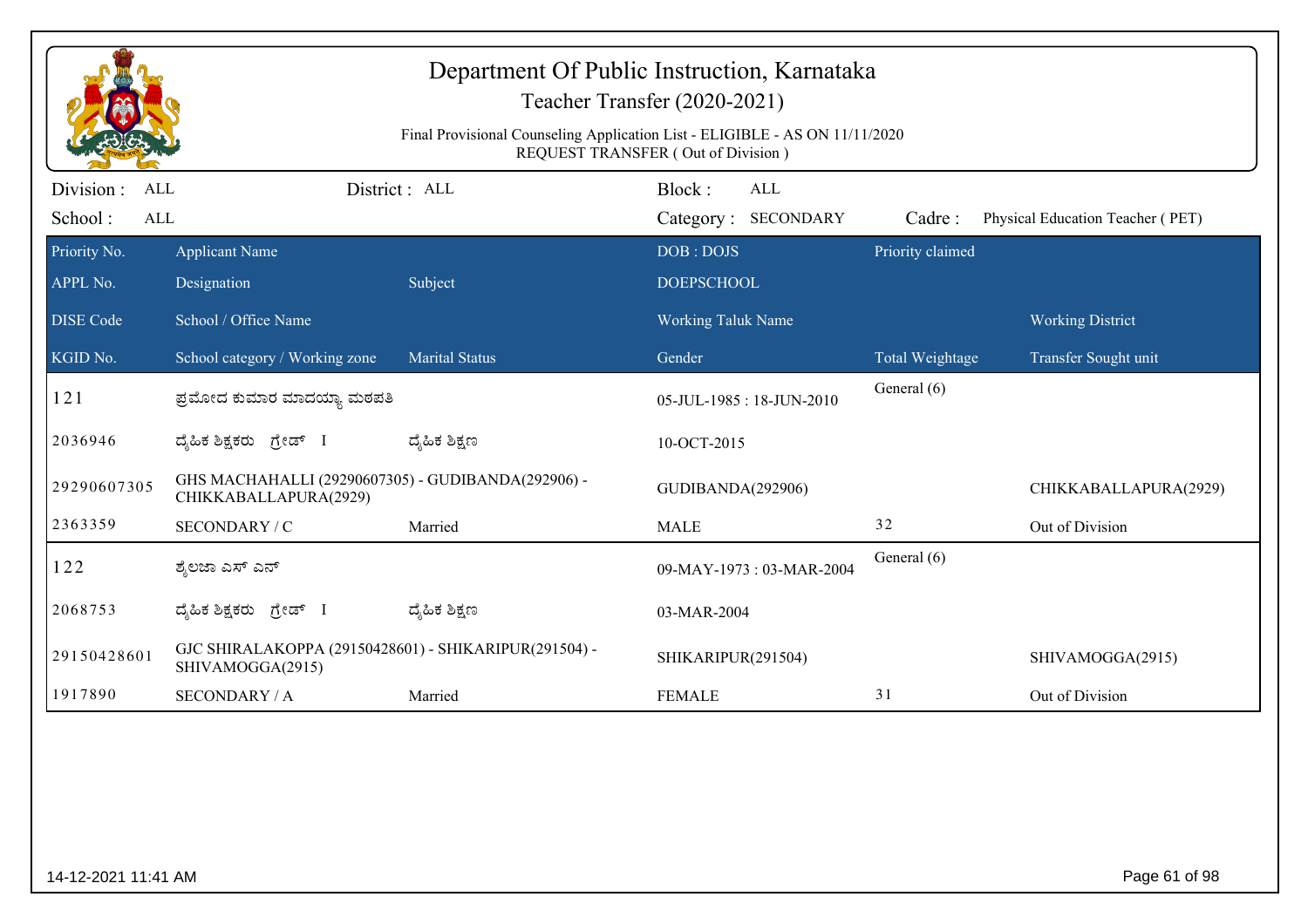|                                     |                                                                             | Final Provisional Counseling Application List - ELIGIBLE - AS ON 11/11/2020 | Department Of Public Instruction, Karnataka<br>Teacher Transfer (2020-2021)<br>REQUEST TRANSFER (Out of Division) |                  |                                  |
|-------------------------------------|-----------------------------------------------------------------------------|-----------------------------------------------------------------------------|-------------------------------------------------------------------------------------------------------------------|------------------|----------------------------------|
| Division :<br>ALL<br>School:<br>ALL |                                                                             | District: ALL                                                               | Block:<br><b>ALL</b><br>Category: SECONDARY                                                                       | Cadre:           | Physical Education Teacher (PET) |
| Priority No.<br>APPL No.            | <b>Applicant Name</b><br>Designation                                        | Subject                                                                     | DOB: DOJS<br><b>DOEPSCHOOL</b>                                                                                    | Priority claimed |                                  |
| <b>DISE Code</b>                    | School / Office Name                                                        |                                                                             | <b>Working Taluk Name</b>                                                                                         |                  | <b>Working District</b>          |
| KGID No.                            | School category / Working zone                                              | <b>Marital Status</b>                                                       | Gender                                                                                                            | Total Weightage  | Transfer Sought unit             |
| 121                                 | ಪ್ರಮೋದ ಕುಮಾರ ಮಾದಯ್ಯಾ ಮಠಪತಿ                                                  |                                                                             | 05-JUL-1985: 18-JUN-2010                                                                                          | General (6)      |                                  |
| 2036946                             | ದೈಹಿಕ ಶಿಕ್ಷಕರು ಗ್ರೇಡ್ I                                                     | ದ್ಯೆಹಿಕ ಶಿಕ್ಷಣ                                                              | 10-OCT-2015                                                                                                       |                  |                                  |
| 29290607305                         | GHS MACHAHALLI (29290607305) - GUDIBANDA(292906) -<br>CHIKKABALLAPURA(2929) |                                                                             | GUDIBANDA(292906)                                                                                                 |                  | CHIKKABALLAPURA(2929)            |
| 2363359                             | SECONDARY / C                                                               | Married                                                                     | <b>MALE</b>                                                                                                       | 32               | Out of Division                  |
| 122                                 | ಶ್ಮೆಲಜಾ ಎಸ್ ಎನ್                                                             |                                                                             | 09-MAY-1973: 03-MAR-2004                                                                                          | General (6)      |                                  |
| 2068753                             | ದ್ಯಹಿಕ ಶಿಕ್ಷಕರು ಗ್ರೇಡ್ I                                                    | ದ್ಮಹಿಕ ಶಿಕ್ಷಣ                                                               | 03-MAR-2004                                                                                                       |                  |                                  |
| 29150428601                         | GJC SHIRALAKOPPA (29150428601) - SHIKARIPUR(291504) -<br>SHIVAMOGGA(2915)   |                                                                             | SHIKARIPUR(291504)                                                                                                |                  | SHIVAMOGGA(2915)                 |
| 1917890                             | <b>SECONDARY / A</b>                                                        | Married                                                                     | <b>FEMALE</b>                                                                                                     | 31               | Out of Division                  |
|                                     |                                                                             |                                                                             |                                                                                                                   |                  |                                  |
| 14-12-2021 11:41 AM                 |                                                                             |                                                                             |                                                                                                                   |                  | Page 61 of 98                    |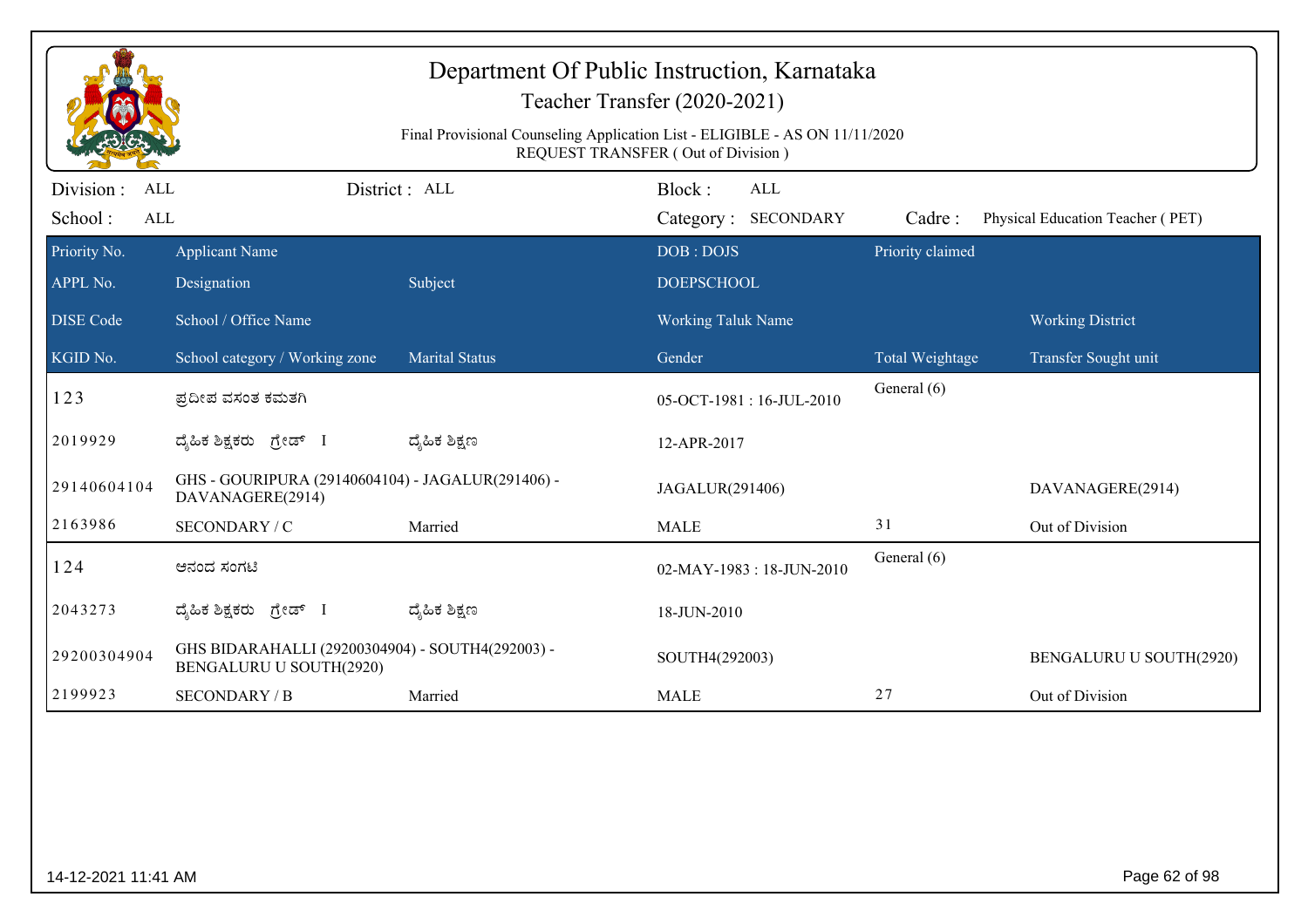|                                              |                                                                             | Final Provisional Counseling Application List - ELIGIBLE - AS ON 11/11/2020 | Department Of Public Instruction, Karnataka<br>Teacher Transfer (2020-2021)<br><b>REQUEST TRANSFER (Out of Division)</b> |                  |                                  |
|----------------------------------------------|-----------------------------------------------------------------------------|-----------------------------------------------------------------------------|--------------------------------------------------------------------------------------------------------------------------|------------------|----------------------------------|
| Division :<br>ALL<br>School:<br>$\mbox{ALL}$ |                                                                             | District: ALL                                                               | Block:<br><b>ALL</b><br>Category: SECONDARY                                                                              | Cadre:           | Physical Education Teacher (PET) |
| Priority No.<br>APPL No.                     | <b>Applicant Name</b><br>Designation                                        | Subject                                                                     | DOB: DOJS<br><b>DOEPSCHOOL</b>                                                                                           | Priority claimed |                                  |
| <b>DISE</b> Code                             | School / Office Name                                                        |                                                                             | <b>Working Taluk Name</b>                                                                                                |                  | <b>Working District</b>          |
| KGID No.                                     | School category / Working zone                                              | <b>Marital Status</b>                                                       | Gender                                                                                                                   | Total Weightage  | Transfer Sought unit             |
| 123                                          | ಪ್ರದೀಪ ವಸಂತ ಕಮತಗಿ                                                           |                                                                             | 05-OCT-1981:16-JUL-2010                                                                                                  | General (6)      |                                  |
| 2019929                                      | ದ್ಯಹಿಕ ಶಿಕ್ಷಕರು ಗ್ರೇಡ್ I                                                    | ದ್ಶೆಹಿಕ ಶಿಕ್ಷಣ                                                              | 12-APR-2017                                                                                                              |                  |                                  |
| 29140604104                                  | GHS - GOURIPURA (29140604104) - JAGALUR(291406) -<br>DAVANAGERE(2914)       |                                                                             | JAGALUR(291406)                                                                                                          |                  | DAVANAGERE(2914)                 |
| 2163986                                      | SECONDARY / C                                                               | Married                                                                     | <b>MALE</b>                                                                                                              | 31               | Out of Division                  |
| 124                                          | ಆನಂದ ಸಂಗಟಿ                                                                  |                                                                             | 02-MAY-1983:18-JUN-2010                                                                                                  | General (6)      |                                  |
| 2043273                                      | ದ್ಯಹಿಕ ಶಿಕ್ಷಕರು ಗ್ರೇಡ್ I                                                    | ದ್ಶೆಹಿಕ ಶಿಕ್ಷಣ                                                              | 18-JUN-2010                                                                                                              |                  |                                  |
| 29200304904                                  | GHS BIDARAHALLI (29200304904) - SOUTH4(292003) -<br>BENGALURU U SOUTH(2920) |                                                                             | SOUTH4(292003)                                                                                                           |                  | BENGALURU U SOUTH(2920)          |
| 2199923                                      | <b>SECONDARY / B</b>                                                        | Married                                                                     | <b>MALE</b>                                                                                                              | 27               | Out of Division                  |
|                                              |                                                                             |                                                                             |                                                                                                                          |                  |                                  |
| 14-12-2021 11:41 AM                          |                                                                             |                                                                             |                                                                                                                          |                  | Page 62 of 98                    |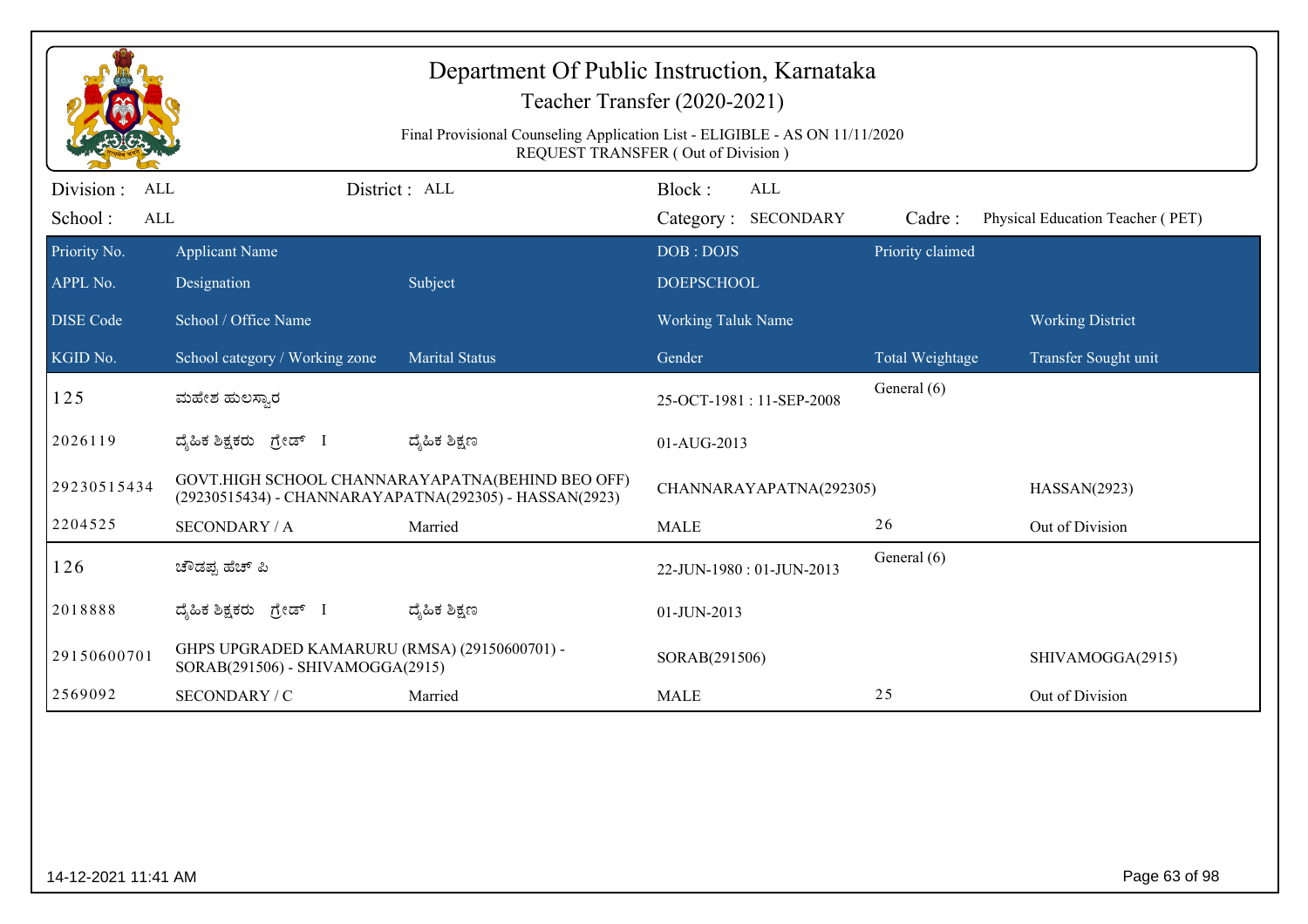|                                                                                                                   |                                                                                   |                                                  | Department Of Public Instruction, Karnataka<br>Teacher Transfer (2020-2021) |                  |                                  |  |
|-------------------------------------------------------------------------------------------------------------------|-----------------------------------------------------------------------------------|--------------------------------------------------|-----------------------------------------------------------------------------|------------------|----------------------------------|--|
| Final Provisional Counseling Application List - ELIGIBLE - AS ON 11/11/2020<br>REQUEST TRANSFER (Out of Division) |                                                                                   |                                                  |                                                                             |                  |                                  |  |
| Division :<br>ALL<br>School:<br>ALL                                                                               |                                                                                   | District: ALL                                    | Block:<br>ALL<br>Category: SECONDARY                                        | Cadre:           | Physical Education Teacher (PET) |  |
| Priority No.<br>APPL No.                                                                                          | <b>Applicant Name</b><br>Designation                                              | Subject                                          | DOB: DOJS<br><b>DOEPSCHOOL</b>                                              | Priority claimed |                                  |  |
| <b>DISE</b> Code                                                                                                  | School / Office Name                                                              |                                                  | <b>Working Taluk Name</b>                                                   |                  | <b>Working District</b>          |  |
| KGID No.                                                                                                          | School category / Working zone                                                    | <b>Marital Status</b>                            | Gender                                                                      | Total Weightage  | Transfer Sought unit             |  |
| 125                                                                                                               | ಮಹೇಶ ಹುಲಸ್ಸಾರ                                                                     |                                                  | 25-OCT-1981:11-SEP-2008                                                     | General (6)      |                                  |  |
| 2026119                                                                                                           | ದೈಹಿಕ ಶಿಕ್ಷಕರು ಗ್ರೇಡ್ I                                                           | ದ್ಯೆಹಿಕ ಶಿಕ್ಷಣ                                   | 01-AUG-2013                                                                 |                  |                                  |  |
| 29230515434                                                                                                       | (29230515434) - CHANNARAYAPATNA(292305) - HASSAN(2923)                            | GOVT.HIGH SCHOOL CHANNARAYAPATNA(BEHIND BEO OFF) | CHANNARAYAPATNA(292305)                                                     |                  | HASSAN(2923)                     |  |
| 2204525                                                                                                           | <b>SECONDARY / A</b>                                                              | Married                                          | <b>MALE</b>                                                                 | 26               | Out of Division                  |  |
| 126                                                                                                               | ಚೌಡಪ್ಪ ಹೆಚ್ ಪಿ                                                                    |                                                  | 22-JUN-1980: 01-JUN-2013                                                    | General (6)      |                                  |  |
| 2018888                                                                                                           | ದೈಹಿಕ ಶಿಕ್ಷಕರು ಗ್ರೇಡ್ I                                                           | ದ್ಮಹಿಕ ಶಿಕ್ಷಣ                                    | 01-JUN-2013                                                                 |                  |                                  |  |
| 29150600701                                                                                                       | GHPS UPGRADED KAMARURU (RMSA) (29150600701) -<br>SORAB(291506) - SHIVAMOGGA(2915) |                                                  | SORAB(291506)                                                               |                  | SHIVAMOGGA(2915)                 |  |
| 2569092                                                                                                           | SECONDARY / C                                                                     | Married                                          | <b>MALE</b>                                                                 | 25               | Out of Division                  |  |
|                                                                                                                   |                                                                                   |                                                  |                                                                             |                  |                                  |  |
| 14-12-2021 11:41 AM                                                                                               |                                                                                   |                                                  |                                                                             |                  | Page 63 of 98                    |  |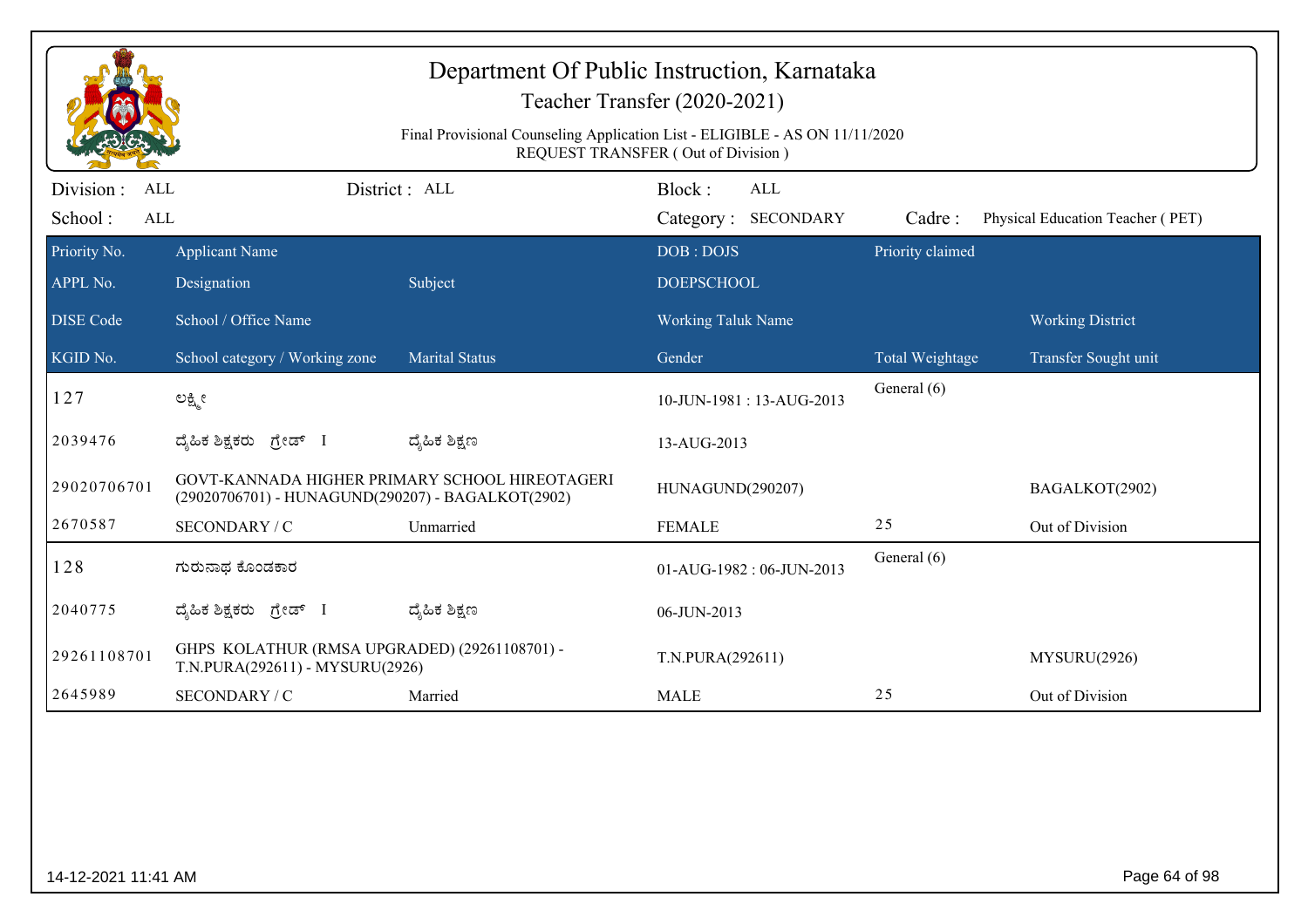|                                                                                                                          |                                                                                  |                                                | Department Of Public Instruction, Karnataka<br>Teacher Transfer (2020-2021) |                  |                                  |  |
|--------------------------------------------------------------------------------------------------------------------------|----------------------------------------------------------------------------------|------------------------------------------------|-----------------------------------------------------------------------------|------------------|----------------------------------|--|
| Final Provisional Counseling Application List - ELIGIBLE - AS ON 11/11/2020<br><b>REQUEST TRANSFER (Out of Division)</b> |                                                                                  |                                                |                                                                             |                  |                                  |  |
| Division :<br>ALL<br>School:<br>$\mbox{ALL}$                                                                             |                                                                                  | District : ALL                                 | Block:<br><b>ALL</b><br>Category: SECONDARY                                 | Cadre:           | Physical Education Teacher (PET) |  |
| Priority No.<br>APPL No.                                                                                                 | <b>Applicant Name</b><br>Designation                                             | Subject                                        | DOB: DOJS<br><b>DOEPSCHOOL</b>                                              | Priority claimed |                                  |  |
| <b>DISE</b> Code                                                                                                         | School / Office Name                                                             |                                                | <b>Working Taluk Name</b>                                                   |                  | <b>Working District</b>          |  |
| KGID No.                                                                                                                 | School category / Working zone                                                   | <b>Marital Status</b>                          | Gender                                                                      | Total Weightage  | Transfer Sought unit             |  |
| 127                                                                                                                      | ಲಕ್ಷ್ಮೀ                                                                          |                                                | 10-JUN-1981: 13-AUG-2013                                                    | General (6)      |                                  |  |
| 2039476                                                                                                                  | ದ್ಯಹಿಕ ಶಿಕ್ಷಕರು ಗ್ರೇಡ್ I                                                         | ದ್ಶೆಹಿಕ ಶಿಕ್ಷಣ                                 | 13-AUG-2013                                                                 |                  |                                  |  |
| 29020706701                                                                                                              | (29020706701) - HUNAGUND(290207) - BAGALKOT(2902)                                | GOVT-KANNADA HIGHER PRIMARY SCHOOL HIREOTAGERI | HUNAGUND(290207)                                                            |                  | BAGALKOT(2902)                   |  |
| 2670587                                                                                                                  | SECONDARY / C                                                                    | Unmarried                                      | <b>FEMALE</b>                                                               | 25               | Out of Division                  |  |
| 128                                                                                                                      | ಗುರುನಾಥ ಕೊಂಡಕಾರ                                                                  |                                                | 01-AUG-1982: 06-JUN-2013                                                    | General (6)      |                                  |  |
| 2040775                                                                                                                  | ದ್ಯಹಿಕ ಶಿಕ್ಷಕರು <i>ಗ್ರೇಡ್</i> I                                                  | ದ್ಮಹಿಕ ಶಿಕ್ಷಣ                                  | 06-JUN-2013                                                                 |                  |                                  |  |
| 29261108701                                                                                                              | GHPS KOLATHUR (RMSA UPGRADED) (29261108701) -<br>T.N.PURA(292611) - MYSURU(2926) |                                                | T.N.PURA(292611)                                                            |                  | MYSURU(2926)                     |  |
| 2645989                                                                                                                  | SECONDARY / C                                                                    | Married                                        | <b>MALE</b>                                                                 | 25               | Out of Division                  |  |
|                                                                                                                          |                                                                                  |                                                |                                                                             |                  |                                  |  |
| 14-12-2021 11:41 AM                                                                                                      |                                                                                  |                                                |                                                                             |                  | Page 64 of 98                    |  |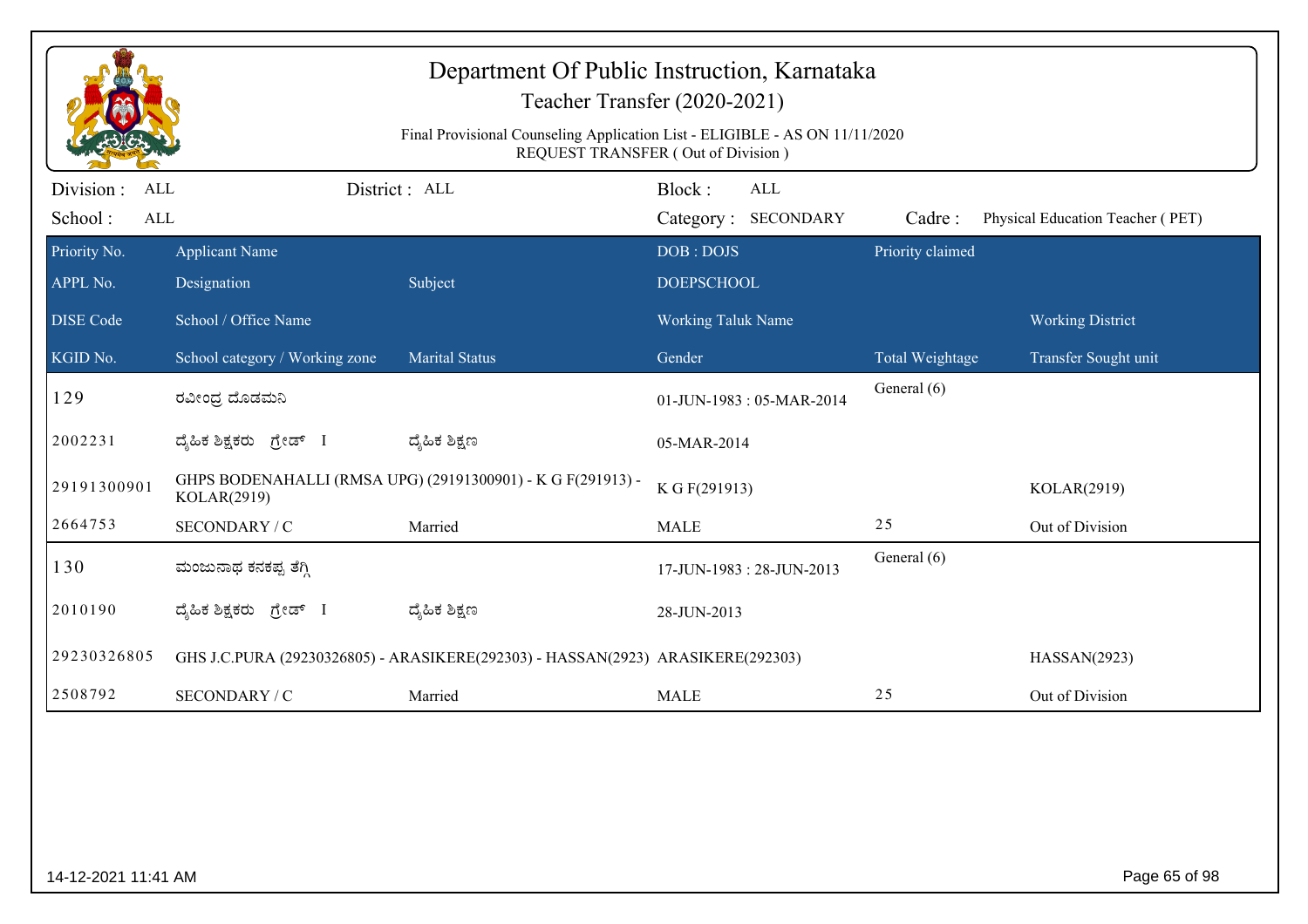| Department Of Public Instruction, Karnataka<br>Teacher Transfer (2020-2021)<br>Final Provisional Counseling Application List - ELIGIBLE - AS ON 11/11/2020<br><b>REQUEST TRANSFER (Out of Division)</b> |                                |                                                                                 |                           |                                   |                  |                                  |
|---------------------------------------------------------------------------------------------------------------------------------------------------------------------------------------------------------|--------------------------------|---------------------------------------------------------------------------------|---------------------------|-----------------------------------|------------------|----------------------------------|
| Division :<br>ALL<br>School:<br>$\mbox{ALL}$                                                                                                                                                            |                                | District: ALL                                                                   | Block:                    | <b>ALL</b><br>Category: SECONDARY | Cadre:           | Physical Education Teacher (PET) |
| Priority No.                                                                                                                                                                                            | <b>Applicant Name</b>          |                                                                                 | DOB: DOJS                 |                                   | Priority claimed |                                  |
| APPL No.                                                                                                                                                                                                | Designation                    | Subject                                                                         | <b>DOEPSCHOOL</b>         |                                   |                  |                                  |
| <b>DISE</b> Code                                                                                                                                                                                        | School / Office Name           |                                                                                 | <b>Working Taluk Name</b> |                                   |                  | <b>Working District</b>          |
| KGID No.                                                                                                                                                                                                | School category / Working zone | <b>Marital Status</b>                                                           | Gender                    |                                   | Total Weightage  | Transfer Sought unit             |
| 129                                                                                                                                                                                                     | ರವೀಂದ್ರ ದೊಡಮನಿ                 |                                                                                 |                           | 01-JUN-1983: 05-MAR-2014          | General (6)      |                                  |
| 2002231                                                                                                                                                                                                 | ದ್ಯಹಿಕ ಶಿಕ್ಷಕರು ಗ್ರೇಡ್ I       | ದ್ಶೆಹಿಕ ಶಿಕ್ಷಣ                                                                  | 05-MAR-2014               |                                   |                  |                                  |
| 29191300901                                                                                                                                                                                             | KOLAR(2919)                    | GHPS BODENAHALLI (RMSA UPG) (29191300901) - K G F(291913) -                     | K G F(291913)             |                                   |                  | KOLAR(2919)                      |
| 2664753                                                                                                                                                                                                 | SECONDARY / C                  | Married                                                                         | <b>MALE</b>               |                                   | 25               | Out of Division                  |
| 130                                                                                                                                                                                                     | ಮಂಜುನಾಥ ಕನಕಪ್ಪ ತೆಗ್ಗಿ          |                                                                                 |                           | 17-JUN-1983: 28-JUN-2013          | General (6)      |                                  |
| 2010190                                                                                                                                                                                                 | ದೈಹಿಕ ಶಿಕ್ಷಕರು<br>ಗ್ರೇಡ್ I     | ದ್ಮಹಿಕ ಶಿಕ್ಷಣ                                                                   | 28-JUN-2013               |                                   |                  |                                  |
| 29230326805                                                                                                                                                                                             |                                | GHS J.C.PURA (29230326805) - ARASIKERE(292303) - HASSAN(2923) ARASIKERE(292303) |                           |                                   |                  | HASSAN(2923)                     |
| 2508792                                                                                                                                                                                                 | SECONDARY / C                  | Married                                                                         | <b>MALE</b>               |                                   | 25               | Out of Division                  |
|                                                                                                                                                                                                         |                                |                                                                                 |                           |                                   |                  |                                  |
| 14-12-2021 11:41 AM                                                                                                                                                                                     |                                |                                                                                 |                           |                                   |                  | Page 65 of 98                    |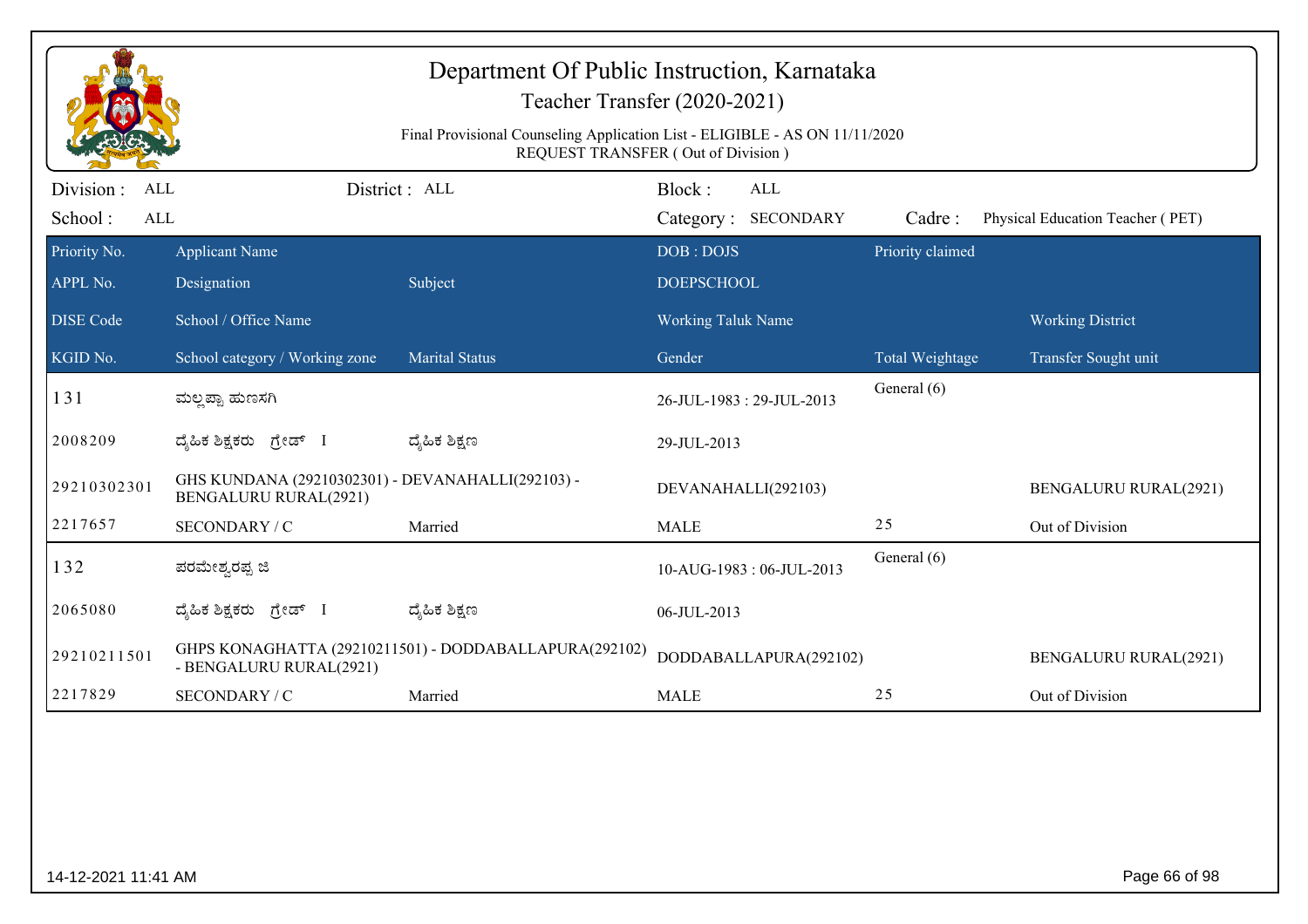|                                    |                                                                            | Department Of Public Instruction, Karnataka<br>Teacher Transfer (2020-2021)<br>Final Provisional Counseling Application List - ELIGIBLE - AS ON 11/11/2020<br>REQUEST TRANSFER (Out of Division) |                                |                        |                  |                                  |
|------------------------------------|----------------------------------------------------------------------------|--------------------------------------------------------------------------------------------------------------------------------------------------------------------------------------------------|--------------------------------|------------------------|------------------|----------------------------------|
| Division:<br>ALL<br>School:<br>ALL |                                                                            | District: ALL                                                                                                                                                                                    | Block:<br>Category: SECONDARY  | ALL                    | Cadre:           | Physical Education Teacher (PET) |
| Priority No.<br>APPL No.           | <b>Applicant Name</b><br>Designation                                       | Subject                                                                                                                                                                                          | DOB: DOJS<br><b>DOEPSCHOOL</b> |                        | Priority claimed |                                  |
| <b>DISE</b> Code                   | School / Office Name                                                       |                                                                                                                                                                                                  | <b>Working Taluk Name</b>      |                        |                  | <b>Working District</b>          |
| KGID No.                           | School category / Working zone                                             | <b>Marital Status</b>                                                                                                                                                                            | Gender                         |                        | Total Weightage  | Transfer Sought unit             |
| 131                                | ಮಲ್ಲಪ್ಪಾ ಹುಣಸಗಿ                                                            |                                                                                                                                                                                                  | 26-JUL-1983: 29-JUL-2013       |                        | General (6)      |                                  |
| 2008209                            | ದ್ಯಹಿಕ ಶಿಕ್ಷಕರು ಗ್ರೇಡ್ I                                                   | ದ್ಯೆಹಿಕ ಶಿಕ್ಷಣ                                                                                                                                                                                   | 29-JUL-2013                    |                        |                  |                                  |
| 29210302301                        | GHS KUNDANA (29210302301) - DEVANAHALLI(292103) -<br>BENGALURU RURAL(2921) |                                                                                                                                                                                                  | DEVANAHALLI(292103)            |                        |                  | <b>BENGALURU RURAL(2921)</b>     |
| 2217657                            | SECONDARY / C                                                              | Married                                                                                                                                                                                          | <b>MALE</b>                    |                        | 25               | Out of Division                  |
| 132                                | ಪರಮೇಶ್ವರಪ್ಪ ಜಿ                                                             |                                                                                                                                                                                                  | 10-AUG-1983: 06-JUL-2013       |                        | General (6)      |                                  |
| 2065080                            | ದ್ಯಹಿಕ ಶಿಕ್ಷಕರು ಗ್ರೇಡ್ I                                                   | ದ್ಯೆಹಿಕ ಶಿಕ್ಷಣ                                                                                                                                                                                   | 06-JUL-2013                    |                        |                  |                                  |
| 29210211501                        | - BENGALURU RURAL(2921)                                                    | GHPS KONAGHATTA (29210211501) - DODDABALLAPURA(292102)                                                                                                                                           |                                | DODDABALLAPURA(292102) |                  | <b>BENGALURU RURAL(2921)</b>     |
| 2217829                            | SECONDARY / C                                                              | Married                                                                                                                                                                                          | <b>MALE</b>                    |                        | 25               | Out of Division                  |
|                                    |                                                                            |                                                                                                                                                                                                  |                                |                        |                  |                                  |
| 14-12-2021 11:41 AM                |                                                                            |                                                                                                                                                                                                  |                                |                        |                  | Page 66 of 98                    |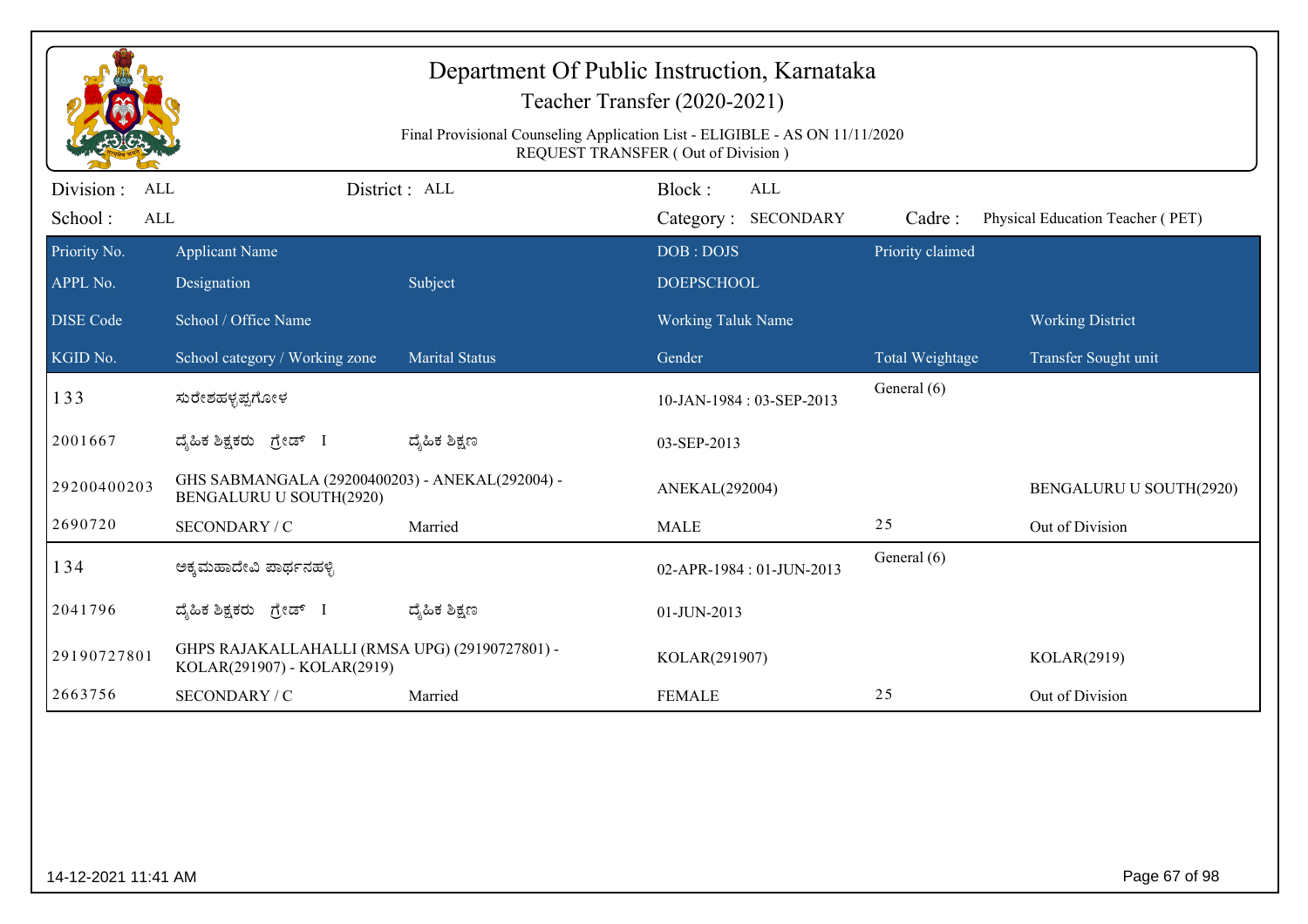|                     |                                                                               | Department Of Public Instruction, Karnataka<br>Final Provisional Counseling Application List - ELIGIBLE - AS ON 11/11/2020 | Teacher Transfer (2020-2021)<br>REQUEST TRANSFER (Out of Division) |                  |                                  |
|---------------------|-------------------------------------------------------------------------------|----------------------------------------------------------------------------------------------------------------------------|--------------------------------------------------------------------|------------------|----------------------------------|
| Division :<br>ALL   |                                                                               | District: ALL                                                                                                              | Block:<br><b>ALL</b>                                               |                  |                                  |
| School:<br>ALL      |                                                                               |                                                                                                                            | Category: SECONDARY                                                | Cadre:           | Physical Education Teacher (PET) |
| Priority No.        | <b>Applicant Name</b>                                                         |                                                                                                                            | DOB: DOJS                                                          | Priority claimed |                                  |
| APPL No.            | Designation                                                                   | Subject                                                                                                                    | <b>DOEPSCHOOL</b>                                                  |                  |                                  |
| <b>DISE Code</b>    | School / Office Name                                                          |                                                                                                                            | <b>Working Taluk Name</b>                                          |                  | <b>Working District</b>          |
| KGID No.            | School category / Working zone                                                | <b>Marital Status</b>                                                                                                      | Gender                                                             | Total Weightage  | Transfer Sought unit             |
| 133                 | ಸುರೇಶಹಳ್ಳಪ್ಪಗೋಳ                                                               |                                                                                                                            | 10-JAN-1984: 03-SEP-2013                                           | General (6)      |                                  |
| 2001667             | ದ್ಯಹಿಕ ಶಿಕ್ಷಕರು ಗ್ರೇಡ್ I                                                      | ದ್ಶೆಹಿಕ ಶಿಕ್ಷಣ                                                                                                             | 03-SEP-2013                                                        |                  |                                  |
| 29200400203         | GHS SABMANGALA (29200400203) - ANEKAL(292004) -<br>BENGALURU U SOUTH(2920)    |                                                                                                                            | ANEKAL(292004)                                                     |                  | BENGALURU U SOUTH(2920)          |
| 2690720             | SECONDARY / C                                                                 | Married                                                                                                                    | <b>MALE</b>                                                        | 25               | Out of Division                  |
| 134                 | ಅಕ್ಕಮಹಾದೇವಿ ಪಾರ್ಥನಹಳ್ಳಿ                                                       |                                                                                                                            | 02-APR-1984: 01-JUN-2013                                           | General (6)      |                                  |
| 2041796             | ದ್ಯಹಿಕ ಶಿಕ್ಷಕರು ಗ್ರೇಡ್ I                                                      | ದ್ಶೆಹಿಕ ಶಿಕ್ಷಣ                                                                                                             | 01-JUN-2013                                                        |                  |                                  |
| 29190727801         | GHPS RAJAKALLAHALLI (RMSA UPG) (29190727801) -<br>KOLAR(291907) - KOLAR(2919) |                                                                                                                            | KOLAR(291907)                                                      |                  | KOLAR(2919)                      |
| 2663756             | SECONDARY / C                                                                 | Married                                                                                                                    | <b>FEMALE</b>                                                      | 25               | Out of Division                  |
|                     |                                                                               |                                                                                                                            |                                                                    |                  |                                  |
| 14-12-2021 11:41 AM |                                                                               |                                                                                                                            |                                                                    |                  | Page 67 of 98                    |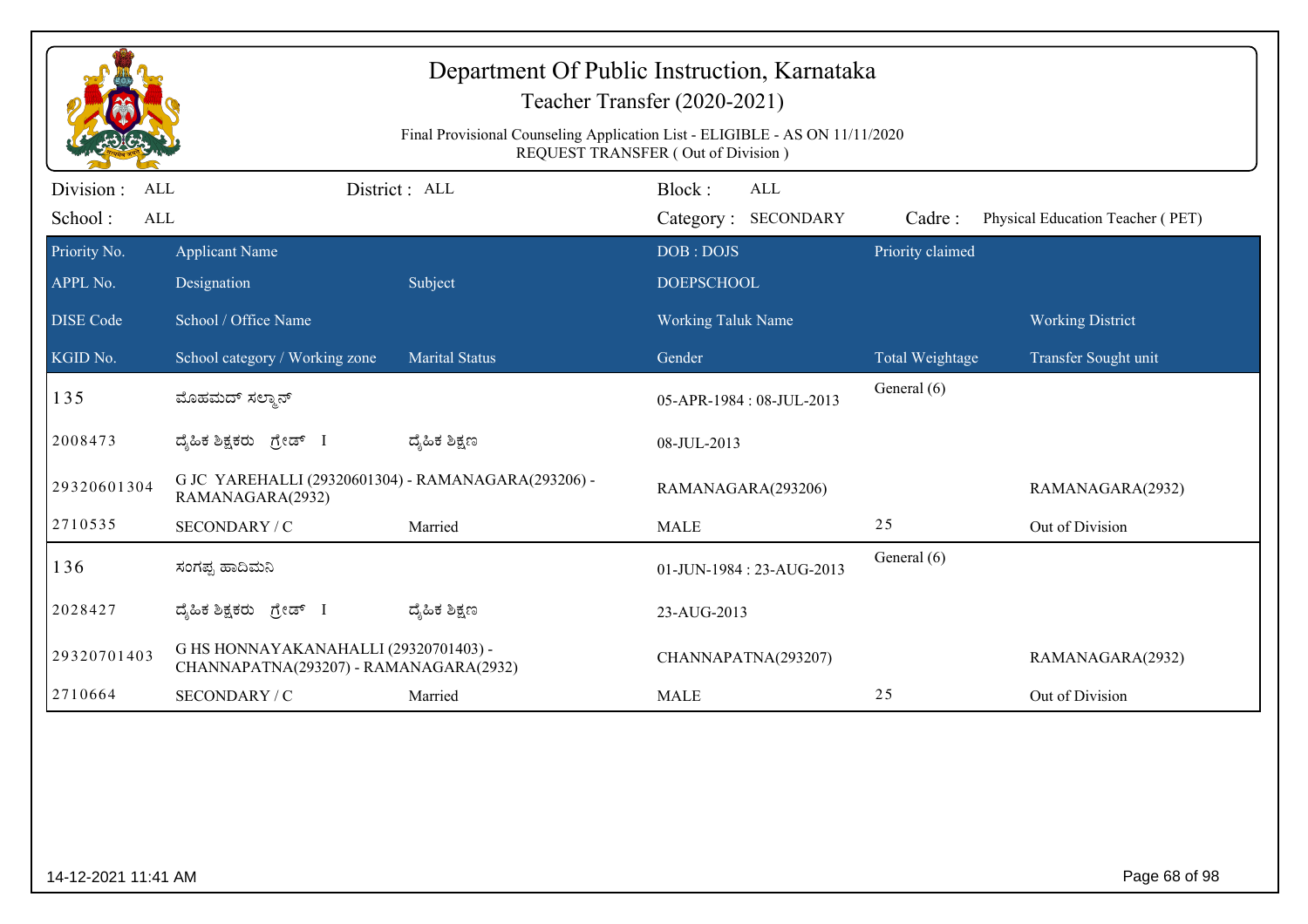|                                     |                                                                                 |                       | Final Provisional Counseling Application List - ELIGIBLE - AS ON 11/11/2020<br>REQUEST TRANSFER (Out of Division) |                        |                                  |
|-------------------------------------|---------------------------------------------------------------------------------|-----------------------|-------------------------------------------------------------------------------------------------------------------|------------------------|----------------------------------|
| Division :<br>ALL<br>School:<br>ALL |                                                                                 | District : ALL        | Block:<br>ALL<br>Category: SECONDARY                                                                              | Cadre:                 | Physical Education Teacher (PET) |
| Priority No.                        | <b>Applicant Name</b>                                                           |                       | DOB: DOJS                                                                                                         | Priority claimed       |                                  |
| APPL No.                            | Designation                                                                     | Subject               | <b>DOEPSCHOOL</b>                                                                                                 |                        |                                  |
| <b>DISE</b> Code                    | School / Office Name                                                            |                       | <b>Working Taluk Name</b>                                                                                         |                        | <b>Working District</b>          |
| KGID No.                            | School category / Working zone                                                  | <b>Marital Status</b> | Gender                                                                                                            | <b>Total Weightage</b> | Transfer Sought unit             |
| 135                                 | ಮೊಹಮದ್ ಸಲ್ಮಾನ್                                                                  |                       | 05-APR-1984: 08-JUL-2013                                                                                          | General (6)            |                                  |
| 2008473                             | ದ್ಯಹಿಕ ಶಿಕ್ಷಕರು ಗ್ರೇಡ್ I                                                        | ದ್ಮಹಿಕ ಶಿಕ್ಷಣ         | 08-JUL-2013                                                                                                       |                        |                                  |
| 29320601304                         | G JC YAREHALLI (29320601304) - RAMANAGARA(293206) -<br>RAMANAGARA(2932)         |                       | RAMANAGARA(293206)                                                                                                |                        | RAMANAGARA(2932)                 |
| 2710535                             | SECONDARY / C                                                                   | Married               | <b>MALE</b>                                                                                                       | 25                     | Out of Division                  |
| 136                                 | ಸಂಗಪ್ಪ ಹಾದಿಮನಿ                                                                  |                       | 01-JUN-1984: 23-AUG-2013                                                                                          | General (6)            |                                  |
| 2028427                             | ದೈಹಿಕ ಶಿಕ್ಷಕರು ಗ್ರೇಡ್ I                                                         | ದ್ಯೆಹಿಕ ಶಿಕ್ಷಣ        | 23-AUG-2013                                                                                                       |                        |                                  |
| 29320701403                         | G HS HONNAYAKANAHALLI (29320701403) -<br>CHANNAPATNA(293207) - RAMANAGARA(2932) |                       | CHANNAPATNA(293207)                                                                                               |                        | RAMANAGARA(2932)                 |
| 2710664                             | SECONDARY / C                                                                   | Married               | <b>MALE</b>                                                                                                       | 25                     | Out of Division                  |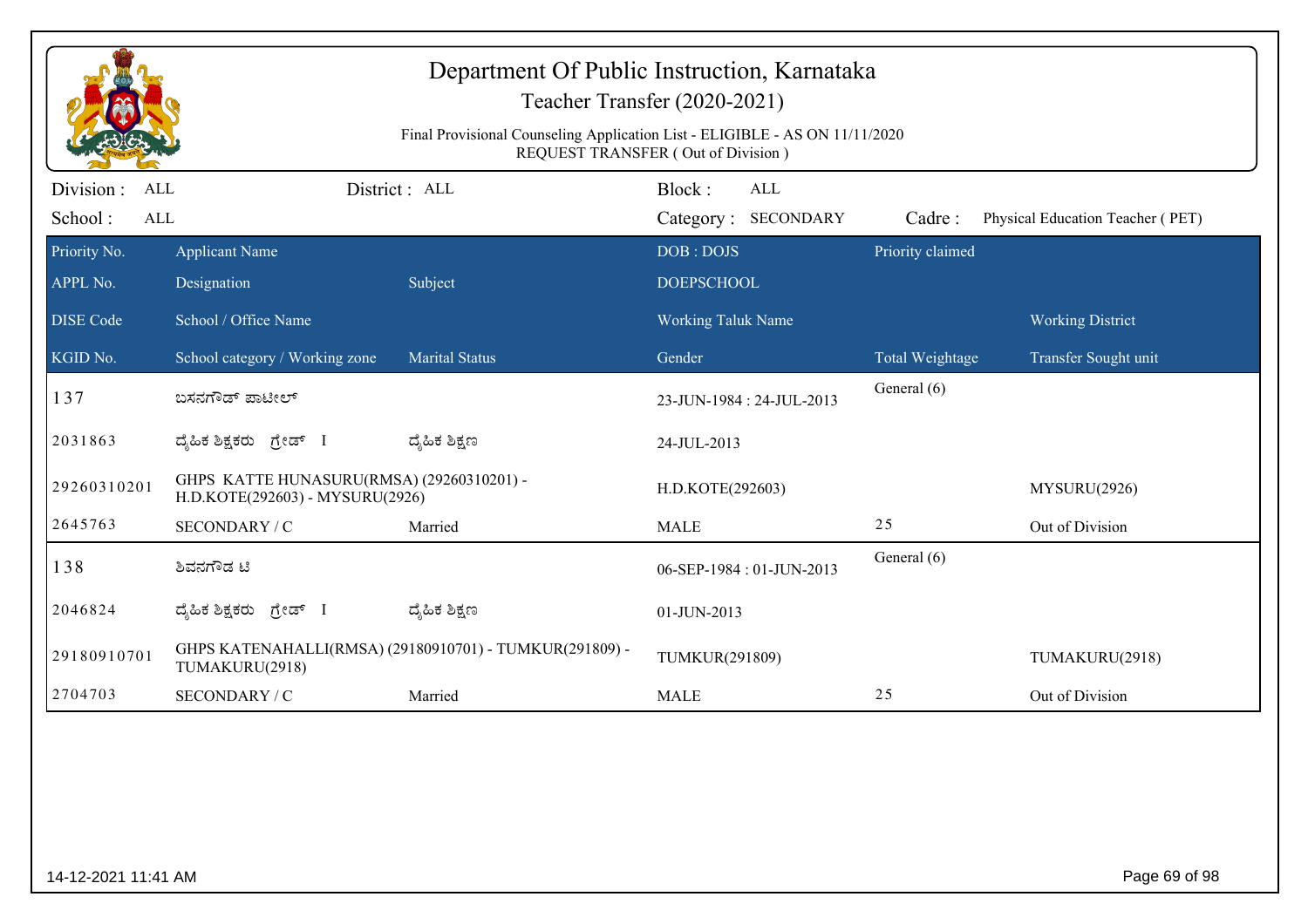|                                    | Department Of Public Instruction, Karnataka<br>Teacher Transfer (2020-2021)<br>Final Provisional Counseling Application List - ELIGIBLE - AS ON 11/11/2020<br>REQUEST TRANSFER (Out of Division) |                                                         |                                             |                  |                                  |  |  |
|------------------------------------|--------------------------------------------------------------------------------------------------------------------------------------------------------------------------------------------------|---------------------------------------------------------|---------------------------------------------|------------------|----------------------------------|--|--|
| Division:<br>ALL<br>School:<br>ALL |                                                                                                                                                                                                  | District: ALL                                           | Block:<br><b>ALL</b><br>Category: SECONDARY | Cadre:           | Physical Education Teacher (PET) |  |  |
| Priority No.<br>APPL No.           | <b>Applicant Name</b><br>Designation                                                                                                                                                             | Subject                                                 | DOB: DOJS<br><b>DOEPSCHOOL</b>              | Priority claimed |                                  |  |  |
| <b>DISE Code</b>                   | School / Office Name                                                                                                                                                                             |                                                         | <b>Working Taluk Name</b>                   |                  | <b>Working District</b>          |  |  |
| KGID No.                           | School category / Working zone                                                                                                                                                                   | <b>Marital Status</b>                                   | Gender                                      | Total Weightage  | Transfer Sought unit             |  |  |
| 137                                | ಬಸನಗೌಡ್ ಪಾಟೀಲ್                                                                                                                                                                                   |                                                         | 23-JUN-1984 : 24-JUL-2013                   | General (6)      |                                  |  |  |
| 2031863                            | ದ್ಯಹಿಕ ಶಿಕ್ಷಕರು ಗ್ರೇಡ್ I                                                                                                                                                                         | ದ್ಶೆಹಿಕ ಶಿಕ್ಷಣ                                          | 24-JUL-2013                                 |                  |                                  |  |  |
| 29260310201                        | GHPS KATTE HUNASURU(RMSA) (29260310201) -<br>H.D.KOTE(292603) - MYSURU(2926)                                                                                                                     |                                                         | H.D.KOTE(292603)                            |                  | MYSURU(2926)                     |  |  |
| 2645763                            | SECONDARY / C                                                                                                                                                                                    | Married                                                 | <b>MALE</b>                                 | 25               | Out of Division                  |  |  |
| 138                                | ಶಿವನಗೌಡ ಟಿ                                                                                                                                                                                       |                                                         | 06-SEP-1984: 01-JUN-2013                    | General (6)      |                                  |  |  |
| 2046824                            | ದೈಹಿಕ ಶಿಕ್ಷಕರು ಗ್ರೇಡ್ I                                                                                                                                                                          | ದ್ಯೆಹಿಕ ಶಿಕ್ಷಣ                                          | 01-JUN-2013                                 |                  |                                  |  |  |
| 29180910701                        | TUMAKURU(2918)                                                                                                                                                                                   | GHPS KATENAHALLI(RMSA) (29180910701) - TUMKUR(291809) - | TUMKUR(291809)                              |                  | TUMAKURU(2918)                   |  |  |
| 2704703                            | SECONDARY / C                                                                                                                                                                                    | Married                                                 | <b>MALE</b>                                 | 25               | Out of Division                  |  |  |
|                                    |                                                                                                                                                                                                  |                                                         |                                             |                  |                                  |  |  |
| 14-12-2021 11:41 AM                |                                                                                                                                                                                                  |                                                         |                                             |                  | Page 69 of 98                    |  |  |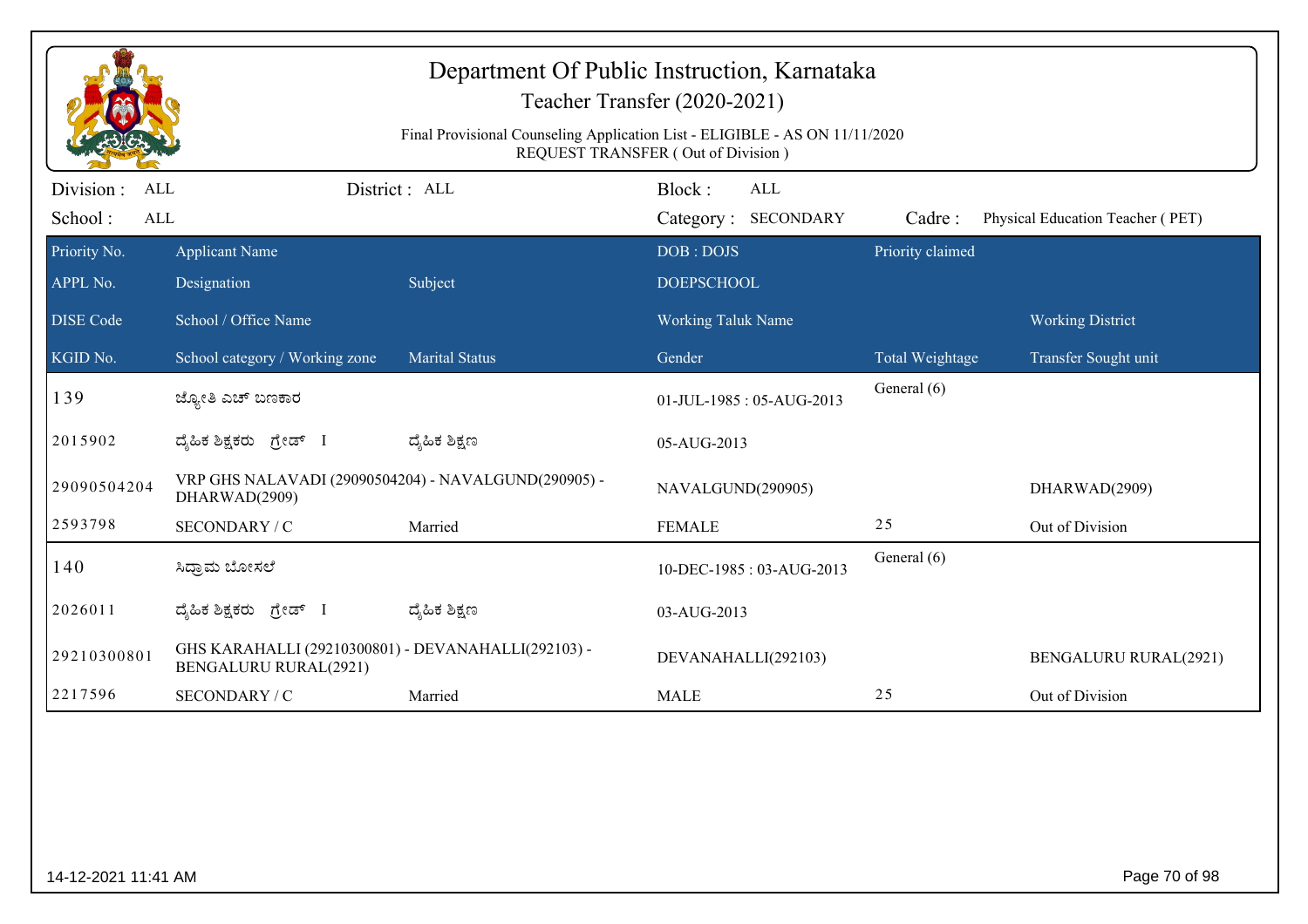|                                            |                                                                                     | Department Of Public Instruction, Karnataka<br>Final Provisional Counseling Application List - ELIGIBLE - AS ON 11/11/2020 | Teacher Transfer (2020-2021)<br>REQUEST TRANSFER (Out of Division) |                  |                                  |
|--------------------------------------------|-------------------------------------------------------------------------------------|----------------------------------------------------------------------------------------------------------------------------|--------------------------------------------------------------------|------------------|----------------------------------|
| Division :<br>ALL<br>School:<br><b>ALL</b> | District: ALL                                                                       |                                                                                                                            | Block:<br><b>ALL</b><br>Category: SECONDARY                        | Cadre:           | Physical Education Teacher (PET) |
| Priority No.<br>APPL No.                   | <b>Applicant Name</b><br>Designation                                                | Subject                                                                                                                    | DOB: DOJS<br><b>DOEPSCHOOL</b>                                     | Priority claimed |                                  |
| <b>DISE</b> Code                           | School / Office Name                                                                |                                                                                                                            | <b>Working Taluk Name</b>                                          |                  | <b>Working District</b>          |
| KGID No.                                   | School category / Working zone                                                      | <b>Marital Status</b>                                                                                                      | Gender                                                             | Total Weightage  | Transfer Sought unit             |
| 139                                        | ಜ್ಯೋತಿ ಎಚ್ ಬಣಕಾರ                                                                    |                                                                                                                            | 01-JUL-1985: 05-AUG-2013                                           | General (6)      |                                  |
| 2015902                                    | ದೈಹಿಕ ಶಿಕ್ಷಕರು ಗ್ರೇಡ್ I                                                             | ದ್ಯೆಹಿಕ ಶಿಕ್ಷಣ                                                                                                             | 05-AUG-2013                                                        |                  |                                  |
| 29090504204                                | VRP GHS NALAVADI (29090504204) - NAVALGUND(290905) -<br>DHARWAD(2909)               |                                                                                                                            | NAVALGUND(290905)                                                  |                  | DHARWAD(2909)                    |
| 2593798                                    | SECONDARY / C                                                                       | Married                                                                                                                    | <b>FEMALE</b>                                                      | 25               | Out of Division                  |
| 140                                        | ಸಿಧ್ರಾಮ ಬೋಸಲೆ                                                                       |                                                                                                                            | 10-DEC-1985: 03-AUG-2013                                           | General (6)      |                                  |
| 2026011                                    | ದೈಹಿಕ ಶಿಕ್ಷಕರು ಗ್ರೇಡ್ I                                                             | ದ್ಯೆಹಿಕ ಶಿಕ್ಷಣ                                                                                                             | 03-AUG-2013                                                        |                  |                                  |
| 29210300801                                | GHS KARAHALLI (29210300801) - DEVANAHALLI(292103) -<br><b>BENGALURU RURAL(2921)</b> |                                                                                                                            | DEVANAHALLI(292103)                                                |                  | <b>BENGALURU RURAL(2921)</b>     |
| 2217596                                    | SECONDARY / C                                                                       | Married                                                                                                                    | <b>MALE</b>                                                        | 25               | Out of Division                  |
|                                            |                                                                                     |                                                                                                                            |                                                                    |                  |                                  |
| 14-12-2021 11:41 AM                        |                                                                                     |                                                                                                                            |                                                                    |                  | Page 70 of 98                    |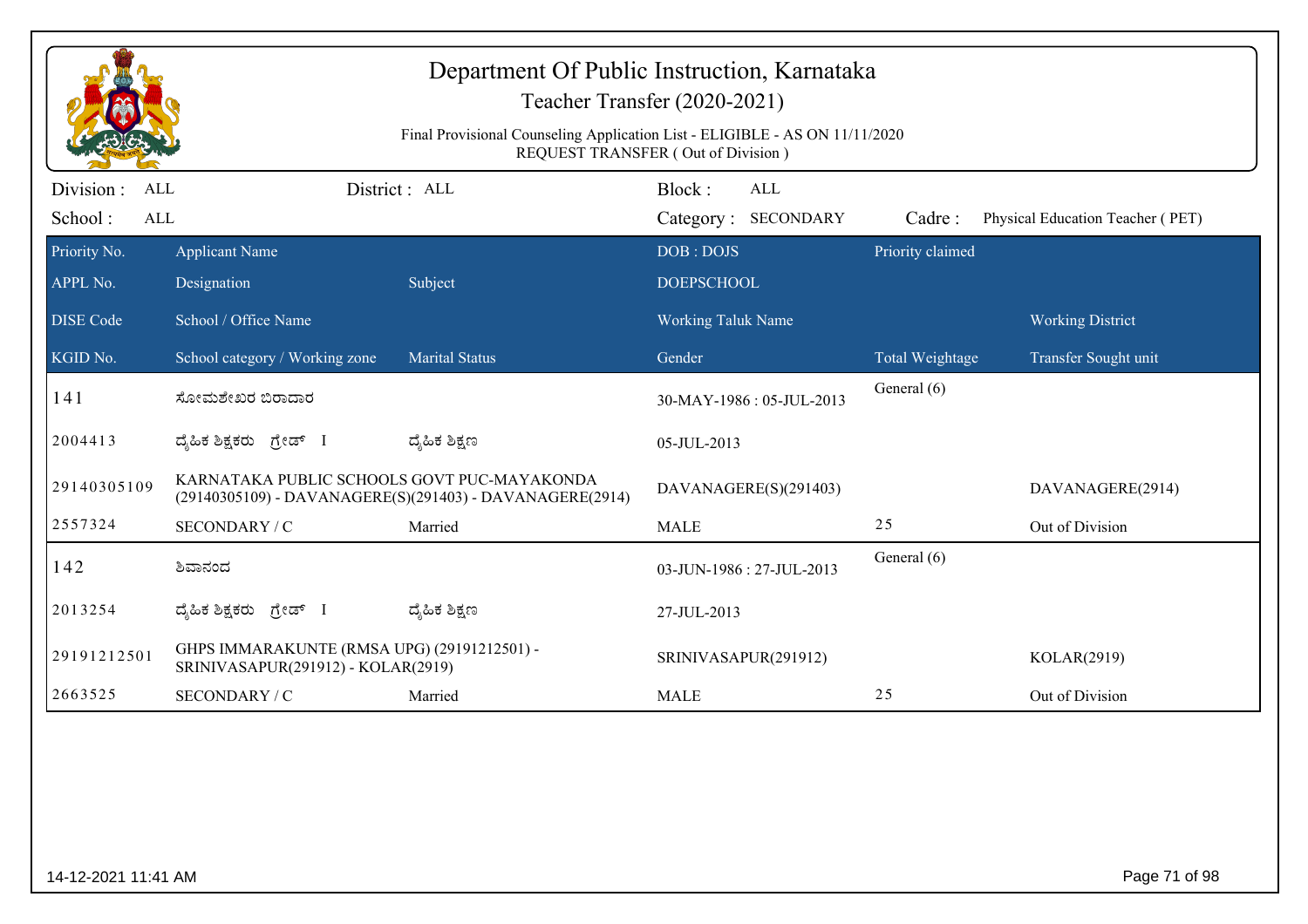| Department Of Public Instruction, Karnataka<br>Teacher Transfer (2020-2021)<br>Final Provisional Counseling Application List - ELIGIBLE - AS ON 11/11/2020<br>REQUEST TRANSFER (Out of Division) |                                                                                   |                                                          |                                             |  |                  |                                  |
|--------------------------------------------------------------------------------------------------------------------------------------------------------------------------------------------------|-----------------------------------------------------------------------------------|----------------------------------------------------------|---------------------------------------------|--|------------------|----------------------------------|
| Division :<br>ALL<br>School:<br>ALL                                                                                                                                                              |                                                                                   | District: ALL                                            | Block:<br><b>ALL</b><br>Category: SECONDARY |  | Cadre:           | Physical Education Teacher (PET) |
| Priority No.                                                                                                                                                                                     | <b>Applicant Name</b>                                                             |                                                          | DOB: DOJS                                   |  | Priority claimed |                                  |
| APPL No.                                                                                                                                                                                         | Designation                                                                       | Subject                                                  | <b>DOEPSCHOOL</b>                           |  |                  |                                  |
| <b>DISE Code</b>                                                                                                                                                                                 | School / Office Name                                                              |                                                          | <b>Working Taluk Name</b>                   |  |                  | <b>Working District</b>          |
| KGID No.                                                                                                                                                                                         | School category / Working zone                                                    | <b>Marital Status</b>                                    | Gender                                      |  | Total Weightage  | Transfer Sought unit             |
| 141                                                                                                                                                                                              | ಸೋಮಶೇಖರ ಬಿರಾದಾರ                                                                   |                                                          | 30-MAY-1986: 05-JUL-2013                    |  | General (6)      |                                  |
| 2004413                                                                                                                                                                                          | ದೈಹಿಕ ಶಿಕ್ಷಕರು ಗ್ರೇಡ್ I                                                           | ದ್ಮಹಿಕ ಶಿಕ್ಷಣ                                            | 05-JUL-2013                                 |  |                  |                                  |
| 29140305109                                                                                                                                                                                      | KARNATAKA PUBLIC SCHOOLS GOVT PUC-MAYAKONDA                                       | (29140305109) - DAVANAGERE(S)(291403) - DAVANAGERE(2914) | DAVANAGERE(S)(291403)                       |  |                  | DAVANAGERE(2914)                 |
| 2557324                                                                                                                                                                                          | SECONDARY / C                                                                     | Married                                                  | <b>MALE</b>                                 |  | 25               | Out of Division                  |
| 142                                                                                                                                                                                              | ಶಿವಾನಂದ                                                                           |                                                          | 03-JUN-1986: 27-JUL-2013                    |  | General (6)      |                                  |
| 2013254                                                                                                                                                                                          | ದೈಹಿಕ ಶಿಕ್ಷಕರು ಗ್ರೇಡ್ I                                                           | ದ್ಮಹಿಕ ಶಿಕ್ಷಣ                                            | 27-JUL-2013                                 |  |                  |                                  |
| 29191212501                                                                                                                                                                                      | GHPS IMMARAKUNTE (RMSA UPG) (29191212501) -<br>SRINIVASAPUR(291912) - KOLAR(2919) |                                                          | SRINIVASAPUR(291912)                        |  |                  | KOLAR(2919)                      |
| 2663525                                                                                                                                                                                          | SECONDARY / C                                                                     | Married                                                  | <b>MALE</b>                                 |  | 25               | Out of Division                  |
|                                                                                                                                                                                                  |                                                                                   |                                                          |                                             |  |                  |                                  |
| 14-12-2021 11:41 AM                                                                                                                                                                              |                                                                                   |                                                          |                                             |  |                  | Page 71 of 98                    |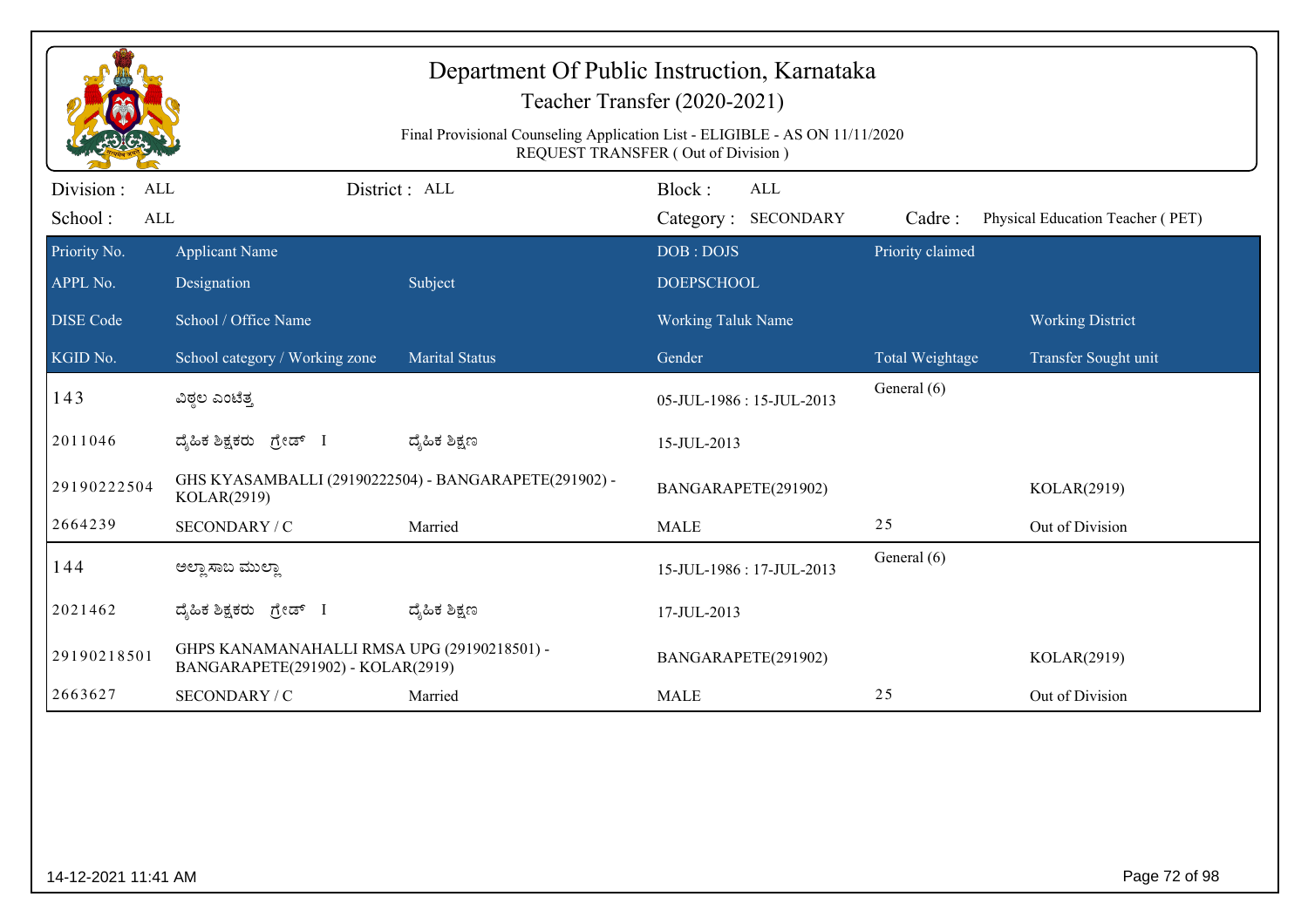|                                     |                                                                                  | Final Provisional Counseling Application List - ELIGIBLE - AS ON 11/11/2020 | Department Of Public Instruction, Karnataka<br>Teacher Transfer (2020-2021)              |                  |                                  |
|-------------------------------------|----------------------------------------------------------------------------------|-----------------------------------------------------------------------------|------------------------------------------------------------------------------------------|------------------|----------------------------------|
| Division :<br>ALL<br>School:<br>ALL |                                                                                  | District : ALL                                                              | <b>REQUEST TRANSFER (Out of Division)</b><br>Block:<br><b>ALL</b><br>Category: SECONDARY | Cadre:           | Physical Education Teacher (PET) |
| Priority No.<br>APPL No.            | <b>Applicant Name</b><br>Designation                                             | Subject                                                                     | DOB: DOJS<br><b>DOEPSCHOOL</b>                                                           | Priority claimed |                                  |
| <b>DISE</b> Code                    | School / Office Name                                                             |                                                                             | Working Taluk Name                                                                       |                  | <b>Working District</b>          |
| KGID No.                            | School category / Working zone                                                   | <b>Marital Status</b>                                                       | Gender                                                                                   | Total Weightage  | Transfer Sought unit             |
| 143                                 | ವಿಠ್ಠಲ ಎಂಟೆತ್ತ                                                                   |                                                                             | 05-JUL-1986: 15-JUL-2013                                                                 | General (6)      |                                  |
| 2011046                             | ದೈಹಿಕ ಶಿಕ್ಷಕರು ಗ್ರೇಡ್ I                                                          | ದ್ಶೆಹಿಕ ಶಿಕ್ಷಣ                                                              | 15-JUL-2013                                                                              |                  |                                  |
| 29190222504                         | KOLAR(2919)                                                                      | GHS KYASAMBALLI (29190222504) - BANGARAPETE(291902) -                       | BANGARAPETE(291902)                                                                      |                  | KOLAR(2919)                      |
| 2664239                             | SECONDARY / C                                                                    | Married                                                                     | <b>MALE</b>                                                                              | 25               | Out of Division                  |
| 144                                 | ಅಲ್ಲಾ ಸಾಬ ಮುಲ್ಲಾ                                                                 |                                                                             | 15-JUL-1986: 17-JUL-2013                                                                 | General (6)      |                                  |
| 2021462                             | ದ್ಯಹಿಕ ಶಿಕ್ಷಕರು ಗ್ರೇಡ್ I                                                         | ದ್ಶೆಹಿಕ ಶಿಕ್ಷಣ                                                              | 17-JUL-2013                                                                              |                  |                                  |
| 29190218501                         | GHPS KANAMANAHALLI RMSA UPG (29190218501) -<br>BANGARAPETE(291902) - KOLAR(2919) |                                                                             | BANGARAPETE(291902)                                                                      |                  | KOLAR(2919)                      |
| 2663627                             | SECONDARY / C                                                                    | Married                                                                     | <b>MALE</b>                                                                              | 25               | Out of Division                  |
|                                     |                                                                                  |                                                                             |                                                                                          |                  |                                  |
| 14-12-2021 11:41 AM                 |                                                                                  |                                                                             |                                                                                          |                  | Page 72 of 98                    |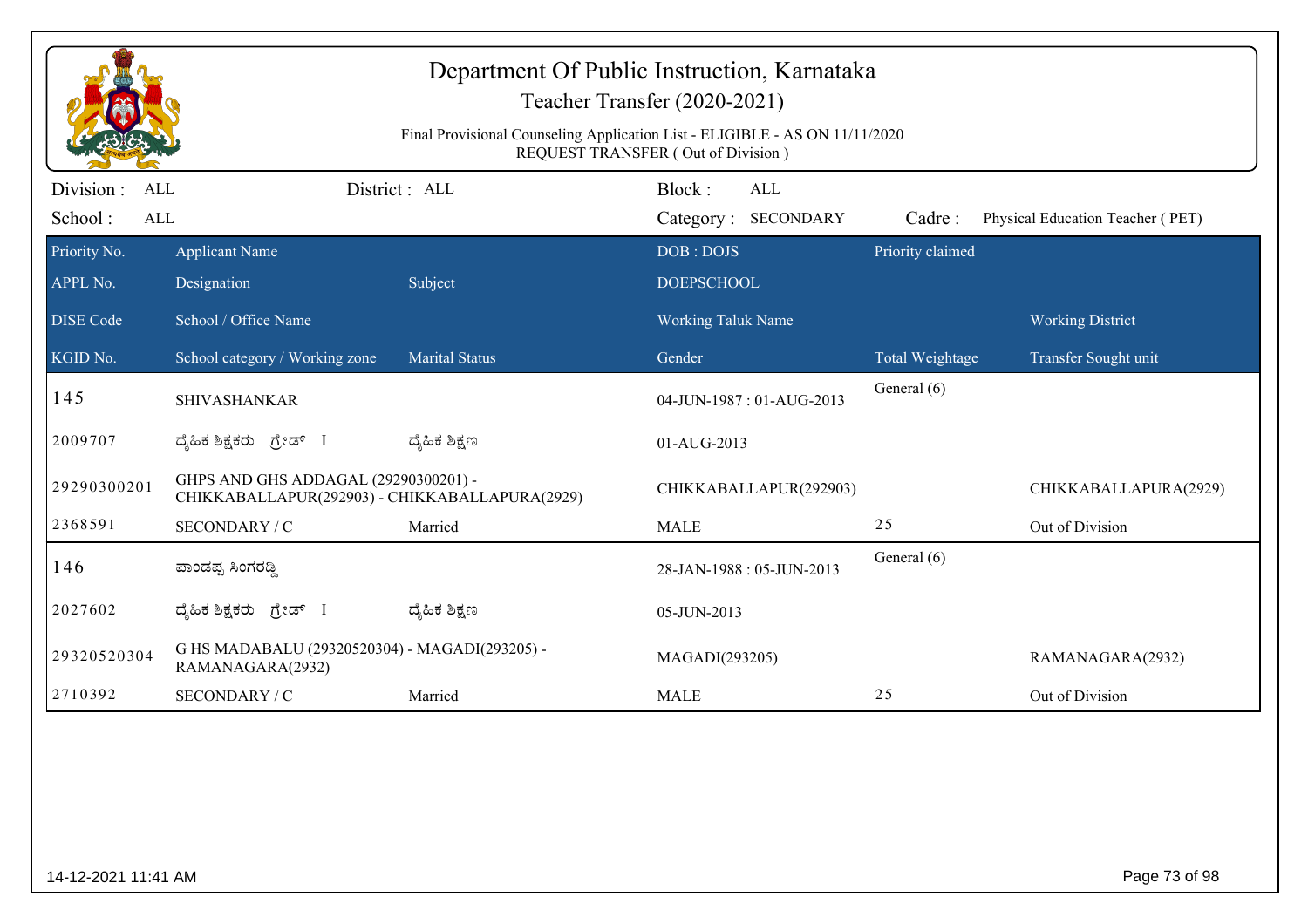|                                            |                                                                                        | Final Provisional Counseling Application List - ELIGIBLE - AS ON 11/11/2020 | Department Of Public Instruction, Karnataka<br>Teacher Transfer (2020-2021)<br>REQUEST TRANSFER (Out of Division) |                        |                                  |
|--------------------------------------------|----------------------------------------------------------------------------------------|-----------------------------------------------------------------------------|-------------------------------------------------------------------------------------------------------------------|------------------------|----------------------------------|
| Division :<br><b>ALL</b><br>School:<br>ALL |                                                                                        | District: ALL                                                               | Block:<br><b>ALL</b><br>Category: SECONDARY                                                                       | Cadre:                 | Physical Education Teacher (PET) |
| Priority No.<br>APPL No.                   | <b>Applicant Name</b><br>Designation                                                   | Subject                                                                     | DOB: DOJS<br><b>DOEPSCHOOL</b>                                                                                    | Priority claimed       |                                  |
| <b>DISE Code</b>                           | School / Office Name                                                                   |                                                                             | <b>Working Taluk Name</b>                                                                                         |                        | <b>Working District</b>          |
| KGID No.                                   | School category / Working zone                                                         | <b>Marital Status</b>                                                       | Gender                                                                                                            | <b>Total Weightage</b> | Transfer Sought unit             |
| 145                                        | <b>SHIVASHANKAR</b>                                                                    |                                                                             | 04-JUN-1987: 01-AUG-2013                                                                                          | General (6)            |                                  |
| 2009707                                    | ದ್ಯಹಿಕ ಶಿಕ್ಷಕರು ಗ್ರೇಡ್ I                                                               | ದ್ಶೆಹಿಕ ಶಿಕ್ಷಣ                                                              | 01-AUG-2013                                                                                                       |                        |                                  |
| 29290300201                                | GHPS AND GHS ADDAGAL (29290300201) -<br>CHIKKABALLAPUR(292903) - CHIKKABALLAPURA(2929) |                                                                             | CHIKKABALLAPUR(292903)                                                                                            |                        | CHIKKABALLAPURA(2929)            |
| 2368591                                    | SECONDARY / C                                                                          | Married                                                                     | <b>MALE</b>                                                                                                       | 25                     | Out of Division                  |
| 146                                        | ಪಾಂಡಪ್ಪ ಸಿಂಗರಡ್ಡಿ                                                                      |                                                                             | 28-JAN-1988: 05-JUN-2013                                                                                          | General (6)            |                                  |
| 2027602                                    | ದ್ಯಹಿಕ ಶಿಕ್ಷಕರು ಗ್ರೇಡ್ I                                                               | ದ್ಶೆಹಿಕ ಶಿಕ್ಷಣ                                                              | 05-JUN-2013                                                                                                       |                        |                                  |
| 29320520304                                | G HS MADABALU (29320520304) - MAGADI(293205) -<br>RAMANAGARA(2932)                     |                                                                             | MAGADI(293205)                                                                                                    |                        | RAMANAGARA(2932)                 |
| 2710392                                    | SECONDARY / C                                                                          | Married                                                                     | <b>MALE</b>                                                                                                       | 25                     | Out of Division                  |
|                                            |                                                                                        |                                                                             |                                                                                                                   |                        |                                  |
| 14-12-2021 11:41 AM                        |                                                                                        |                                                                             |                                                                                                                   |                        | Page 73 of 98                    |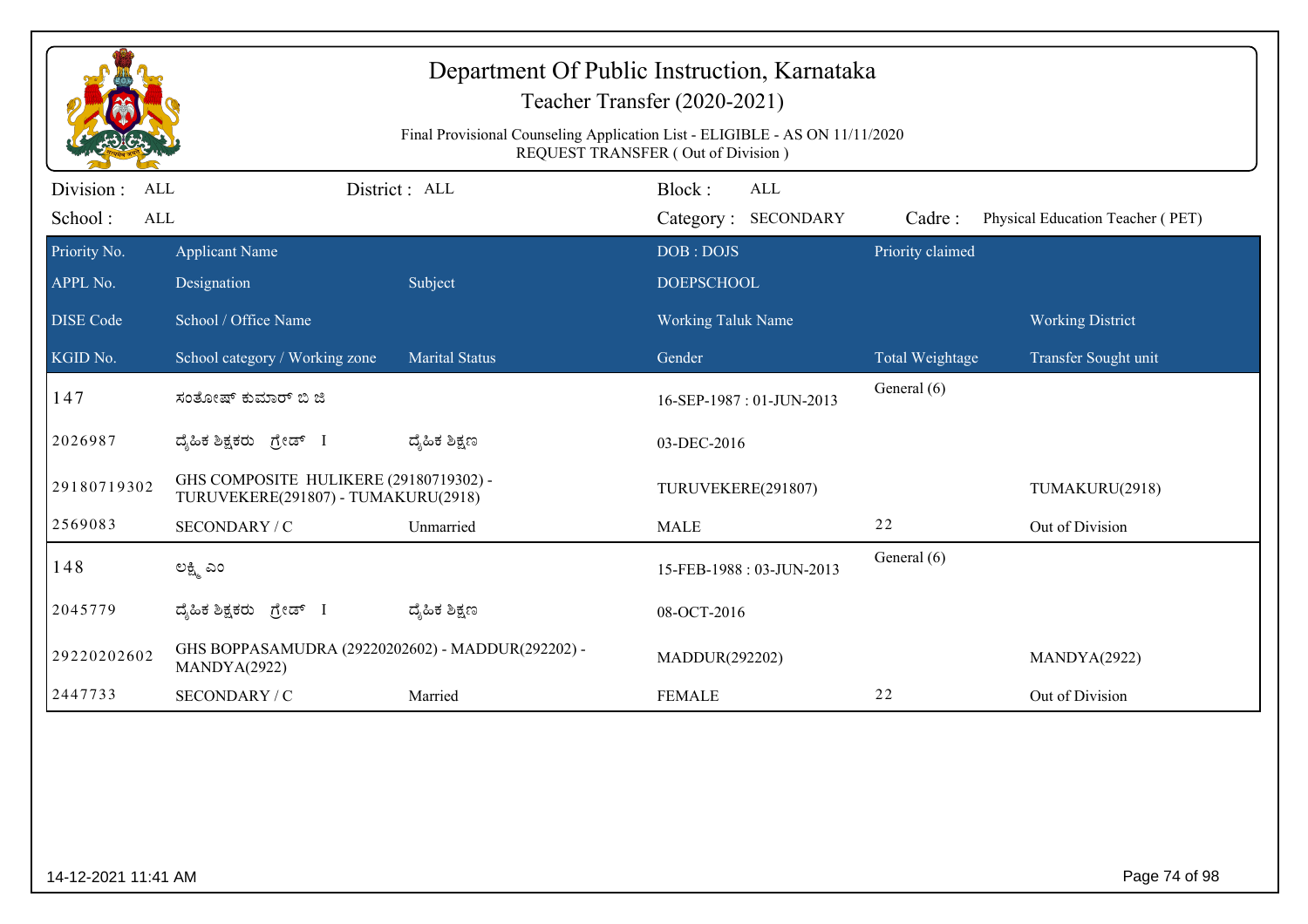|                     |                                                                               | Final Provisional Counseling Application List - ELIGIBLE - AS ON 11/11/2020 | Department Of Public Instruction, Karnataka<br>Teacher Transfer (2020-2021)<br><b>REQUEST TRANSFER (Out of Division)</b> |                  |                                  |  |  |
|---------------------|-------------------------------------------------------------------------------|-----------------------------------------------------------------------------|--------------------------------------------------------------------------------------------------------------------------|------------------|----------------------------------|--|--|
| Division :<br>ALL   |                                                                               | District: ALL                                                               | Block:<br><b>ALL</b>                                                                                                     |                  |                                  |  |  |
| School:<br>ALL      |                                                                               |                                                                             | Category: SECONDARY                                                                                                      | Cadre:           | Physical Education Teacher (PET) |  |  |
| Priority No.        | <b>Applicant Name</b>                                                         |                                                                             | DOB: DOJS                                                                                                                | Priority claimed |                                  |  |  |
| APPL No.            | Designation                                                                   | Subject                                                                     | <b>DOEPSCHOOL</b>                                                                                                        |                  |                                  |  |  |
| <b>DISE Code</b>    | School / Office Name                                                          |                                                                             | Working Taluk Name                                                                                                       |                  | <b>Working District</b>          |  |  |
| KGID No.            | School category / Working zone                                                | <b>Marital Status</b>                                                       | Gender                                                                                                                   | Total Weightage  | Transfer Sought unit             |  |  |
| 147                 | ಸಂತೋಷ್ ಕುಮಾರ್ ಬಿ ಜಿ                                                           |                                                                             | 16-SEP-1987: 01-JUN-2013                                                                                                 | General (6)      |                                  |  |  |
| 2026987             | ದ್ಯಹಿಕ ಶಿಕ್ಷಕರು ಗ್ರೇಡ್ I                                                      | ದ್ಶೆಹಿಕ ಶಿಕ್ಷಣ                                                              | 03-DEC-2016                                                                                                              |                  |                                  |  |  |
| 29180719302         | GHS COMPOSITE HULIKERE (29180719302) -<br>TURUVEKERE(291807) - TUMAKURU(2918) |                                                                             | TURUVEKERE(291807)                                                                                                       |                  | TUMAKURU(2918)                   |  |  |
| 2569083             | SECONDARY / C                                                                 | Unmarried                                                                   | <b>MALE</b>                                                                                                              | 22               | Out of Division                  |  |  |
| 148                 | ಲಕ್ಷ್ಮಿ ಎಂ                                                                    |                                                                             | 15-FEB-1988: 03-JUN-2013                                                                                                 | General (6)      |                                  |  |  |
| 2045779             | ದ್ಯಹಿಕ ಶಿಕ್ಷಕರು ಗ್ರೇಡ್ I                                                      | ದ್ಯೆಹಿಕ ಶಿಕ್ಷಣ                                                              | 08-OCT-2016                                                                                                              |                  |                                  |  |  |
| 29220202602         | GHS BOPPASAMUDRA (29220202602) - MADDUR(292202) -<br>MANDYA(2922)             |                                                                             | MADDUR(292202)                                                                                                           |                  | MANDYA(2922)                     |  |  |
| 2447733             | SECONDARY / C                                                                 | Married                                                                     | <b>FEMALE</b>                                                                                                            | 22               | Out of Division                  |  |  |
|                     |                                                                               |                                                                             |                                                                                                                          |                  |                                  |  |  |
| 14-12-2021 11:41 AM |                                                                               |                                                                             |                                                                                                                          |                  | Page 74 of 98                    |  |  |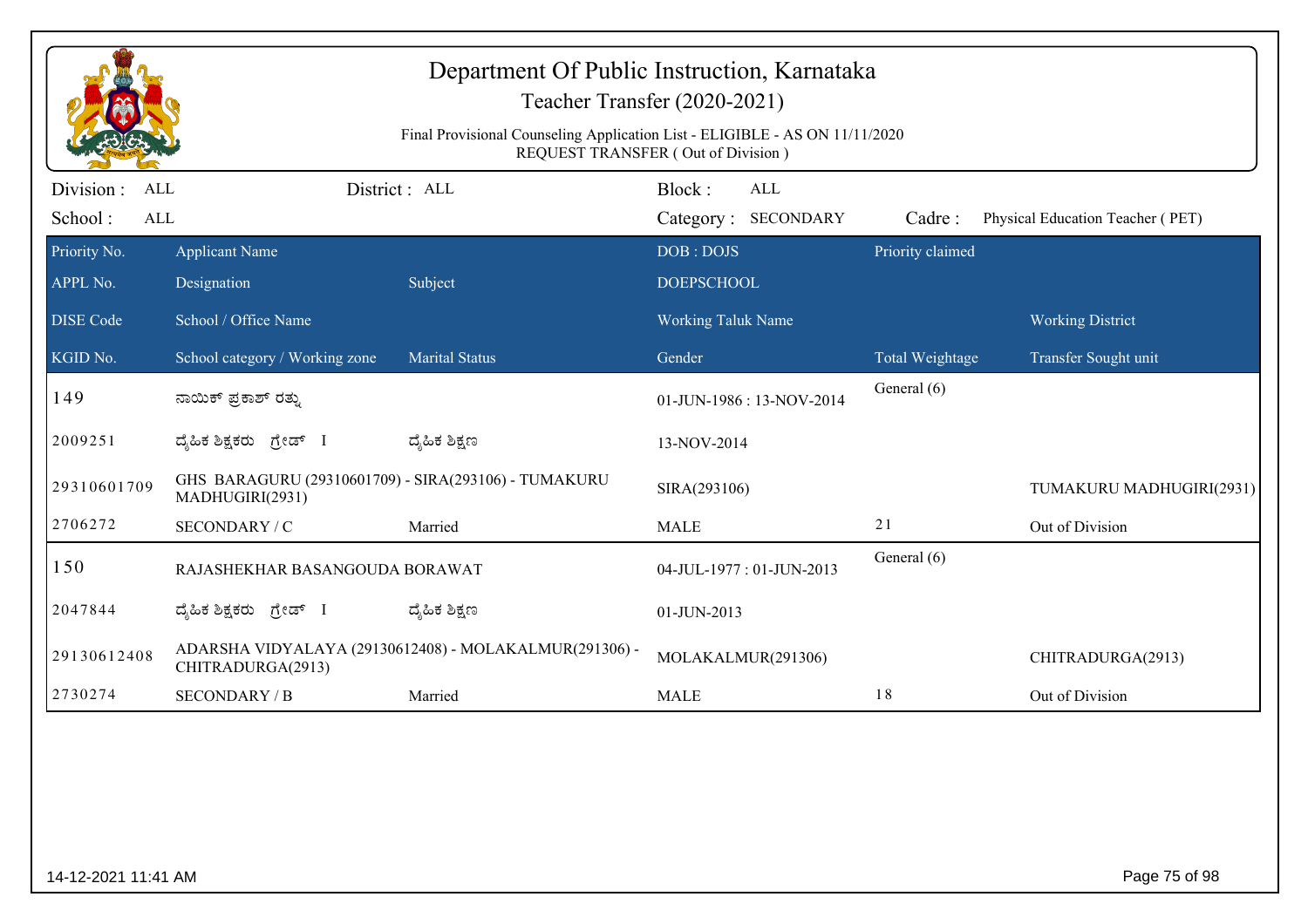|                                     | Department Of Public Instruction, Karnataka<br>Teacher Transfer (2020-2021)<br>Final Provisional Counseling Application List - ELIGIBLE - AS ON 11/11/2020<br><b>REQUEST TRANSFER (Out of Division)</b> |                                                        |                                |                                   |                  |                                                 |  |
|-------------------------------------|---------------------------------------------------------------------------------------------------------------------------------------------------------------------------------------------------------|--------------------------------------------------------|--------------------------------|-----------------------------------|------------------|-------------------------------------------------|--|
| Division :<br>ALL<br>School:<br>ALL |                                                                                                                                                                                                         | District : ALL                                         | Block:                         | <b>ALL</b><br>Category: SECONDARY | Cadre:           | Physical Education Teacher (PET)                |  |
| Priority No.<br>APPL No.            | <b>Applicant Name</b><br>Designation                                                                                                                                                                    | Subject                                                | DOB: DOJS<br><b>DOEPSCHOOL</b> |                                   | Priority claimed |                                                 |  |
| <b>DISE</b> Code<br>KGID No.        | School / Office Name<br>School category / Working zone                                                                                                                                                  | <b>Marital Status</b>                                  | Working Taluk Name<br>Gender   |                                   | Total Weightage  | <b>Working District</b><br>Transfer Sought unit |  |
| 149                                 | ನಾಯಿಕ್ ಪ್ರಕಾಶ್ ರತ್ನು                                                                                                                                                                                    |                                                        |                                | 01-JUN-1986: 13-NOV-2014          | General (6)      |                                                 |  |
| 2009251                             | ದ್ಯಹಿಕ ಶಿಕ್ಷಕರು ಗ್ರೇಡ್ I                                                                                                                                                                                | ದ್ಶೆಹಿಕ ಶಿಕ್ಷಣ                                         | 13-NOV-2014                    |                                   |                  |                                                 |  |
| 29310601709                         | GHS BARAGURU (29310601709) - SIRA(293106) - TUMAKURU<br>MADHUGIRI(2931)                                                                                                                                 |                                                        | SIRA(293106)                   |                                   |                  | TUMAKURU MADHUGIRI(2931)                        |  |
| 2706272                             | SECONDARY / C                                                                                                                                                                                           | Married                                                | <b>MALE</b>                    |                                   | 21               | Out of Division                                 |  |
| 150                                 | RAJASHEKHAR BASANGOUDA BORAWAT                                                                                                                                                                          |                                                        | 04-JUL-1977: 01-JUN-2013       |                                   | General (6)      |                                                 |  |
| 2047844                             | ದ್ಯಹಿಕ ಶಿಕ್ಷಕರು ಗ್ರೇಡ್ I                                                                                                                                                                                | ದ್ಶೆಹಿಕ ಶಿಕ್ಷಣ                                         | 01-JUN-2013                    |                                   |                  |                                                 |  |
| 29130612408                         | CHITRADURGA(2913)                                                                                                                                                                                       | ADARSHA VIDYALAYA (29130612408) - MOLAKALMUR(291306) - |                                | MOLAKALMUR(291306)                |                  | CHITRADURGA(2913)                               |  |
| 2730274                             | <b>SECONDARY / B</b>                                                                                                                                                                                    | Married                                                | <b>MALE</b>                    |                                   | 18               | Out of Division                                 |  |
|                                     |                                                                                                                                                                                                         |                                                        |                                |                                   |                  |                                                 |  |
| 14-12-2021 11:41 AM                 |                                                                                                                                                                                                         |                                                        |                                |                                   |                  | Page 75 of 98                                   |  |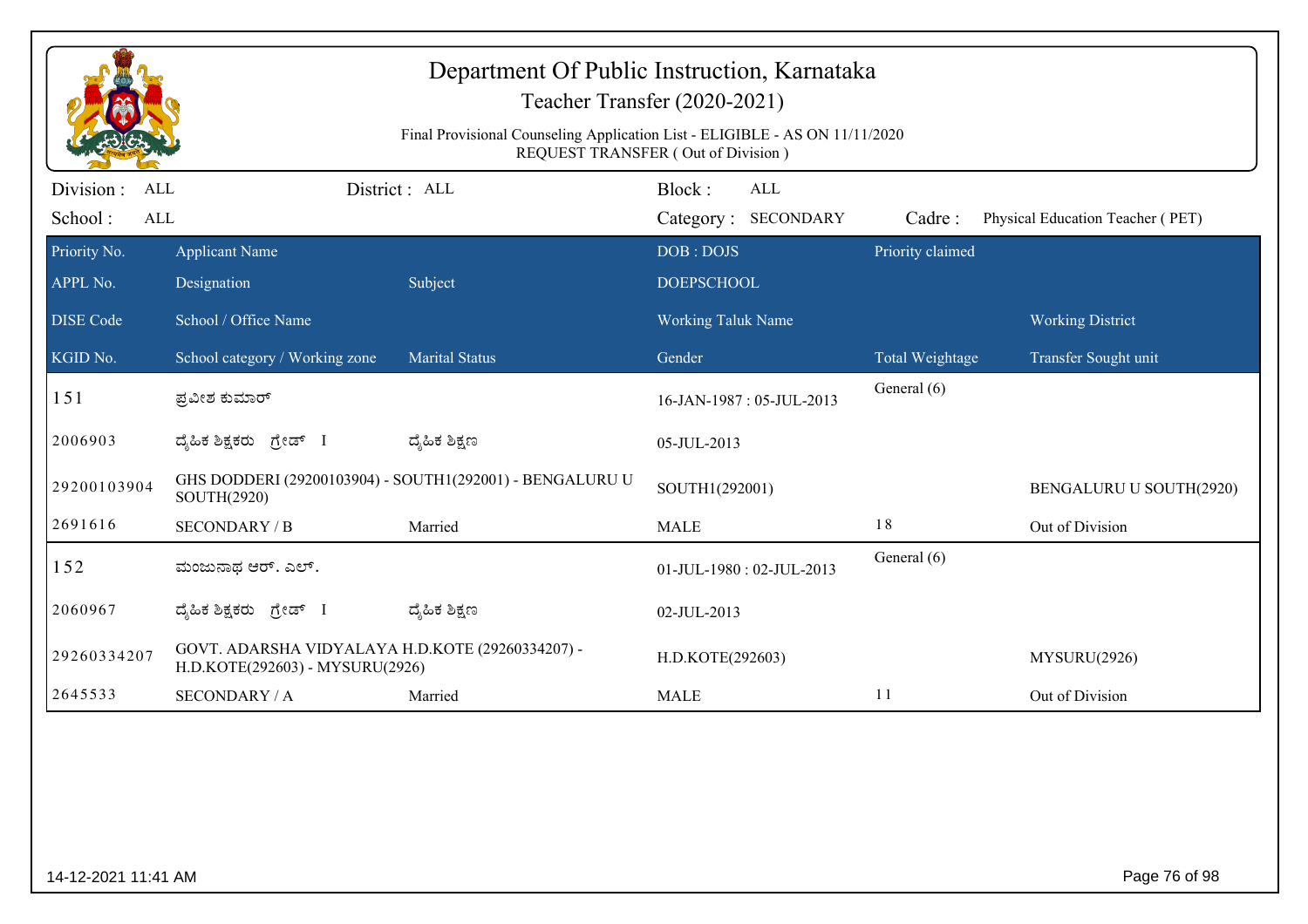| Department Of Public Instruction, Karnataka<br>Teacher Transfer (2020-2021)<br>Final Provisional Counseling Application List - ELIGIBLE - AS ON 11/11/2020<br>REQUEST TRANSFER (Out of Division) |                                                                                     |                                                          |                                             |                  |                                  |
|--------------------------------------------------------------------------------------------------------------------------------------------------------------------------------------------------|-------------------------------------------------------------------------------------|----------------------------------------------------------|---------------------------------------------|------------------|----------------------------------|
| Division :<br><b>ALL</b><br>School:<br>ALL                                                                                                                                                       |                                                                                     | District: ALL                                            | Block:<br><b>ALL</b><br>Category: SECONDARY | Cadre:           | Physical Education Teacher (PET) |
| Priority No.<br>APPL No.                                                                                                                                                                         | <b>Applicant Name</b><br>Designation                                                | Subject                                                  | DOB: DOJS<br><b>DOEPSCHOOL</b>              | Priority claimed |                                  |
| <b>DISE Code</b>                                                                                                                                                                                 | School / Office Name                                                                |                                                          | <b>Working Taluk Name</b>                   |                  | <b>Working District</b>          |
| KGID No.                                                                                                                                                                                         | School category / Working zone                                                      | <b>Marital Status</b>                                    | Gender                                      | Total Weightage  | Transfer Sought unit             |
| 151                                                                                                                                                                                              | ಪ್ರವೀಶ ಕುಮಾರ್                                                                       |                                                          | 16-JAN-1987: 05-JUL-2013                    | General (6)      |                                  |
| 2006903                                                                                                                                                                                          | ದ್ಯಹಿಕ ಶಿಕ್ಷಕರು ಗ್ರೇಡ್ I                                                            | ದ್ಶೆಹಿಕ ಶಿಕ್ಷಣ                                           | 05-JUL-2013                                 |                  |                                  |
| 29200103904                                                                                                                                                                                      | SOUTH(2920)                                                                         | GHS DODDERI (29200103904) - SOUTH1(292001) - BENGALURU U | SOUTH1(292001)                              |                  | BENGALURU U SOUTH(2920)          |
| 2691616                                                                                                                                                                                          | <b>SECONDARY / B</b>                                                                | Married                                                  | <b>MALE</b>                                 | 18               | Out of Division                  |
| 152                                                                                                                                                                                              | ಮಂಜುನಾಥ ಆರ್. ಎಲ್.                                                                   |                                                          | 01-JUL-1980: 02-JUL-2013                    | General (6)      |                                  |
| 2060967                                                                                                                                                                                          | ದ್ಯಹಿಕ ಶಿಕ್ಷಕರು ಗ್ರೇಡ್ I                                                            | ದ್ಶೆಹಿಕ ಶಿಕ್ಷಣ                                           | 02-JUL-2013                                 |                  |                                  |
| 29260334207                                                                                                                                                                                      | GOVT. ADARSHA VIDYALAYA H.D.KOTE (29260334207) -<br>H.D.KOTE(292603) - MYSURU(2926) |                                                          | H.D.KOTE(292603)                            |                  | MYSURU(2926)                     |
| 2645533                                                                                                                                                                                          | <b>SECONDARY / A</b>                                                                | Married                                                  | <b>MALE</b>                                 | 11               | Out of Division                  |
|                                                                                                                                                                                                  |                                                                                     |                                                          |                                             |                  |                                  |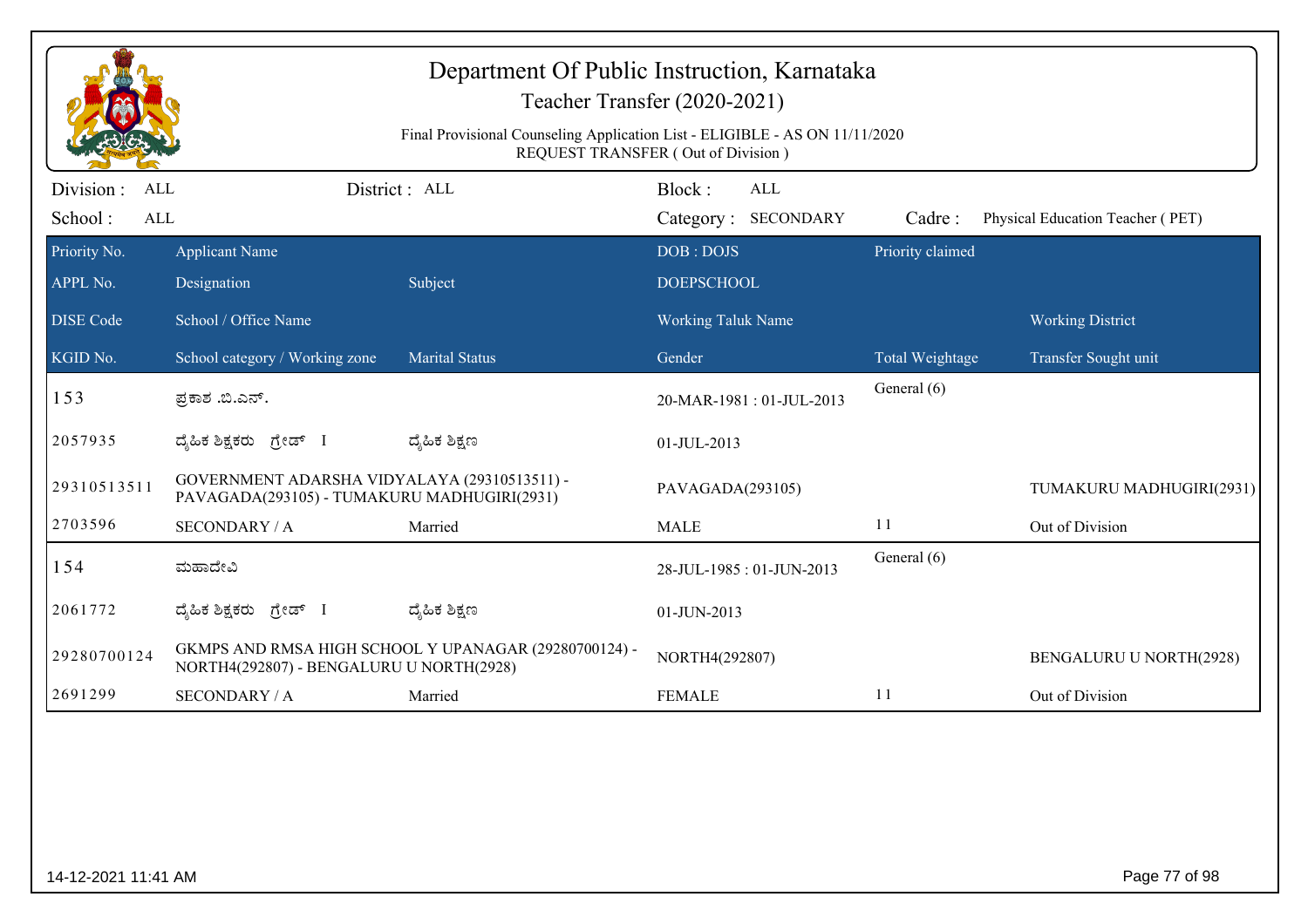|                                                  | Department Of Public Instruction, Karnataka<br>Teacher Transfer (2020-2021)<br>Final Provisional Counseling Application List - ELIGIBLE - AS ON 11/11/2020<br><b>REQUEST TRANSFER (Out of Division)</b> |                                                       |                                |                                   |                  |                                  |  |
|--------------------------------------------------|---------------------------------------------------------------------------------------------------------------------------------------------------------------------------------------------------------|-------------------------------------------------------|--------------------------------|-----------------------------------|------------------|----------------------------------|--|
| Division:<br><b>ALL</b><br>School:<br><b>ALL</b> |                                                                                                                                                                                                         | District: ALL                                         | Block:                         | <b>ALL</b><br>Category: SECONDARY | Cadre:           | Physical Education Teacher (PET) |  |
| Priority No.<br>APPL No.                         | <b>Applicant Name</b><br>Designation                                                                                                                                                                    | Subject                                               | DOB: DOJS<br><b>DOEPSCHOOL</b> |                                   | Priority claimed |                                  |  |
| <b>DISE</b> Code                                 | School / Office Name                                                                                                                                                                                    |                                                       | <b>Working Taluk Name</b>      |                                   |                  | <b>Working District</b>          |  |
| KGID No.                                         | School category / Working zone                                                                                                                                                                          | <b>Marital Status</b>                                 | Gender                         |                                   | Total Weightage  | Transfer Sought unit             |  |
| 153                                              | ಪ್ರಕಾಶ .ಬಿ.ಎನ್.                                                                                                                                                                                         |                                                       | 20-MAR-1981: 01-JUL-2013       |                                   | General (6)      |                                  |  |
| 2057935                                          | ದ್ಯಹಿಕ ಶಿಕ್ಷಕರು ಗ್ರೇಡ್ I                                                                                                                                                                                | ದ್ಮಹಿಕ ಶಿಕ್ಷಣ                                         | 01-JUL-2013                    |                                   |                  |                                  |  |
| 29310513511                                      | GOVERNMENT ADARSHA VIDYALAYA (29310513511) -<br>PAVAGADA(293105) - TUMAKURU MADHUGIRI(2931)                                                                                                             |                                                       | PAVAGADA(293105)               |                                   |                  | TUMAKURU MADHUGIRI(2931)         |  |
| 2703596                                          | <b>SECONDARY / A</b>                                                                                                                                                                                    | Married                                               | <b>MALE</b>                    |                                   | 11               | Out of Division                  |  |
| 154                                              | ಮಹಾದೇವಿ                                                                                                                                                                                                 |                                                       |                                | 28-JUL-1985: 01-JUN-2013          | General (6)      |                                  |  |
| 2061772                                          | ದ್ಶೆಹಿಕ ಶಿಕ್ಷಕರು<br>ಗ್ರೇಡ್ I                                                                                                                                                                            | ದ್ಮಹಿಕ ಶಿಕ್ಷಣ                                         | 01-JUN-2013                    |                                   |                  |                                  |  |
| 29280700124                                      | NORTH4(292807) - BENGALURU U NORTH(2928)                                                                                                                                                                | GKMPS AND RMSA HIGH SCHOOL Y UPANAGAR (29280700124) - | NORTH4(292807)                 |                                   |                  | <b>BENGALURU U NORTH(2928)</b>   |  |
| 2691299                                          | <b>SECONDARY / A</b>                                                                                                                                                                                    | Married                                               | <b>FEMALE</b>                  |                                   | 11               | Out of Division                  |  |
|                                                  |                                                                                                                                                                                                         |                                                       |                                |                                   |                  |                                  |  |
| 14-12-2021 11:41 AM                              |                                                                                                                                                                                                         |                                                       |                                |                                   |                  | Page 77 of 98                    |  |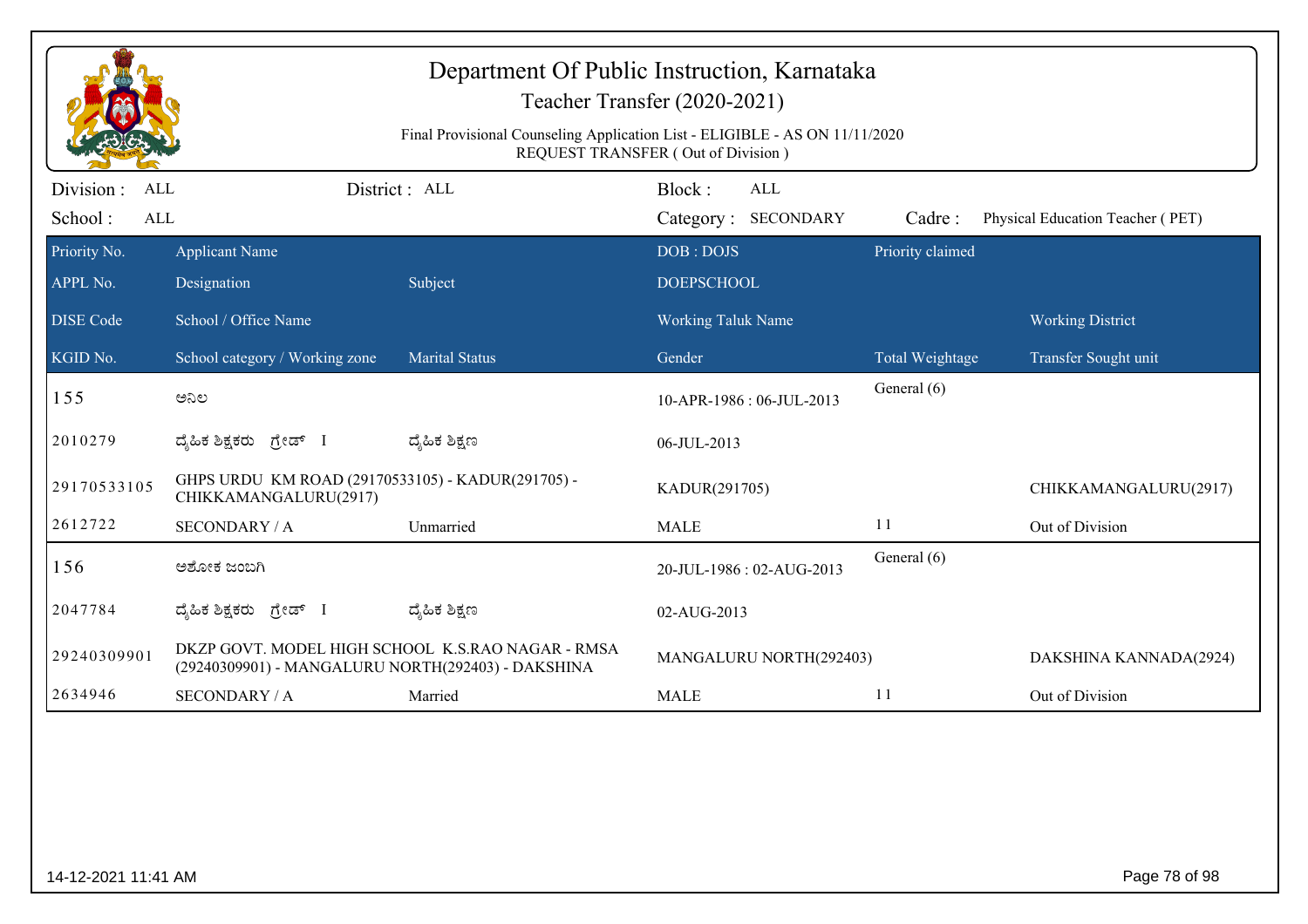|                                                  | Department Of Public Instruction, Karnataka<br>Teacher Transfer (2020-2021)<br>Final Provisional Counseling Application List - ELIGIBLE - AS ON 11/11/2020<br>REQUEST TRANSFER (Out of Division) |                                                   |                                      |                  |                                  |  |  |
|--------------------------------------------------|--------------------------------------------------------------------------------------------------------------------------------------------------------------------------------------------------|---------------------------------------------------|--------------------------------------|------------------|----------------------------------|--|--|
| Division:<br><b>ALL</b><br>School:<br><b>ALL</b> |                                                                                                                                                                                                  | District : ALL                                    | Block:<br>ALL<br>Category: SECONDARY | Cadre:           | Physical Education Teacher (PET) |  |  |
| Priority No.<br>APPL No.                         | <b>Applicant Name</b><br>Designation                                                                                                                                                             | Subject                                           | DOB: DOJS<br><b>DOEPSCHOOL</b>       | Priority claimed |                                  |  |  |
| <b>DISE Code</b>                                 | School / Office Name                                                                                                                                                                             |                                                   | <b>Working Taluk Name</b>            |                  | <b>Working District</b>          |  |  |
| KGID No.                                         | School category / Working zone                                                                                                                                                                   | <b>Marital Status</b>                             | Gender                               | Total Weightage  | Transfer Sought unit             |  |  |
| 155                                              | ಅನಿಲ                                                                                                                                                                                             |                                                   | 10-APR-1986: 06-JUL-2013             | General (6)      |                                  |  |  |
| 2010279                                          | ದ್ಯಹಿಕ ಶಿಕ್ಷಕರು <i>ಗ್ರೇಡ್</i> I                                                                                                                                                                  | ದ್ಮಹಿಕ ಶಿಕ್ಷಣ                                     | 06-JUL-2013                          |                  |                                  |  |  |
| 29170533105                                      | GHPS URDU KM ROAD (29170533105) - KADUR(291705) -<br>CHIKKAMANGALURU(2917)                                                                                                                       |                                                   | KADUR(291705)                        |                  | CHIKKAMANGALURU(2917)            |  |  |
| 2612722                                          | <b>SECONDARY / A</b>                                                                                                                                                                             | Unmarried                                         | <b>MALE</b>                          | 11               | Out of Division                  |  |  |
| 156                                              | ಅಶೋಕ ಜಂಬಗಿ                                                                                                                                                                                       |                                                   | 20-JUL-1986: 02-AUG-2013             | General (6)      |                                  |  |  |
| 2047784                                          | ದ್ಯಹಿಕ ಶಿಕ್ಷಕರು ಗ್ರೇಡ್                                                                                                                                                                           | ದ್ಯೆಹಿಕ ಶಿಕ್ಷಣ                                    | 02-AUG-2013                          |                  |                                  |  |  |
| 29240309901                                      | (29240309901) - MANGALURU NORTH(292403) - DAKSHINA                                                                                                                                               | DKZP GOVT. MODEL HIGH SCHOOL K.S.RAO NAGAR - RMSA | MANGALURU NORTH(292403)              |                  | DAKSHINA KANNADA(2924)           |  |  |
| 2634946                                          | <b>SECONDARY / A</b>                                                                                                                                                                             | Married                                           | <b>MALE</b>                          | 11               | Out of Division                  |  |  |
|                                                  |                                                                                                                                                                                                  |                                                   |                                      |                  |                                  |  |  |
| 14-12-2021 11:41 AM                              |                                                                                                                                                                                                  |                                                   |                                      |                  | Page 78 of 98                    |  |  |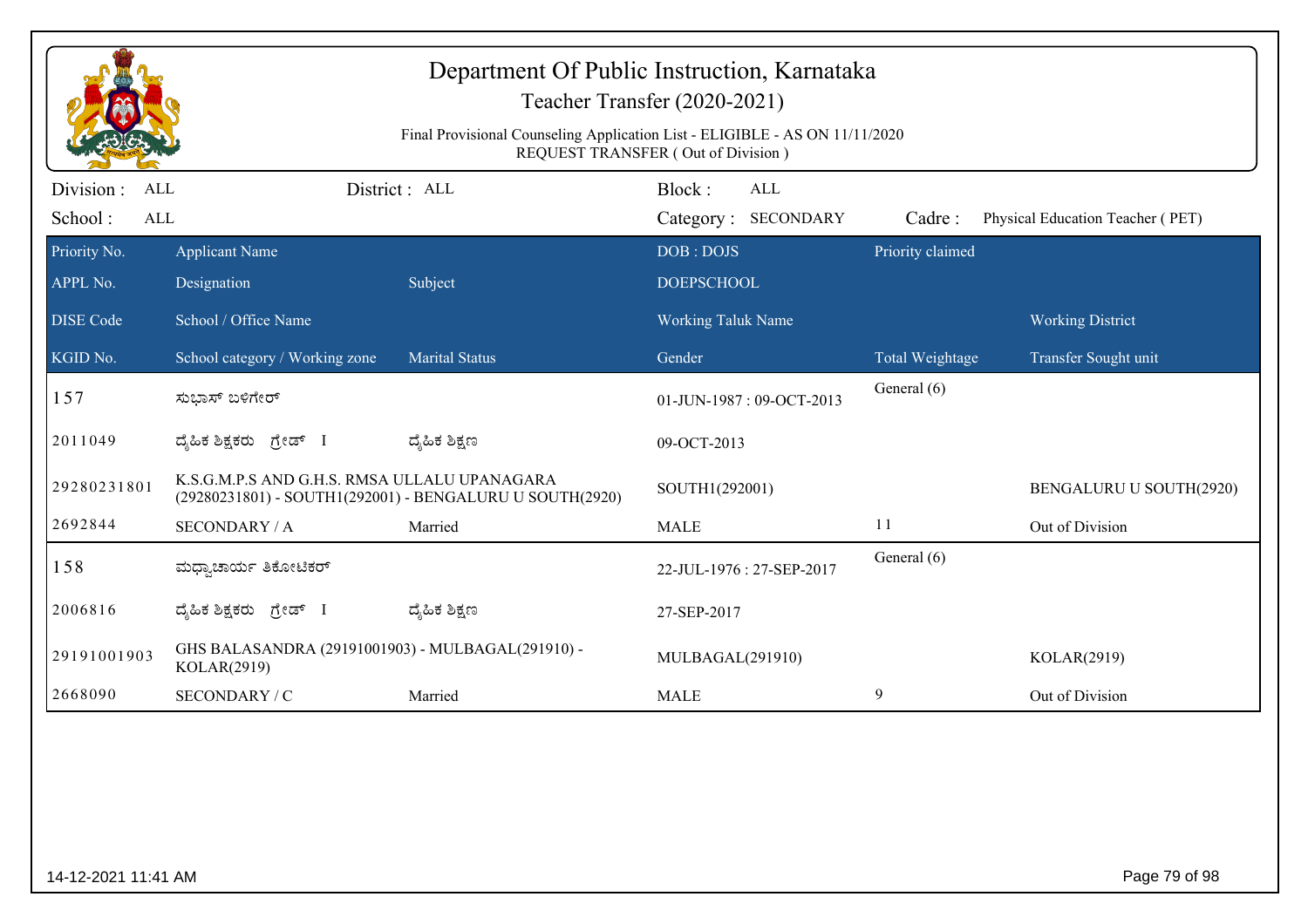|                                            | Department Of Public Instruction, Karnataka<br>Teacher Transfer (2020-2021)                                              |                                                          |                                      |                  |                                  |  |  |  |
|--------------------------------------------|--------------------------------------------------------------------------------------------------------------------------|----------------------------------------------------------|--------------------------------------|------------------|----------------------------------|--|--|--|
|                                            | Final Provisional Counseling Application List - ELIGIBLE - AS ON 11/11/2020<br><b>REQUEST TRANSFER (Out of Division)</b> |                                                          |                                      |                  |                                  |  |  |  |
| Division :<br><b>ALL</b><br>School:<br>ALL |                                                                                                                          | District : ALL                                           | Block:<br>ALL<br>Category: SECONDARY | Cadre:           | Physical Education Teacher (PET) |  |  |  |
| Priority No.                               | <b>Applicant Name</b>                                                                                                    |                                                          | DOB: DOJS                            | Priority claimed |                                  |  |  |  |
| APPL No.                                   | Designation                                                                                                              | Subject                                                  | <b>DOEPSCHOOL</b>                    |                  |                                  |  |  |  |
| <b>DISE</b> Code                           | School / Office Name                                                                                                     |                                                          | Working Taluk Name                   |                  | <b>Working District</b>          |  |  |  |
| KGID No.                                   | School category / Working zone                                                                                           | <b>Marital Status</b>                                    | Gender                               | Total Weightage  | Transfer Sought unit             |  |  |  |
| 157                                        | ಸುಭಾಸ್ ಬಳಿಗೇರ್                                                                                                           |                                                          | 01-JUN-1987: 09-OCT-2013             | General (6)      |                                  |  |  |  |
| 2011049                                    | ದ್ಯಹಿಕ ಶಿಕ್ಷಕರು ಗ್ರೇಡ್ I                                                                                                 | ದ್ಯೆಹಿಕ ಶಿಕ್ಷಣ                                           | 09-OCT-2013                          |                  |                                  |  |  |  |
| 29280231801                                | K.S.G.M.P.S AND G.H.S. RMSA ULLALU UPANAGARA                                                                             | (29280231801) - SOUTH1(292001) - BENGALURU U SOUTH(2920) | SOUTH1(292001)                       |                  | BENGALURU U SOUTH(2920)          |  |  |  |
| 2692844                                    | <b>SECONDARY / A</b>                                                                                                     | Married                                                  | <b>MALE</b>                          | 11               | Out of Division                  |  |  |  |
| 158                                        | ಮಧ್ಯಾಚಾರ್ಯ ತಿಕೋಟಿಕರ್                                                                                                     |                                                          | 22-JUL-1976: 27-SEP-2017             | General (6)      |                                  |  |  |  |
| 2006816                                    | ದ್ಯಹಿಕ ಶಿಕ್ಷಕರು ಗ್ರೇಡ್ I                                                                                                 | ದ್ಮಹಿಕ ಶಿಕ್ಷಣ                                            | 27-SEP-2017                          |                  |                                  |  |  |  |
| 29191001903                                | GHS BALASANDRA (29191001903) - MULBAGAL(291910) -<br>KOLAR(2919)                                                         |                                                          | MULBAGAL(291910)                     |                  | KOLAR(2919)                      |  |  |  |
| 2668090                                    | SECONDARY / C                                                                                                            | Married                                                  | <b>MALE</b>                          | 9                | Out of Division                  |  |  |  |
|                                            |                                                                                                                          |                                                          |                                      |                  |                                  |  |  |  |
| 14-12-2021 11:41 AM                        |                                                                                                                          |                                                          |                                      |                  | Page 79 of 98                    |  |  |  |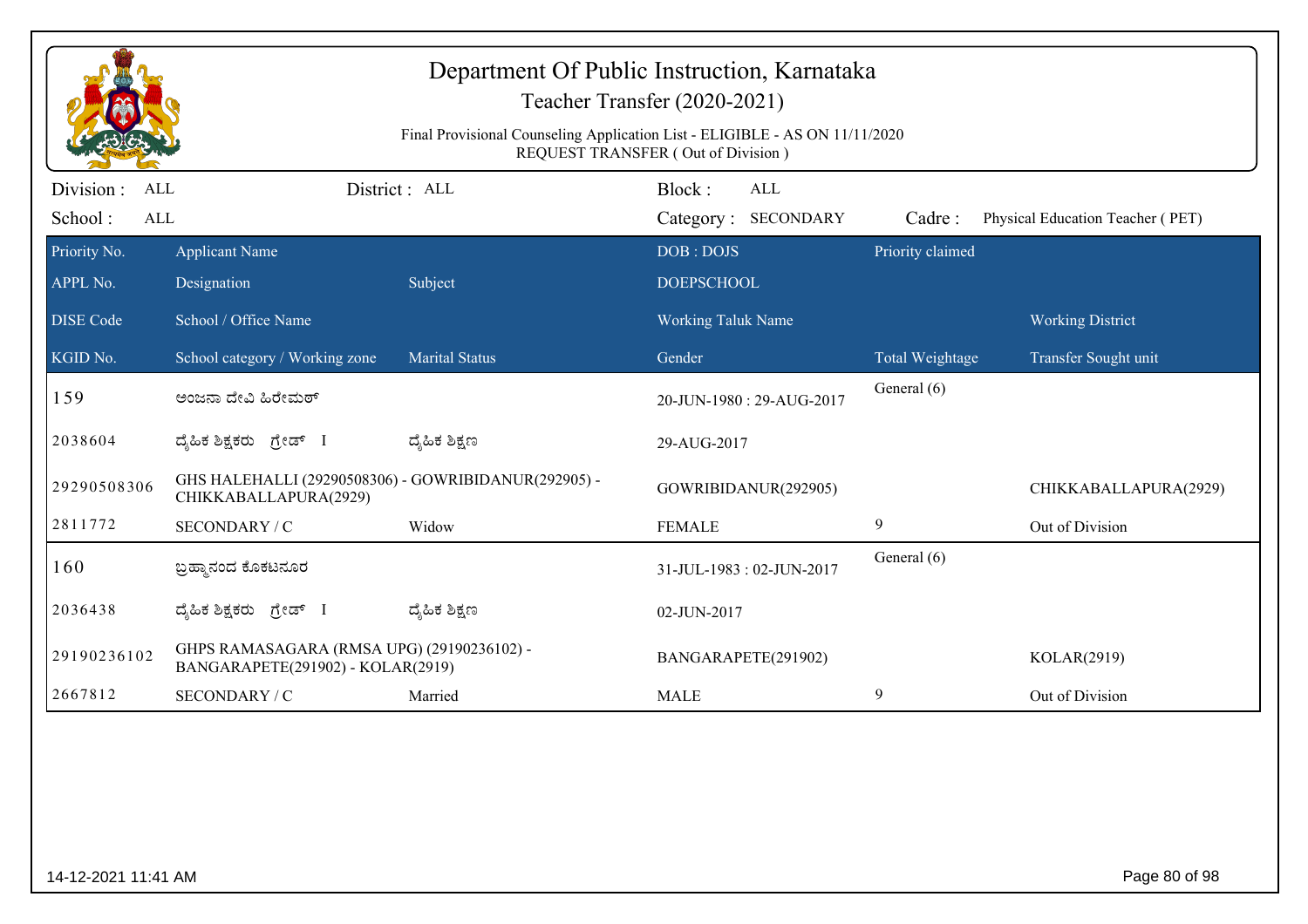|                                     | Department Of Public Instruction, Karnataka<br>Teacher Transfer (2020-2021)<br>Final Provisional Counseling Application List - ELIGIBLE - AS ON 11/11/2020<br>REQUEST TRANSFER (Out of Division) |                       |                                             |                  |                                  |  |  |
|-------------------------------------|--------------------------------------------------------------------------------------------------------------------------------------------------------------------------------------------------|-----------------------|---------------------------------------------|------------------|----------------------------------|--|--|
| Division :<br>ALL<br>School:<br>ALL |                                                                                                                                                                                                  | District: ALL         | Block:<br><b>ALL</b><br>Category: SECONDARY | Cadre:           | Physical Education Teacher (PET) |  |  |
| Priority No.<br>APPL No.            | <b>Applicant Name</b><br>Designation                                                                                                                                                             | Subject               | DOB: DOJS<br><b>DOEPSCHOOL</b>              | Priority claimed |                                  |  |  |
| <b>DISE</b> Code                    | School / Office Name                                                                                                                                                                             |                       | <b>Working Taluk Name</b>                   |                  | <b>Working District</b>          |  |  |
| KGID No.                            | School category / Working zone                                                                                                                                                                   | <b>Marital Status</b> | Gender                                      | Total Weightage  | Transfer Sought unit             |  |  |
| 159                                 | ಅಂಜನಾ ದೇವಿ ಹಿರೇಮಠ್                                                                                                                                                                               |                       | 20-JUN-1980: 29-AUG-2017                    | General (6)      |                                  |  |  |
| 2038604                             | ದೈಹಿಕ ಶಿಕ್ಷಕರು ಗ್ರೇಡ್ I                                                                                                                                                                          | ದ್ಶೆಹಿಕ ಶಿಕ್ಷಣ        | 29-AUG-2017                                 |                  |                                  |  |  |
| 29290508306                         | GHS HALEHALLI (29290508306) - GOWRIBIDANUR(292905) -<br>CHIKKABALLAPURA(2929)                                                                                                                    |                       | GOWRIBIDANUR(292905)                        |                  | CHIKKABALLAPURA(2929)            |  |  |
| 2811772                             | SECONDARY / C                                                                                                                                                                                    | Widow                 | <b>FEMALE</b>                               | 9                | Out of Division                  |  |  |
| 160                                 | ಬ್ರಹ್ಮಾನಂದ ಕೊಕಟನೂರ                                                                                                                                                                               |                       | 31-JUL-1983: 02-JUN-2017                    | General (6)      |                                  |  |  |
| 2036438                             | ದೈಹಿಕ ಶಿಕ್ಷಕರು ಗ್ರೇಡ್ I                                                                                                                                                                          | ದ್ಶೆಹಿಕ ಶಿಕ್ಷಣ        | 02-JUN-2017                                 |                  |                                  |  |  |
| 29190236102                         | GHPS RAMASAGARA (RMSA UPG) (29190236102) -<br>BANGARAPETE(291902) - KOLAR(2919)                                                                                                                  |                       | BANGARAPETE(291902)                         |                  | KOLAR(2919)                      |  |  |
| 2667812                             | SECONDARY / C                                                                                                                                                                                    | Married               | <b>MALE</b>                                 | 9                | Out of Division                  |  |  |
|                                     |                                                                                                                                                                                                  |                       |                                             |                  |                                  |  |  |
| 14-12-2021 11:41 AM                 |                                                                                                                                                                                                  |                       |                                             |                  | Page 80 of 98                    |  |  |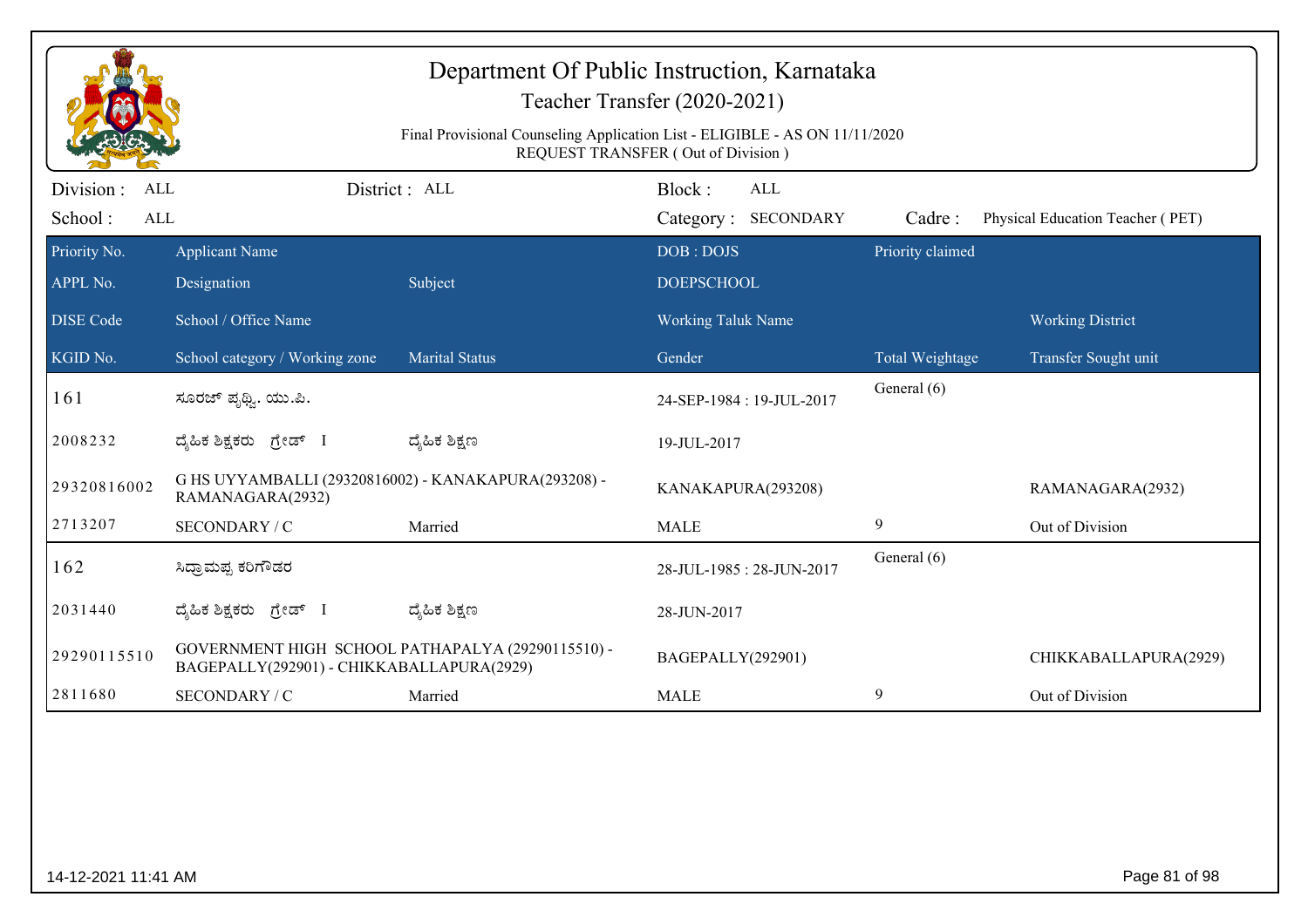|                                                   | Department Of Public Instruction, Karnataka<br>Teacher Transfer (2020-2021)<br>Final Provisional Counseling Application List - ELIGIBLE - AS ON 11/11/2020<br><b>REQUEST TRANSFER (Out of Division)</b> |                       |                                             |                  |                                  |  |  |
|---------------------------------------------------|---------------------------------------------------------------------------------------------------------------------------------------------------------------------------------------------------------|-----------------------|---------------------------------------------|------------------|----------------------------------|--|--|
| Division :<br><b>ALL</b><br>School:<br><b>ALL</b> |                                                                                                                                                                                                         | District: ALL         | Block:<br><b>ALL</b><br>Category: SECONDARY | Cadre:           | Physical Education Teacher (PET) |  |  |
| Priority No.<br>APPL No.                          | <b>Applicant Name</b><br>Designation                                                                                                                                                                    | Subject               | DOB: DOJS<br><b>DOEPSCHOOL</b>              | Priority claimed |                                  |  |  |
| <b>DISE</b> Code                                  | School / Office Name                                                                                                                                                                                    |                       | <b>Working Taluk Name</b>                   |                  | <b>Working District</b>          |  |  |
| KGID No.                                          | School category / Working zone                                                                                                                                                                          | <b>Marital Status</b> | Gender                                      | Total Weightage  | Transfer Sought unit             |  |  |
| 161                                               | ಸೂರಜ್ ಪೃಥ್ವಿ. ಯು.ಪಿ.                                                                                                                                                                                    |                       | 24-SEP-1984: 19-JUL-2017                    | General (6)      |                                  |  |  |
| 2008232                                           | ದೈಹಿಕ ಶಿಕ್ಷಕರು ಗ್ರೇಡ್ I                                                                                                                                                                                 | ದ್ಯೆಹಿಕ ಶಿಕ್ಷಣ        | 19-JUL-2017                                 |                  |                                  |  |  |
| 29320816002                                       | G HS UYYAMBALLI (29320816002) - KANAKAPURA(293208) -<br>RAMANAGARA(2932)                                                                                                                                |                       | KANAKAPURA(293208)                          |                  | RAMANAGARA(2932)                 |  |  |
| 2713207                                           | SECONDARY / C                                                                                                                                                                                           | Married               | <b>MALE</b>                                 | 9                | Out of Division                  |  |  |
| 162                                               | ಸಿಧ್ರಾಮಪ್ಪ ಕರಿಗೌಡರ                                                                                                                                                                                      |                       | 28-JUL-1985: 28-JUN-2017                    | General (6)      |                                  |  |  |
| 2031440                                           | ದ್ಯಹಿಕ ಶಿಕ್ಷಕರು ಗ್ರೇಡ್ I                                                                                                                                                                                | ದ್ಯೆಹಿಕ ಶಿಕ್ಷಣ        | 28-JUN-2017                                 |                  |                                  |  |  |
| 29290115510                                       | GOVERNMENT HIGH SCHOOL PATHAPALYA (29290115510) -<br>BAGEPALLY(292901) - CHIKKABALLAPURA(2929)                                                                                                          |                       | BAGEPALLY(292901)                           |                  | CHIKKABALLAPURA(2929)            |  |  |
| 2811680                                           | SECONDARY / C                                                                                                                                                                                           | Married               | <b>MALE</b>                                 | 9                | Out of Division                  |  |  |
|                                                   |                                                                                                                                                                                                         |                       |                                             |                  |                                  |  |  |
| 14-12-2021 11:41 AM                               |                                                                                                                                                                                                         |                       |                                             |                  | Page 81 of 98                    |  |  |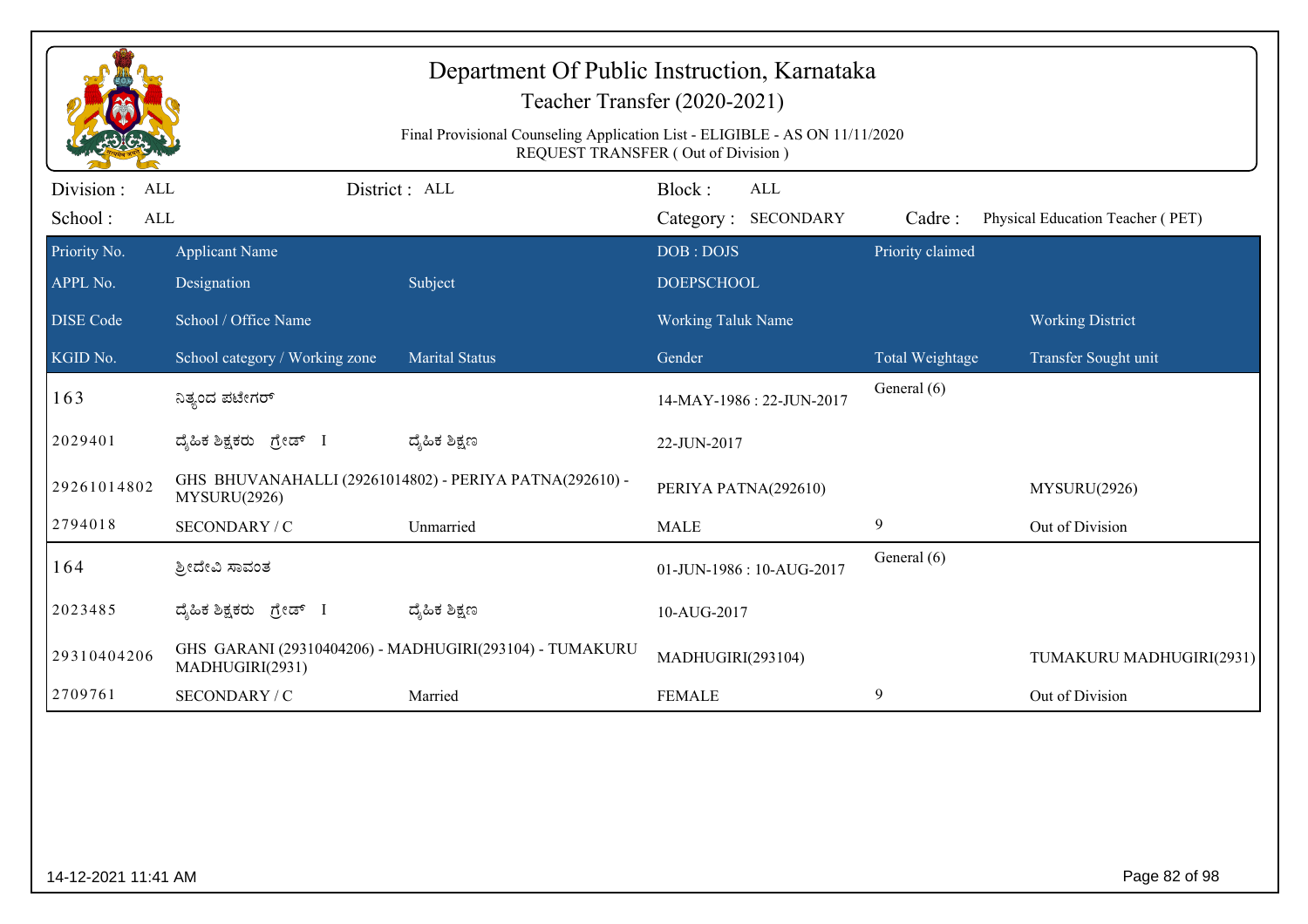|                                                   | Department Of Public Instruction, Karnataka<br>Teacher Transfer (2020-2021)<br>Final Provisional Counseling Application List - ELIGIBLE - AS ON 11/11/2020<br>REQUEST TRANSFER (Out of Division) |                                                         |                                |                                   |                  |                                  |  |
|---------------------------------------------------|--------------------------------------------------------------------------------------------------------------------------------------------------------------------------------------------------|---------------------------------------------------------|--------------------------------|-----------------------------------|------------------|----------------------------------|--|
| Division :<br><b>ALL</b><br>School:<br><b>ALL</b> |                                                                                                                                                                                                  | District: ALL                                           | Block:                         | <b>ALL</b><br>Category: SECONDARY | Cadre:           | Physical Education Teacher (PET) |  |
| Priority No.<br>APPL No.                          | <b>Applicant Name</b><br>Designation                                                                                                                                                             | Subject                                                 | DOB: DOJS<br><b>DOEPSCHOOL</b> |                                   | Priority claimed |                                  |  |
| <b>DISE Code</b>                                  | School / Office Name                                                                                                                                                                             |                                                         | <b>Working Taluk Name</b>      |                                   |                  | <b>Working District</b>          |  |
| KGID No.                                          | School category / Working zone                                                                                                                                                                   | <b>Marital Status</b>                                   | Gender                         |                                   | Total Weightage  | Transfer Sought unit             |  |
| 163                                               | ನಿತ್ಯಂದ ಪಟೇಗರ್                                                                                                                                                                                   |                                                         | 14-MAY-1986: 22-JUN-2017       |                                   | General (6)      |                                  |  |
| 2029401                                           | ದ್ಯಹಿಕ ಶಿಕ್ಷಕರು ಗ್ರೇಡ್ I                                                                                                                                                                         | ದ್ಮಹಿಕ ಶಿಕ್ಷಣ                                           | 22-JUN-2017                    |                                   |                  |                                  |  |
| 29261014802                                       | MYSURU(2926)                                                                                                                                                                                     | GHS BHUVANAHALLI (29261014802) - PERIYA PATNA(292610) - | PERIYA PATNA(292610)           |                                   |                  | MYSURU(2926)                     |  |
| 2794018                                           | SECONDARY / C                                                                                                                                                                                    | Unmarried                                               | <b>MALE</b>                    |                                   | 9                | Out of Division                  |  |
| 164                                               | ಶ್ರೀದೇವಿ ಸಾವಂತ                                                                                                                                                                                   |                                                         |                                | 01-JUN-1986: 10-AUG-2017          | General (6)      |                                  |  |
| 2023485                                           | ದ್ಯಹಿಕ ಶಿಕ್ಷಕರು ಗ್ರೇಡ್ I                                                                                                                                                                         | ದ್ಮಹಿಕ ಶಿಕ್ಷಣ                                           | 10-AUG-2017                    |                                   |                  |                                  |  |
| 29310404206                                       | MADHUGIRI(2931)                                                                                                                                                                                  | GHS GARANI (29310404206) - MADHUGIRI(293104) - TUMAKURU | MADHUGIRI(293104)              |                                   |                  | TUMAKURU MADHUGIRI(2931)         |  |
| 2709761                                           | SECONDARY / C                                                                                                                                                                                    | Married                                                 | <b>FEMALE</b>                  |                                   | 9                | Out of Division                  |  |
|                                                   |                                                                                                                                                                                                  |                                                         |                                |                                   |                  |                                  |  |
| 14-12-2021 11:41 AM                               |                                                                                                                                                                                                  |                                                         |                                |                                   |                  | Page 82 of 98                    |  |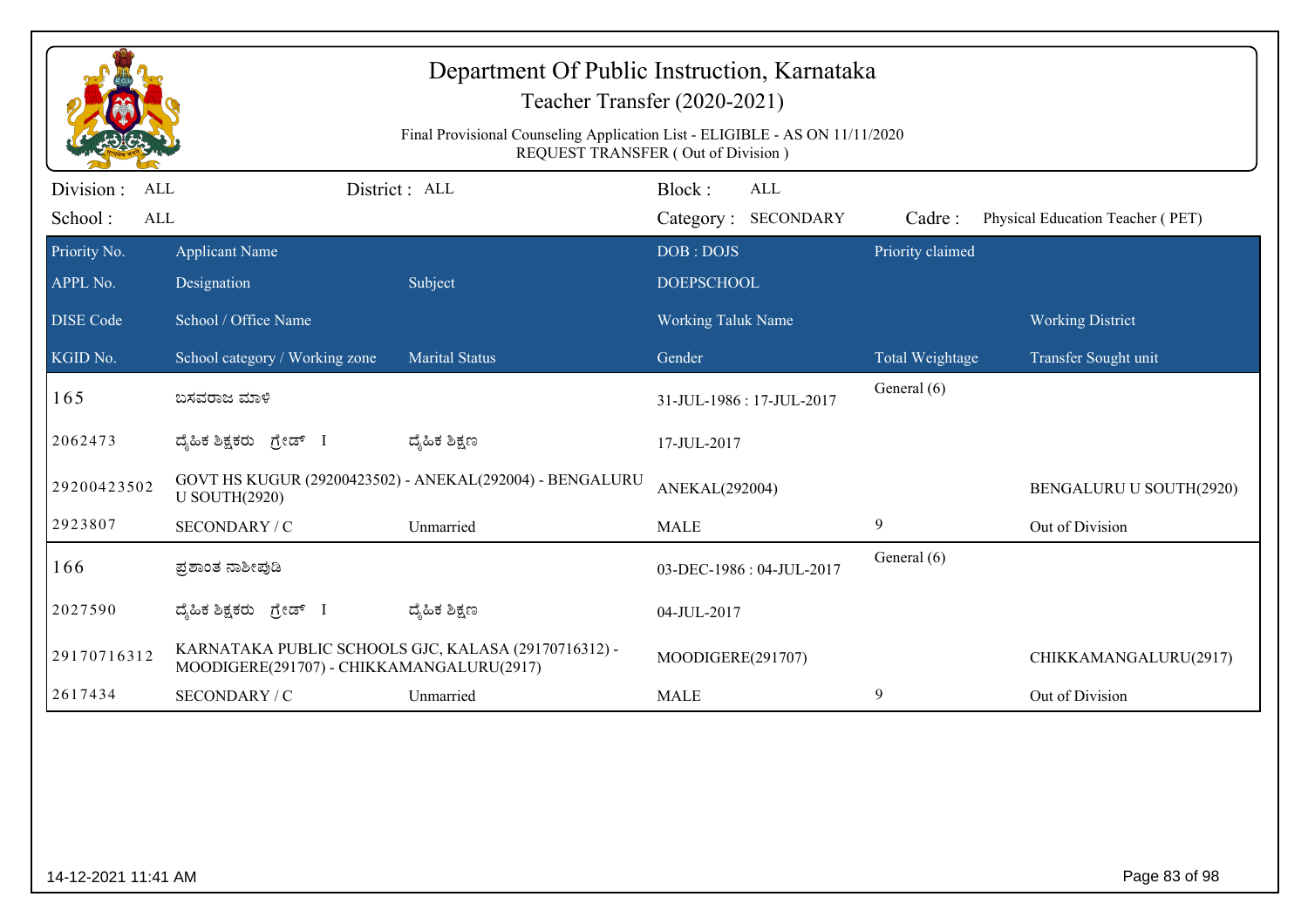|                                                   | Department Of Public Instruction, Karnataka<br>Teacher Transfer (2020-2021)<br>Final Provisional Counseling Application List - ELIGIBLE - AS ON 11/11/2020<br>REQUEST TRANSFER (Out of Division) |                                                          |                                |                                   |                  |                                  |
|---------------------------------------------------|--------------------------------------------------------------------------------------------------------------------------------------------------------------------------------------------------|----------------------------------------------------------|--------------------------------|-----------------------------------|------------------|----------------------------------|
| Division :<br><b>ALL</b><br>School:<br><b>ALL</b> |                                                                                                                                                                                                  | District : ALL                                           | Block:                         | <b>ALL</b><br>Category: SECONDARY | Cadre:           | Physical Education Teacher (PET) |
| Priority No.<br>APPL No.                          | <b>Applicant Name</b><br>Designation                                                                                                                                                             | Subject                                                  | DOB: DOJS<br><b>DOEPSCHOOL</b> |                                   | Priority claimed |                                  |
| <b>DISE</b> Code                                  | School / Office Name                                                                                                                                                                             |                                                          | <b>Working Taluk Name</b>      |                                   |                  | <b>Working District</b>          |
| KGID No.                                          | School category / Working zone                                                                                                                                                                   | <b>Marital Status</b>                                    | Gender                         |                                   | Total Weightage  | Transfer Sought unit             |
| 165                                               | ಬಸವರಾಜ ಮಾಳಿ                                                                                                                                                                                      |                                                          | 31-JUL-1986: 17-JUL-2017       |                                   | General (6)      |                                  |
| 2062473                                           | ದ್ಯಹಿಕ ಶಿಕ್ಷಕರು ಗ್ರೇಡ್ I                                                                                                                                                                         | ದ್ಮಹಿಕ ಶಿಕ್ಷಣ                                            | 17-JUL-2017                    |                                   |                  |                                  |
| 29200423502                                       | <b>U SOUTH(2920)</b>                                                                                                                                                                             | GOVT HS KUGUR (29200423502) - ANEKAL(292004) - BENGALURU | ANEKAL(292004)                 |                                   |                  | BENGALURU U SOUTH(2920)          |
| 2923807                                           | SECONDARY / C                                                                                                                                                                                    | Unmarried                                                | <b>MALE</b>                    |                                   | 9                | Out of Division                  |
| 166                                               | ಪ್ರಶಾಂತ ನಾಶೀಪುಡಿ                                                                                                                                                                                 |                                                          |                                | 03-DEC-1986: 04-JUL-2017          | General (6)      |                                  |
| 2027590                                           | ದ್ಯಹಿಕ ಶಿಕ್ಷಕರು ಗ್ರೇಡ್ I                                                                                                                                                                         | ದ್ಮಹಿಕ ಶಿಕ್ಷಣ                                            | 04-JUL-2017                    |                                   |                  |                                  |
| 29170716312                                       | MOODIGERE(291707) - CHIKKAMANGALURU(2917)                                                                                                                                                        | KARNATAKA PUBLIC SCHOOLS GJC, KALASA (29170716312) -     | MOODIGERE(291707)              |                                   |                  | CHIKKAMANGALURU(2917)            |
| 2617434                                           | SECONDARY / C                                                                                                                                                                                    | Unmarried                                                | <b>MALE</b>                    |                                   | 9                | Out of Division                  |
|                                                   |                                                                                                                                                                                                  |                                                          |                                |                                   |                  |                                  |
| 14-12-2021 11:41 AM                               |                                                                                                                                                                                                  |                                                          |                                |                                   |                  | Page 83 of 98                    |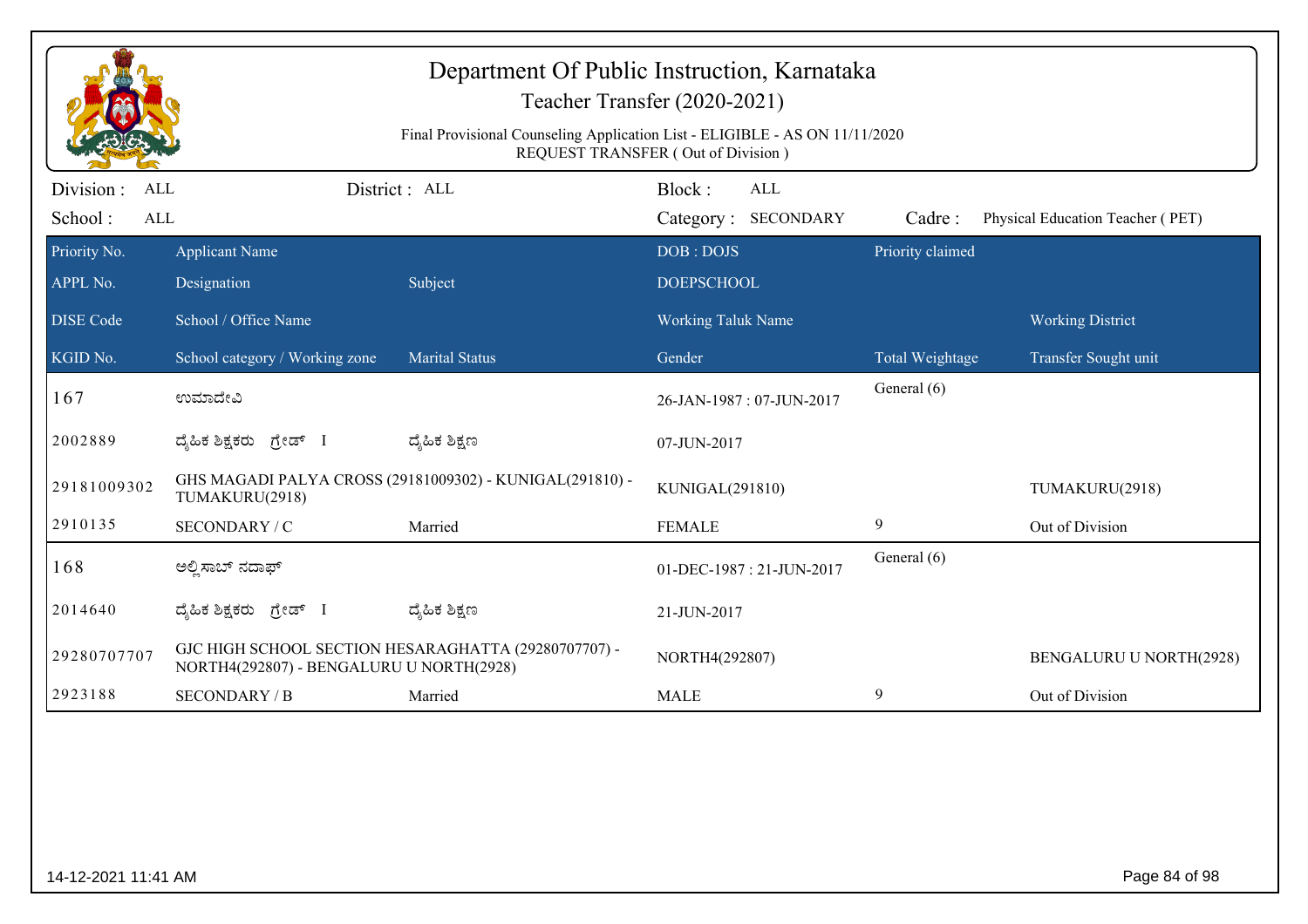|                                                   | Department Of Public Instruction, Karnataka<br>Teacher Transfer (2020-2021)<br>Final Provisional Counseling Application List - ELIGIBLE - AS ON 11/11/2020<br><b>REQUEST TRANSFER (Out of Division)</b> |                                                          |                                |                                   |                  |                                  |  |
|---------------------------------------------------|---------------------------------------------------------------------------------------------------------------------------------------------------------------------------------------------------------|----------------------------------------------------------|--------------------------------|-----------------------------------|------------------|----------------------------------|--|
| Division :<br><b>ALL</b><br>School:<br><b>ALL</b> |                                                                                                                                                                                                         | District : ALL                                           | Block:                         | <b>ALL</b><br>Category: SECONDARY | Cadre:           | Physical Education Teacher (PET) |  |
| Priority No.<br>APPL No.                          | <b>Applicant Name</b><br>Designation                                                                                                                                                                    | Subject                                                  | DOB: DOJS<br><b>DOEPSCHOOL</b> |                                   | Priority claimed |                                  |  |
| <b>DISE Code</b>                                  | School / Office Name                                                                                                                                                                                    |                                                          | <b>Working Taluk Name</b>      |                                   |                  | <b>Working District</b>          |  |
| KGID No.                                          | School category / Working zone                                                                                                                                                                          | <b>Marital Status</b>                                    | Gender                         |                                   | Total Weightage  | Transfer Sought unit             |  |
| 167                                               | ಉಮಾದೇವಿ                                                                                                                                                                                                 |                                                          | 26-JAN-1987: 07-JUN-2017       |                                   | General (6)      |                                  |  |
| 2002889                                           | ದ್ಯಹಿಕ ಶಿಕ್ಷಕರು ಗ್ರೇಡ್ I                                                                                                                                                                                | ದ್ಯೆಹಿಕ ಶಿಕ್ಷಣ                                           | 07-JUN-2017                    |                                   |                  |                                  |  |
| 29181009302                                       | TUMAKURU(2918)                                                                                                                                                                                          | GHS MAGADI PALYA CROSS (29181009302) - KUNIGAL(291810) - | KUNIGAL(291810)                |                                   |                  | TUMAKURU(2918)                   |  |
| 2910135                                           | SECONDARY / C                                                                                                                                                                                           | Married                                                  | <b>FEMALE</b>                  |                                   | 9                | Out of Division                  |  |
| 168                                               | ಅಲ್ಪಿಸಾಬ್ ನದಾಫ್                                                                                                                                                                                         |                                                          |                                | 01-DEC-1987: 21-JUN-2017          | General (6)      |                                  |  |
| 2014640                                           | ದ್ಯಹಿಕ ಶಿಕ್ಷಕರು<br>ಗ್ರೇಡ್ I                                                                                                                                                                             | ದ್ಯೆಹಿಕ ಶಿಕ್ಷಣ                                           | 21-JUN-2017                    |                                   |                  |                                  |  |
| 29280707707                                       | NORTH4(292807) - BENGALURU U NORTH(2928)                                                                                                                                                                | GJC HIGH SCHOOL SECTION HESARAGHATTA (29280707707) -     | NORTH4(292807)                 |                                   |                  | <b>BENGALURU U NORTH(2928)</b>   |  |
| 2923188                                           | <b>SECONDARY / B</b>                                                                                                                                                                                    | Married                                                  | <b>MALE</b>                    |                                   | 9                | Out of Division                  |  |
|                                                   |                                                                                                                                                                                                         |                                                          |                                |                                   |                  |                                  |  |
| 14-12-2021 11:41 AM                               |                                                                                                                                                                                                         |                                                          |                                |                                   |                  | Page 84 of 98                    |  |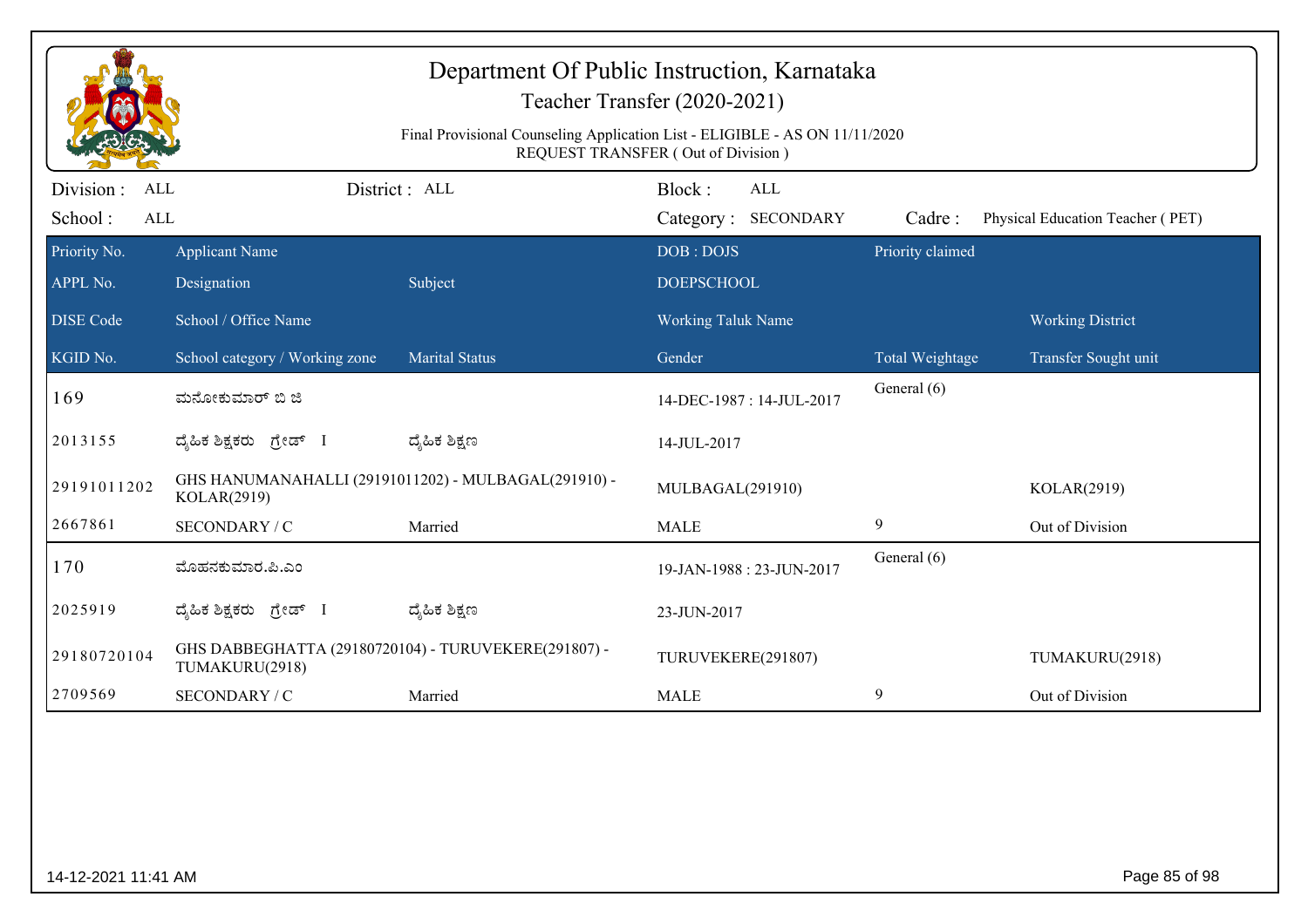| Department Of Public Instruction, Karnataka<br>Teacher Transfer (2020-2021)<br>Final Provisional Counseling Application List - ELIGIBLE - AS ON 11/11/2020<br><b>REQUEST TRANSFER (Out of Division)</b> |                                                                        |                                                      |                                             |                  |                                  |  |  |
|---------------------------------------------------------------------------------------------------------------------------------------------------------------------------------------------------------|------------------------------------------------------------------------|------------------------------------------------------|---------------------------------------------|------------------|----------------------------------|--|--|
| Division :<br>ALL<br>School:<br>$\mbox{ALL}$                                                                                                                                                            |                                                                        | District: ALL                                        | Block:<br><b>ALL</b><br>Category: SECONDARY | Cadre:           | Physical Education Teacher (PET) |  |  |
| Priority No.                                                                                                                                                                                            | <b>Applicant Name</b>                                                  |                                                      | DOB: DOJS                                   | Priority claimed |                                  |  |  |
| APPL No.                                                                                                                                                                                                | Designation                                                            | Subject                                              | <b>DOEPSCHOOL</b>                           |                  |                                  |  |  |
| <b>DISE</b> Code                                                                                                                                                                                        | School / Office Name                                                   |                                                      | Working Taluk Name                          |                  | <b>Working District</b>          |  |  |
| KGID No.                                                                                                                                                                                                | School category / Working zone                                         | <b>Marital Status</b>                                | Gender                                      | Total Weightage  | Transfer Sought unit             |  |  |
| 169                                                                                                                                                                                                     | ಮನೋಕುಮಾರ್ ಬಿ ಜಿ                                                        |                                                      | 14-DEC-1987: 14-JUL-2017                    | General (6)      |                                  |  |  |
| 2013155                                                                                                                                                                                                 | ದೈಹಿಕ ಶಿಕ್ಷಕರು ಗ್ರೇಡ್ I                                                | ದ್ಶೆಹಿಕ ಶಿಕ್ಷಣ                                       | 14-JUL-2017                                 |                  |                                  |  |  |
| 29191011202                                                                                                                                                                                             | KOLAR(2919)                                                            | GHS HANUMANAHALLI (29191011202) - MULBAGAL(291910) - | MULBAGAL(291910)                            |                  | KOLAR(2919)                      |  |  |
| 2667861                                                                                                                                                                                                 | SECONDARY / C                                                          | Married                                              | <b>MALE</b>                                 | 9                | Out of Division                  |  |  |
| 170                                                                                                                                                                                                     | ಮೊಹನಕುಮಾರ.ಪಿ.ಎಂ                                                        |                                                      | 19-JAN-1988: 23-JUN-2017                    | General (6)      |                                  |  |  |
| 2025919                                                                                                                                                                                                 | ದ್ಯಹಿಕ ಶಿಕ್ಷಕರು ಗ್ರೇಡ್ I                                               | ದ್ಶೆಹಿಕ ಶಿಕ್ಷಣ                                       | 23-JUN-2017                                 |                  |                                  |  |  |
| 29180720104                                                                                                                                                                                             | GHS DABBEGHATTA (29180720104) - TURUVEKERE(291807) -<br>TUMAKURU(2918) |                                                      | TURUVEKERE(291807)                          |                  | TUMAKURU(2918)                   |  |  |
| 2709569                                                                                                                                                                                                 | SECONDARY / C                                                          | Married                                              | <b>MALE</b>                                 | 9                | Out of Division                  |  |  |
|                                                                                                                                                                                                         |                                                                        |                                                      |                                             |                  |                                  |  |  |
| 14-12-2021 11:41 AM                                                                                                                                                                                     |                                                                        |                                                      |                                             |                  | Page 85 of 98                    |  |  |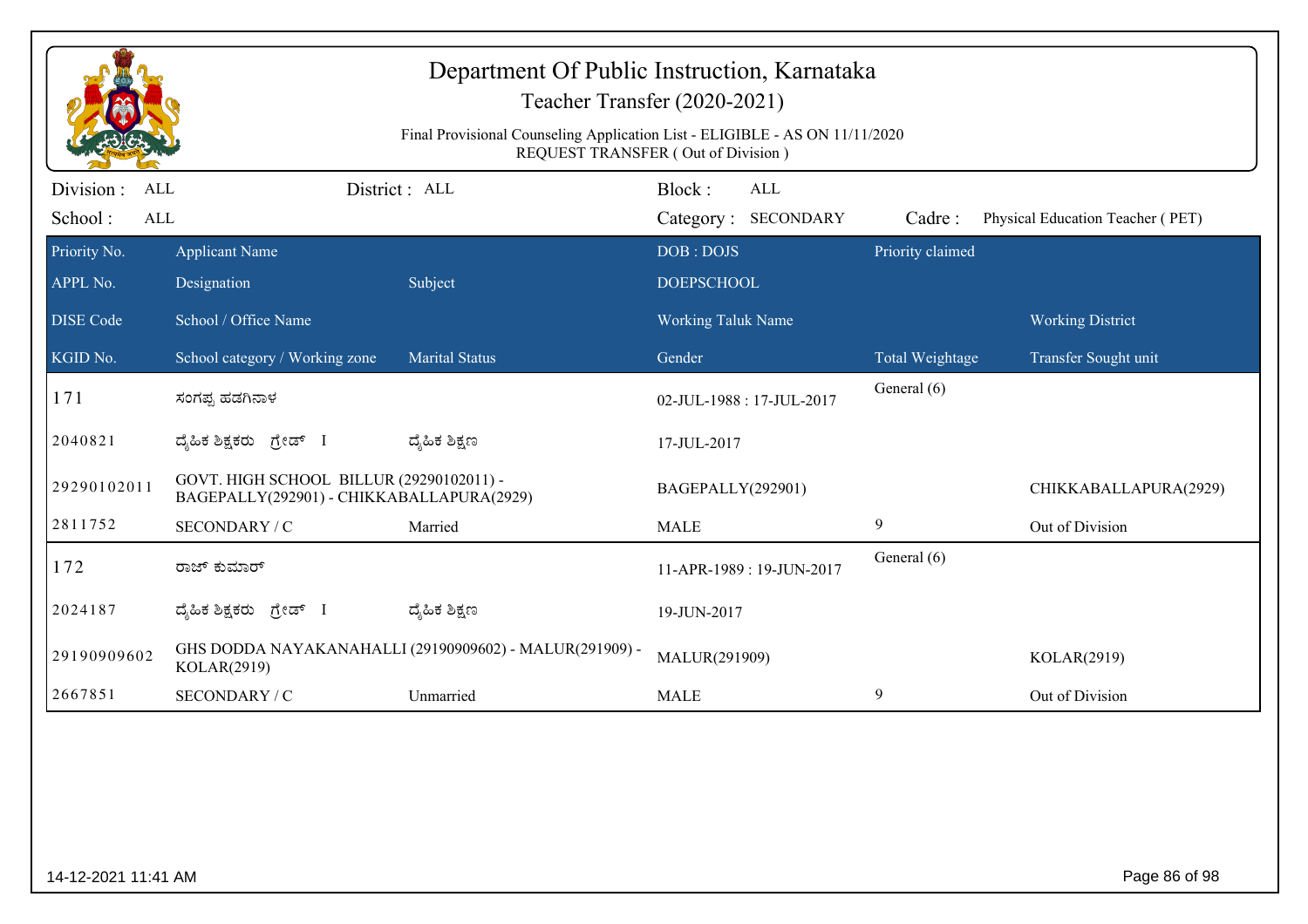| Department Of Public Instruction, Karnataka<br>Teacher Transfer (2020-2021)<br>Final Provisional Counseling Application List - ELIGIBLE - AS ON 11/11/2020<br>REQUEST TRANSFER (Out of Division) |                                                                                       |                                                         |                                     |                                   |                  |                                                 |  |
|--------------------------------------------------------------------------------------------------------------------------------------------------------------------------------------------------|---------------------------------------------------------------------------------------|---------------------------------------------------------|-------------------------------------|-----------------------------------|------------------|-------------------------------------------------|--|
| Division :<br>ALL<br>School:<br>ALL                                                                                                                                                              |                                                                                       | District: ALL                                           | Block:                              | <b>ALL</b><br>Category: SECONDARY | Cadre:           | Physical Education Teacher (PET)                |  |
| Priority No.<br>APPL No.                                                                                                                                                                         | <b>Applicant Name</b><br>Designation                                                  | Subject                                                 | DOB: DOJS<br><b>DOEPSCHOOL</b>      |                                   | Priority claimed |                                                 |  |
| <b>DISE</b> Code<br>KGID No.                                                                                                                                                                     | School / Office Name<br>School category / Working zone                                | <b>Marital Status</b>                                   | <b>Working Taluk Name</b><br>Gender |                                   | Total Weightage  | <b>Working District</b><br>Transfer Sought unit |  |
| 171                                                                                                                                                                                              | ಸಂಗಪ್ಪ ಹಡಗಿನಾಳ                                                                        |                                                         | 02-JUL-1988: 17-JUL-2017            |                                   | General (6)      |                                                 |  |
| 2040821                                                                                                                                                                                          | ದೈಹಿಕ ಶಿಕ್ಷಕರು ಗ್ರೇಡ್ I                                                               | ದ್ಶೆಹಿಕ ಶಿಕ್ಷಣ                                          | 17-JUL-2017                         |                                   |                  |                                                 |  |
| 29290102011                                                                                                                                                                                      | GOVT. HIGH SCHOOL BILLUR (29290102011) -<br>BAGEPALLY(292901) - CHIKKABALLAPURA(2929) |                                                         | BAGEPALLY(292901)                   |                                   |                  | CHIKKABALLAPURA(2929)                           |  |
| 2811752                                                                                                                                                                                          | SECONDARY / C                                                                         | Married                                                 | <b>MALE</b>                         |                                   | 9                | Out of Division                                 |  |
| 172                                                                                                                                                                                              | ರಾಜ್ ಕುಮಾರ್                                                                           |                                                         |                                     | 11-APR-1989: 19-JUN-2017          | General (6)      |                                                 |  |
| 2024187                                                                                                                                                                                          | ದ್ಯಹಿಕ ಶಿಕ್ಷಕರು ಗ್ರೇಡ್ I                                                              | ದ್ಶೆಹಿಕ ಶಿಕ್ಷಣ                                          | 19-JUN-2017                         |                                   |                  |                                                 |  |
| 29190909602                                                                                                                                                                                      | KOLAR(2919)                                                                           | GHS DODDA NAYAKANAHALLI (29190909602) - MALUR(291909) - | MALUR(291909)                       |                                   |                  | KOLAR(2919)                                     |  |
| 2667851                                                                                                                                                                                          | SECONDARY / C                                                                         | Unmarried                                               | <b>MALE</b>                         |                                   | 9                | Out of Division                                 |  |
|                                                                                                                                                                                                  |                                                                                       |                                                         |                                     |                                   |                  |                                                 |  |
|                                                                                                                                                                                                  | Page 86 of 98<br>14-12-2021 11:41 AM                                                  |                                                         |                                     |                                   |                  |                                                 |  |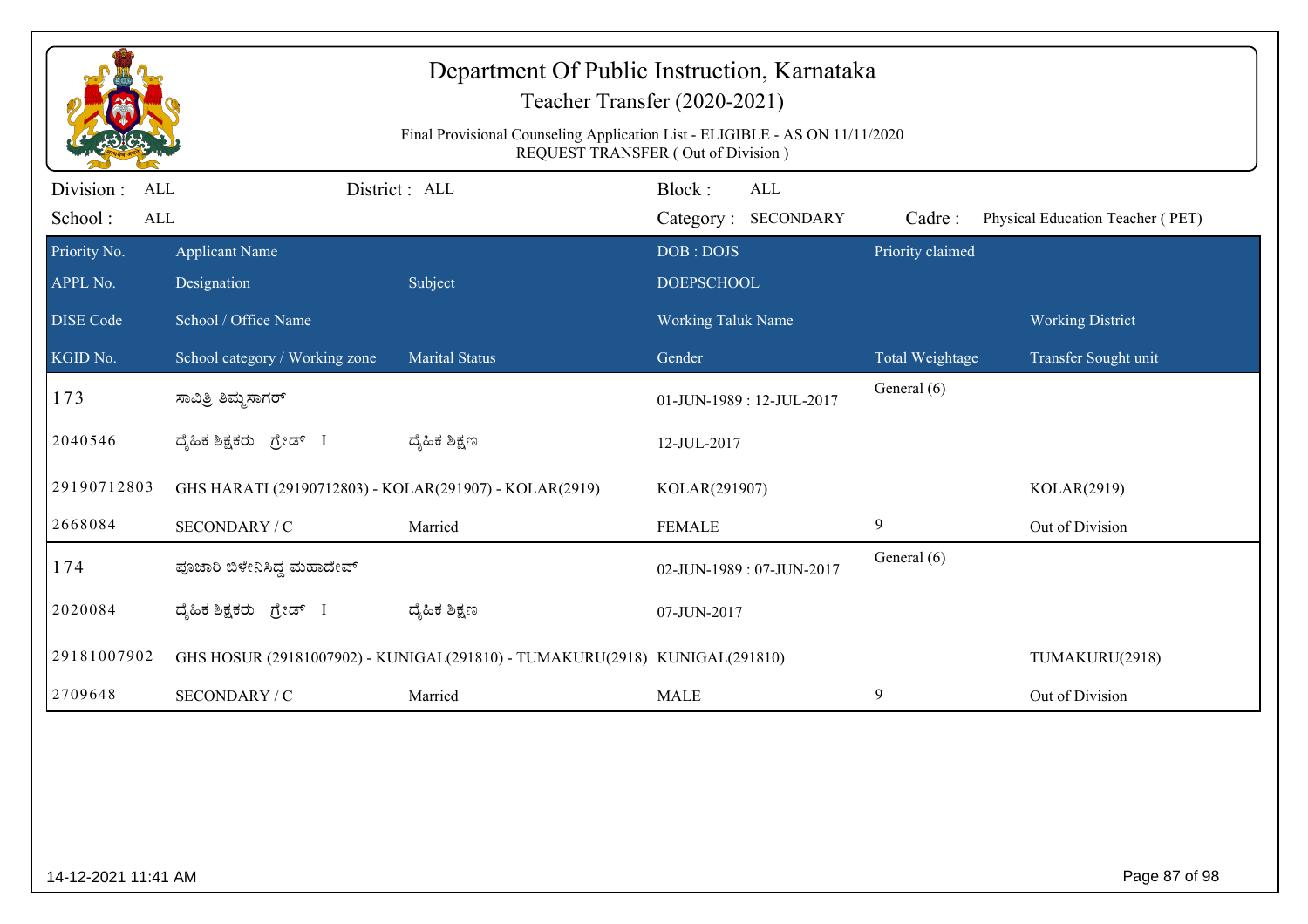| Department Of Public Instruction, Karnataka<br>Teacher Transfer (2020-2021)<br>Final Provisional Counseling Application List - ELIGIBLE - AS ON 11/11/2020<br><b>REQUEST TRANSFER (Out of Division)</b> |                                                        |                                                                            |                                         |                                   |                  |                                  |  |
|---------------------------------------------------------------------------------------------------------------------------------------------------------------------------------------------------------|--------------------------------------------------------|----------------------------------------------------------------------------|-----------------------------------------|-----------------------------------|------------------|----------------------------------|--|
| Division:<br>ALL<br>School:<br>ALL                                                                                                                                                                      |                                                        | District: ALL                                                              | Block:                                  | <b>ALL</b><br>Category: SECONDARY | Cadre:           | Physical Education Teacher (PET) |  |
| Priority No.                                                                                                                                                                                            | <b>Applicant Name</b>                                  |                                                                            | DOB: DOJS                               |                                   | Priority claimed |                                  |  |
| APPL No.<br><b>DISE Code</b>                                                                                                                                                                            | Designation<br>School / Office Name                    | Subject                                                                    | <b>DOEPSCHOOL</b><br>Working Taluk Name |                                   |                  | <b>Working District</b>          |  |
| KGID No.                                                                                                                                                                                                | School category / Working zone                         | <b>Marital Status</b>                                                      | Gender                                  |                                   | Total Weightage  | Transfer Sought unit             |  |
| 173                                                                                                                                                                                                     | ಸಾವಿತ್ರಿ ತಿಮ್ಮಸಾಗರ್                                    |                                                                            |                                         | 01-JUN-1989: 12-JUL-2017          | General (6)      |                                  |  |
| 2040546                                                                                                                                                                                                 | ದೈಹಿಕ ಶಿಕ್ಷಕರು ಗ್ರೇಡ್ I                                | ದ್ಮಹಿಕ ಶಿಕ್ಷಣ                                                              | 12-JUL-2017                             |                                   |                  |                                  |  |
| 29190712803                                                                                                                                                                                             | GHS HARATI (29190712803) - KOLAR(291907) - KOLAR(2919) |                                                                            | KOLAR(291907)                           |                                   |                  | KOLAR(2919)                      |  |
| 2668084                                                                                                                                                                                                 | SECONDARY / C                                          | Married                                                                    | <b>FEMALE</b>                           |                                   | 9                | Out of Division                  |  |
| 174                                                                                                                                                                                                     | ಪೂಜಾರಿ ಬಿಳೇನಿಸಿದ್ದ ಮಹಾದೇವ್                             |                                                                            |                                         | 02-JUN-1989: 07-JUN-2017          | General (6)      |                                  |  |
| 2020084                                                                                                                                                                                                 | ದ್ಯಹಿಕ ಶಿಕ್ಷಕರು ಗ್ರೇಡ್ I                               | ದ್ಶೆಹಿಕ ಶಿಕ್ಷಣ                                                             | 07-JUN-2017                             |                                   |                  |                                  |  |
| 29181007902                                                                                                                                                                                             |                                                        | GHS HOSUR (29181007902) - KUNIGAL(291810) - TUMAKURU(2918) KUNIGAL(291810) |                                         |                                   |                  | TUMAKURU(2918)                   |  |
| 2709648                                                                                                                                                                                                 | SECONDARY / C                                          | Married                                                                    | <b>MALE</b>                             |                                   | 9                | Out of Division                  |  |
|                                                                                                                                                                                                         |                                                        |                                                                            |                                         |                                   |                  |                                  |  |
| 14-12-2021 11:41 AM                                                                                                                                                                                     |                                                        |                                                                            |                                         |                                   |                  | Page 87 of 98                    |  |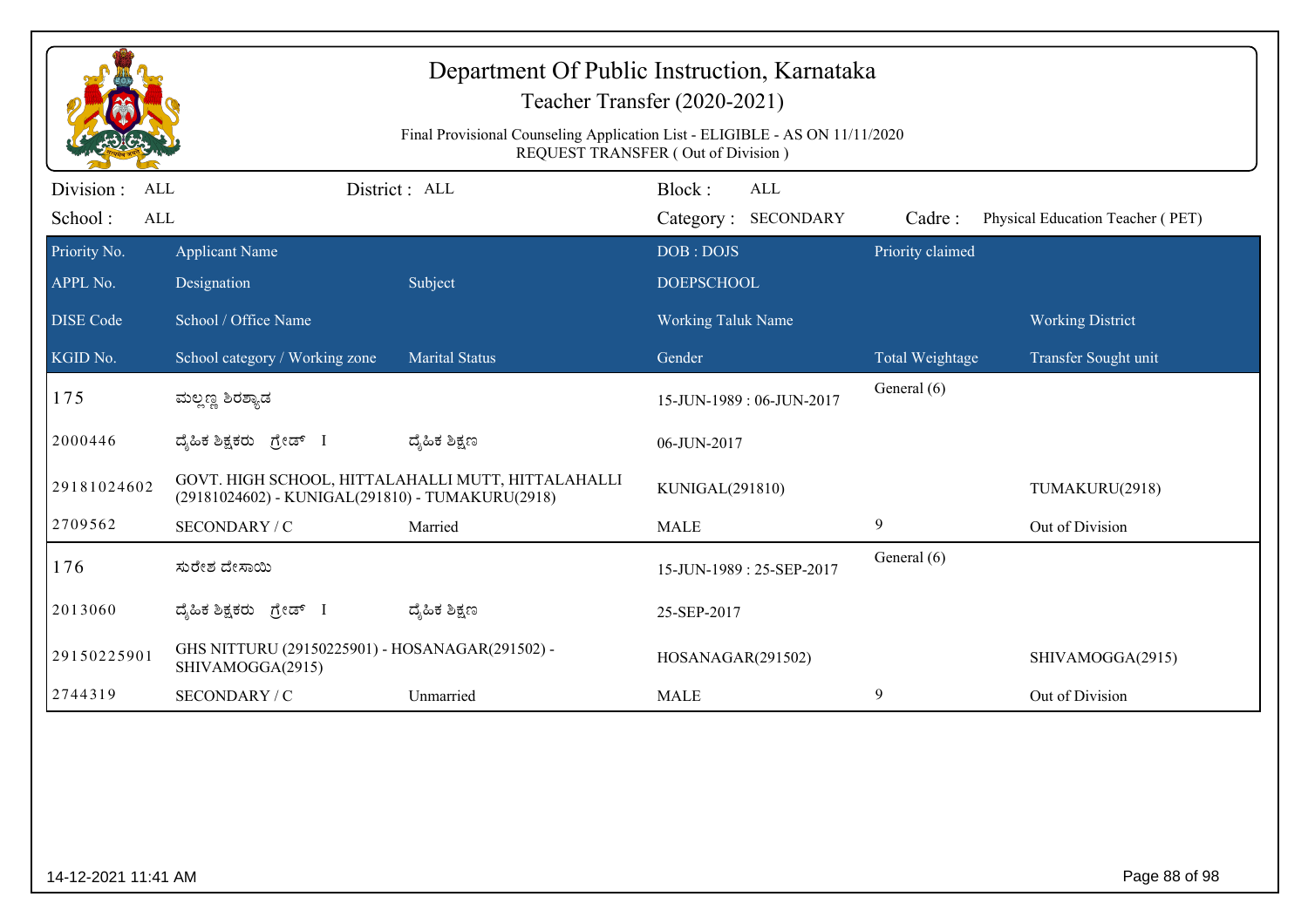|                                                                                                                          |                                                                     | Department Of Public Instruction, Karnataka        | Teacher Transfer (2020-2021)                |                  |                                  |  |  |
|--------------------------------------------------------------------------------------------------------------------------|---------------------------------------------------------------------|----------------------------------------------------|---------------------------------------------|------------------|----------------------------------|--|--|
| Final Provisional Counseling Application List - ELIGIBLE - AS ON 11/11/2020<br><b>REQUEST TRANSFER (Out of Division)</b> |                                                                     |                                                    |                                             |                  |                                  |  |  |
| Division :<br>ALL<br>School:<br>$\mbox{ALL}$                                                                             |                                                                     | District : ALL                                     | Block:<br><b>ALL</b><br>Category: SECONDARY | Cadre:           | Physical Education Teacher (PET) |  |  |
| Priority No.<br>APPL No.                                                                                                 | <b>Applicant Name</b><br>Designation                                | Subject                                            | DOB: DOJS<br><b>DOEPSCHOOL</b>              | Priority claimed |                                  |  |  |
| <b>DISE</b> Code                                                                                                         | School / Office Name                                                |                                                    | Working Taluk Name                          |                  | <b>Working District</b>          |  |  |
| KGID No.                                                                                                                 | School category / Working zone                                      | <b>Marital Status</b>                              | Gender                                      | Total Weightage  | Transfer Sought unit             |  |  |
| 175                                                                                                                      | ಮಲ್ಲಣ್ಣ ಶಿರಶ್ಯಾಡ                                                    |                                                    | 15-JUN-1989: 06-JUN-2017                    | General (6)      |                                  |  |  |
| 2000446                                                                                                                  | ದ್ಯಹಿಕ ಶಿಕ್ಷಕರು ಗ್ರೇಡ್ I                                            | ದ್ಶೆಹಿಕ ಶಿಕ್ಷಣ                                     | 06-JUN-2017                                 |                  |                                  |  |  |
| 29181024602                                                                                                              | (29181024602) - KUNIGAL(291810) - TUMAKURU(2918)                    | GOVT. HIGH SCHOOL, HITTALAHALLI MUTT, HITTALAHALLI | KUNIGAL(291810)                             |                  | TUMAKURU(2918)                   |  |  |
| 2709562                                                                                                                  | SECONDARY / C                                                       | Married                                            | <b>MALE</b>                                 | 9                | Out of Division                  |  |  |
| 176                                                                                                                      | ಸುರೇಶ ದೇಸಾಯಿ                                                        |                                                    | 15-JUN-1989: 25-SEP-2017                    | General (6)      |                                  |  |  |
| 2013060                                                                                                                  | ದ್ಯಹಿಕ ಶಿಕ್ಷಕರು <i>ಗ್ರೇಡ್</i> I                                     | ದ್ಶೆಹಿಕ ಶಿಕ್ಷಣ                                     | 25-SEP-2017                                 |                  |                                  |  |  |
| 29150225901                                                                                                              | GHS NITTURU (29150225901) - HOSANAGAR(291502) -<br>SHIVAMOGGA(2915) |                                                    | HOSANAGAR(291502)                           |                  | SHIVAMOGGA(2915)                 |  |  |
| 2744319                                                                                                                  | SECONDARY / C                                                       | Unmarried                                          | <b>MALE</b>                                 | 9                | Out of Division                  |  |  |
|                                                                                                                          |                                                                     |                                                    |                                             |                  |                                  |  |  |
| 14-12-2021 11:41 AM                                                                                                      |                                                                     |                                                    |                                             |                  | Page 88 of 98                    |  |  |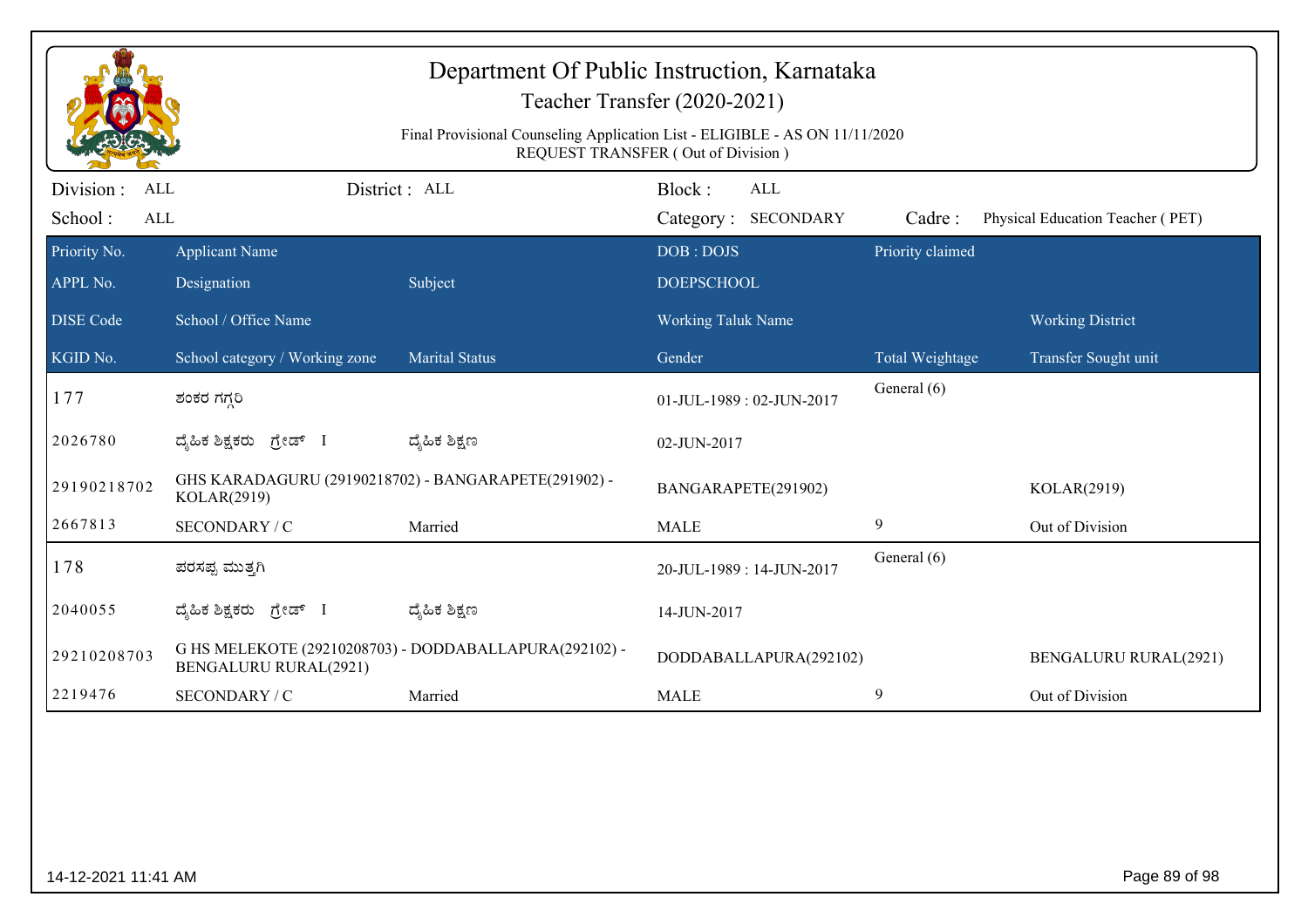| Department Of Public Instruction, Karnataka<br>Teacher Transfer (2020-2021)<br>Final Provisional Counseling Application List - ELIGIBLE - AS ON 11/11/2020<br>REQUEST TRANSFER (Out of Division) |                                                                     |                                                        |                                    |                        |                                |                                  |  |
|--------------------------------------------------------------------------------------------------------------------------------------------------------------------------------------------------|---------------------------------------------------------------------|--------------------------------------------------------|------------------------------------|------------------------|--------------------------------|----------------------------------|--|
| Division:<br><b>ALL</b><br>School:<br><b>ALL</b>                                                                                                                                                 |                                                                     | District: ALL                                          | Block:<br>Category: SECONDARY      | <b>ALL</b>             | Cadre:                         | Physical Education Teacher (PET) |  |
| Priority No.<br>APPL No.                                                                                                                                                                         | <b>Applicant Name</b><br>Designation                                | Subject                                                | DOB: DOJS<br><b>DOEPSCHOOL</b>     |                        | Priority claimed               |                                  |  |
| <b>DISE Code</b>                                                                                                                                                                                 | School / Office Name                                                |                                                        | <b>Working Taluk Name</b>          |                        |                                | <b>Working District</b>          |  |
| KGID No.<br>177                                                                                                                                                                                  | School category / Working zone<br>ಶಂಕರ ಗಗ್ಗರಿ                       | <b>Marital Status</b>                                  | Gender<br>01-JUL-1989: 02-JUN-2017 |                        | Total Weightage<br>General (6) | Transfer Sought unit             |  |
| 2026780                                                                                                                                                                                          | ದ್ಯಹಿಕ ಶಿಕ್ಷಕರು ಗ್ರೇಡ್ I                                            | ದ್ಯೆಹಿಕ ಶಿಕ್ಷಣ                                         | 02-JUN-2017                        |                        |                                |                                  |  |
| 29190218702                                                                                                                                                                                      | GHS KARADAGURU (29190218702) - BANGARAPETE(291902) -<br>KOLAR(2919) |                                                        | BANGARAPETE(291902)                |                        |                                | KOLAR(2919)                      |  |
| 2667813                                                                                                                                                                                          | SECONDARY / C                                                       | Married                                                | <b>MALE</b>                        |                        | 9                              | Out of Division                  |  |
| 178                                                                                                                                                                                              | ಪರಸಪ್ಪ ಮುತ್ತಗಿ                                                      |                                                        | 20-JUL-1989: 14-JUN-2017           |                        | General (6)                    |                                  |  |
| 2040055                                                                                                                                                                                          | ದ್ಯಹಿಕ ಶಿಕ್ಷಕರು ಗ್ರೇಡ್ I                                            | ದ್ಮಹಿಕ ಶಿಕ್ಷಣ                                          | 14-JUN-2017                        |                        |                                |                                  |  |
| 29210208703                                                                                                                                                                                      | <b>BENGALURU RURAL(2921)</b>                                        | G HS MELEKOTE (29210208703) - DODDABALLAPURA(292102) - |                                    | DODDABALLAPURA(292102) |                                | <b>BENGALURU RURAL(2921)</b>     |  |
| 2219476                                                                                                                                                                                          | SECONDARY / C                                                       | Married                                                | <b>MALE</b>                        |                        | 9                              | Out of Division                  |  |
|                                                                                                                                                                                                  |                                                                     |                                                        |                                    |                        |                                |                                  |  |
|                                                                                                                                                                                                  | Page 89 of 98<br>14-12-2021 11:41 AM                                |                                                        |                                    |                        |                                |                                  |  |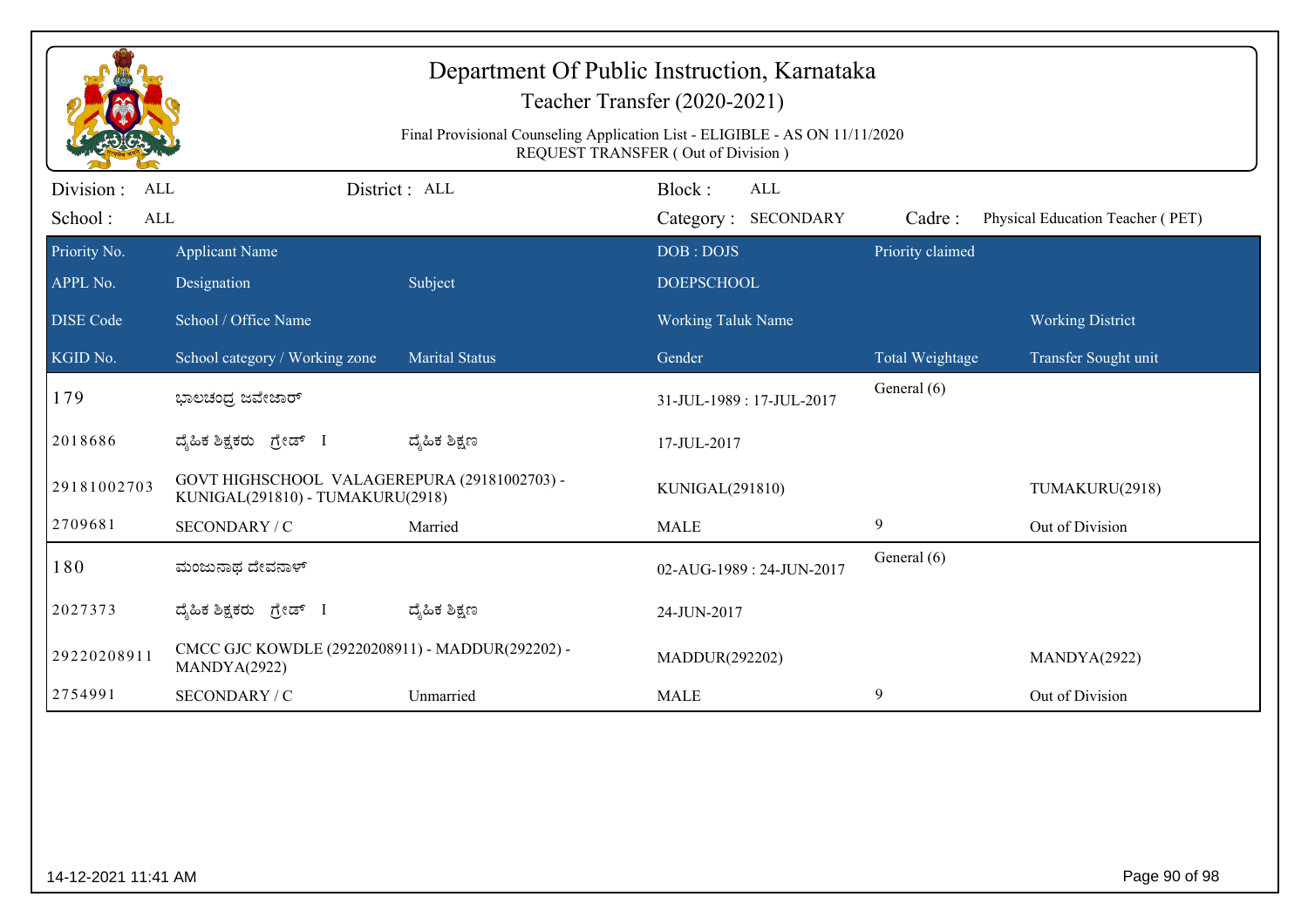|                                      |                                                                                  |                       | Department Of Public Instruction, Karnataka<br>Teacher Transfer (2020-2021)<br>Final Provisional Counseling Application List - ELIGIBLE - AS ON 11/11/2020 |                        |                                  |  |
|--------------------------------------|----------------------------------------------------------------------------------|-----------------------|------------------------------------------------------------------------------------------------------------------------------------------------------------|------------------------|----------------------------------|--|
| Division :<br>ALL<br>School:<br>ALL  |                                                                                  | District : ALL        | REQUEST TRANSFER (Out of Division)<br>Block:<br>ALL<br>Category: SECONDARY                                                                                 | Cadre:                 | Physical Education Teacher (PET) |  |
| Priority No.<br>APPL No.             | <b>Applicant Name</b><br>Designation                                             | Subject               | DOB: DOJS<br><b>DOEPSCHOOL</b>                                                                                                                             | Priority claimed       |                                  |  |
| <b>DISE</b> Code                     | School / Office Name                                                             |                       | Working Taluk Name                                                                                                                                         |                        | <b>Working District</b>          |  |
| KGID No.                             | School category / Working zone                                                   | <b>Marital Status</b> | Gender                                                                                                                                                     | <b>Total Weightage</b> | Transfer Sought unit             |  |
| 179                                  | ಭಾಲಚಂದ್ರ ಜವೇಜಾರ್                                                                 |                       | 31-JUL-1989: 17-JUL-2017                                                                                                                                   | General (6)            |                                  |  |
| 2018686                              | ದೈಹಿಕ ಶಿಕ್ಷಕರು ಗ್ರೇಡ್ I                                                          | ದ್ಶೆಹಿಕ ಶಿಕ್ಷಣ        | 17-JUL-2017                                                                                                                                                |                        |                                  |  |
| 29181002703                          | GOVT HIGHSCHOOL VALAGEREPURA (29181002703) -<br>KUNIGAL(291810) - TUMAKURU(2918) |                       | KUNIGAL(291810)                                                                                                                                            |                        | TUMAKURU(2918)                   |  |
| 2709681                              | SECONDARY / C                                                                    | Married               | <b>MALE</b>                                                                                                                                                | 9                      | Out of Division                  |  |
| 180                                  | ಮಂಜುನಾಥ ದೇವನಾಳ್                                                                  |                       | 02-AUG-1989: 24-JUN-2017                                                                                                                                   | General (6)            |                                  |  |
| 2027373                              | ದ್ಯಹಿಕ ಶಿಕ್ಷಕರು <i>ಗ್ರೇ</i> ಡ್ I                                                 | ದ್ಶೆಹಿಕ ಶಿಕ್ಷಣ        | 24-JUN-2017                                                                                                                                                |                        |                                  |  |
| 29220208911                          | CMCC GJC KOWDLE (29220208911) - MADDUR(292202) -<br>MANDYA(2922)                 |                       | MADDUR(292202)                                                                                                                                             |                        | MANDYA(2922)                     |  |
| 2754991                              | SECONDARY / C                                                                    | Unmarried             | <b>MALE</b>                                                                                                                                                | 9                      | Out of Division                  |  |
|                                      |                                                                                  |                       |                                                                                                                                                            |                        |                                  |  |
| Page 90 of 98<br>14-12-2021 11:41 AM |                                                                                  |                       |                                                                                                                                                            |                        |                                  |  |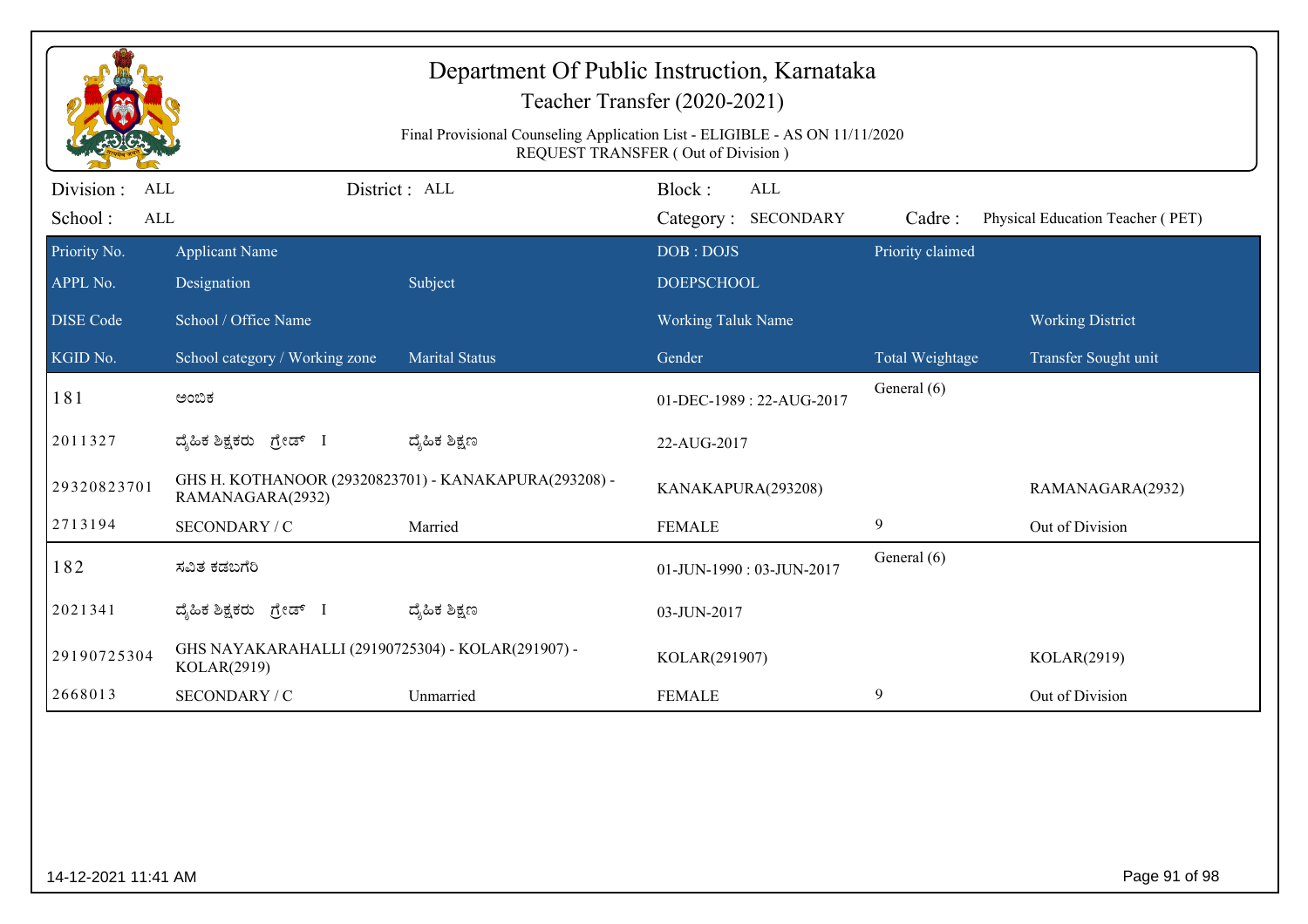|                                                                                                                   |                                                                  |                                                       | Department Of Public Instruction, Karnataka<br>Teacher Transfer (2020-2021) |                  |                                  |  |  |
|-------------------------------------------------------------------------------------------------------------------|------------------------------------------------------------------|-------------------------------------------------------|-----------------------------------------------------------------------------|------------------|----------------------------------|--|--|
| Final Provisional Counseling Application List - ELIGIBLE - AS ON 11/11/2020<br>REQUEST TRANSFER (Out of Division) |                                                                  |                                                       |                                                                             |                  |                                  |  |  |
| Division :<br><b>ALL</b><br>School:<br>ALL                                                                        |                                                                  | District: ALL                                         | Block:<br>ALL<br>Category: SECONDARY                                        | Cadre:           | Physical Education Teacher (PET) |  |  |
| Priority No.<br>APPL No.                                                                                          | <b>Applicant Name</b><br>Designation                             | Subject                                               | DOB: DOJS<br><b>DOEPSCHOOL</b>                                              | Priority claimed |                                  |  |  |
| <b>DISE</b> Code                                                                                                  | School / Office Name                                             |                                                       | Working Taluk Name                                                          |                  | <b>Working District</b>          |  |  |
| KGID No.                                                                                                          | School category / Working zone                                   | <b>Marital Status</b>                                 | Gender                                                                      | Total Weightage  | Transfer Sought unit             |  |  |
| 181                                                                                                               | ಅಂಬಿಕ                                                            |                                                       | 01-DEC-1989: 22-AUG-2017                                                    | General (6)      |                                  |  |  |
| 2011327                                                                                                           | ದ್ಯಹಿಕ ಶಿಕ್ಷಕರು ಗ್ರೇಡ್ I                                         | ದ್ಶೆಹಿಕ ಶಿಕ್ಷಣ                                        | 22-AUG-2017                                                                 |                  |                                  |  |  |
| 29320823701                                                                                                       | RAMANAGARA(2932)                                                 | GHS H. KOTHANOOR (29320823701) - KANAKAPURA(293208) - | KANAKAPURA(293208)                                                          |                  | RAMANAGARA(2932)                 |  |  |
| 2713194                                                                                                           | SECONDARY / C                                                    | Married                                               | <b>FEMALE</b>                                                               | 9                | Out of Division                  |  |  |
| 182                                                                                                               | ಸವಿತ ಕಡಬಗೆರಿ                                                     |                                                       | 01-JUN-1990: 03-JUN-2017                                                    | General (6)      |                                  |  |  |
| 2021341                                                                                                           | ದ್ಯಹಿಕ ಶಿಕ್ಷಕರು ಗ್ರೇಡ್ I                                         | ದ್ಯೆಹಿಕ ಶಿಕ್ಷಣ                                        | 03-JUN-2017                                                                 |                  |                                  |  |  |
| 29190725304                                                                                                       | GHS NAYAKARAHALLI (29190725304) - KOLAR(291907) -<br>KOLAR(2919) |                                                       | KOLAR(291907)                                                               |                  | KOLAR(2919)                      |  |  |
| 2668013                                                                                                           | SECONDARY / C                                                    | Unmarried                                             | <b>FEMALE</b>                                                               | 9                | Out of Division                  |  |  |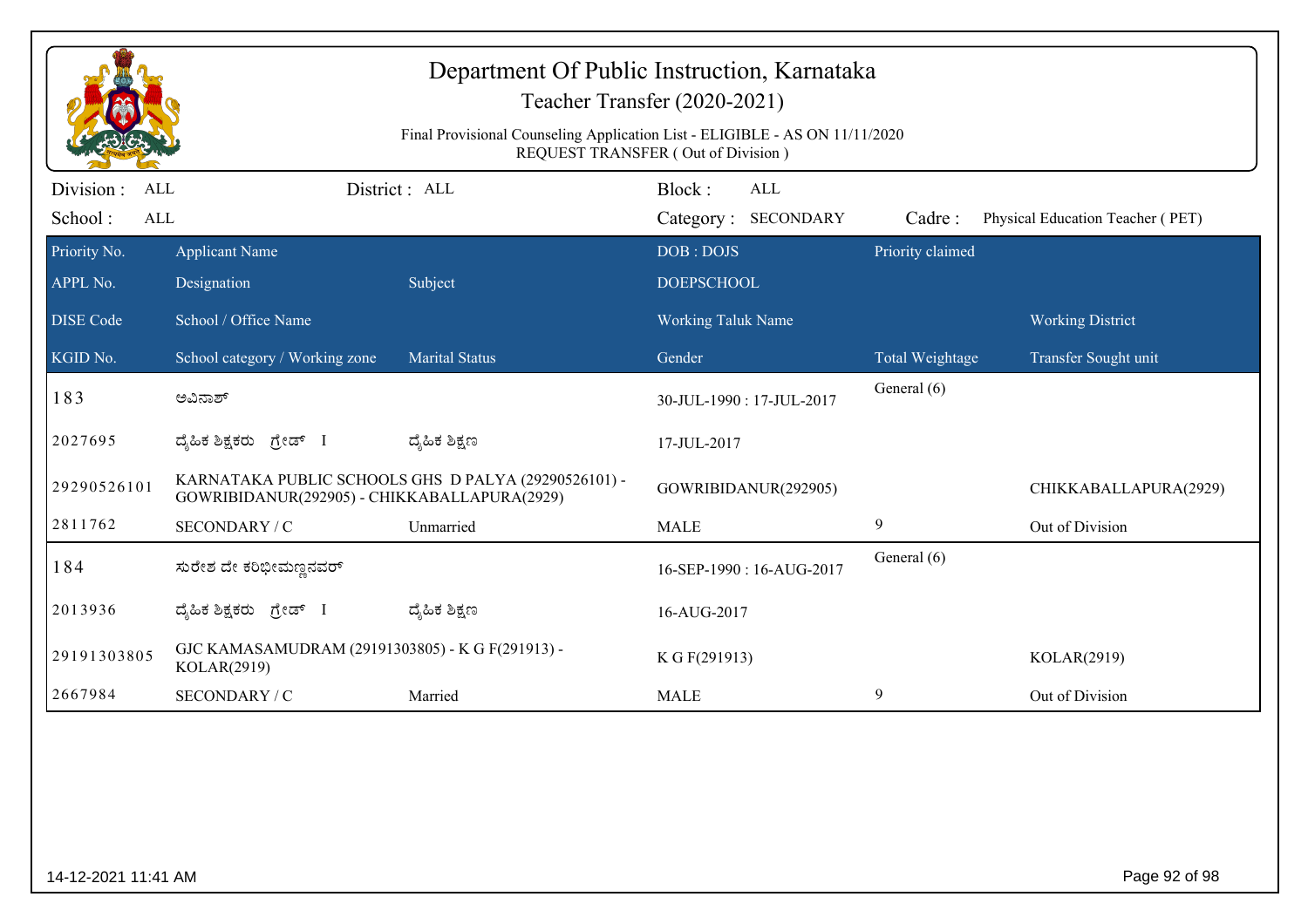| Department Of Public Instruction, Karnataka<br>Teacher Transfer (2020-2021) |                                                                                                                   |                                                      |                                      |                  |                                  |  |  |  |
|-----------------------------------------------------------------------------|-------------------------------------------------------------------------------------------------------------------|------------------------------------------------------|--------------------------------------|------------------|----------------------------------|--|--|--|
|                                                                             | Final Provisional Counseling Application List - ELIGIBLE - AS ON 11/11/2020<br>REQUEST TRANSFER (Out of Division) |                                                      |                                      |                  |                                  |  |  |  |
| Division :<br><b>ALL</b><br>School:<br>ALL                                  |                                                                                                                   | District: ALL                                        | Block:<br>ALL<br>Category: SECONDARY | Cadre:           | Physical Education Teacher (PET) |  |  |  |
| Priority No.<br>APPL No.                                                    | <b>Applicant Name</b><br>Designation                                                                              | Subject                                              | DOB: DOJS<br><b>DOEPSCHOOL</b>       | Priority claimed |                                  |  |  |  |
| <b>DISE Code</b>                                                            | School / Office Name                                                                                              |                                                      | <b>Working Taluk Name</b>            |                  | <b>Working District</b>          |  |  |  |
| KGID No.                                                                    | School category / Working zone                                                                                    | <b>Marital Status</b>                                | Gender                               | Total Weightage  | Transfer Sought unit             |  |  |  |
| 183                                                                         | ಅವಿನಾಶ್                                                                                                           |                                                      | 30-JUL-1990: 17-JUL-2017             | General (6)      |                                  |  |  |  |
| 2027695                                                                     | ದ್ಯಹಿಕ ಶಿಕ್ಷಕರು ಗ್ರೇಡ್ I                                                                                          | ದ್ಯೆಹಿಕ ಶಿಕ್ಷಣ                                       | 17-JUL-2017                          |                  |                                  |  |  |  |
| 29290526101                                                                 | GOWRIBIDANUR(292905) - CHIKKABALLAPURA(2929)                                                                      | KARNATAKA PUBLIC SCHOOLS GHS D PALYA (29290526101) - | GOWRIBIDANUR(292905)                 |                  | CHIKKABALLAPURA(2929)            |  |  |  |
| 2811762                                                                     | SECONDARY / C                                                                                                     | Unmarried                                            | <b>MALE</b>                          | 9                | Out of Division                  |  |  |  |
| 184                                                                         | ಸುರೇಶ ದೇ ಕರಿಭೀಮಣ್ಣನವರ್                                                                                            |                                                      | 16-SEP-1990: 16-AUG-2017             | General (6)      |                                  |  |  |  |
| 2013936                                                                     | ದ್ಯಹಿಕ ಶಿಕ್ಷಕರು ಗ್ರೇಡ್ I                                                                                          | ದ್ಮಹಿಕ ಶಿಕ್ಷಣ                                        | 16-AUG-2017                          |                  |                                  |  |  |  |
| 29191303805                                                                 | GJC KAMASAMUDRAM (29191303805) - K G F(291913) -<br>KOLAR(2919)                                                   |                                                      | K G F(291913)                        |                  | KOLAR(2919)                      |  |  |  |
| 2667984                                                                     | SECONDARY / C                                                                                                     | Married                                              | <b>MALE</b>                          | 9                | Out of Division                  |  |  |  |
|                                                                             |                                                                                                                   |                                                      |                                      |                  |                                  |  |  |  |
| 14-12-2021 11:41 AM                                                         |                                                                                                                   |                                                      |                                      |                  | Page 92 of 98                    |  |  |  |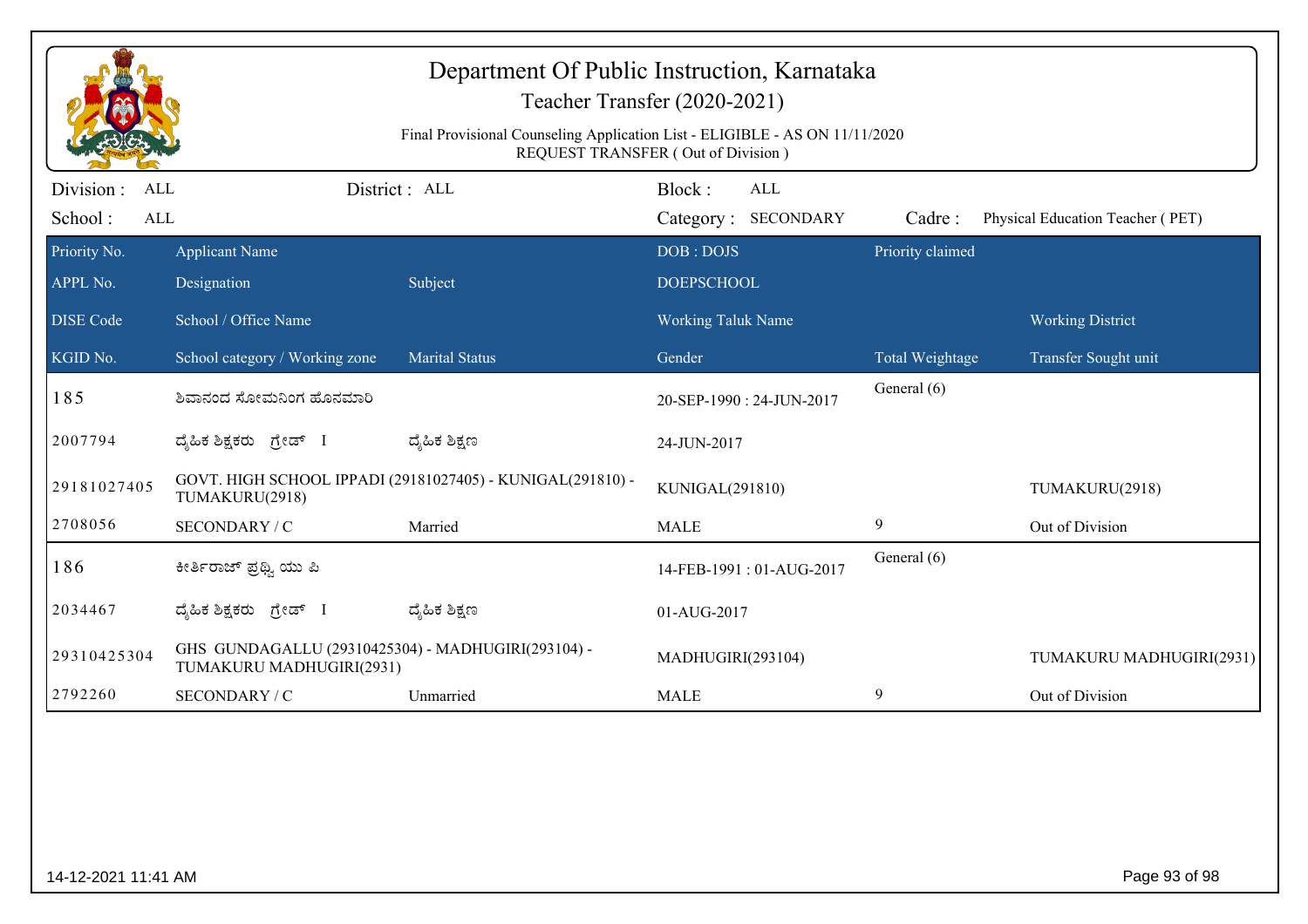| Department Of Public Instruction, Karnataka<br>Teacher Transfer (2020-2021) |                                                                                                                   |                                                            |                                      |                  |                                  |  |  |  |
|-----------------------------------------------------------------------------|-------------------------------------------------------------------------------------------------------------------|------------------------------------------------------------|--------------------------------------|------------------|----------------------------------|--|--|--|
|                                                                             | Final Provisional Counseling Application List - ELIGIBLE - AS ON 11/11/2020<br>REQUEST TRANSFER (Out of Division) |                                                            |                                      |                  |                                  |  |  |  |
| Division:<br>ALL<br>School:<br><b>ALL</b>                                   |                                                                                                                   | District : ALL                                             | Block:<br>ALL<br>Category: SECONDARY | Cadre:           | Physical Education Teacher (PET) |  |  |  |
| Priority No.<br>APPL No.                                                    | <b>Applicant Name</b><br>Designation                                                                              | Subject                                                    | DOB: DOJS<br><b>DOEPSCHOOL</b>       | Priority claimed |                                  |  |  |  |
| <b>DISE</b> Code                                                            | School / Office Name                                                                                              |                                                            | <b>Working Taluk Name</b>            |                  | <b>Working District</b>          |  |  |  |
| KGID No.                                                                    | School category / Working zone                                                                                    | <b>Marital Status</b>                                      | Gender                               | Total Weightage  | Transfer Sought unit             |  |  |  |
| 185                                                                         | ಶಿವಾನಂದ ಸೋಮನಿಂಗ ಹೊನಮಾರಿ                                                                                           |                                                            | 20-SEP-1990: 24-JUN-2017             | General (6)      |                                  |  |  |  |
| 2007794                                                                     | ದ್ಯಹಿಕ ಶಿಕ್ಷಕರು ಗ್ರೇಡ್ I                                                                                          | ದ್ಯೆಹಿಕ ಶಿಕ್ಷಣ                                             | 24-JUN-2017                          |                  |                                  |  |  |  |
| 29181027405                                                                 | TUMAKURU(2918)                                                                                                    | GOVT. HIGH SCHOOL IPPADI (29181027405) - KUNIGAL(291810) - | KUNIGAL(291810)                      |                  | TUMAKURU(2918)                   |  |  |  |
| 2708056                                                                     | SECONDARY / C                                                                                                     | Married                                                    | <b>MALE</b>                          | 9                | Out of Division                  |  |  |  |
| 186                                                                         | ಕೀರ್ತಿರಾಜ್ ಪ್ರಥ್ಯಿ ಯು ಪಿ                                                                                          |                                                            | 14-FEB-1991: 01-AUG-2017             | General (6)      |                                  |  |  |  |
| 2034467                                                                     | ದ್ಯಹಿಕ ಶಿಕ್ಷಕರು ಗ್ರೇಡ್ I                                                                                          | ದ್ಮಹಿಕ ಶಿಕ್ಷಣ                                              | 01-AUG-2017                          |                  |                                  |  |  |  |
| 29310425304                                                                 | GHS GUNDAGALLU (29310425304) - MADHUGIRI(293104) -<br>TUMAKURU MADHUGIRI(2931)                                    |                                                            | MADHUGIRI(293104)                    |                  | TUMAKURU MADHUGIRI(2931)         |  |  |  |
| 2792260                                                                     | SECONDARY / C                                                                                                     | Unmarried                                                  | <b>MALE</b>                          | 9                | Out of Division                  |  |  |  |
|                                                                             |                                                                                                                   |                                                            |                                      |                  |                                  |  |  |  |
| 14-12-2021 11:41 AM                                                         |                                                                                                                   |                                                            |                                      |                  | Page 93 of 98                    |  |  |  |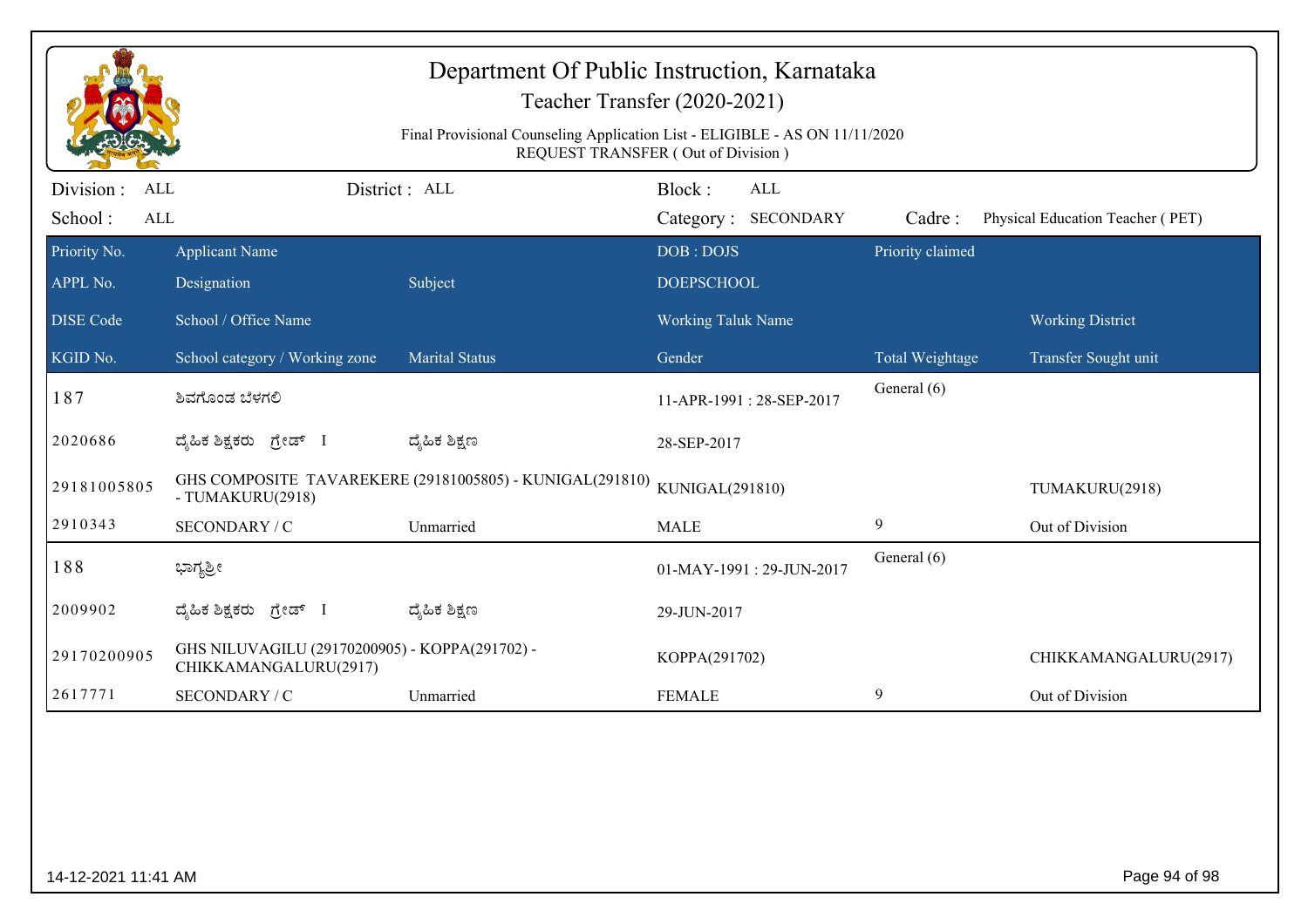| Department Of Public Instruction, Karnataka<br>Teacher Transfer (2020-2021)<br>Final Provisional Counseling Application List - ELIGIBLE - AS ON 11/11/2020<br>REQUEST TRANSFER (Out of Division) |                                                                         |                                                          |                                      |                  |                                  |  |  |
|--------------------------------------------------------------------------------------------------------------------------------------------------------------------------------------------------|-------------------------------------------------------------------------|----------------------------------------------------------|--------------------------------------|------------------|----------------------------------|--|--|
| Division:<br><b>ALL</b><br>School:<br><b>ALL</b>                                                                                                                                                 |                                                                         | District: ALL                                            | Block:<br>ALL<br>Category: SECONDARY | Cadre:           | Physical Education Teacher (PET) |  |  |
| Priority No.<br>APPL No.                                                                                                                                                                         | <b>Applicant Name</b><br>Designation                                    | Subject                                                  | DOB: DOJS<br><b>DOEPSCHOOL</b>       | Priority claimed |                                  |  |  |
| <b>DISE</b> Code                                                                                                                                                                                 | School / Office Name                                                    |                                                          | <b>Working Taluk Name</b>            |                  | <b>Working District</b>          |  |  |
| $\overline{\text{KGID No.}}$                                                                                                                                                                     | School category / Working zone                                          | <b>Marital Status</b>                                    | Gender                               | Total Weightage  | Transfer Sought unit             |  |  |
| 187                                                                                                                                                                                              | ಶಿವಗೊಂಡ ಬೆಳಗಲಿ                                                          |                                                          | 11-APR-1991: 28-SEP-2017             | General (6)      |                                  |  |  |
| 2020686                                                                                                                                                                                          | ದ್ಯಹಿಕ ಶಿಕ್ಷಕರು ಗ್ರೇಡ್ I                                                | ದ್ಯೆಹಿಕ ಶಿಕ್ಷಣ                                           | 28-SEP-2017                          |                  |                                  |  |  |
| 29181005805                                                                                                                                                                                      | - TUMAKURU(2918)                                                        | GHS COMPOSITE TAVAREKERE (29181005805) - KUNIGAL(291810) | KUNIGAL(291810)                      |                  | TUMAKURU(2918)                   |  |  |
| 2910343                                                                                                                                                                                          | SECONDARY / C                                                           | Unmarried                                                | <b>MALE</b>                          | 9                | Out of Division                  |  |  |
| 188                                                                                                                                                                                              | ಭಾಗ್ಯಶ್ರೀ                                                               |                                                          | 01-MAY-1991: 29-JUN-2017             | General (6)      |                                  |  |  |
| 2009902                                                                                                                                                                                          | ದ್ಯಹಿಕ ಶಿಕ್ಷಕರು <i>ಗ್ರೇಡ್</i> I                                         | ದ್ಮಹಿಕ ಶಿಕ್ಷಣ                                            | 29-JUN-2017                          |                  |                                  |  |  |
| 29170200905                                                                                                                                                                                      | GHS NILUVAGILU (29170200905) - KOPPA(291702) -<br>CHIKKAMANGALURU(2917) |                                                          | KOPPA(291702)                        |                  | CHIKKAMANGALURU(2917)            |  |  |
| 2617771                                                                                                                                                                                          | SECONDARY / C                                                           | Unmarried                                                | <b>FEMALE</b>                        | 9                | Out of Division                  |  |  |
|                                                                                                                                                                                                  |                                                                         |                                                          |                                      |                  |                                  |  |  |
| 14-12-2021 11:41 AM                                                                                                                                                                              |                                                                         |                                                          |                                      |                  | Page 94 of 98                    |  |  |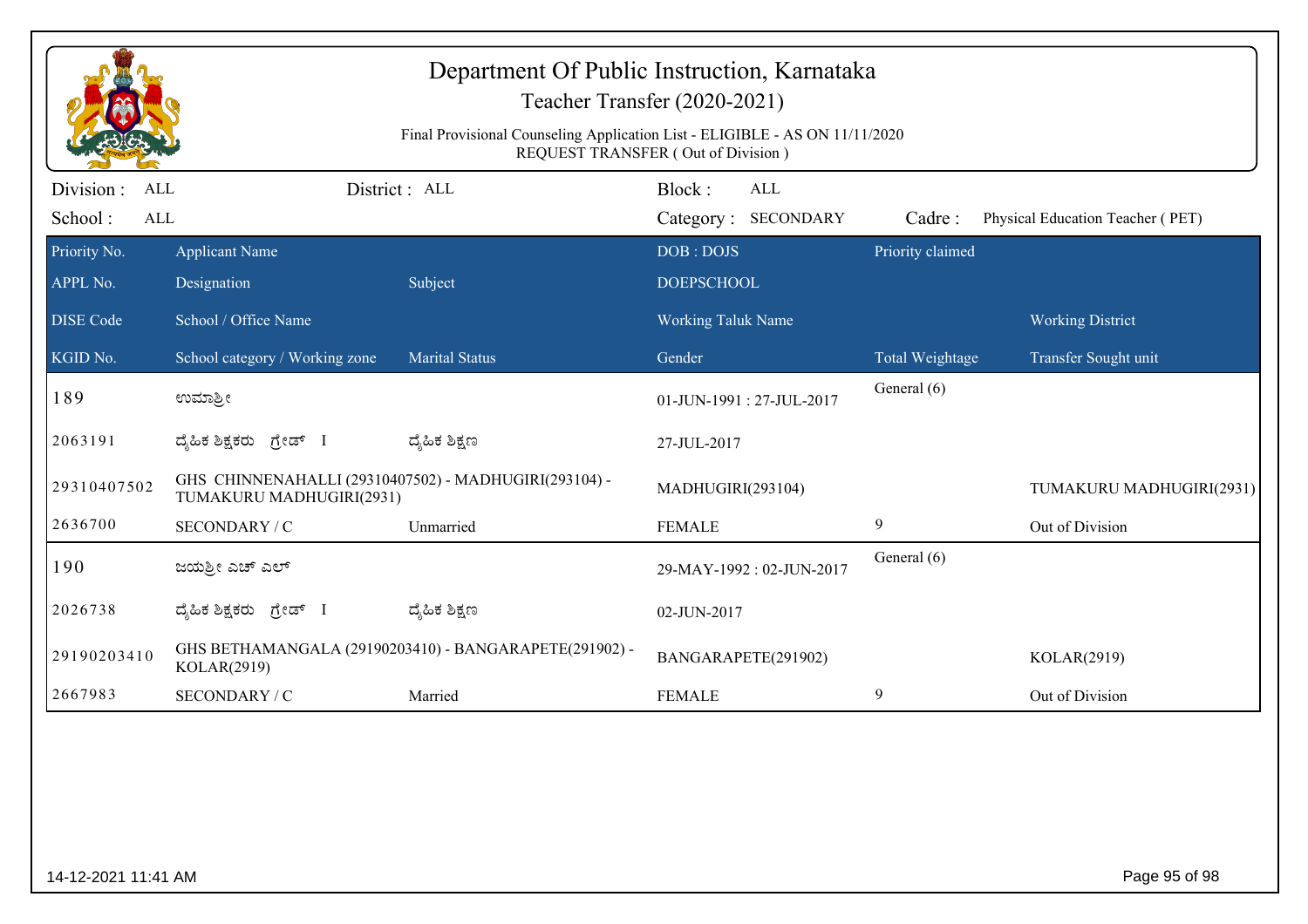| Department Of Public Instruction, Karnataka<br>Teacher Transfer (2020-2021)<br>Final Provisional Counseling Application List - ELIGIBLE - AS ON 11/11/2020<br>REQUEST TRANSFER (Out of Division) |                                                                                   |                                                        |                                             |                  |                                  |  |  |
|--------------------------------------------------------------------------------------------------------------------------------------------------------------------------------------------------|-----------------------------------------------------------------------------------|--------------------------------------------------------|---------------------------------------------|------------------|----------------------------------|--|--|
| Division :<br>ALL<br>School:<br>ALL                                                                                                                                                              |                                                                                   | District: ALL                                          | Block:<br><b>ALL</b><br>Category: SECONDARY | Cadre:           | Physical Education Teacher (PET) |  |  |
| Priority No.<br>APPL No.                                                                                                                                                                         | <b>Applicant Name</b><br>Designation                                              | Subject                                                | DOB: DOJS<br><b>DOEPSCHOOL</b>              | Priority claimed |                                  |  |  |
| <b>DISE Code</b>                                                                                                                                                                                 | School / Office Name                                                              |                                                        | <b>Working Taluk Name</b>                   |                  | <b>Working District</b>          |  |  |
| KGID No.                                                                                                                                                                                         | School category / Working zone                                                    | <b>Marital Status</b>                                  | Gender                                      | Total Weightage  | Transfer Sought unit             |  |  |
| 189                                                                                                                                                                                              | ಉಮಾಶ್ರೀ                                                                           |                                                        | 01-JUN-1991: 27-JUL-2017                    | General (6)      |                                  |  |  |
| 2063191                                                                                                                                                                                          | ದೈಹಿಕ ಶಿಕ್ಷಕರು ಗ್ರೇಡ್ I                                                           | ದ್ಮಹಿಕ ಶಿಕ್ಷಣ                                          | 27-JUL-2017                                 |                  |                                  |  |  |
| 29310407502                                                                                                                                                                                      | GHS CHINNENAHALLI (29310407502) - MADHUGIRI(293104) -<br>TUMAKURU MADHUGIRI(2931) |                                                        | MADHUGIRI(293104)                           |                  | TUMAKURU MADHUGIRI(2931)         |  |  |
| 2636700                                                                                                                                                                                          | SECONDARY / C                                                                     | Unmarried                                              | <b>FEMALE</b>                               | 9                | Out of Division                  |  |  |
| 190                                                                                                                                                                                              | ಜಯಶ್ರೀ ಎಚ್ ಎಲ್                                                                    |                                                        | 29-MAY-1992: 02-JUN-2017                    | General (6)      |                                  |  |  |
| 2026738                                                                                                                                                                                          | ದೈಹಿಕ ಶಿಕ್ಷಕರು <i>ಗ್ರೇ</i> ಡ್ I                                                   | ದ್ಶೆಹಿಕ ಶಿಕ್ಷಣ                                         | 02-JUN-2017                                 |                  |                                  |  |  |
| 29190203410                                                                                                                                                                                      | KOLAR(2919)                                                                       | GHS BETHAMANGALA (29190203410) - BANGARAPETE(291902) - | BANGARAPETE(291902)                         |                  | KOLAR(2919)                      |  |  |
| 2667983                                                                                                                                                                                          | SECONDARY / C                                                                     | Married                                                | <b>FEMALE</b>                               | 9                | Out of Division                  |  |  |
|                                                                                                                                                                                                  |                                                                                   |                                                        |                                             |                  |                                  |  |  |
| 14-12-2021 11:41 AM                                                                                                                                                                              |                                                                                   |                                                        |                                             |                  | Page 95 of 98                    |  |  |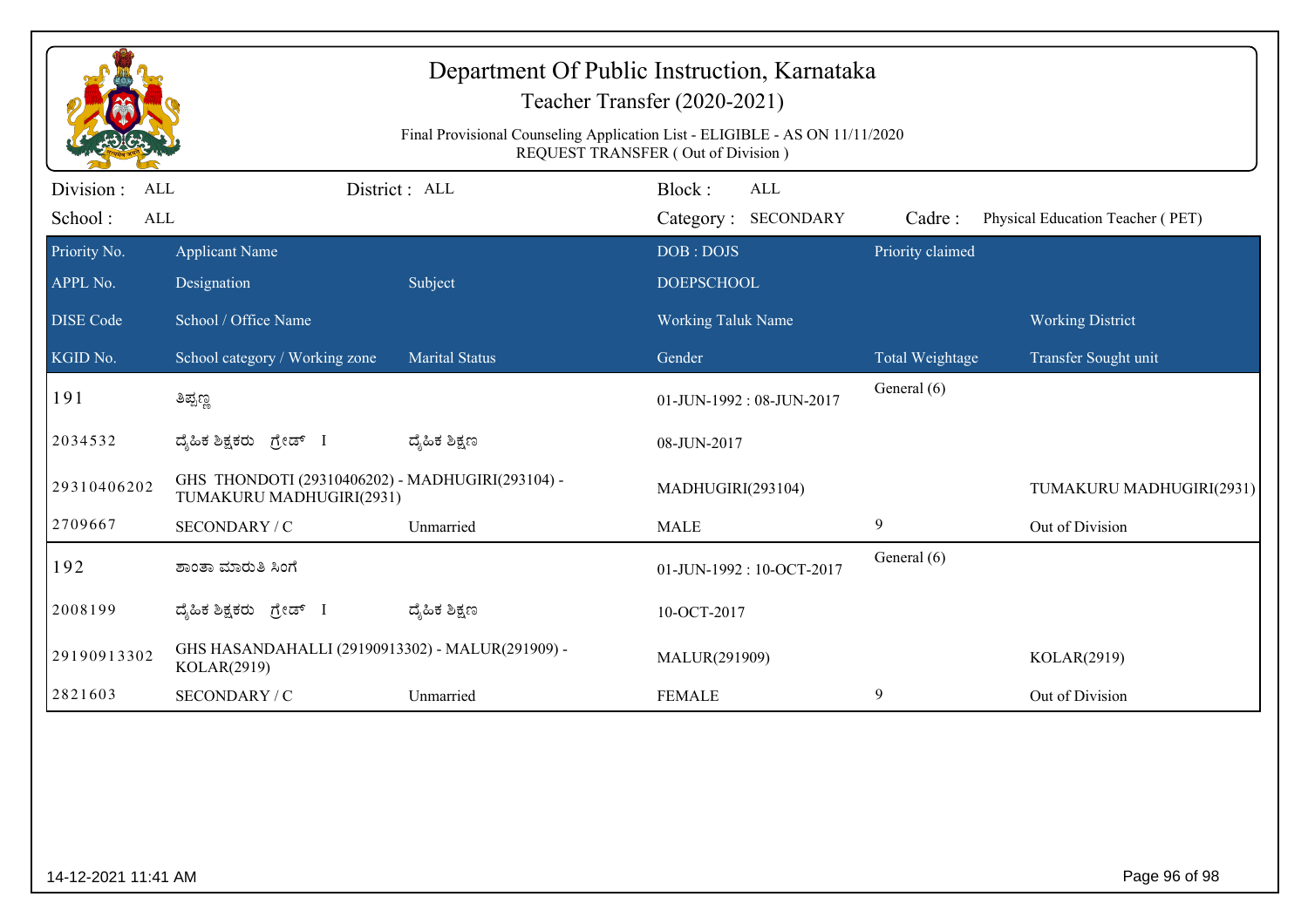|                                            | Department Of Public Instruction, Karnataka<br>Teacher Transfer (2020-2021)<br>Final Provisional Counseling Application List - ELIGIBLE - AS ON 11/11/2020<br>REQUEST TRANSFER (Out of Division) |                       |                                      |                  |                                  |  |  |  |
|--------------------------------------------|--------------------------------------------------------------------------------------------------------------------------------------------------------------------------------------------------|-----------------------|--------------------------------------|------------------|----------------------------------|--|--|--|
| Division :<br><b>ALL</b><br>School:<br>ALL |                                                                                                                                                                                                  | District : ALL        | Block:<br>ALL<br>Category: SECONDARY | Cadre:           | Physical Education Teacher (PET) |  |  |  |
| Priority No.<br>APPL No.                   | <b>Applicant Name</b><br>Designation                                                                                                                                                             | Subject               | DOB: DOJS<br><b>DOEPSCHOOL</b>       | Priority claimed |                                  |  |  |  |
| <b>DISE</b> Code                           | School / Office Name                                                                                                                                                                             |                       | Working Taluk Name                   |                  | <b>Working District</b>          |  |  |  |
| KGID No.                                   | School category / Working zone                                                                                                                                                                   | <b>Marital Status</b> | Gender                               | Total Weightage  | Transfer Sought unit             |  |  |  |
| 191                                        | ತಿಪ್ಪಣ್ಣ                                                                                                                                                                                         |                       | 01-JUN-1992: 08-JUN-2017             | General (6)      |                                  |  |  |  |
| 2034532                                    | ದ್ಯಹಿಕ ಶಿಕ್ಷಕರು ಗ್ರೇಡ್ I                                                                                                                                                                         | ದ್ಮೆಹಿಕ ಶಿಕ್ಷಣ        | 08-JUN-2017                          |                  |                                  |  |  |  |
| 29310406202                                | GHS THONDOTI (29310406202) - MADHUGIRI(293104) -<br>TUMAKURU MADHUGIRI(2931)                                                                                                                     |                       | MADHUGIRI(293104)                    |                  | TUMAKURU MADHUGIRI(2931)         |  |  |  |
| 2709667                                    | SECONDARY / C                                                                                                                                                                                    | Unmarried             | <b>MALE</b>                          | $\mathbf{9}$     | Out of Division                  |  |  |  |
| 192                                        | ಶಾಂತಾ ಮಾರುತಿ ಸಿಂಗೆ                                                                                                                                                                               |                       | 01-JUN-1992: 10-OCT-2017             | General (6)      |                                  |  |  |  |
| 2008199                                    | ದ್ಯಹಿಕ ಶಿಕ್ಷಕರು ಗ್ರೇಡ್ I                                                                                                                                                                         | ದ್ಮಹಿಕ ಶಿಕ್ಷಣ         | 10-OCT-2017                          |                  |                                  |  |  |  |
| 29190913302                                | GHS HASANDAHALLI (29190913302) - MALUR(291909) -<br>KOLAR(2919)                                                                                                                                  |                       | MALUR(291909)                        |                  | KOLAR(2919)                      |  |  |  |
| 2821603                                    | SECONDARY / C                                                                                                                                                                                    | Unmarried             | <b>FEMALE</b>                        | 9                | Out of Division                  |  |  |  |
|                                            |                                                                                                                                                                                                  |                       |                                      |                  |                                  |  |  |  |
| 14-12-2021 11:41 AM                        |                                                                                                                                                                                                  |                       |                                      |                  | Page 96 of 98                    |  |  |  |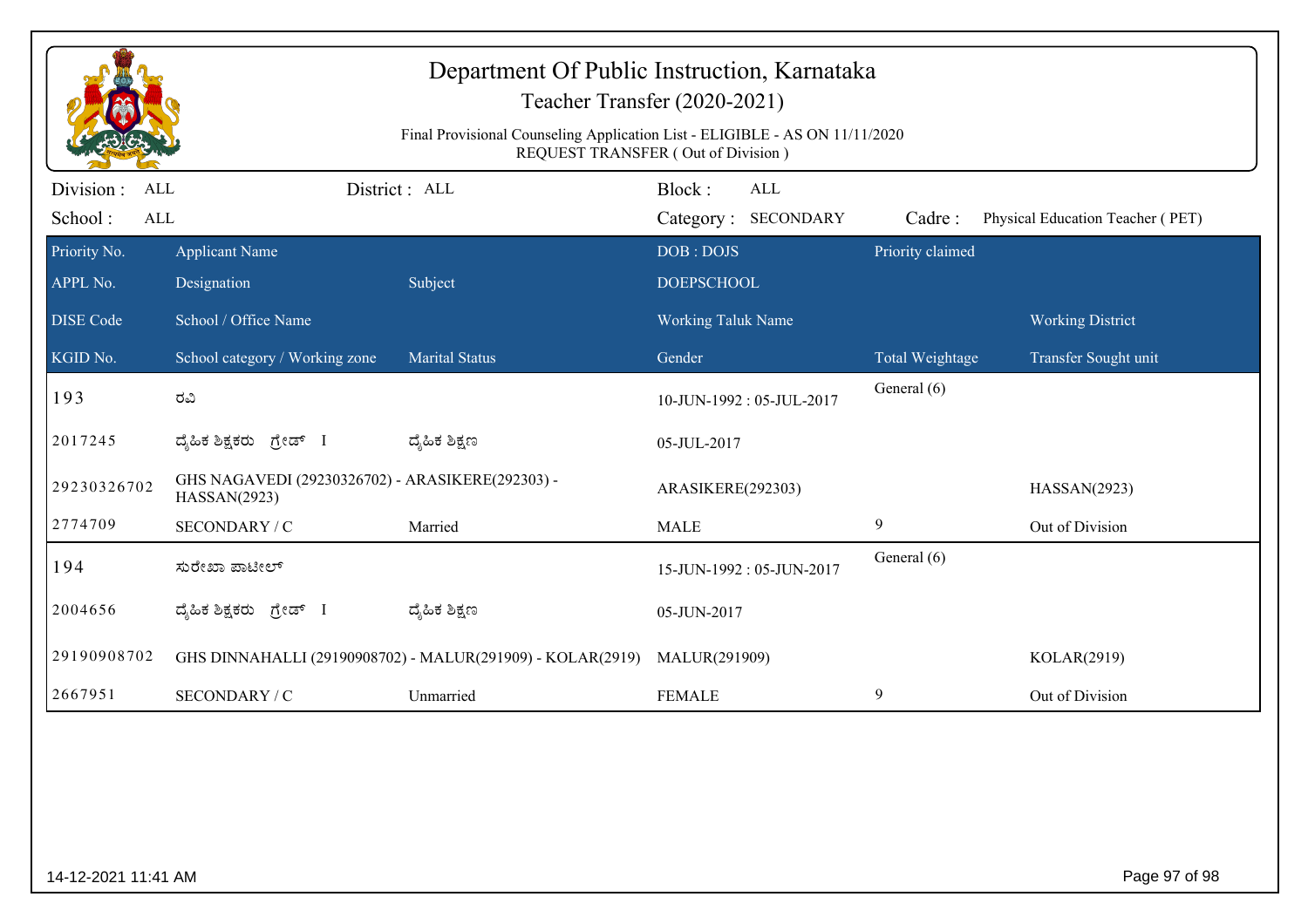| Department Of Public Instruction, Karnataka<br>Teacher Transfer (2020-2021)<br>Final Provisional Counseling Application List - ELIGIBLE - AS ON 11/11/2020<br>REQUEST TRANSFER (Out of Division) |                                                                  |                       |                                             |                  |                                  |  |  |  |
|--------------------------------------------------------------------------------------------------------------------------------------------------------------------------------------------------|------------------------------------------------------------------|-----------------------|---------------------------------------------|------------------|----------------------------------|--|--|--|
| Division :<br>ALL<br>School:<br>ALL                                                                                                                                                              |                                                                  | District: ALL         | Block:<br><b>ALL</b><br>Category: SECONDARY | Cadre:           | Physical Education Teacher (PET) |  |  |  |
| Priority No.<br>APPL No.                                                                                                                                                                         | <b>Applicant Name</b>                                            |                       | DOB: DOJS<br><b>DOEPSCHOOL</b>              | Priority claimed |                                  |  |  |  |
| <b>DISE Code</b>                                                                                                                                                                                 | Designation<br>School / Office Name                              | Subject               | <b>Working Taluk Name</b>                   |                  | <b>Working District</b>          |  |  |  |
| KGID No.                                                                                                                                                                                         | School category / Working zone                                   | <b>Marital Status</b> | Gender                                      | Total Weightage  | Transfer Sought unit             |  |  |  |
| 193                                                                                                                                                                                              | ರವಿ                                                              |                       | 10-JUN-1992: 05-JUL-2017                    | General (6)      |                                  |  |  |  |
| 2017245                                                                                                                                                                                          | ದೈಹಿಕ ಶಿಕ್ಷಕರು ಗ್ರೇಡ್ I                                          | ದ್ಶೆಹಿಕ ಶಿಕ್ಷಣ        | 05-JUL-2017                                 |                  |                                  |  |  |  |
| 29230326702                                                                                                                                                                                      | GHS NAGAVEDI (29230326702) - ARASIKERE(292303) -<br>HASSAN(2923) |                       | ARASIKERE(292303)                           |                  | HASSAN(2923)                     |  |  |  |
| 2774709                                                                                                                                                                                          | SECONDARY / C                                                    | Married               | <b>MALE</b>                                 | 9                | Out of Division                  |  |  |  |
| 194                                                                                                                                                                                              | ಸುರೇಖಾ ಪಾಟೀಲ್                                                    |                       | 15-JUN-1992: 05-JUN-2017                    | General (6)      |                                  |  |  |  |
| 2004656                                                                                                                                                                                          | ದೈಹಿಕ ಶಿಕ್ಷಕರು ಗ್ರೇಡ್ I                                          | ದ್ಶೆಹಿಕ ಶಿಕ್ಷಣ        | 05-JUN-2017                                 |                  |                                  |  |  |  |
| 29190908702                                                                                                                                                                                      | GHS DINNAHALLI (29190908702) - MALUR(291909) - KOLAR(2919)       |                       | MALUR(291909)                               |                  | KOLAR(2919)                      |  |  |  |
| 2667951                                                                                                                                                                                          | SECONDARY / C                                                    | Unmarried             | <b>FEMALE</b>                               | 9                | Out of Division                  |  |  |  |
|                                                                                                                                                                                                  |                                                                  |                       |                                             |                  |                                  |  |  |  |
| Page 97 of 98<br>14-12-2021 11:41 AM                                                                                                                                                             |                                                                  |                       |                                             |                  |                                  |  |  |  |